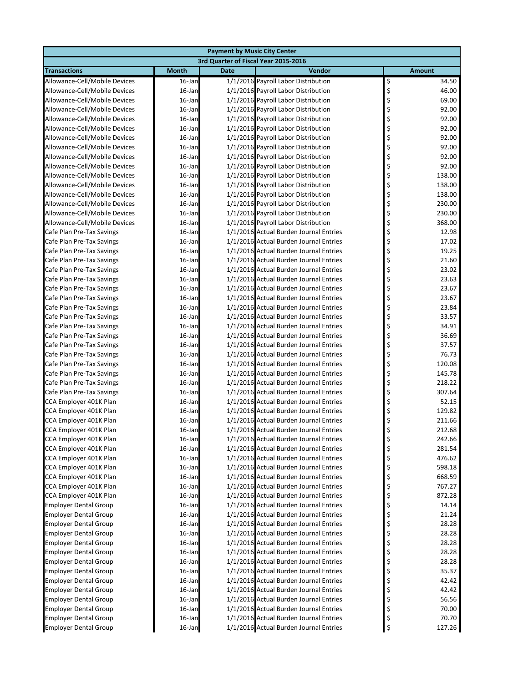|                                                        | <b>Payment by Music City Center</b> |                                      |                                                                                  |                            |  |  |  |
|--------------------------------------------------------|-------------------------------------|--------------------------------------|----------------------------------------------------------------------------------|----------------------------|--|--|--|
|                                                        |                                     | 3rd Quarter of Fiscal Year 2015-2016 |                                                                                  |                            |  |  |  |
| <b>Transactions</b>                                    | <b>Month</b>                        | <b>Date</b>                          | Vendor                                                                           | <b>Amount</b>              |  |  |  |
| Allowance-Cell/Mobile Devices                          | 16-Jan                              |                                      | 1/1/2016 Payroll Labor Distribution                                              | \$<br>34.50                |  |  |  |
| Allowance-Cell/Mobile Devices                          | 16-Jan                              |                                      | 1/1/2016 Payroll Labor Distribution                                              | \$<br>46.00                |  |  |  |
| Allowance-Cell/Mobile Devices                          | $16$ -Jan                           |                                      | 1/1/2016 Payroll Labor Distribution                                              | \$<br>69.00                |  |  |  |
| Allowance-Cell/Mobile Devices                          | $16$ -Jan                           |                                      | 1/1/2016 Payroll Labor Distribution                                              | \$<br>92.00                |  |  |  |
| Allowance-Cell/Mobile Devices                          | 16-Jan                              |                                      | 1/1/2016 Payroll Labor Distribution                                              | \$<br>92.00                |  |  |  |
| Allowance-Cell/Mobile Devices                          | 16-Jan                              |                                      | 1/1/2016 Payroll Labor Distribution                                              | \$<br>92.00                |  |  |  |
| Allowance-Cell/Mobile Devices                          | 16-Jan                              |                                      | 1/1/2016 Payroll Labor Distribution                                              | \$<br>92.00                |  |  |  |
| Allowance-Cell/Mobile Devices                          | 16-Jan                              |                                      | 1/1/2016 Payroll Labor Distribution                                              | \$<br>92.00                |  |  |  |
| Allowance-Cell/Mobile Devices                          | $16$ -Jan                           |                                      | 1/1/2016 Payroll Labor Distribution                                              | \$<br>92.00                |  |  |  |
| Allowance-Cell/Mobile Devices                          | 16-Jan                              |                                      | 1/1/2016 Payroll Labor Distribution                                              | \$<br>92.00                |  |  |  |
| Allowance-Cell/Mobile Devices                          | 16-Jan                              |                                      | 1/1/2016 Payroll Labor Distribution                                              | \$<br>138.00               |  |  |  |
| Allowance-Cell/Mobile Devices                          | 16-Jan                              |                                      | 1/1/2016 Payroll Labor Distribution                                              | \$<br>138.00               |  |  |  |
| Allowance-Cell/Mobile Devices                          | 16-Jan                              |                                      | 1/1/2016 Payroll Labor Distribution                                              | \$<br>138.00               |  |  |  |
| Allowance-Cell/Mobile Devices                          | $16$ -Jan                           |                                      | 1/1/2016 Payroll Labor Distribution                                              | \$<br>230.00               |  |  |  |
| Allowance-Cell/Mobile Devices                          | 16-Jan                              |                                      | 1/1/2016 Payroll Labor Distribution                                              | \$<br>230.00               |  |  |  |
| Allowance-Cell/Mobile Devices                          | $16$ -Jan                           |                                      | 1/1/2016 Payroll Labor Distribution                                              | \$<br>368.00               |  |  |  |
| Cafe Plan Pre-Tax Savings                              | 16-Jan                              |                                      | 1/1/2016 Actual Burden Journal Entries                                           | \$<br>12.98                |  |  |  |
| Cafe Plan Pre-Tax Savings                              | 16-Jan                              |                                      | 1/1/2016 Actual Burden Journal Entries                                           | \$<br>17.02                |  |  |  |
| Cafe Plan Pre-Tax Savings<br>Cafe Plan Pre-Tax Savings | $16$ -Jan                           |                                      | 1/1/2016 Actual Burden Journal Entries<br>1/1/2016 Actual Burden Journal Entries | \$<br>19.25                |  |  |  |
| Cafe Plan Pre-Tax Savings                              | $16$ -Jan<br>16-Jan                 |                                      | 1/1/2016 Actual Burden Journal Entries                                           | \$<br>21.60<br>\$<br>23.02 |  |  |  |
| Cafe Plan Pre-Tax Savings                              | 16-Jan                              |                                      | 1/1/2016 Actual Burden Journal Entries                                           | \$<br>23.63                |  |  |  |
| Cafe Plan Pre-Tax Savings                              | 16-Jan                              |                                      | 1/1/2016 Actual Burden Journal Entries                                           | \$<br>23.67                |  |  |  |
| Cafe Plan Pre-Tax Savings                              | 16-Jan                              |                                      | 1/1/2016 Actual Burden Journal Entries                                           | \$<br>23.67                |  |  |  |
| Cafe Plan Pre-Tax Savings                              | $16$ -Jan                           |                                      | 1/1/2016 Actual Burden Journal Entries                                           | \$<br>23.84                |  |  |  |
| Cafe Plan Pre-Tax Savings                              | 16-Jan                              |                                      | 1/1/2016 Actual Burden Journal Entries                                           | \$<br>33.57                |  |  |  |
| Cafe Plan Pre-Tax Savings                              | $16$ -Jan                           |                                      | 1/1/2016 Actual Burden Journal Entries                                           | \$<br>34.91                |  |  |  |
| Cafe Plan Pre-Tax Savings                              | 16-Jan                              |                                      | 1/1/2016 Actual Burden Journal Entries                                           | \$<br>36.69                |  |  |  |
| Cafe Plan Pre-Tax Savings                              | 16-Jan                              |                                      | 1/1/2016 Actual Burden Journal Entries                                           | \$<br>37.57                |  |  |  |
| Cafe Plan Pre-Tax Savings                              | $16$ -Jan                           |                                      | 1/1/2016 Actual Burden Journal Entries                                           | \$<br>76.73                |  |  |  |
| Cafe Plan Pre-Tax Savings                              | $16$ -Jan                           |                                      | 1/1/2016 Actual Burden Journal Entries                                           | \$<br>120.08               |  |  |  |
| Cafe Plan Pre-Tax Savings                              | $16$ -Jan                           |                                      | 1/1/2016 Actual Burden Journal Entries                                           | \$<br>145.78               |  |  |  |
| Cafe Plan Pre-Tax Savings                              | $16$ -Jan                           |                                      | 1/1/2016 Actual Burden Journal Entries                                           | \$<br>218.22               |  |  |  |
| Cafe Plan Pre-Tax Savings                              | 16-Jan                              |                                      | 1/1/2016 Actual Burden Journal Entries                                           | \$<br>307.64               |  |  |  |
| CCA Employer 401K Plan                                 | $16$ -Jan                           |                                      | 1/1/2016 Actual Burden Journal Entries                                           | \$<br>52.15                |  |  |  |
| CCA Employer 401K Plan                                 | $16$ -Jan                           |                                      | 1/1/2016 Actual Burden Journal Entries                                           | \$<br>129.82               |  |  |  |
| CCA Employer 401K Plan                                 | $16$ -Jan                           |                                      | 1/1/2016 Actual Burden Journal Entries                                           | \$<br>211.66               |  |  |  |
| CCA Employer 401K Plan                                 | 16-Jan                              |                                      | 1/1/2016 Actual Burden Journal Entries                                           | Ś<br>212.68                |  |  |  |
| CCA Employer 401K Plan                                 | 16-Jan                              |                                      | 1/1/2016 Actual Burden Journal Entries                                           | \$<br>242.66               |  |  |  |
| CCA Employer 401K Plan<br>CCA Employer 401K Plan       | 16-Jan<br>16-Jan                    |                                      | 1/1/2016 Actual Burden Journal Entries<br>1/1/2016 Actual Burden Journal Entries | \$<br>281.54<br>476.62     |  |  |  |
| CCA Employer 401K Plan                                 | $16$ -Jan                           |                                      | 1/1/2016 Actual Burden Journal Entries                                           | \$<br>\$<br>598.18         |  |  |  |
| CCA Employer 401K Plan                                 | $16$ -Jan                           |                                      | 1/1/2016 Actual Burden Journal Entries                                           | \$<br>668.59               |  |  |  |
| CCA Employer 401K Plan                                 | 16-Jan                              |                                      | 1/1/2016 Actual Burden Journal Entries                                           | \$<br>767.27               |  |  |  |
| CCA Employer 401K Plan                                 | 16-Jan                              |                                      | 1/1/2016 Actual Burden Journal Entries                                           | \$<br>872.28               |  |  |  |
| <b>Employer Dental Group</b>                           | 16-Jan                              |                                      | 1/1/2016 Actual Burden Journal Entries                                           | \$<br>14.14                |  |  |  |
| <b>Employer Dental Group</b>                           | $16$ -Jan                           |                                      | 1/1/2016 Actual Burden Journal Entries                                           | \$<br>21.24                |  |  |  |
| <b>Employer Dental Group</b>                           | $16$ -Jan                           |                                      | 1/1/2016 Actual Burden Journal Entries                                           | \$<br>28.28                |  |  |  |
| <b>Employer Dental Group</b>                           | $16$ -Jan                           |                                      | 1/1/2016 Actual Burden Journal Entries                                           | \$<br>28.28                |  |  |  |
| <b>Employer Dental Group</b>                           | 16-Jan                              |                                      | 1/1/2016 Actual Burden Journal Entries                                           | \$<br>28.28                |  |  |  |
| <b>Employer Dental Group</b>                           | 16-Jan                              |                                      | 1/1/2016 Actual Burden Journal Entries                                           | \$<br>28.28                |  |  |  |
| <b>Employer Dental Group</b>                           | 16-Jan                              |                                      | 1/1/2016 Actual Burden Journal Entries                                           | \$<br>28.28                |  |  |  |
| <b>Employer Dental Group</b>                           | $16$ -Jan                           |                                      | 1/1/2016 Actual Burden Journal Entries                                           | \$<br>35.37                |  |  |  |
| <b>Employer Dental Group</b>                           | $16$ -Jan                           |                                      | 1/1/2016 Actual Burden Journal Entries                                           | \$<br>42.42                |  |  |  |
| <b>Employer Dental Group</b>                           | 16-Jan                              |                                      | 1/1/2016 Actual Burden Journal Entries                                           | \$<br>42.42                |  |  |  |
| <b>Employer Dental Group</b>                           | 16-Jan                              |                                      | 1/1/2016 Actual Burden Journal Entries                                           | \$<br>56.56                |  |  |  |
| <b>Employer Dental Group</b>                           | 16-Jan                              |                                      | 1/1/2016 Actual Burden Journal Entries                                           | \$<br>70.00                |  |  |  |
| <b>Employer Dental Group</b>                           | 16-Jan                              |                                      | 1/1/2016 Actual Burden Journal Entries                                           | \$<br>70.70                |  |  |  |
| <b>Employer Dental Group</b>                           | 16-Jan                              |                                      | 1/1/2016 Actual Burden Journal Entries                                           | \$<br>127.26               |  |  |  |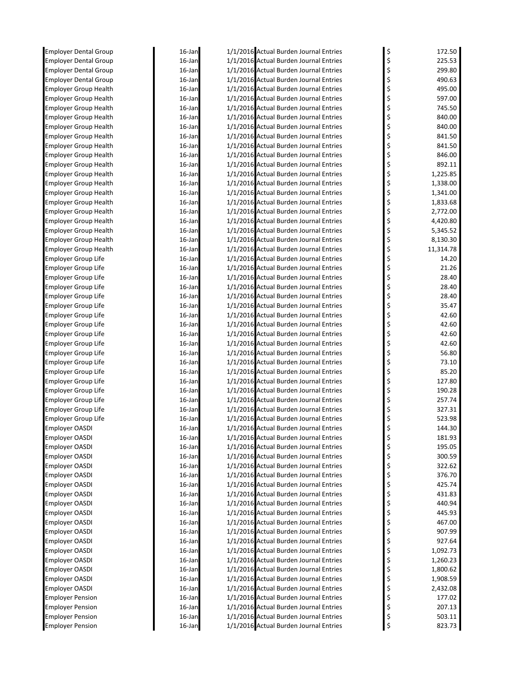| Employer Dental Group                                        | 16-Jan           | 1/1/2016 Actual Burden Journal Entries                                           | \$       | 172.50           |
|--------------------------------------------------------------|------------------|----------------------------------------------------------------------------------|----------|------------------|
| <b>Employer Dental Group</b>                                 | 16-Jan           | 1/1/2016 Actual Burden Journal Entries                                           | \$       | 225.53           |
| <b>Employer Dental Group</b>                                 | 16-Jan           | 1/1/2016 Actual Burden Journal Entries                                           | \$       | 299.80           |
| <b>Employer Dental Group</b>                                 | 16-Jan           | 1/1/2016 Actual Burden Journal Entries                                           | \$       | 490.63           |
| <b>Employer Group Health</b>                                 | 16-Jan           | 1/1/2016 Actual Burden Journal Entries                                           | \$       | 495.00           |
| <b>Employer Group Health</b>                                 | 16-Jan           | 1/1/2016 Actual Burden Journal Entries                                           | \$       | 597.00           |
| <b>Employer Group Health</b>                                 | 16-Jan           | 1/1/2016 Actual Burden Journal Entries                                           | \$       | 745.50           |
| <b>Employer Group Health</b>                                 | 16-Jan           | 1/1/2016 Actual Burden Journal Entries                                           | \$       | 840.00           |
| Employer Group Health                                        | 16-Jan           | 1/1/2016 Actual Burden Journal Entries                                           | \$       | 840.00           |
| Employer Group Health                                        | 16-Jan           | 1/1/2016 Actual Burden Journal Entries                                           | \$       | 841.50           |
| <b>Employer Group Health</b>                                 | 16-Jan<br>16-Jan | 1/1/2016 Actual Burden Journal Entries                                           | \$       | 841.50           |
| <b>Employer Group Health</b>                                 | 16-Jan           | 1/1/2016 Actual Burden Journal Entries<br>1/1/2016 Actual Burden Journal Entries | \$       | 846.00<br>892.11 |
| <b>Employer Group Health</b><br><b>Employer Group Health</b> | 16-Jan           | 1/1/2016 Actual Burden Journal Entries                                           | \$<br>\$ | 1,225.85         |
| <b>Employer Group Health</b>                                 | 16-Jan           | 1/1/2016 Actual Burden Journal Entries                                           | \$       | 1,338.00         |
| <b>Employer Group Health</b>                                 | 16-Jan           | 1/1/2016 Actual Burden Journal Entries                                           | \$       | 1,341.00         |
| <b>Employer Group Health</b>                                 | 16-Jan           | 1/1/2016 Actual Burden Journal Entries                                           | \$       | 1,833.68         |
| <b>Employer Group Health</b>                                 | 16-Jan           | 1/1/2016 Actual Burden Journal Entries                                           | \$       | 2,772.00         |
| <b>Employer Group Health</b>                                 | 16-Jan           | 1/1/2016 Actual Burden Journal Entries                                           | \$       | 4,420.80         |
| <b>Employer Group Health</b>                                 | 16-Jan           | 1/1/2016 Actual Burden Journal Entries                                           | \$       | 5,345.52         |
| <b>Employer Group Health</b>                                 | 16-Jan           | 1/1/2016 Actual Burden Journal Entries                                           | \$       | 8,130.30         |
| <b>Employer Group Health</b>                                 | 16-Jan           | 1/1/2016 Actual Burden Journal Entries                                           | \$       | 11,314.78        |
| <b>Employer Group Life</b>                                   | 16-Jan           | 1/1/2016 Actual Burden Journal Entries                                           | \$       | 14.20            |
| <b>Employer Group Life</b>                                   | 16-Jan           | 1/1/2016 Actual Burden Journal Entries                                           | \$       | 21.26            |
| <b>Employer Group Life</b>                                   | 16-Jan           | 1/1/2016 Actual Burden Journal Entries                                           | \$       | 28.40            |
| <b>Employer Group Life</b>                                   | 16-Jan           | 1/1/2016 Actual Burden Journal Entries                                           | \$       | 28.40            |
| Employer Group Life                                          | 16-Jan           | 1/1/2016 Actual Burden Journal Entries                                           | \$       | 28.40            |
| Employer Group Life                                          | 16-Jan           | 1/1/2016 Actual Burden Journal Entries                                           | \$       | 35.47            |
| Employer Group Life                                          | 16-Jan           | 1/1/2016 Actual Burden Journal Entries                                           | \$       | 42.60            |
| Employer Group Life                                          | 16-Jan           | 1/1/2016 Actual Burden Journal Entries                                           | \$       | 42.60            |
| <b>Employer Group Life</b>                                   | 16-Jan           | 1/1/2016 Actual Burden Journal Entries                                           | \$       | 42.60            |
| <b>Employer Group Life</b>                                   | 16-Jan           | 1/1/2016 Actual Burden Journal Entries                                           | \$       | 42.60            |
| <b>Employer Group Life</b>                                   | 16-Jan           | 1/1/2016 Actual Burden Journal Entries                                           | \$       | 56.80            |
| <b>Employer Group Life</b>                                   | 16-Jan           | 1/1/2016 Actual Burden Journal Entries                                           | \$       | 73.10            |
| <b>Employer Group Life</b>                                   | 16-Jan           | 1/1/2016 Actual Burden Journal Entries                                           | \$       | 85.20            |
| Employer Group Life                                          | 16-Jan           | 1/1/2016 Actual Burden Journal Entries                                           | \$       | 127.80           |
| <b>Employer Group Life</b>                                   | 16-Jan           | 1/1/2016 Actual Burden Journal Entries                                           | \$       | 190.28           |
| <b>Employer Group Life</b>                                   | 16-Jan           | 1/1/2016 Actual Burden Journal Entries                                           | \$       | 257.74           |
| <b>Employer Group Life</b>                                   | 16-Jan           | 1/1/2016 Actual Burden Journal Entries                                           | \$       | 327.31           |
| <b>Employer Group Life</b>                                   | 16-Jan           | 1/1/2016 Actual Burden Journal Entries                                           | \$       | 523.98           |
| <b>Employer OASDI</b>                                        | 16-Jan           | 1/1/2016 Actual Burden Journal Entries                                           | \$       | 144.30           |
| Employer OASDI                                               | 16-Jan           | 1/1/2016 Actual Burden Journal Entries                                           | \$       | 181.93           |
| <b>Employer OASDI</b>                                        | 16-Jan           | 1/1/2016 Actual Burden Journal Entries                                           | \$       | 195.05           |
| <b>Employer OASDI</b>                                        | 16-Jan           | 1/1/2016 Actual Burden Journal Entries                                           | \$       | 300.59           |
| <b>Employer OASDI</b>                                        | 16-Jan           | 1/1/2016 Actual Burden Journal Entries<br>1/1/2016 Actual Burden Journal Entries | \$       | 322.62<br>376.70 |
| <b>Employer OASDI</b><br>Employer OASDI                      | 16-Jan<br>16-Jan | 1/1/2016 Actual Burden Journal Entries                                           | \$<br>\$ | 425.74           |
| Employer OASDI                                               | 16-Jan           | 1/1/2016 Actual Burden Journal Entries                                           | \$       | 431.83           |
| Employer OASDI                                               | 16-Jan           | 1/1/2016 Actual Burden Journal Entries                                           | \$       | 440.94           |
| <b>Employer OASDI</b>                                        | 16-Jan           | 1/1/2016 Actual Burden Journal Entries                                           | \$       | 445.93           |
| <b>Employer OASDI</b>                                        | 16-Jan           | 1/1/2016 Actual Burden Journal Entries                                           | \$       | 467.00           |
| <b>Employer OASDI</b>                                        | 16-Jan           | 1/1/2016 Actual Burden Journal Entries                                           | \$       | 907.99           |
| Employer OASDI                                               | 16-Jan           | 1/1/2016 Actual Burden Journal Entries                                           | \$       | 927.64           |
| Employer OASDI                                               | 16-Jan           | 1/1/2016 Actual Burden Journal Entries                                           | \$       | 1,092.73         |
| <b>Employer OASDI</b>                                        | 16-Jan           | 1/1/2016 Actual Burden Journal Entries                                           | \$       | 1,260.23         |
| <b>Employer OASDI</b>                                        | 16-Jan           | 1/1/2016 Actual Burden Journal Entries                                           | \$       | 1,800.62         |
| Employer OASDI                                               | 16-Jan           | 1/1/2016 Actual Burden Journal Entries                                           | \$       | 1,908.59         |
| Employer OASDI                                               | 16-Jan           | 1/1/2016 Actual Burden Journal Entries                                           | \$       | 2,432.08         |
| <b>Employer Pension</b>                                      | 16-Jan           | 1/1/2016 Actual Burden Journal Entries                                           | \$       | 177.02           |
| <b>Employer Pension</b>                                      | 16-Jan           | 1/1/2016 Actual Burden Journal Entries                                           | \$       | 207.13           |
| <b>Employer Pension</b>                                      | 16-Jan           | 1/1/2016 Actual Burden Journal Entries                                           | \$       | 503.11           |
| <b>Employer Pension</b>                                      | 16-Jan           | 1/1/2016 Actual Burden Journal Entries                                           | \$       | 823.73           |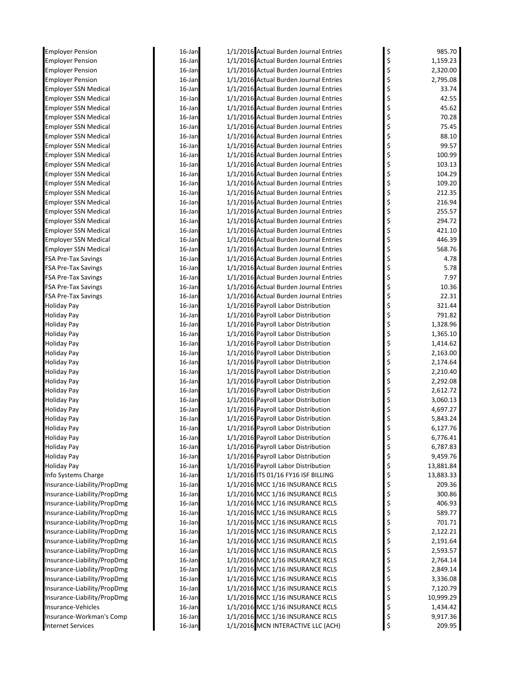| <b>Employer Pension</b>                                  | 16-Jan           | 1/1/2016 Actual Burden Journal Entries                                           | \$       | 985.70       |
|----------------------------------------------------------|------------------|----------------------------------------------------------------------------------|----------|--------------|
| <b>Employer Pension</b>                                  | 16-Jan           | 1/1/2016 Actual Burden Journal Entries                                           | \$       | 1,159.23     |
| <b>Employer Pension</b>                                  | 16-Jan           | 1/1/2016 Actual Burden Journal Entries                                           | \$       | 2,320.00     |
| <b>Employer Pension</b>                                  | 16-Jan           | 1/1/2016 Actual Burden Journal Entries                                           | \$       | 2,795.08     |
| <b>Employer SSN Medical</b>                              | 16-Jan           | 1/1/2016 Actual Burden Journal Entries                                           | \$       | 33.74        |
| <b>Employer SSN Medical</b>                              | 16-Jan           | 1/1/2016 Actual Burden Journal Entries                                           | \$       | 42.55        |
| <b>Employer SSN Medical</b>                              | 16-Jan           | 1/1/2016 Actual Burden Journal Entries                                           | \$       | 45.62        |
| <b>Employer SSN Medical</b>                              | 16-Jan           | 1/1/2016 Actual Burden Journal Entries                                           | \$       | 70.28        |
| <b>Employer SSN Medical</b>                              | 16-Jan           | 1/1/2016 Actual Burden Journal Entries                                           | \$       | 75.45        |
| <b>Employer SSN Medical</b>                              | 16-Jan           | 1/1/2016 Actual Burden Journal Entries                                           | \$       | 88.10        |
| <b>Employer SSN Medical</b>                              | 16-Jan           | 1/1/2016 Actual Burden Journal Entries                                           | \$       | 99.57        |
| <b>Employer SSN Medical</b>                              | 16-Jan           | 1/1/2016 Actual Burden Journal Entries                                           | \$       | 100.99       |
| <b>Employer SSN Medical</b>                              | 16-Jan           | 1/1/2016 Actual Burden Journal Entries                                           | \$       | 103.13       |
| <b>Employer SSN Medical</b>                              | 16-Jan           | 1/1/2016 Actual Burden Journal Entries                                           | \$       | 104.29       |
| <b>Employer SSN Medical</b>                              | 16-Jan           | 1/1/2016 Actual Burden Journal Entries                                           | \$       | 109.20       |
| <b>Employer SSN Medical</b>                              | 16-Jan           | 1/1/2016 Actual Burden Journal Entries                                           | \$       | 212.35       |
| <b>Employer SSN Medical</b>                              | 16-Jan           | 1/1/2016 Actual Burden Journal Entries                                           | \$       | 216.94       |
| <b>Employer SSN Medical</b>                              | 16-Jan           | 1/1/2016 Actual Burden Journal Entries                                           | \$       | 255.57       |
| <b>Employer SSN Medical</b>                              | 16-Jan           | 1/1/2016 Actual Burden Journal Entries                                           | \$       | 294.72       |
| <b>Employer SSN Medical</b>                              | 16-Jan           | 1/1/2016 Actual Burden Journal Entries                                           | \$       | 421.10       |
| <b>Employer SSN Medical</b>                              | 16-Jan           | 1/1/2016 Actual Burden Journal Entries<br>1/1/2016 Actual Burden Journal Entries | \$       | 446.39       |
| <b>Employer SSN Medical</b>                              | 16-Jan           | 1/1/2016 Actual Burden Journal Entries                                           | \$       | 568.76       |
| <b>FSA Pre-Tax Savings</b>                               | 16-Jan<br>16-Jan | 1/1/2016 Actual Burden Journal Entries                                           | \$       | 4.78<br>5.78 |
| <b>FSA Pre-Tax Savings</b>                               |                  | 1/1/2016 Actual Burden Journal Entries                                           | \$<br>\$ | 7.97         |
| <b>FSA Pre-Tax Savings</b>                               | 16-Jan<br>16-Jan | 1/1/2016 Actual Burden Journal Entries                                           | \$       | 10.36        |
| <b>FSA Pre-Tax Savings</b><br><b>FSA Pre-Tax Savings</b> | 16-Jan           | 1/1/2016 Actual Burden Journal Entries                                           | \$       | 22.31        |
| <b>Holiday Pay</b>                                       | 16-Jan           | 1/1/2016 Payroll Labor Distribution                                              | \$       | 321.44       |
| <b>Holiday Pay</b>                                       | 16-Jan           | 1/1/2016 Payroll Labor Distribution                                              | \$       | 791.82       |
| <b>Holiday Pay</b>                                       | 16-Jan           | 1/1/2016 Payroll Labor Distribution                                              | \$       | 1,328.96     |
| <b>Holiday Pay</b>                                       | 16-Jan           | 1/1/2016 Payroll Labor Distribution                                              | \$       | 1,365.10     |
| Holiday Pay                                              | 16-Jan           | 1/1/2016 Payroll Labor Distribution                                              | \$       | 1,414.62     |
| <b>Holiday Pay</b>                                       | 16-Jan           | 1/1/2016 Payroll Labor Distribution                                              | \$       | 2,163.00     |
| <b>Holiday Pay</b>                                       | 16-Jan           | 1/1/2016 Payroll Labor Distribution                                              | \$       | 2,174.64     |
| Holiday Pay                                              | 16-Jan           | 1/1/2016 Payroll Labor Distribution                                              | \$       | 2,210.40     |
| <b>Holiday Pay</b>                                       | 16-Jan           | 1/1/2016 Payroll Labor Distribution                                              | \$       | 2,292.08     |
| <b>Holiday Pay</b>                                       | 16-Jan           | 1/1/2016 Payroll Labor Distribution                                              | \$       | 2,612.72     |
| <b>Holiday Pay</b>                                       | 16-Jan           | 1/1/2016 Payroll Labor Distribution                                              | \$       | 3,060.13     |
| <b>Holiday Pay</b>                                       | 16-Jan           | 1/1/2016 Payroll Labor Distribution                                              | \$       | 4,697.27     |
| <b>Holiday Pay</b>                                       | 16-Jan           | 1/1/2016 Payroll Labor Distribution                                              |          | 5,843.24     |
| <b>Holiday Pay</b>                                       | 16-Jan           | 1/1/2016 Payroll Labor Distribution                                              | \$       | 6,127.76     |
| <b>Holiday Pay</b>                                       | 16-Jan           | 1/1/2016 Payroll Labor Distribution                                              | \$       | 6,776.41     |
| <b>Holiday Pay</b>                                       | 16-Jan           | 1/1/2016 Payroll Labor Distribution                                              | \$       | 6,787.83     |
| <b>Holiday Pay</b>                                       | 16-Jan           | 1/1/2016 Payroll Labor Distribution                                              | \$       | 9,459.76     |
| <b>Holiday Pay</b>                                       | 16-Jan           | 1/1/2016 Payroll Labor Distribution                                              | \$       | 13,881.84    |
| Info Systems Charge                                      | 16-Jan           | 1/1/2016 ITS 01/16 FY16 ISF BILLING                                              | \$       | 13,883.33    |
| Insurance-Liability/PropDmg                              | 16-Jan           | 1/1/2016 MCC 1/16 INSURANCE RCLS                                                 | \$       | 209.36       |
| Insurance-Liability/PropDmg                              | 16-Jan           | 1/1/2016 MCC 1/16 INSURANCE RCLS                                                 | \$       | 300.86       |
| Insurance-Liability/PropDmg                              | $16$ -Jan        | 1/1/2016 MCC 1/16 INSURANCE RCLS                                                 | \$       | 406.93       |
| Insurance-Liability/PropDmg                              | 16-Jan           | 1/1/2016 MCC 1/16 INSURANCE RCLS                                                 | \$       | 589.77       |
| Insurance-Liability/PropDmg                              | 16-Jan           | 1/1/2016 MCC 1/16 INSURANCE RCLS                                                 | \$       | 701.71       |
| Insurance-Liability/PropDmg                              | 16-Jan           | 1/1/2016 MCC 1/16 INSURANCE RCLS                                                 | \$       | 2,122.21     |
| Insurance-Liability/PropDmg                              | 16-Jan           | 1/1/2016 MCC 1/16 INSURANCE RCLS                                                 | \$       | 2,191.64     |
| Insurance-Liability/PropDmg                              | 16-Jan           | 1/1/2016 MCC 1/16 INSURANCE RCLS                                                 | \$       | 2,593.57     |
| Insurance-Liability/PropDmg                              | 16-Jan           | 1/1/2016 MCC 1/16 INSURANCE RCLS                                                 | \$       | 2,764.14     |
| Insurance-Liability/PropDmg                              | 16-Jan           | 1/1/2016 MCC 1/16 INSURANCE RCLS                                                 | \$       | 2,849.14     |
| Insurance-Liability/PropDmg                              | 16-Jan           | 1/1/2016 MCC 1/16 INSURANCE RCLS                                                 | \$       | 3,336.08     |
| Insurance-Liability/PropDmg                              | 16-Jan           | 1/1/2016 MCC 1/16 INSURANCE RCLS                                                 | \$       | 7,120.79     |
| Insurance-Liability/PropDmg                              | 16-Jan           | 1/1/2016 MCC 1/16 INSURANCE RCLS                                                 | \$       | 10,999.29    |
| Insurance-Vehicles                                       | $16$ -Jan        | 1/1/2016 MCC 1/16 INSURANCE RCLS                                                 | \$       | 1,434.42     |
| Insurance-Workman's Comp                                 | 16-Jan           | 1/1/2016 MCC 1/16 INSURANCE RCLS                                                 | \$       | 9,917.36     |
| <b>Internet Services</b>                                 | 16-Jan           | 1/1/2016 MCN INTERACTIVE LLC (ACH)                                               | \$       | 209.95       |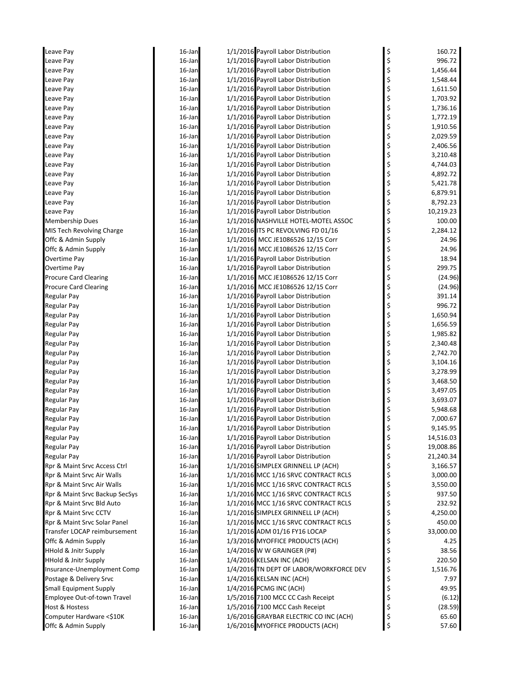| Leave Pay                       | 16-Jan    | 1/1/2016 Payroll Labor Distribution     | \$<br>160.72    |
|---------------------------------|-----------|-----------------------------------------|-----------------|
| Leave Pay                       | 16-Jan    | 1/1/2016 Payroll Labor Distribution     | \$<br>996.72    |
| Leave Pay                       | 16-Jan    | 1/1/2016 Payroll Labor Distribution     | \$<br>1,456.44  |
| Leave Pay                       | $16$ -Jan | 1/1/2016 Payroll Labor Distribution     | \$<br>1,548.44  |
| Leave Pay                       | $16$ -Jan | 1/1/2016 Payroll Labor Distribution     | \$<br>1,611.50  |
| Leave Pay                       | 16-Jan    | 1/1/2016 Payroll Labor Distribution     | \$<br>1,703.92  |
| Leave Pay                       | 16-Jan    | 1/1/2016 Payroll Labor Distribution     | \$<br>1,736.16  |
| Leave Pay                       | 16-Jan    | 1/1/2016 Payroll Labor Distribution     | \$<br>1,772.19  |
| Leave Pay                       | $16$ -Jan | 1/1/2016 Payroll Labor Distribution     | \$<br>1,910.56  |
| Leave Pay                       | $16$ -Jan | 1/1/2016 Payroll Labor Distribution     | \$<br>2,029.59  |
| Leave Pay                       | $16$ -Jan | 1/1/2016 Payroll Labor Distribution     | \$<br>2,406.56  |
| Leave Pay                       | 16-Jan    | 1/1/2016 Payroll Labor Distribution     | \$<br>3,210.48  |
| Leave Pay                       | 16-Jan    | 1/1/2016 Payroll Labor Distribution     | \$<br>4,744.03  |
| Leave Pay                       | $16$ -Jan | 1/1/2016 Payroll Labor Distribution     | \$<br>4,892.72  |
| Leave Pay                       | $16$ -Jan | 1/1/2016 Payroll Labor Distribution     | \$<br>5,421.78  |
| Leave Pay                       | $16$ -Jan | 1/1/2016 Payroll Labor Distribution     | \$<br>6,879.91  |
| Leave Pay                       | 16-Jan    | 1/1/2016 Payroll Labor Distribution     | \$<br>8,792.23  |
| Leave Pay                       | 16-Jan    | 1/1/2016 Payroll Labor Distribution     | \$<br>10,219.23 |
| <b>Membership Dues</b>          | 16-Jan    | 1/1/2016 NASHVILLE HOTEL-MOTEL ASSOC    | \$<br>100.00    |
| MIS Tech Revolving Charge       | $16$ -Jan | 1/1/2016 ITS PC REVOLVING FD 01/16      | \$<br>2,284.12  |
| Offc & Admin Supply             | $16$ -Jan | 1/1/2016 MCC JE1086526 12/15 Corr       | \$<br>24.96     |
| Offc & Admin Supply             | $16$ -Jan | 1/1/2016 MCC JE1086526 12/15 Corr       | \$<br>24.96     |
| Overtime Pay                    | 16-Jan    | 1/1/2016 Payroll Labor Distribution     | \$<br>18.94     |
| Overtime Pay                    | 16-Jan    | 1/1/2016 Payroll Labor Distribution     | \$<br>299.75    |
| <b>Procure Card Clearing</b>    | 16-Jan    | 1/1/2016 MCC JE1086526 12/15 Corr       | \$<br>(24.96)   |
| <b>Procure Card Clearing</b>    | $16$ -Jan | 1/1/2016 MCC JE1086526 12/15 Corr       | \$<br>(24.96)   |
| Regular Pay                     | $16$ -Jan | 1/1/2016 Payroll Labor Distribution     | \$<br>391.14    |
| <b>Regular Pay</b>              | 16-Jan    | 1/1/2016 Payroll Labor Distribution     | \$<br>996.72    |
| <b>Regular Pay</b>              | 16-Jan    | 1/1/2016 Payroll Labor Distribution     | \$<br>1,650.94  |
| <b>Regular Pay</b>              | 16-Jan    | 1/1/2016 Payroll Labor Distribution     | \$<br>1,656.59  |
| <b>Regular Pay</b>              | $16$ -Jan | 1/1/2016 Payroll Labor Distribution     | \$<br>1,985.82  |
| <b>Regular Pay</b>              | $16$ -Jan | 1/1/2016 Payroll Labor Distribution     | \$<br>2,340.48  |
| <b>Regular Pay</b>              | $16$ -Jan | 1/1/2016 Payroll Labor Distribution     | \$<br>2,742.70  |
| <b>Regular Pay</b>              | 16-Jan    | 1/1/2016 Payroll Labor Distribution     | \$<br>3,104.16  |
| Regular Pay                     | 16-Jan    | 1/1/2016 Payroll Labor Distribution     | \$<br>3,278.99  |
| <b>Regular Pay</b>              | 16-Jan    | 1/1/2016 Payroll Labor Distribution     | \$<br>3,468.50  |
| <b>Regular Pay</b>              | $16$ -Jan | 1/1/2016 Payroll Labor Distribution     | \$<br>3,497.05  |
| Regular Pay                     | $16$ -Jan | 1/1/2016 Payroll Labor Distribution     | \$<br>3,693.07  |
| <b>Regular Pay</b>              | 16-Jan    | 1/1/2016 Payroll Labor Distribution     | \$<br>5,948.68  |
| <b>Regular Pay</b>              | 16-Jan    | 1/1/2016 Payroll Labor Distribution     | 7,000.67        |
| <b>Regular Pay</b>              | 16-Jan    | 1/1/2016 Payroll Labor Distribution     | \$<br>9,145.95  |
| Regular Pay                     | 16-Jan    | 1/1/2016 Payroll Labor Distribution     | \$<br>14,516.03 |
| Regular Pay                     | 16-Jan    | 1/1/2016 Payroll Labor Distribution     | \$<br>19,008.86 |
| <b>Regular Pay</b>              | 16-Jan    | 1/1/2016 Payroll Labor Distribution     | \$<br>21,240.34 |
| Rpr & Maint Srvc Access Ctrl    | 16-Jan    | 1/1/2016 SIMPLEX GRINNELL LP (ACH)      | \$<br>3,166.57  |
| Rpr & Maint Srvc Air Walls      | 16-Jan    | 1/1/2016 MCC 1/16 SRVC CONTRACT RCLS    | \$<br>3,000.00  |
| Rpr & Maint Srvc Air Walls      | 16-Jan    | 1/1/2016 MCC 1/16 SRVC CONTRACT RCLS    | \$<br>3,550.00  |
| Rpr & Maint Srvc Backup SecSys  | 16-Jan    | 1/1/2016 MCC 1/16 SRVC CONTRACT RCLS    | \$<br>937.50    |
| Rpr & Maint Srvc Bld Auto       | 16-Jan    | 1/1/2016 MCC 1/16 SRVC CONTRACT RCLS    | \$<br>232.92    |
| Rpr & Maint Srvc CCTV           | 16-Jan    | 1/1/2016 SIMPLEX GRINNELL LP (ACH)      | \$<br>4,250.00  |
| Rpr & Maint Srvc Solar Panel    | 16-Jan    | 1/1/2016 MCC 1/16 SRVC CONTRACT RCLS    | \$<br>450.00    |
| Transfer LOCAP reimbursement    | 16-Jan    | 1/1/2016 ADM 01/16 FY16 LOCAP           | \$<br>33,000.00 |
| Offc & Admin Supply             | 16-Jan    | 1/3/2016 MYOFFICE PRODUCTS (ACH)        | \$<br>4.25      |
| <b>HHold &amp; Jnitr Supply</b> | 16-Jan    | 1/4/2016 W W GRAINGER (P#)              | \$<br>38.56     |
| <b>HHold &amp; Jnitr Supply</b> | 16-Jan    | 1/4/2016 KELSAN INC (ACH)               | \$<br>220.50    |
| Insurance-Unemployment Comp     | 16-Jan    | 1/4/2016 TN DEPT OF LABOR/WORKFORCE DEV | \$<br>1,516.76  |
| Postage & Delivery Srvc         | 16-Jan    | 1/4/2016 KELSAN INC (ACH)               | \$<br>7.97      |
| <b>Small Equipment Supply</b>   | 16-Jan    | 1/4/2016 PCMG INC (ACH)                 | \$<br>49.95     |
| Employee Out-of-town Travel     | 16-Jan    | 1/5/2016 7100 MCC CC Cash Receipt       | \$<br>(6.12)    |
| Host & Hostess                  | 16-Jan    | 1/5/2016 7100 MCC Cash Receipt          | \$<br>(28.59)   |
| Computer Hardware <\$10K        | 16-Jan    | 1/6/2016 GRAYBAR ELECTRIC CO INC (ACH)  | \$<br>65.60     |
| Offc & Admin Supply             | 16-Jan    | 1/6/2016 MYOFFICE PRODUCTS (ACH)        | \$<br>57.60     |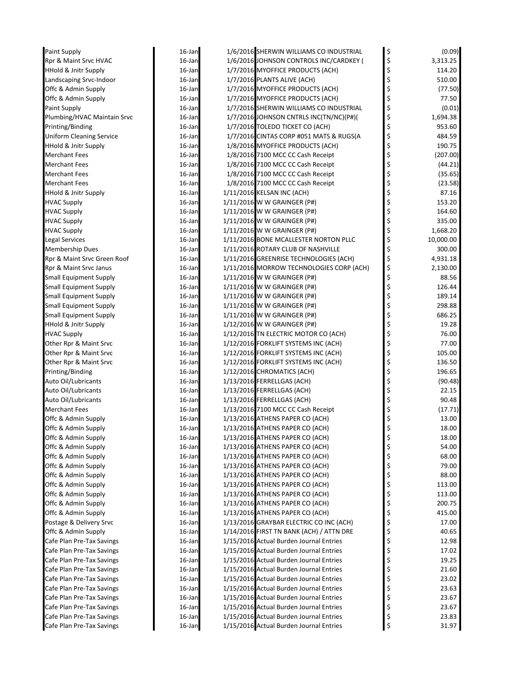| Paint Supply                    | 16-Jan | 1/6/2016 SHERWIN WILLIAMS CO INDUSTRIAL  | \$<br>(0.09)    |
|---------------------------------|--------|------------------------------------------|-----------------|
| Rpr & Maint Srvc HVAC           | 16-Jan | 1/6/2016 JOHNSON CONTROLS INC/CARDKEY (  | \$<br>3,313.25  |
| <b>HHold &amp; Jnitr Supply</b> | 16-Jan | 1/7/2016 MYOFFICE PRODUCTS (ACH)         | \$<br>114.20    |
| Landscaping Srvc-Indoor         | 16-Jan | 1/7/2016 PLANTS ALIVE (ACH)              | \$<br>510.00    |
| Offc & Admin Supply             | 16-Jan | 1/7/2016 MYOFFICE PRODUCTS (ACH)         | \$<br>(77.50)   |
| Offc & Admin Supply             | 16-Jan | 1/7/2016 MYOFFICE PRODUCTS (ACH)         | \$<br>77.50     |
| Paint Supply                    | 16-Jan | 1/7/2016 SHERWIN WILLIAMS CO INDUSTRIAL  | \$<br>(0.01)    |
| Plumbing/HVAC Maintain Srvc     | 16-Jan | 1/7/2016 JOHNSON CNTRLS INC(TN/NC)(P#)(  | \$<br>1,694.38  |
| Printing/Binding                | 16-Jan | 1/7/2016 TOLEDO TICKET CO (ACH)          | \$<br>953.60    |
| <b>Uniform Cleaning Service</b> | 16-Jan | 1/7/2016 CINTAS CORP #051 MATS & RUGS(A  | \$<br>484.59    |
| <b>HHold &amp; Jnitr Supply</b> | 16-Jan | 1/8/2016 MYOFFICE PRODUCTS (ACH)         | \$<br>190.75    |
| <b>Merchant Fees</b>            | 16-Jan | 1/8/2016 7100 MCC CC Cash Receipt        | \$<br>(207.00)  |
| Merchant Fees                   | 16-Jan | 1/8/2016 7100 MCC CC Cash Receipt        | \$<br>(44.21)   |
| <b>Merchant Fees</b>            | 16-Jan | 1/8/2016 7100 MCC CC Cash Receipt        | \$<br>(35.65)   |
| <b>Merchant Fees</b>            | 16-Jan | 1/8/2016 7100 MCC CC Cash Receipt        | \$<br>(23.58)   |
| <b>HHold &amp; Jnitr Supply</b> | 16-Jan | 1/11/2016 KELSAN INC (ACH)               | \$<br>87.16     |
| <b>HVAC Supply</b>              | 16-Jan | 1/11/2016 W W GRAINGER (P#)              | \$<br>153.20    |
| <b>HVAC Supply</b>              | 16-Jan | 1/11/2016 W W GRAINGER (P#)              | \$<br>164.60    |
| <b>HVAC Supply</b>              | 16-Jan | 1/11/2016 W W GRAINGER (P#)              | \$<br>335.00    |
| <b>HVAC Supply</b>              | 16-Jan | 1/11/2016 W W GRAINGER (P#)              | \$<br>1,668.20  |
| <b>Legal Services</b>           | 16-Jan | 1/11/2016 BONE MCALLESTER NORTON PLLC    | \$<br>10,000.00 |
| <b>Membership Dues</b>          | 16-Jan | 1/11/2016 ROTARY CLUB OF NASHVILLE       | \$<br>300.00    |
| Rpr & Maint Srvc Green Roof     | 16-Jan | 1/11/2016 GREENRISE TECHNOLOGIES (ACH)   | \$<br>4,931.18  |
| Rpr & Maint Srvc Janus          | 16-Jan | 1/11/2016 MORROW TECHNOLOGIES CORP (ACH) | \$<br>2,130.00  |
| Small Equipment Supply          | 16-Jan | 1/11/2016 W W GRAINGER (P#)              | \$<br>88.56     |
| Small Equipment Supply          | 16-Jan | 1/11/2016 W W GRAINGER (P#)              | \$<br>126.44    |
| <b>Small Equipment Supply</b>   | 16-Jan | 1/11/2016 W W GRAINGER (P#)              | \$<br>189.14    |
| <b>Small Equipment Supply</b>   | 16-Jan | 1/11/2016 W W GRAINGER (P#)              | \$<br>298.88    |
| <b>Small Equipment Supply</b>   | 16-Jan | 1/11/2016 W W GRAINGER (P#)              | \$<br>686.25    |
| <b>HHold &amp; Jnitr Supply</b> | 16-Jan | 1/12/2016 W W GRAINGER (P#)              | \$<br>19.28     |
| <b>HVAC Supply</b>              | 16-Jan | 1/12/2016 TN ELECTRIC MOTOR CO (ACH)     | \$<br>76.00     |
| Other Rpr & Maint Srvc          | 16-Jan | 1/12/2016 FORKLIFT SYSTEMS INC (ACH)     | \$<br>77.00     |
| Other Rpr & Maint Srvc          | 16-Jan | 1/12/2016 FORKLIFT SYSTEMS INC (ACH)     | \$<br>105.00    |
| Other Rpr & Maint Srvc          | 16-Jan | 1/12/2016 FORKLIFT SYSTEMS INC (ACH)     | \$<br>136.50    |
| Printing/Binding                | 16-Jan | 1/12/2016 CHROMATICS (ACH)               | \$<br>196.65    |
| Auto Oil/Lubricants             | 16-Jan | 1/13/2016 FERRELLGAS (ACH)               | \$<br>(90.48)   |
| Auto Oil/Lubricants             | 16-Jan | 1/13/2016 FERRELLGAS (ACH)               | \$<br>22.15     |
| Auto Oil/Lubricants             | 16-Jan | 1/13/2016 FERRELLGAS (ACH)               | \$<br>90.48     |
| <b>Merchant Fees</b>            | 16-Jan | 1/13/2016 7100 MCC CC Cash Receipt       | \$<br>(17.71)   |
| Offc & Admin Supply             | 16-Jan | 1/13/2016 ATHENS PAPER CO (ACH)          | \$<br>13.00     |
| Offc & Admin Supply             | 16-Jan | 1/13/2016 ATHENS PAPER CO (ACH)          | \$<br>18.00     |
| Offc & Admin Supply             | 16-Jan | 1/13/2016 ATHENS PAPER CO (ACH)          | \$<br>18.00     |
| Offc & Admin Supply             | 16-Jan | 1/13/2016 ATHENS PAPER CO (ACH)          | \$<br>54.00     |
| Offc & Admin Supply             | 16-Jan | 1/13/2016 ATHENS PAPER CO (ACH)          | \$<br>68.00     |
| Offc & Admin Supply             | 16-Jan | 1/13/2016 ATHENS PAPER CO (ACH)          | \$<br>79.00     |
| Offc & Admin Supply             | 16-Jan | 1/13/2016 ATHENS PAPER CO (ACH)          | \$<br>88.00     |
| Offc & Admin Supply             | 16-Jan | 1/13/2016 ATHENS PAPER CO (ACH)          | \$<br>113.00    |
| Offc & Admin Supply             | 16-Jan | 1/13/2016 ATHENS PAPER CO (ACH)          | \$<br>113.00    |
| Offc & Admin Supply             | 16-Jan | 1/13/2016 ATHENS PAPER CO (ACH)          | \$<br>200.75    |
| Offc & Admin Supply             | 16-Jan | 1/13/2016 ATHENS PAPER CO (ACH)          | \$<br>415.00    |
| Postage & Delivery Srvc         | 16-Jan | 1/13/2016 GRAYBAR ELECTRIC CO INC (ACH)  | \$<br>17.00     |
| Offc & Admin Supply             | 16-Jan | 1/14/2016 FIRST TN BANK (ACH) / ATTN DRE | \$<br>40.65     |
| Cafe Plan Pre-Tax Savings       | 16-Jan | 1/15/2016 Actual Burden Journal Entries  | \$<br>12.98     |
| Cafe Plan Pre-Tax Savings       | 16-Jan | 1/15/2016 Actual Burden Journal Entries  | \$<br>17.02     |
| Cafe Plan Pre-Tax Savings       | 16-Jan | 1/15/2016 Actual Burden Journal Entries  | \$<br>19.25     |
| Cafe Plan Pre-Tax Savings       | 16-Jan | 1/15/2016 Actual Burden Journal Entries  | \$<br>21.60     |
| Cafe Plan Pre-Tax Savings       | 16-Jan | 1/15/2016 Actual Burden Journal Entries  | \$<br>23.02     |
| Cafe Plan Pre-Tax Savings       | 16-Jan | 1/15/2016 Actual Burden Journal Entries  | \$<br>23.63     |
| Cafe Plan Pre-Tax Savings       | 16-Jan | 1/15/2016 Actual Burden Journal Entries  | \$<br>23.67     |
| Cafe Plan Pre-Tax Savings       | 16-Jan | 1/15/2016 Actual Burden Journal Entries  | \$<br>23.67     |
| Cafe Plan Pre-Tax Savings       | 16-Jan | 1/15/2016 Actual Burden Journal Entries  | \$<br>23.83     |
| Cafe Plan Pre-Tax Savings       | 16-Jan | 1/15/2016 Actual Burden Journal Entries  | \$<br>31.97     |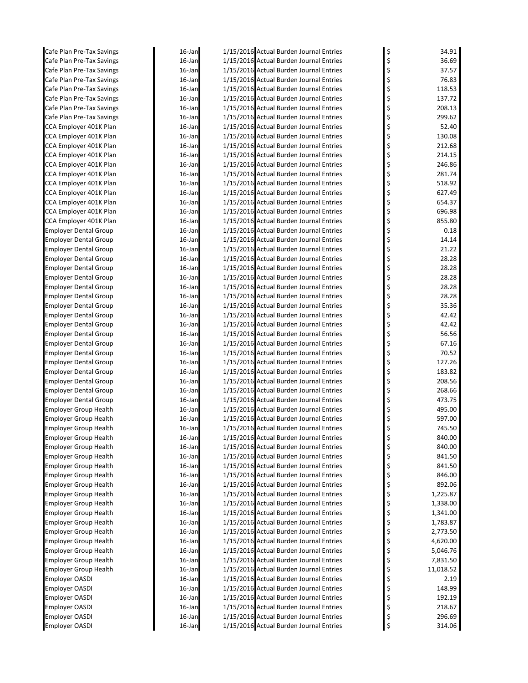| Cafe Plan Pre-Tax Savings                                    | 16-Jan           | 1/15/2016 Actual Burden Journal Entries                                            | \$       | 34.91            |
|--------------------------------------------------------------|------------------|------------------------------------------------------------------------------------|----------|------------------|
| Cafe Plan Pre-Tax Savings                                    | 16-Jan           | 1/15/2016 Actual Burden Journal Entries                                            | \$       | 36.69            |
| Cafe Plan Pre-Tax Savings                                    | 16-Jan           | 1/15/2016 Actual Burden Journal Entries                                            | \$       | 37.57            |
| Cafe Plan Pre-Tax Savings                                    | 16-Jan           | 1/15/2016 Actual Burden Journal Entries                                            | \$       | 76.83            |
| Cafe Plan Pre-Tax Savings                                    | 16-Jan           | 1/15/2016 Actual Burden Journal Entries                                            | \$       | 118.53           |
| Cafe Plan Pre-Tax Savings                                    | 16-Jan           | 1/15/2016 Actual Burden Journal Entries                                            | \$       | 137.72           |
| Cafe Plan Pre-Tax Savings                                    | 16-Jan           | 1/15/2016 Actual Burden Journal Entries                                            | \$       | 208.13           |
| Cafe Plan Pre-Tax Savings                                    | 16-Jan           | 1/15/2016 Actual Burden Journal Entries                                            | \$       | 299.62           |
| CCA Employer 401K Plan                                       | 16-Jan           | 1/15/2016 Actual Burden Journal Entries                                            | \$       | 52.40            |
| CCA Employer 401K Plan                                       | 16-Jan           | 1/15/2016 Actual Burden Journal Entries                                            | \$       | 130.08           |
| CCA Employer 401K Plan                                       | 16-Jan           | 1/15/2016 Actual Burden Journal Entries                                            | \$       | 212.68           |
| CCA Employer 401K Plan                                       | 16-Jan<br>16-Jan | 1/15/2016 Actual Burden Journal Entries<br>1/15/2016 Actual Burden Journal Entries | \$<br>\$ | 214.15<br>246.86 |
| CCA Employer 401K Plan<br>CCA Employer 401K Plan             | 16-Jan           | 1/15/2016 Actual Burden Journal Entries                                            | \$       | 281.74           |
| CCA Employer 401K Plan                                       | 16-Jan           | 1/15/2016 Actual Burden Journal Entries                                            | \$       | 518.92           |
| CCA Employer 401K Plan                                       | 16-Jan           | 1/15/2016 Actual Burden Journal Entries                                            | \$       | 627.49           |
| CCA Employer 401K Plan                                       | 16-Jan           | 1/15/2016 Actual Burden Journal Entries                                            | \$       | 654.37           |
| CCA Employer 401K Plan                                       | 16-Jan           | 1/15/2016 Actual Burden Journal Entries                                            | \$       | 696.98           |
| CCA Employer 401K Plan                                       | 16-Jan           | 1/15/2016 Actual Burden Journal Entries                                            | \$       | 855.80           |
| <b>Employer Dental Group</b>                                 | 16-Jan           | 1/15/2016 Actual Burden Journal Entries                                            | \$       | 0.18             |
| <b>Employer Dental Group</b>                                 | 16-Jan           | 1/15/2016 Actual Burden Journal Entries                                            | \$       | 14.14            |
| Employer Dental Group                                        | 16-Jan           | 1/15/2016 Actual Burden Journal Entries                                            | \$       | 21.22            |
| <b>Employer Dental Group</b>                                 | 16-Jan           | 1/15/2016 Actual Burden Journal Entries                                            | \$       | 28.28            |
| <b>Employer Dental Group</b>                                 | 16-Jan           | 1/15/2016 Actual Burden Journal Entries                                            | \$       | 28.28            |
| <b>Employer Dental Group</b>                                 | 16-Jan           | 1/15/2016 Actual Burden Journal Entries                                            | \$       | 28.28            |
| Employer Dental Group                                        | 16-Jan           | 1/15/2016 Actual Burden Journal Entries                                            | \$       | 28.28            |
| <b>Employer Dental Group</b>                                 | 16-Jan           | 1/15/2016 Actual Burden Journal Entries                                            | \$       | 28.28            |
| <b>Employer Dental Group</b>                                 | 16-Jan           | 1/15/2016 Actual Burden Journal Entries                                            | \$       | 35.36            |
| <b>Employer Dental Group</b>                                 | 16-Jan           | 1/15/2016 Actual Burden Journal Entries                                            | \$       | 42.42            |
| <b>Employer Dental Group</b>                                 | 16-Jan           | 1/15/2016 Actual Burden Journal Entries                                            | \$       | 42.42            |
| <b>Employer Dental Group</b>                                 | 16-Jan           | 1/15/2016 Actual Burden Journal Entries                                            | \$       | 56.56            |
| Employer Dental Group                                        | 16-Jan           | 1/15/2016 Actual Burden Journal Entries                                            | \$       | 67.16            |
| Employer Dental Group                                        | 16-Jan           | 1/15/2016 Actual Burden Journal Entries                                            | \$       | 70.52            |
| Employer Dental Group                                        | 16-Jan           | 1/15/2016 Actual Burden Journal Entries                                            | \$       | 127.26           |
| <b>Employer Dental Group</b>                                 | 16-Jan           | 1/15/2016 Actual Burden Journal Entries                                            | \$       | 183.82           |
| <b>Employer Dental Group</b>                                 | 16-Jan           | 1/15/2016 Actual Burden Journal Entries                                            | \$       | 208.56           |
| <b>Employer Dental Group</b>                                 | 16-Jan           | 1/15/2016 Actual Burden Journal Entries                                            | \$       | 268.66           |
| <b>Employer Dental Group</b>                                 | 16-Jan           | 1/15/2016 Actual Burden Journal Entries                                            | \$       | 473.75           |
| <b>Employer Group Health</b>                                 | 16-Jan           | 1/15/2016 Actual Burden Journal Entries                                            | \$       | 495.00           |
| <b>Employer Group Health</b>                                 | 16-Jan           | 1/15/2016 Actual Burden Journal Entries                                            | \$       | 597.00           |
| <b>Employer Group Health</b>                                 | 16-Jan           | 1/15/2016 Actual Burden Journal Entries                                            | \$       | 745.50           |
| Employer Group Health                                        | 16-Jan           | 1/15/2016 Actual Burden Journal Entries                                            | \$       | 840.00           |
| <b>Employer Group Health</b>                                 | 16-Jan           | 1/15/2016 Actual Burden Journal Entries                                            | \$       | 840.00           |
| <b>Employer Group Health</b>                                 | 16-Jan           | 1/15/2016 Actual Burden Journal Entries                                            | \$       | 841.50           |
| <b>Employer Group Health</b><br><b>Employer Group Health</b> | 16-Jan           | 1/15/2016 Actual Burden Journal Entries<br>1/15/2016 Actual Burden Journal Entries | \$       | 841.50<br>846.00 |
| <b>Employer Group Health</b>                                 | 16-Jan<br>16-Jan | 1/15/2016 Actual Burden Journal Entries                                            | \$<br>\$ | 892.06           |
| <b>Employer Group Health</b>                                 | 16-Jan           | 1/15/2016 Actual Burden Journal Entries                                            | \$       | 1,225.87         |
| <b>Employer Group Health</b>                                 | 16-Jan           | 1/15/2016 Actual Burden Journal Entries                                            | \$       | 1,338.00         |
| <b>Employer Group Health</b>                                 | 16-Jan           | 1/15/2016 Actual Burden Journal Entries                                            | \$       | 1,341.00         |
| <b>Employer Group Health</b>                                 | 16-Jan           | 1/15/2016 Actual Burden Journal Entries                                            | \$       | 1,783.87         |
| <b>Employer Group Health</b>                                 | 16-Jan           | 1/15/2016 Actual Burden Journal Entries                                            | \$       | 2,773.50         |
| <b>Employer Group Health</b>                                 | 16-Jan           | 1/15/2016 Actual Burden Journal Entries                                            | \$       | 4,620.00         |
| <b>Employer Group Health</b>                                 | 16-Jan           | 1/15/2016 Actual Burden Journal Entries                                            | \$       | 5,046.76         |
| <b>Employer Group Health</b>                                 | 16-Jan           | 1/15/2016 Actual Burden Journal Entries                                            | \$       | 7,831.50         |
| <b>Employer Group Health</b>                                 | 16-Jan           | 1/15/2016 Actual Burden Journal Entries                                            | \$       | 11,018.52        |
| Employer OASDI                                               | 16-Jan           | 1/15/2016 Actual Burden Journal Entries                                            | \$       | 2.19             |
| Employer OASDI                                               | 16-Jan           | 1/15/2016 Actual Burden Journal Entries                                            | \$       | 148.99           |
| Employer OASDI                                               | 16-Jan           | 1/15/2016 Actual Burden Journal Entries                                            | \$       | 192.19           |
| Employer OASDI                                               | 16-Jan           | 1/15/2016 Actual Burden Journal Entries                                            | \$       | 218.67           |
| <b>Employer OASDI</b>                                        | 16-Jan           | 1/15/2016 Actual Burden Journal Entries                                            | \$       | 296.69           |
| <b>Employer OASDI</b>                                        | 16-Jan           | 1/15/2016 Actual Burden Journal Entries                                            | \$       | 314.06           |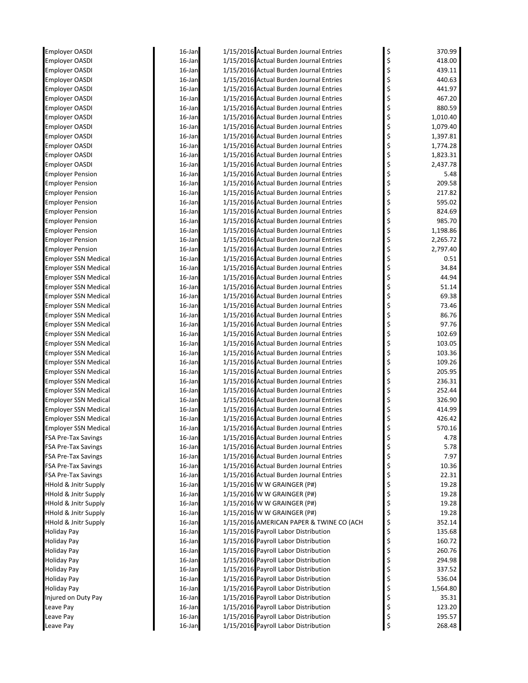| <b>Employer OASDI</b>                                              | 16-Jan              | 1/15/2016 Actual Burden Journal Entries                                      | \$       | 370.99            |
|--------------------------------------------------------------------|---------------------|------------------------------------------------------------------------------|----------|-------------------|
| <b>Employer OASDI</b>                                              | 16-Jan              | 1/15/2016 Actual Burden Journal Entries                                      | \$       | 418.00            |
| <b>Employer OASDI</b>                                              | 16-Jan              | 1/15/2016 Actual Burden Journal Entries                                      | \$       | 439.11            |
| <b>Employer OASDI</b>                                              | 16-Jan              | 1/15/2016 Actual Burden Journal Entries                                      | \$       | 440.63            |
| <b>Employer OASDI</b>                                              | 16-Jan              | 1/15/2016 Actual Burden Journal Entries                                      | \$       | 441.97            |
| <b>Employer OASDI</b>                                              | 16-Jan              | 1/15/2016 Actual Burden Journal Entries                                      | \$       | 467.20            |
| <b>Employer OASDI</b>                                              | 16-Jan              | 1/15/2016 Actual Burden Journal Entries                                      | \$       | 880.59            |
| <b>Employer OASDI</b>                                              | 16-Jan              | 1/15/2016 Actual Burden Journal Entries                                      | \$       | 1,010.40          |
| <b>Employer OASDI</b>                                              | 16-Jan              | 1/15/2016 Actual Burden Journal Entries                                      | \$       | 1,079.40          |
| Employer OASDI                                                     | 16-Jan              | 1/15/2016 Actual Burden Journal Entries                                      | \$       | 1,397.81          |
| <b>Employer OASDI</b>                                              | 16-Jan              | 1/15/2016 Actual Burden Journal Entries                                      | \$       | 1,774.28          |
| <b>Employer OASDI</b>                                              | 16-Jan              | 1/15/2016 Actual Burden Journal Entries                                      | \$       | 1,823.31          |
| <b>Employer OASDI</b>                                              | 16-Jan              | 1/15/2016 Actual Burden Journal Entries                                      | \$       | 2,437.78          |
| <b>Employer Pension</b>                                            | 16-Jan              | 1/15/2016 Actual Burden Journal Entries                                      | \$       | 5.48              |
| Employer Pension                                                   | 16-Jan              | 1/15/2016 Actual Burden Journal Entries                                      | \$       | 209.58            |
| <b>Employer Pension</b>                                            | 16-Jan              | 1/15/2016 Actual Burden Journal Entries                                      | \$       | 217.82            |
| <b>Employer Pension</b>                                            | 16-Jan              | 1/15/2016 Actual Burden Journal Entries                                      | \$       | 595.02            |
| <b>Employer Pension</b>                                            | 16-Jan              | 1/15/2016 Actual Burden Journal Entries                                      | \$       | 824.69            |
| <b>Employer Pension</b>                                            | 16-Jan              | 1/15/2016 Actual Burden Journal Entries                                      | \$       | 985.70            |
| <b>Employer Pension</b>                                            | 16-Jan              | 1/15/2016 Actual Burden Journal Entries                                      | \$       | 1,198.86          |
| Employer Pension                                                   | 16-Jan              | 1/15/2016 Actual Burden Journal Entries                                      | \$       | 2,265.72          |
| <b>Employer Pension</b>                                            | 16-Jan              | 1/15/2016 Actual Burden Journal Entries                                      | \$       | 2,797.40          |
| <b>Employer SSN Medical</b>                                        | 16-Jan              | 1/15/2016 Actual Burden Journal Entries                                      | \$       | 0.51              |
| <b>Employer SSN Medical</b>                                        | 16-Jan              | 1/15/2016 Actual Burden Journal Entries                                      | \$       | 34.84             |
| <b>Employer SSN Medical</b>                                        | 16-Jan              | 1/15/2016 Actual Burden Journal Entries                                      | \$       | 44.94             |
| Employer SSN Medical                                               | 16-Jan              | 1/15/2016 Actual Burden Journal Entries                                      | \$       | 51.14             |
| <b>Employer SSN Medical</b>                                        | 16-Jan              | 1/15/2016 Actual Burden Journal Entries                                      | \$       | 69.38             |
| <b>Employer SSN Medical</b>                                        | 16-Jan              | 1/15/2016 Actual Burden Journal Entries                                      | \$       | 73.46             |
| <b>Employer SSN Medical</b>                                        | 16-Jan              | 1/15/2016 Actual Burden Journal Entries                                      | \$       | 86.76             |
| Employer SSN Medical                                               | 16-Jan              | 1/15/2016 Actual Burden Journal Entries                                      | \$       | 97.76             |
| <b>Employer SSN Medical</b>                                        | 16-Jan              | 1/15/2016 Actual Burden Journal Entries                                      | \$       | 102.69            |
| <b>Employer SSN Medical</b>                                        | 16-Jan              | 1/15/2016 Actual Burden Journal Entries                                      | \$       | 103.05            |
| Employer SSN Medical                                               | 16-Jan              | 1/15/2016 Actual Burden Journal Entries                                      | \$       | 103.36            |
| Employer SSN Medical                                               | 16-Jan              | 1/15/2016 Actual Burden Journal Entries                                      | \$       | 109.26            |
| Employer SSN Medical                                               | 16-Jan              | 1/15/2016 Actual Burden Journal Entries                                      | \$       | 205.95            |
| <b>Employer SSN Medical</b>                                        | 16-Jan              | 1/15/2016 Actual Burden Journal Entries                                      | \$       | 236.31            |
| <b>Employer SSN Medical</b>                                        | 16-Jan              | 1/15/2016 Actual Burden Journal Entries                                      | \$       | 252.44            |
| <b>Employer SSN Medical</b>                                        | 16-Jan              | 1/15/2016 Actual Burden Journal Entries                                      | \$       | 326.90            |
| <b>Employer SSN Medical</b>                                        | 16-Jan              | 1/15/2016 Actual Burden Journal Entries                                      | \$       | 414.99            |
| <b>Employer SSN Medical</b>                                        | 16-Jan              | 1/15/2016 Actual Burden Journal Entries                                      |          | 426.42            |
| <b>Employer SSN Medical</b>                                        | 16-Jan              | 1/15/2016 Actual Burden Journal Entries                                      | \$       | 570.16            |
| FSA Pre-Tax Savings                                                | 16-Jan              | 1/15/2016 Actual Burden Journal Entries                                      |          | 4.78              |
| <b>FSA Pre-Tax Savings</b>                                         | 16-Jan              | 1/15/2016 Actual Burden Journal Entries                                      | \$<br>\$ | 5.78              |
| <b>FSA Pre-Tax Savings</b>                                         |                     | 1/15/2016 Actual Burden Journal Entries                                      | \$       | 7.97              |
| <b>FSA Pre-Tax Savings</b>                                         | 16-Jan<br>16-Jan    | 1/15/2016 Actual Burden Journal Entries                                      | \$       | 10.36             |
| <b>FSA Pre-Tax Savings</b>                                         | 16-Jan              | 1/15/2016 Actual Burden Journal Entries                                      | \$       | 22.31             |
| <b>HHold &amp; Jnitr Supply</b>                                    | 16-Jan              | 1/15/2016 W W GRAINGER (P#)                                                  | \$       | 19.28             |
| <b>HHold &amp; Jnitr Supply</b>                                    | 16-Jan              | 1/15/2016 W W GRAINGER (P#)                                                  | \$       | 19.28             |
|                                                                    |                     |                                                                              |          |                   |
| <b>HHold &amp; Jnitr Supply</b><br><b>HHold &amp; Jnitr Supply</b> | $16$ -Jan<br>16-Jan | 1/15/2016 W W GRAINGER (P#)<br>1/15/2016 W W GRAINGER (P#)                   | \$<br>\$ | 19.28<br>19.28    |
| <b>HHold &amp; Jnitr Supply</b>                                    | 16-Jan              | 1/15/2016 AMERICAN PAPER & TWINE CO (ACH                                     |          | 352.14            |
|                                                                    |                     |                                                                              | \$       |                   |
| <b>Holiday Pay</b>                                                 | 16-Jan              | 1/15/2016 Payroll Labor Distribution<br>1/15/2016 Payroll Labor Distribution | \$       | 135.68<br>160.72  |
| <b>Holiday Pay</b>                                                 | 16-Jan              | 1/15/2016 Payroll Labor Distribution                                         | \$       | 260.76            |
| Holiday Pay                                                        | 16-Jan              |                                                                              | \$<br>\$ |                   |
| Holiday Pay                                                        | 16-Jan              | 1/15/2016 Payroll Labor Distribution                                         |          | 294.98            |
| <b>Holiday Pay</b>                                                 | 16-Jan              | 1/15/2016 Payroll Labor Distribution                                         | \$       | 337.52            |
| <b>Holiday Pay</b>                                                 | 16-Jan              | 1/15/2016 Payroll Labor Distribution<br>1/15/2016 Payroll Labor Distribution | \$       | 536.04            |
| Holiday Pay<br>Injured on Duty Pay                                 | 16-Jan<br>16-Jan    | 1/15/2016 Payroll Labor Distribution                                         | \$<br>\$ | 1,564.80<br>35.31 |
|                                                                    | 16-Jan              | 1/15/2016 Payroll Labor Distribution                                         | \$       | 123.20            |
| Leave Pay                                                          | 16-Jan              | 1/15/2016 Payroll Labor Distribution                                         |          | 195.57            |
| Leave Pay                                                          |                     | 1/15/2016 Payroll Labor Distribution                                         | \$<br>\$ | 268.48            |
| Leave Pay                                                          | 16-Jan              |                                                                              |          |                   |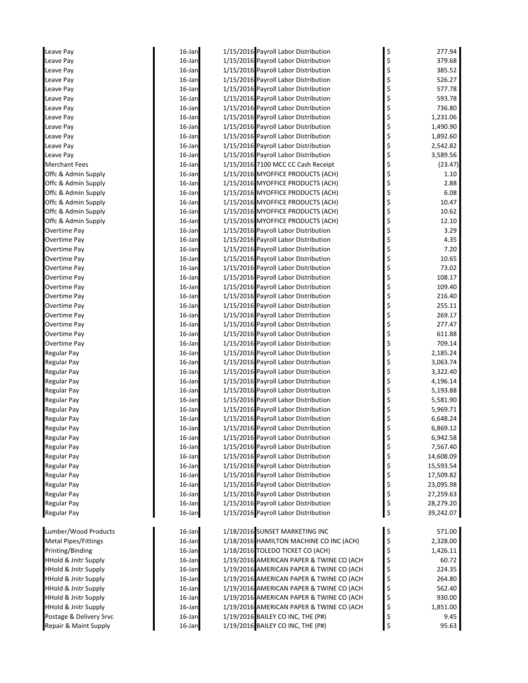| Leave Pay                       | 16-Jan | 1/15/2016 Payroll Labor Distribution     |          | 277.94    |
|---------------------------------|--------|------------------------------------------|----------|-----------|
| Leave Pay                       | 16-Jan | 1/15/2016 Payroll Labor Distribution     | \$<br>\$ | 379.68    |
| Leave Pay                       | 16-Jan | 1/15/2016 Payroll Labor Distribution     |          | 385.52    |
| Leave Pay                       | 16-Jan | 1/15/2016 Payroll Labor Distribution     |          | 526.27    |
| Leave Pay                       | 16-Jan | 1/15/2016 Payroll Labor Distribution     | \$\$\$\$ | 577.78    |
| Leave Pay                       | 16-Jan | 1/15/2016 Payroll Labor Distribution     |          | 593.78    |
| Leave Pay                       | 16-Jan | 1/15/2016 Payroll Labor Distribution     | \$       | 736.80    |
| Leave Pay                       | 16-Jan | 1/15/2016 Payroll Labor Distribution     | \$<br>\$ | 1,231.06  |
| Leave Pay                       | 16-Jan | 1/15/2016 Payroll Labor Distribution     |          | 1,490.90  |
| Leave Pay                       | 16-Jan | 1/15/2016 Payroll Labor Distribution     | \$       | 1,892.60  |
| Leave Pay                       | 16-Jan | 1/15/2016 Payroll Labor Distribution     |          | 2,542.82  |
| Leave Pay                       | 16-Jan | 1/15/2016 Payroll Labor Distribution     | \$<br>\$ | 3,589.56  |
| <b>Merchant Fees</b>            | 16-Jan | 1/15/2016 7100 MCC CC Cash Receipt       | \$       | (23.47)   |
| Offc & Admin Supply             | 16-Jan | 1/15/2016 MYOFFICE PRODUCTS (ACH)        |          | 1.10      |
| Offc & Admin Supply             | 16-Jan | 1/15/2016 MYOFFICE PRODUCTS (ACH)        |          | 2.88      |
| Offc & Admin Supply             | 16-Jan | 1/15/2016 MYOFFICE PRODUCTS (ACH)        |          | 6.08      |
| Offc & Admin Supply             | 16-Jan | 1/15/2016 MYOFFICE PRODUCTS (ACH)        | \$\$\$\$ | 10.47     |
| Offc & Admin Supply             | 16-Jan | 1/15/2016 MYOFFICE PRODUCTS (ACH)        | \$       | 10.62     |
| Offc & Admin Supply             | 16-Jan | 1/15/2016 MYOFFICE PRODUCTS (ACH)        |          | 12.10     |
| Overtime Pay                    | 16-Jan | 1/15/2016 Payroll Labor Distribution     | \$<br>\$ | 3.29      |
| Overtime Pay                    | 16-Jan | 1/15/2016 Payroll Labor Distribution     | \$       | 4.35      |
| Overtime Pay                    | 16-Jan | 1/15/2016 Payroll Labor Distribution     |          | 7.20      |
| Overtime Pay                    | 16-Jan | 1/15/2016 Payroll Labor Distribution     |          | 10.65     |
| Overtime Pay                    | 16-Jan | 1/15/2016 Payroll Labor Distribution     | \$\$\$   | 73.02     |
| Overtime Pay                    | 16-Jan | 1/15/2016 Payroll Labor Distribution     |          | 108.17    |
| Overtime Pay                    | 16-Jan | 1/15/2016 Payroll Labor Distribution     | \$<br>\$ | 109.40    |
| Overtime Pay                    | 16-Jan | 1/15/2016 Payroll Labor Distribution     | \$       | 216.40    |
| Overtime Pay                    | 16-Jan | 1/15/2016 Payroll Labor Distribution     |          | 255.11    |
| Overtime Pay                    | 16-Jan | 1/15/2016 Payroll Labor Distribution     |          | 269.17    |
| Overtime Pay                    | 16-Jan | 1/15/2016 Payroll Labor Distribution     | \$\$\$\$ | 277.47    |
| Overtime Pay                    | 16-Jan | 1/15/2016 Payroll Labor Distribution     |          | 611.88    |
| Overtime Pay                    | 16-Jan | 1/15/2016 Payroll Labor Distribution     | \$       | 709.14    |
| Regular Pay                     | 16-Jan | 1/15/2016 Payroll Labor Distribution     | \$<br>\$ | 2,185.24  |
| Regular Pay                     | 16-Jan | 1/15/2016 Payroll Labor Distribution     |          | 3,063.74  |
| Regular Pay                     | 16-Jan | 1/15/2016 Payroll Labor Distribution     | \$       | 3,322.40  |
| <b>Regular Pay</b>              | 16-Jan | 1/15/2016 Payroll Labor Distribution     | \$<br>\$ | 4,196.14  |
| <b>Regular Pay</b>              | 16-Jan | 1/15/2016 Payroll Labor Distribution     |          | 5,193.88  |
| Regular Pay                     | 16-Jan | 1/15/2016 Payroll Labor Distribution     | \$       | 5,581.90  |
| Regular Pay                     | 16-Jan | 1/15/2016 Payroll Labor Distribution     | \$<br>\$ | 5,969.71  |
| <b>Regular Pay</b>              | 16-Jan | 1/15/2016 Payroll Labor Distribution     |          | 6,648.24  |
| <b>Regular Pay</b>              | 16-Jan | 1/15/2016 Payroll Labor Distribution     | \$       | 6,869.12  |
| Regular Pay                     | 16-Jan | 1/15/2016 Payroll Labor Distribution     | \$       | 6,942.58  |
| <b>Regular Pay</b>              | 16-Jan | 1/15/2016 Payroll Labor Distribution     | \$       | 7,567.40  |
| <b>Regular Pay</b>              | 16-Jan | 1/15/2016 Payroll Labor Distribution     | \$       | 14,608.09 |
| <b>Regular Pay</b>              | 16-Jan | 1/15/2016 Payroll Labor Distribution     | \$       | 15,593.54 |
| <b>Regular Pay</b>              | 16-Jan | 1/15/2016 Payroll Labor Distribution     | \$       | 17,509.82 |
| <b>Regular Pay</b>              | 16-Jan | 1/15/2016 Payroll Labor Distribution     | \$<br>\$ | 23,095.98 |
| <b>Regular Pay</b>              | 16-Jan | 1/15/2016 Payroll Labor Distribution     |          | 27,259.63 |
| <b>Regular Pay</b>              | 16-Jan | 1/15/2016 Payroll Labor Distribution     | \$       | 28,279.20 |
| <b>Regular Pay</b>              | 16-Jan | 1/15/2016 Payroll Labor Distribution     | \$       | 39,242.07 |
|                                 |        |                                          |          |           |
| Lumber/Wood Products            | 16-Jan | 1/18/2016 SUNSET MARKETING INC           | \$       | 571.00    |
| <b>Metal Pipes/Fittings</b>     | 16-Jan | 1/18/2016 HAMILTON MACHINE CO INC (ACH)  | \$       | 2,328.00  |
| Printing/Binding                | 16-Jan | 1/18/2016 TOLEDO TICKET CO (ACH)         | \$       | 1,426.11  |
| <b>HHold &amp; Jnitr Supply</b> | 16-Jan | 1/19/2016 AMERICAN PAPER & TWINE CO (ACH | \$       | 60.72     |
| <b>HHold &amp; Jnitr Supply</b> | 16-Jan | 1/19/2016 AMERICAN PAPER & TWINE CO (ACH | \$       | 224.35    |
| <b>HHold &amp; Jnitr Supply</b> | 16-Jan | 1/19/2016 AMERICAN PAPER & TWINE CO (ACH | \$       | 264.80    |
| <b>HHold &amp; Jnitr Supply</b> | 16-Jan | 1/19/2016 AMERICAN PAPER & TWINE CO (ACH | \$       | 562.40    |
| <b>HHold &amp; Jnitr Supply</b> | 16-Jan | 1/19/2016 AMERICAN PAPER & TWINE CO (ACH | \$       | 930.00    |
| <b>HHold &amp; Jnitr Supply</b> | 16-Jan | 1/19/2016 AMERICAN PAPER & TWINE CO (ACH | \$       | 1,851.00  |
| Postage & Delivery Srvc         | 16-Jan | 1/19/2016 BAILEY CO INC, THE (P#)        | \$       | 9.45      |
| Repair & Maint Supply           | 16-Jan | 1/19/2016 BAILEY CO INC, THE (P#)        | \$       | 95.63     |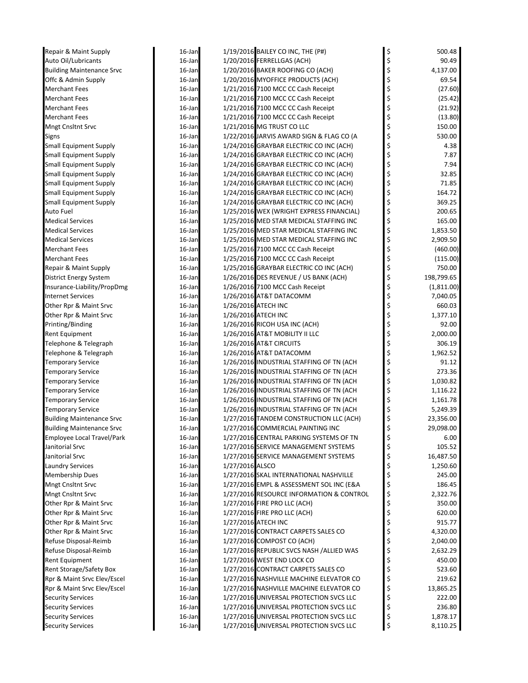| Repair & Maint Supply             | 16-Jan           | 1/19/2016 BAILEY CO INC, THE (P#)                               | \$       | 500.48     |
|-----------------------------------|------------------|-----------------------------------------------------------------|----------|------------|
| Auto Oil/Lubricants               | 16-Jan           | 1/20/2016 FERRELLGAS (ACH)                                      | \$       | 90.49      |
| <b>Building Maintenance Srvc</b>  | 16-Jan           | 1/20/2016 BAKER ROOFING CO (ACH)                                | \$       | 4,137.00   |
| Offc & Admin Supply               | $16$ -Jan        | 1/20/2016 MYOFFICE PRODUCTS (ACH)                               | \$       | 69.54      |
| <b>Merchant Fees</b>              | $16$ -Jan        | 1/21/2016 7100 MCC CC Cash Receipt                              | \$       | (27.60)    |
| <b>Merchant Fees</b>              | 16-Jan           | 1/21/2016 7100 MCC CC Cash Receipt                              | \$       | (25.42)    |
| <b>Merchant Fees</b>              | 16-Jan           | 1/21/2016 7100 MCC CC Cash Receipt                              | \$       | (21.92)    |
| <b>Merchant Fees</b>              | 16-Jan           | 1/21/2016 7100 MCC CC Cash Receipt                              | \$       | (13.80)    |
| Mngt Cnsltnt Srvc                 | 16-Jan           | 1/21/2016 MG TRUST CO LLC                                       | \$       | 150.00     |
| Signs                             | 16-Jan           | 1/22/2016 JARVIS AWARD SIGN & FLAG CO (A                        | \$       | 530.00     |
| <b>Small Equipment Supply</b>     | 16-Jan           | 1/24/2016 GRAYBAR ELECTRIC CO INC (ACH)                         | \$       | 4.38       |
| <b>Small Equipment Supply</b>     | 16-Jan           | 1/24/2016 GRAYBAR ELECTRIC CO INC (ACH)                         | \$       | 7.87       |
| <b>Small Equipment Supply</b>     | 16-Jan           | 1/24/2016 GRAYBAR ELECTRIC CO INC (ACH)                         | \$       | 7.94       |
| <b>Small Equipment Supply</b>     | $16$ -Jan        | 1/24/2016 GRAYBAR ELECTRIC CO INC (ACH)                         | \$       | 32.85      |
| <b>Small Equipment Supply</b>     | $16$ -Jan        | 1/24/2016 GRAYBAR ELECTRIC CO INC (ACH)                         | \$       | 71.85      |
| <b>Small Equipment Supply</b>     | $16$ -Jan        | 1/24/2016 GRAYBAR ELECTRIC CO INC (ACH)                         | \$       | 164.72     |
| <b>Small Equipment Supply</b>     | 16-Jan           | 1/24/2016 GRAYBAR ELECTRIC CO INC (ACH)                         | \$       | 369.25     |
| Auto Fuel                         | 16-Jan           | 1/25/2016 WEX (WRIGHT EXPRESS FINANCIAL)                        | \$       | 200.65     |
| <b>Medical Services</b>           | $16$ -Jan        | 1/25/2016 MED STAR MEDICAL STAFFING INC                         | \$       | 165.00     |
| <b>Medical Services</b>           | 16-Jan           | 1/25/2016 MED STAR MEDICAL STAFFING INC                         | \$       | 1,853.50   |
| <b>Medical Services</b>           | 16-Jan           | 1/25/2016 MED STAR MEDICAL STAFFING INC                         | \$       | 2,909.50   |
| <b>Merchant Fees</b>              | 16-Jan           | 1/25/2016 7100 MCC CC Cash Receipt                              | \$       | (460.00)   |
| <b>Merchant Fees</b>              | 16-Jan           | 1/25/2016 7100 MCC CC Cash Receipt                              | \$       | (115.00)   |
| Repair & Maint Supply             | 16-Jan           | 1/25/2016 GRAYBAR ELECTRIC CO INC (ACH)                         | \$       | 750.00     |
| District Energy System            | 16-Jan           | 1/26/2016 DES REVENUE / US BANK (ACH)                           | \$       | 198,799.65 |
| Insurance-Liability/PropDmg       | $16$ -Jan        | 1/26/2016 7100 MCC Cash Receipt                                 | \$       | (1,811.00) |
| <b>Internet Services</b>          | 16-Jan           | 1/26/2016 AT&T DATACOMM                                         | \$       | 7,040.05   |
| Other Rpr & Maint Srvc            | 16-Jan           | 1/26/2016 ATECH INC                                             | \$       | 660.03     |
|                                   |                  | 1/26/2016 ATECH INC                                             |          |            |
| Other Rpr & Maint Srvc            | 16-Jan<br>16-Jan |                                                                 | \$       | 1,377.10   |
| Printing/Binding                  |                  | 1/26/2016 RICOH USA INC (ACH)<br>1/26/2016 AT&T MOBILITY II LLC |          | 92.00      |
| Rent Equipment                    | 16-Jan           |                                                                 | \$<br>\$ | 2,000.00   |
| Telephone & Telegraph             | 16-Jan           | 1/26/2016 AT&T CIRCUITS                                         |          | 306.19     |
| Telephone & Telegraph             | 16-Jan           | 1/26/2016 AT&T DATACOMM                                         | \$       | 1,962.52   |
| <b>Temporary Service</b>          | 16-Jan           | 1/26/2016 INDUSTRIAL STAFFING OF TN (ACH                        | \$       | 91.12      |
| <b>Temporary Service</b>          | 16-Jan           | 1/26/2016 INDUSTRIAL STAFFING OF TN (ACH                        | \$       | 273.36     |
| <b>Temporary Service</b>          | 16-Jan           | 1/26/2016 INDUSTRIAL STAFFING OF TN (ACH                        | \$       | 1,030.82   |
| <b>Temporary Service</b>          | 16-Jan           | 1/26/2016 INDUSTRIAL STAFFING OF TN (ACH                        | \$       | 1,116.22   |
| <b>Temporary Service</b>          | 16-Jan           | 1/26/2016 INDUSTRIAL STAFFING OF TN (ACH                        | \$       | 1,161.78   |
| <b>Temporary Service</b>          | 16-Jan           | 1/26/2016 INDUSTRIAL STAFFING OF TN (ACH                        | \$       | 5,249.39   |
| <b>Building Maintenance Srvc</b>  | 16-Jan           | 1/27/2016 TANDEM CONSTRUCTION LLC (ACH)                         | \$       | 23,356.00  |
| <b>Building Maintenance Srvc</b>  | 16-Jan           | 1/27/2016 COMMERCIAL PAINTING INC                               | \$       | 29,098.00  |
| <b>Employee Local Travel/Park</b> | 16-Jan           | 1/27/2016 CENTRAL PARKING SYSTEMS OF TN                         | \$       | 6.00       |
| Janitorial Srvc                   | 16-Jan           | 1/27/2016 SERVICE MANAGEMENT SYSTEMS                            | \$       | 105.52     |
| Janitorial Srvc                   | 16-Jan           | 1/27/2016 SERVICE MANAGEMENT SYSTEMS                            | \$       | 16,487.50  |
| <b>Laundry Services</b>           | 16-Jan           | 1/27/2016 ALSCO                                                 | \$       | 1,250.60   |
| <b>Membership Dues</b>            | 16-Jan           | 1/27/2016 SKAL INTERNATIONAL NASHVILLE                          |          | 245.00     |
| Mngt Cnsltnt Srvc                 | 16-Jan           | 1/27/2016 EMPL & ASSESSMENT SOL INC (E&A                        |          | 186.45     |
| Mngt Cnsltnt Srvc                 | 16-Jan           | 1/27/2016 RESOURCE INFORMATION & CONTROL                        | \$       | 2,322.76   |
| Other Rpr & Maint Srvc            | 16-Jan           | 1/27/2016 FIRE PRO LLC (ACH)                                    | \$       | 350.00     |
| Other Rpr & Maint Srvc            | 16-Jan           | 1/27/2016 FIRE PRO LLC (ACH)                                    | \$       | 620.00     |
| Other Rpr & Maint Srvc            | 16-Jan           | 1/27/2016 ATECH INC                                             | \$       | 915.77     |
| Other Rpr & Maint Srvc            | 16-Jan           | 1/27/2016 CONTRACT CARPETS SALES CO                             |          | 4,320.00   |
| Refuse Disposal-Reimb             | 16-Jan           | 1/27/2016 COMPOST CO (ACH)                                      |          | 2,040.00   |
| Refuse Disposal-Reimb             | 16-Jan           | 1/27/2016 REPUBLIC SVCS NASH /ALLIED WAS                        |          | 2,632.29   |
| Rent Equipment                    | 16-Jan           | 1/27/2016 WEST END LOCK CO                                      | \$       | 450.00     |
| Rent Storage/Safety Box           | 16-Jan           | 1/27/2016 CONTRACT CARPETS SALES CO                             | \$       | 523.60     |
| Rpr & Maint Srvc Elev/Escel       | 16-Jan           | 1/27/2016 NASHVILLE MACHINE ELEVATOR CO                         |          | 219.62     |
| Rpr & Maint Srvc Elev/Escel       | 16-Jan           | 1/27/2016 NASHVILLE MACHINE ELEVATOR CO                         |          | 13,865.25  |
| <b>Security Services</b>          | 16-Jan           | 1/27/2016 UNIVERSAL PROTECTION SVCS LLC                         | \$       | 222.00     |
| <b>Security Services</b>          | 16-Jan           | 1/27/2016 UNIVERSAL PROTECTION SVCS LLC                         | \$       | 236.80     |
| <b>Security Services</b>          | 16-Jan           | 1/27/2016 UNIVERSAL PROTECTION SVCS LLC                         |          | 1,878.17   |
| Security Services                 | 16-Jan           | 1/27/2016 UNIVERSAL PROTECTION SVCS LLC                         |          | 8,110.25   |
|                                   |                  |                                                                 |          |            |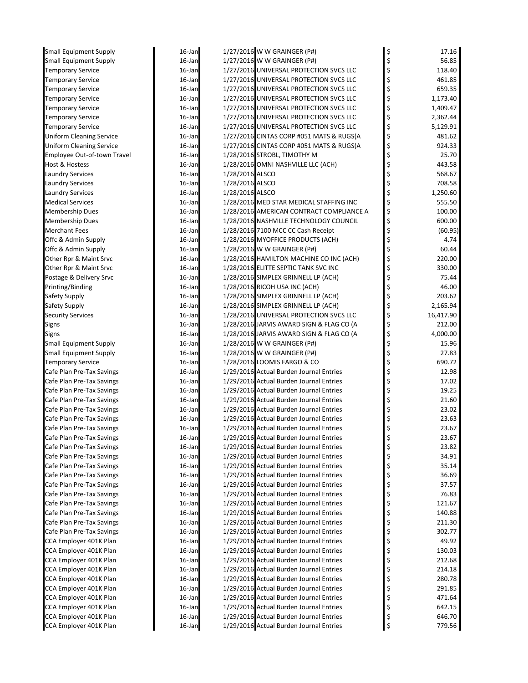| Small Equipment Supply                                  | 16-Jan           |                 | 1/27/2016 W W GRAINGER (P#)                                | \$       | 17.16             |
|---------------------------------------------------------|------------------|-----------------|------------------------------------------------------------|----------|-------------------|
| <b>Small Equipment Supply</b>                           | 16-Jan           |                 | 1/27/2016 W W GRAINGER (P#)                                | \$       | 56.85             |
| <b>Temporary Service</b>                                | 16-Jan           |                 | 1/27/2016 UNIVERSAL PROTECTION SVCS LLC                    | \$       | 118.40            |
| <b>Temporary Service</b>                                | 16-Jan           |                 | 1/27/2016 UNIVERSAL PROTECTION SVCS LLC                    | \$       | 461.85            |
| <b>Temporary Service</b>                                | 16-Jan           |                 | 1/27/2016 UNIVERSAL PROTECTION SVCS LLC                    | \$       | 659.35            |
| <b>Temporary Service</b>                                | 16-Jan           |                 | 1/27/2016 UNIVERSAL PROTECTION SVCS LLC                    | \$       | 1,173.40          |
| <b>Temporary Service</b>                                | 16-Jan           |                 | 1/27/2016 UNIVERSAL PROTECTION SVCS LLC                    | \$       | 1,409.47          |
| <b>Temporary Service</b>                                | 16-Jan           |                 | 1/27/2016 UNIVERSAL PROTECTION SVCS LLC                    | \$       | 2,362.44          |
| <b>Temporary Service</b>                                | 16-Jan           |                 | 1/27/2016 UNIVERSAL PROTECTION SVCS LLC                    | \$       | 5,129.91          |
| <b>Uniform Cleaning Service</b>                         | 16-Jan           |                 | 1/27/2016 CINTAS CORP #051 MATS & RUGS(A                   | \$       | 481.62            |
| <b>Uniform Cleaning Service</b>                         | 16-Jan           |                 | 1/27/2016 CINTAS CORP #051 MATS & RUGS(A                   | \$       | 924.33            |
| <b>Employee Out-of-town Travel</b>                      | 16-Jan           |                 | 1/28/2016 STROBL, TIMOTHY M                                | \$       | 25.70             |
| Host & Hostess                                          | 16-Jan           |                 | 1/28/2016 OMNI NASHVILLE LLC (ACH)                         | \$       | 443.58            |
| <b>Laundry Services</b>                                 | 16-Jan           | 1/28/2016 ALSCO |                                                            | \$       | 568.67            |
| <b>Laundry Services</b>                                 | 16-Jan           | 1/28/2016 ALSCO |                                                            | \$       | 708.58            |
| <b>Laundry Services</b>                                 | 16-Jan           | 1/28/2016 ALSCO |                                                            | \$       | 1,250.60          |
| <b>Medical Services</b>                                 | 16-Jan           |                 | 1/28/2016 MED STAR MEDICAL STAFFING INC                    | \$       | 555.50            |
| <b>Membership Dues</b>                                  | 16-Jan           |                 | 1/28/2016 AMERICAN CONTRACT COMPLIANCE A                   | \$       | 100.00            |
| Membership Dues                                         | 16-Jan           |                 | 1/28/2016 NASHVILLE TECHNOLOGY COUNCIL                     | \$       | 600.00            |
| <b>Merchant Fees</b>                                    | 16-Jan           |                 | 1/28/2016 7100 MCC CC Cash Receipt                         | \$       | (60.95)           |
| Offc & Admin Supply                                     | 16-Jan           |                 | 1/28/2016 MYOFFICE PRODUCTS (ACH)                          | \$       | 4.74              |
| Offc & Admin Supply                                     | 16-Jan           |                 | 1/28/2016 W W GRAINGER (P#)                                | \$       | 60.44             |
| Other Rpr & Maint Srvc                                  | $16$ -Jan        |                 | 1/28/2016 HAMILTON MACHINE CO INC (ACH)                    | \$       | 220.00            |
| Other Rpr & Maint Srvc                                  | 16-Jan           |                 | 1/28/2016 ELITTE SEPTIC TANK SVC INC                       | \$       | 330.00            |
| Postage & Delivery Srvc                                 | 16-Jan           |                 | 1/28/2016 SIMPLEX GRINNELL LP (ACH)                        | \$       | 75.44             |
| Printing/Binding                                        | 16-Jan           |                 | 1/28/2016 RICOH USA INC (ACH)                              | \$       | 46.00             |
| Safety Supply                                           | 16-Jan           |                 | 1/28/2016 SIMPLEX GRINNELL LP (ACH)                        | \$       | 203.62            |
| Safety Supply                                           | 16-Jan           |                 | 1/28/2016 SIMPLEX GRINNELL LP (ACH)                        | \$       | 2,165.94          |
| <b>Security Services</b>                                | 16-Jan           |                 | 1/28/2016 UNIVERSAL PROTECTION SVCS LLC                    | \$       | 16,417.90         |
| Signs                                                   | 16-Jan           |                 | 1/28/2016 JARVIS AWARD SIGN & FLAG CO (A                   | \$       | 212.00            |
| Signs                                                   | 16-Jan<br>16-Jan |                 | 1/28/2016 JARVIS AWARD SIGN & FLAG CO (A                   | \$       | 4,000.00<br>15.96 |
| Small Equipment Supply<br><b>Small Equipment Supply</b> | 16-Jan           |                 | 1/28/2016 W W GRAINGER (P#)<br>1/28/2016 W W GRAINGER (P#) | \$       | 27.83             |
| <b>Temporary Service</b>                                | 16-Jan           |                 | 1/28/2016 LOOMIS FARGO & CO                                | \$<br>\$ | 690.72            |
| Cafe Plan Pre-Tax Savings                               | 16-Jan           |                 | 1/29/2016 Actual Burden Journal Entries                    | \$       | 12.98             |
| Cafe Plan Pre-Tax Savings                               | 16-Jan           |                 | 1/29/2016 Actual Burden Journal Entries                    | \$       | 17.02             |
| Cafe Plan Pre-Tax Savings                               | 16-Jan           |                 | 1/29/2016 Actual Burden Journal Entries                    | \$       | 19.25             |
| Cafe Plan Pre-Tax Savings                               | 16-Jan           |                 | 1/29/2016 Actual Burden Journal Entries                    | \$       | 21.60             |
| Cafe Plan Pre-Tax Savings                               | 16-Jan           |                 | 1/29/2016 Actual Burden Journal Entries                    |          | 23.02             |
| Cafe Plan Pre-Tax Savings                               | 16-Jan           |                 | 1/29/2016 Actual Burden Journal Entries                    |          | 23.63             |
| Cafe Plan Pre-Tax Savings                               | 16-Jan           |                 | 1/29/2016 Actual Burden Journal Entries                    | \$       | 23.67             |
| Cafe Plan Pre-Tax Savings                               | 16-Jan           |                 | 1/29/2016 Actual Burden Journal Entries                    | Ş        | 23.67             |
| Cafe Plan Pre-Tax Savings                               | 16-Jan           |                 | 1/29/2016 Actual Burden Journal Entries                    | \$       | 23.82             |
| Cafe Plan Pre-Tax Savings                               | 16-Jan           |                 | 1/29/2016 Actual Burden Journal Entries                    | \$       | 34.91             |
| Cafe Plan Pre-Tax Savings                               | 16-Jan           |                 | 1/29/2016 Actual Burden Journal Entries                    | \$       | 35.14             |
| Cafe Plan Pre-Tax Savings                               | 16-Jan           |                 | 1/29/2016 Actual Burden Journal Entries                    | \$       | 36.69             |
| Cafe Plan Pre-Tax Savings                               | 16-Jan           |                 | 1/29/2016 Actual Burden Journal Entries                    | \$       | 37.57             |
| Cafe Plan Pre-Tax Savings                               | 16-Jan           |                 | 1/29/2016 Actual Burden Journal Entries                    | \$       | 76.83             |
| Cafe Plan Pre-Tax Savings                               | 16-Jan           |                 | 1/29/2016 Actual Burden Journal Entries                    | \$       | 121.67            |
| Cafe Plan Pre-Tax Savings                               | 16-Jan           |                 | 1/29/2016 Actual Burden Journal Entries                    | \$       | 140.88            |
| Cafe Plan Pre-Tax Savings                               | 16-Jan           |                 | 1/29/2016 Actual Burden Journal Entries                    | \$       | 211.30            |
| Cafe Plan Pre-Tax Savings                               | 16-Jan           |                 | 1/29/2016 Actual Burden Journal Entries                    | \$       | 302.77            |
| CCA Employer 401K Plan                                  | 16-Jan           |                 | 1/29/2016 Actual Burden Journal Entries                    | \$       | 49.92             |
| CCA Employer 401K Plan                                  | 16-Jan           |                 | 1/29/2016 Actual Burden Journal Entries                    | \$       | 130.03            |
| CCA Employer 401K Plan                                  | 16-Jan           |                 | 1/29/2016 Actual Burden Journal Entries                    | \$       | 212.68            |
| CCA Employer 401K Plan                                  | 16-Jan           |                 | 1/29/2016 Actual Burden Journal Entries                    | \$       | 214.18            |
| CCA Employer 401K Plan                                  | 16-Jan           |                 | 1/29/2016 Actual Burden Journal Entries                    | \$       | 280.78            |
| CCA Employer 401K Plan                                  | 16-Jan           |                 | 1/29/2016 Actual Burden Journal Entries                    | \$       | 291.85            |
| CCA Employer 401K Plan                                  | 16-Jan           |                 | 1/29/2016 Actual Burden Journal Entries                    | \$       | 471.64            |
| CCA Employer 401K Plan                                  | 16-Jan           |                 | 1/29/2016 Actual Burden Journal Entries                    | \$       | 642.15            |
| CCA Employer 401K Plan                                  | 16-Jan           |                 | 1/29/2016 Actual Burden Journal Entries                    | \$       | 646.70            |
| CCA Employer 401K Plan                                  | 16-Jan           |                 | 1/29/2016 Actual Burden Journal Entries                    | \$       | 779.56            |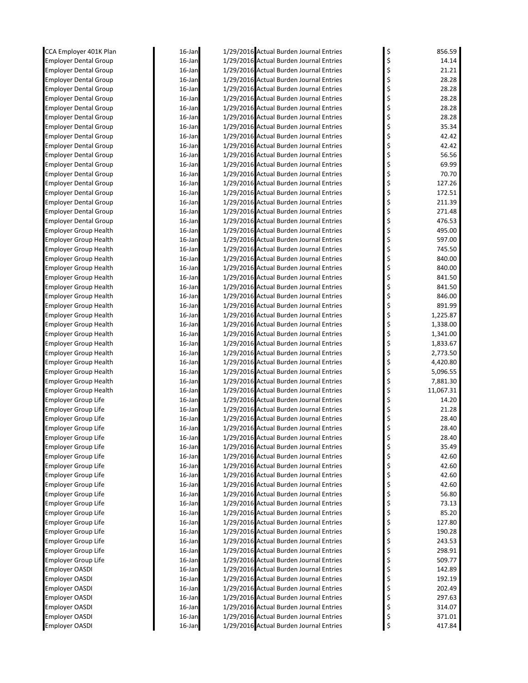| CCA Employer 401K Plan       | 16-Jan    | 1/29/2016 Actual Burden Journal Entries | \$       | 856.59    |
|------------------------------|-----------|-----------------------------------------|----------|-----------|
| <b>Employer Dental Group</b> | $16$ -Jan | 1/29/2016 Actual Burden Journal Entries | \$       | 14.14     |
| <b>Employer Dental Group</b> | $16$ -Jan | 1/29/2016 Actual Burden Journal Entries | \$       | 21.21     |
| <b>Employer Dental Group</b> | $16$ -Jan | 1/29/2016 Actual Burden Journal Entries | \$       | 28.28     |
| <b>Employer Dental Group</b> | $16$ -Jan | 1/29/2016 Actual Burden Journal Entries | \$       | 28.28     |
| <b>Employer Dental Group</b> | 16-Jan    | 1/29/2016 Actual Burden Journal Entries | \$       | 28.28     |
| <b>Employer Dental Group</b> | 16-Jan    | 1/29/2016 Actual Burden Journal Entries | \$       | 28.28     |
| <b>Employer Dental Group</b> | 16-Jan    | 1/29/2016 Actual Burden Journal Entries | \$       | 28.28     |
| <b>Employer Dental Group</b> | $16$ -Jan | 1/29/2016 Actual Burden Journal Entries | \$       | 35.34     |
| Employer Dental Group        | 16-Jan    | 1/29/2016 Actual Burden Journal Entries | \$       | 42.42     |
| <b>Employer Dental Group</b> | $16$ -Jan | 1/29/2016 Actual Burden Journal Entries | \$       | 42.42     |
| <b>Employer Dental Group</b> | 16-Jan    | 1/29/2016 Actual Burden Journal Entries | \$       | 56.56     |
| <b>Employer Dental Group</b> | $16$ -Jan | 1/29/2016 Actual Burden Journal Entries | \$       | 69.99     |
| <b>Employer Dental Group</b> | $16$ -Jan | 1/29/2016 Actual Burden Journal Entries | \$       | 70.70     |
| <b>Employer Dental Group</b> | $16$ -Jan | 1/29/2016 Actual Burden Journal Entries | \$       | 127.26    |
| <b>Employer Dental Group</b> | $16$ -Jan | 1/29/2016 Actual Burden Journal Entries | \$       | 172.51    |
| <b>Employer Dental Group</b> | 16-Jan    | 1/29/2016 Actual Burden Journal Entries | \$       | 211.39    |
| <b>Employer Dental Group</b> | 16-Jan    | 1/29/2016 Actual Burden Journal Entries | \$       | 271.48    |
| <b>Employer Dental Group</b> | $16$ -Jan | 1/29/2016 Actual Burden Journal Entries | \$       | 476.53    |
| <b>Employer Group Health</b> | $16$ -Jan | 1/29/2016 Actual Burden Journal Entries | \$       | 495.00    |
| <b>Employer Group Health</b> | $16$ -Jan | 1/29/2016 Actual Burden Journal Entries | \$       | 597.00    |
| <b>Employer Group Health</b> | 16-Jan    | 1/29/2016 Actual Burden Journal Entries | \$       | 745.50    |
| <b>Employer Group Health</b> | 16-Jan    | 1/29/2016 Actual Burden Journal Entries | \$       | 840.00    |
| <b>Employer Group Health</b> | $16$ -Jan | 1/29/2016 Actual Burden Journal Entries | \$       | 840.00    |
| <b>Employer Group Health</b> | $16$ -Jan | 1/29/2016 Actual Burden Journal Entries | \$       | 841.50    |
| <b>Employer Group Health</b> | $16$ -Jan | 1/29/2016 Actual Burden Journal Entries | \$       | 841.50    |
| <b>Employer Group Health</b> | 16-Jan    | 1/29/2016 Actual Burden Journal Entries | \$       | 846.00    |
| <b>Employer Group Health</b> | 16-Jan    | 1/29/2016 Actual Burden Journal Entries | \$       | 891.99    |
| <b>Employer Group Health</b> | 16-Jan    | 1/29/2016 Actual Burden Journal Entries | \$       | 1,225.87  |
| <b>Employer Group Health</b> | $16$ -Jan | 1/29/2016 Actual Burden Journal Entries | \$       | 1,338.00  |
| <b>Employer Group Health</b> | $16$ -Jan | 1/29/2016 Actual Burden Journal Entries | \$       | 1,341.00  |
| <b>Employer Group Health</b> | $16$ -Jan | 1/29/2016 Actual Burden Journal Entries | \$       | 1,833.67  |
| <b>Employer Group Health</b> | 16-Jan    | 1/29/2016 Actual Burden Journal Entries | \$       | 2,773.50  |
| <b>Employer Group Health</b> | 16-Jan    | 1/29/2016 Actual Burden Journal Entries |          | 4,420.80  |
|                              |           |                                         | \$<br>\$ | 5,096.55  |
| <b>Employer Group Health</b> | $16$ -Jan | 1/29/2016 Actual Burden Journal Entries |          |           |
| <b>Employer Group Health</b> | $16$ -Jan | 1/29/2016 Actual Burden Journal Entries | \$       | 7,881.30  |
| <b>Employer Group Health</b> | $16$ -Jan | 1/29/2016 Actual Burden Journal Entries | \$       | 11,067.31 |
| <b>Employer Group Life</b>   | $16$ -Jan | 1/29/2016 Actual Burden Journal Entries | \$       | 14.20     |
| <b>Employer Group Life</b>   | 16-Jan    | 1/29/2016 Actual Burden Journal Entries | \$       | 21.28     |
| Employer Group Life          | 16-Jan    | 1/29/2016 Actual Burden Journal Entries | \$       | 28.40     |
| <b>Employer Group Life</b>   | 16-Jan    | 1/29/2016 Actual Burden Journal Entries | \$       | 28.40     |
| <b>Employer Group Life</b>   | 16-Jan    | 1/29/2016 Actual Burden Journal Entries | \$       | 28.40     |
| <b>Employer Group Life</b>   | 16-Jan    | 1/29/2016 Actual Burden Journal Entries | \$       | 35.49     |
| Employer Group Life          | 16-Jan    | 1/29/2016 Actual Burden Journal Entries | \$       | 42.60     |
| Employer Group Life          | 16-Jan    | 1/29/2016 Actual Burden Journal Entries | \$       | 42.60     |
| <b>Employer Group Life</b>   | 16-Jan    | 1/29/2016 Actual Burden Journal Entries | \$       | 42.60     |
| Employer Group Life          | 16-Jan    | 1/29/2016 Actual Burden Journal Entries | \$       | 42.60     |
| <b>Employer Group Life</b>   | $16$ -Jan | 1/29/2016 Actual Burden Journal Entries | \$       | 56.80     |
| <b>Employer Group Life</b>   | $16$ -Jan | 1/29/2016 Actual Burden Journal Entries | \$       | 73.13     |
| <b>Employer Group Life</b>   | 16-Jan    | 1/29/2016 Actual Burden Journal Entries | \$       | 85.20     |
| <b>Employer Group Life</b>   | 16-Jan    | 1/29/2016 Actual Burden Journal Entries | \$       | 127.80    |
| <b>Employer Group Life</b>   | 16-Jan    | 1/29/2016 Actual Burden Journal Entries | \$       | 190.28    |
| Employer Group Life          | 16-Jan    | 1/29/2016 Actual Burden Journal Entries | \$       | 243.53    |
| <b>Employer Group Life</b>   | 16-Jan    | 1/29/2016 Actual Burden Journal Entries | \$       | 298.91    |
| <b>Employer Group Life</b>   | 16-Jan    | 1/29/2016 Actual Burden Journal Entries | \$       | 509.77    |
| Employer OASDI               | 16-Jan    | 1/29/2016 Actual Burden Journal Entries | \$       | 142.89    |
| Employer OASDI               | 16-Jan    | 1/29/2016 Actual Burden Journal Entries | \$       | 192.19    |
| Employer OASDI               | 16-Jan    | 1/29/2016 Actual Burden Journal Entries | \$       | 202.49    |
| <b>Employer OASDI</b>        | 16-Jan    | 1/29/2016 Actual Burden Journal Entries | \$       | 297.63    |
| <b>Employer OASDI</b>        | $16$ -Jan | 1/29/2016 Actual Burden Journal Entries | \$       | 314.07    |
| <b>Employer OASDI</b>        | 16-Jan    | 1/29/2016 Actual Burden Journal Entries | \$       | 371.01    |
| Employer OASDI               | 16-Jan    | 1/29/2016 Actual Burden Journal Entries | \$       | 417.84    |
|                              |           |                                         |          |           |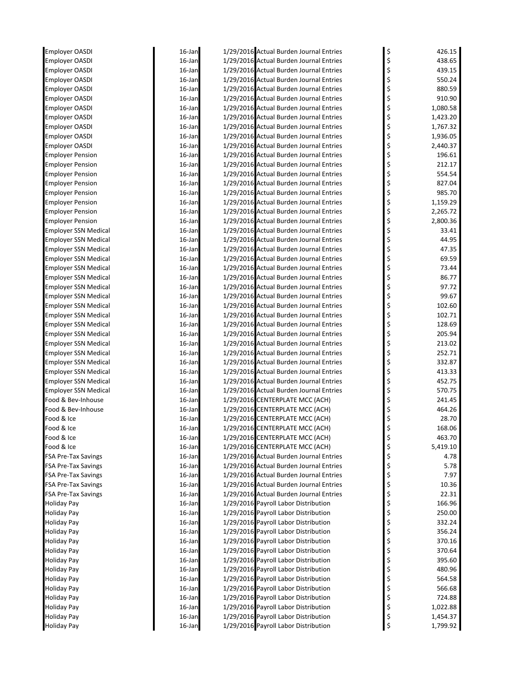| <b>Employer OASDI</b>       | 16-Jan           | 1/29/2016 Actual Burden Journal Entries                                      | \$       | 426.15               |
|-----------------------------|------------------|------------------------------------------------------------------------------|----------|----------------------|
| <b>Employer OASDI</b>       | 16-Jan           | 1/29/2016 Actual Burden Journal Entries                                      | \$       | 438.65               |
| <b>Employer OASDI</b>       | 16-Jan           | 1/29/2016 Actual Burden Journal Entries                                      | \$       | 439.15               |
| <b>Employer OASDI</b>       | 16-Jan           | 1/29/2016 Actual Burden Journal Entries                                      | \$       | 550.24               |
| <b>Employer OASDI</b>       | 16-Jan           | 1/29/2016 Actual Burden Journal Entries                                      | \$       | 880.59               |
| Employer OASDI              | 16-Jan           | 1/29/2016 Actual Burden Journal Entries                                      | \$       | 910.90               |
| <b>Employer OASDI</b>       | 16-Jan           | 1/29/2016 Actual Burden Journal Entries                                      | \$       | 1,080.58             |
| <b>Employer OASDI</b>       | 16-Jan           | 1/29/2016 Actual Burden Journal Entries                                      | \$       | 1,423.20             |
| Employer OASDI              | 16-Jan           | 1/29/2016 Actual Burden Journal Entries                                      | \$       | 1,767.32             |
| <b>Employer OASDI</b>       | 16-Jan           | 1/29/2016 Actual Burden Journal Entries                                      | \$       | 1,936.05             |
| <b>Employer OASDI</b>       | 16-Jan           | 1/29/2016 Actual Burden Journal Entries                                      | \$       | 2,440.37             |
| <b>Employer Pension</b>     | 16-Jan           | 1/29/2016 Actual Burden Journal Entries                                      | \$       | 196.61               |
| <b>Employer Pension</b>     | 16-Jan           | 1/29/2016 Actual Burden Journal Entries                                      | \$       | 212.17               |
| <b>Employer Pension</b>     | 16-Jan           | 1/29/2016 Actual Burden Journal Entries                                      | \$       | 554.54               |
| <b>Employer Pension</b>     | 16-Jan           | 1/29/2016 Actual Burden Journal Entries                                      | \$       | 827.04               |
| <b>Employer Pension</b>     | 16-Jan           | 1/29/2016 Actual Burden Journal Entries                                      | \$       | 985.70               |
| <b>Employer Pension</b>     | 16-Jan           | 1/29/2016 Actual Burden Journal Entries                                      | \$       | 1,159.29             |
| <b>Employer Pension</b>     | $16$ -Jan        | 1/29/2016 Actual Burden Journal Entries                                      | \$       | 2,265.72             |
| <b>Employer Pension</b>     | 16-Jan           | 1/29/2016 Actual Burden Journal Entries                                      | \$       | 2,800.36             |
| <b>Employer SSN Medical</b> | 16-Jan           | 1/29/2016 Actual Burden Journal Entries                                      | \$       | 33.41                |
| <b>Employer SSN Medical</b> | 16-Jan           | 1/29/2016 Actual Burden Journal Entries                                      | \$       | 44.95                |
| Employer SSN Medical        | 16-Jan           | 1/29/2016 Actual Burden Journal Entries                                      | \$       | 47.35                |
| <b>Employer SSN Medical</b> | 16-Jan           | 1/29/2016 Actual Burden Journal Entries                                      | \$       | 69.59                |
| Employer SSN Medical        | 16-Jan           | 1/29/2016 Actual Burden Journal Entries                                      | \$       | 73.44                |
| <b>Employer SSN Medical</b> | 16-Jan           | 1/29/2016 Actual Burden Journal Entries                                      | \$       | 86.77                |
| <b>Employer SSN Medical</b> | 16-Jan           | 1/29/2016 Actual Burden Journal Entries                                      | \$       | 97.72                |
| <b>Employer SSN Medical</b> | 16-Jan           | 1/29/2016 Actual Burden Journal Entries                                      | \$       | 99.67                |
| <b>Employer SSN Medical</b> | 16-Jan           | 1/29/2016 Actual Burden Journal Entries                                      | \$       | 102.60               |
| <b>Employer SSN Medical</b> | 16-Jan           | 1/29/2016 Actual Burden Journal Entries                                      | \$       | 102.71               |
| Employer SSN Medical        | 16-Jan           | 1/29/2016 Actual Burden Journal Entries                                      | \$       | 128.69               |
| <b>Employer SSN Medical</b> | 16-Jan           | 1/29/2016 Actual Burden Journal Entries                                      | \$       | 205.94               |
| Employer SSN Medical        | 16-Jan           | 1/29/2016 Actual Burden Journal Entries                                      | \$       | 213.02               |
| Employer SSN Medical        | 16-Jan           | 1/29/2016 Actual Burden Journal Entries                                      | \$       | 252.71               |
| Employer SSN Medical        | 16-Jan           | 1/29/2016 Actual Burden Journal Entries                                      | \$       | 332.87               |
| Employer SSN Medical        | 16-Jan           | 1/29/2016 Actual Burden Journal Entries                                      | \$       | 413.33               |
| <b>Employer SSN Medical</b> | 16-Jan           | 1/29/2016 Actual Burden Journal Entries                                      | \$       | 452.75               |
| <b>Employer SSN Medical</b> | 16-Jan           | 1/29/2016 Actual Burden Journal Entries                                      | \$       | 570.75               |
| Food & Bev-Inhouse          | 16-Jan           | 1/29/2016 CENTERPLATE MCC (ACH)                                              | \$       | 241.45               |
| Food & Bev-Inhouse          | 16-Jan           | 1/29/2016 CENTERPLATE MCC (ACH)                                              | \$       | 464.26               |
| Food & Ice                  | 16-Jan           | 1/29/2016 CENTERPLATE MCC (ACH)                                              |          | 28.70                |
| Food & Ice                  | 16-Jan           | 1/29/2016 CENTERPLATE MCC (ACH)                                              | \$       | 168.06               |
| Food & Ice                  | 16-Jan           | 1/29/2016 CENTERPLATE MCC (ACH)                                              | \$       | 463.70               |
| Food & Ice                  | 16-Jan           | 1/29/2016 CENTERPLATE MCC (ACH)                                              | \$       | 5,419.10             |
| FSA Pre-Tax Savings         | 16-Jan           | 1/29/2016 Actual Burden Journal Entries                                      | \$       | 4.78                 |
| FSA Pre-Tax Savings         | 16-Jan           | 1/29/2016 Actual Burden Journal Entries                                      | \$       | 5.78                 |
| FSA Pre-Tax Savings         | 16-Jan           | 1/29/2016 Actual Burden Journal Entries                                      | \$       | 7.97                 |
| <b>FSA Pre-Tax Savings</b>  | 16-Jan           | 1/29/2016 Actual Burden Journal Entries                                      | \$       | 10.36                |
| <b>FSA Pre-Tax Savings</b>  | 16-Jan           | 1/29/2016 Actual Burden Journal Entries                                      | \$       | 22.31                |
| Holiday Pay                 | 16-Jan           | 1/29/2016 Payroll Labor Distribution                                         | \$       | 166.96               |
| Holiday Pay                 | 16-Jan           | 1/29/2016 Payroll Labor Distribution                                         | \$       | 250.00               |
| Holiday Pay                 | 16-Jan           | 1/29/2016 Payroll Labor Distribution                                         | \$       | 332.24               |
| Holiday Pay                 | 16-Jan           | 1/29/2016 Payroll Labor Distribution                                         | \$       | 356.24               |
| Holiday Pay                 | 16-Jan           | 1/29/2016 Payroll Labor Distribution                                         | \$       | 370.16               |
| Holiday Pay                 | 16-Jan           | 1/29/2016 Payroll Labor Distribution                                         | \$       | 370.64               |
| Holiday Pay                 | 16-Jan           | 1/29/2016 Payroll Labor Distribution                                         | \$       | 395.60               |
| Holiday Pay                 | 16-Jan           | 1/29/2016 Payroll Labor Distribution                                         | \$       | 480.96               |
| Holiday Pay                 | 16-Jan           | 1/29/2016 Payroll Labor Distribution                                         | \$       | 564.58               |
| Holiday Pay                 | 16-Jan           | 1/29/2016 Payroll Labor Distribution                                         | \$       | 566.68               |
| Holiday Pay                 | 16-Jan<br>16-Jan | 1/29/2016 Payroll Labor Distribution<br>1/29/2016 Payroll Labor Distribution | \$<br>\$ | 724.88               |
| Holiday Pay<br>Holiday Pay  | 16-Jan           | 1/29/2016 Payroll Labor Distribution                                         |          | 1,022.88<br>1,454.37 |
| Holiday Pay                 | 16-Jan           | 1/29/2016 Payroll Labor Distribution                                         | \$<br>\$ | 1,799.92             |
|                             |                  |                                                                              |          |                      |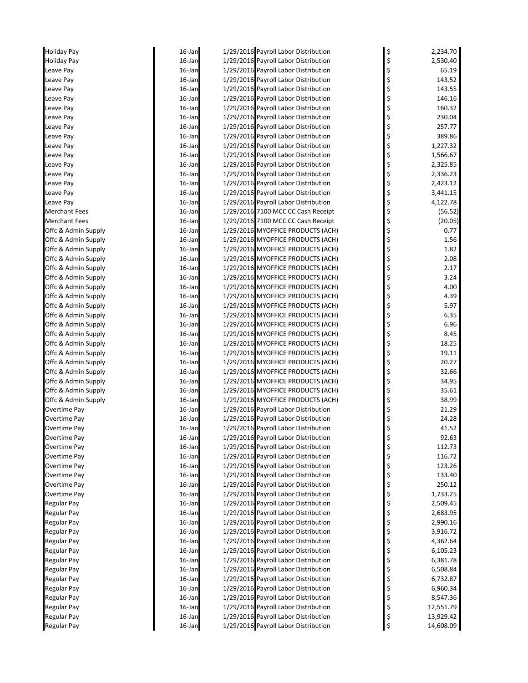| Holiday Pay          | 16-Jan    | 1/29/2016 Payroll Labor Distribution | \$<br>2,234.70  |
|----------------------|-----------|--------------------------------------|-----------------|
| <b>Holiday Pay</b>   | 16-Jan    | 1/29/2016 Payroll Labor Distribution | \$<br>2,530.40  |
| Leave Pay            | $16$ -Jan | 1/29/2016 Payroll Labor Distribution | \$<br>65.19     |
| Leave Pay            | $16$ -Jan | 1/29/2016 Payroll Labor Distribution | \$<br>143.52    |
| Leave Pay            | $16$ -Jan | 1/29/2016 Payroll Labor Distribution | \$<br>143.55    |
| Leave Pay            | 16-Jan    | 1/29/2016 Payroll Labor Distribution | \$<br>146.16    |
| Leave Pay            | 16-Jan    | 1/29/2016 Payroll Labor Distribution | 160.32          |
| Leave Pay            | 16-Jan    | 1/29/2016 Payroll Labor Distribution | \$<br>230.04    |
| Leave Pay            | $16$ -Jan | 1/29/2016 Payroll Labor Distribution | \$<br>257.77    |
| Leave Pay            | $16$ -Jan | 1/29/2016 Payroll Labor Distribution | \$<br>389.86    |
| Leave Pay            | $16$ -Jan | 1/29/2016 Payroll Labor Distribution | \$<br>1,227.32  |
| Leave Pay            | 16-Jan    | 1/29/2016 Payroll Labor Distribution | \$<br>1,566.67  |
| Leave Pay            | 16-Jan    | 1/29/2016 Payroll Labor Distribution | \$<br>2,325.85  |
| Leave Pay            | $16$ -Jan | 1/29/2016 Payroll Labor Distribution | \$<br>2,336.23  |
| Leave Pay            | $16$ -Jan | 1/29/2016 Payroll Labor Distribution | \$<br>2,423.12  |
| Leave Pay            | $16$ -Jan | 1/29/2016 Payroll Labor Distribution | \$<br>3,441.15  |
| Leave Pay            | 16-Jan    | 1/29/2016 Payroll Labor Distribution | \$<br>4,122.78  |
| <b>Merchant Fees</b> | 16-Jan    | 1/29/2016 7100 MCC CC Cash Receipt   | \$<br>(56.52)   |
| <b>Merchant Fees</b> | 16-Jan    | 1/29/2016 7100 MCC CC Cash Receipt   | \$<br>(20.05)   |
| Offc & Admin Supply  | $16$ -Jan | 1/29/2016 MYOFFICE PRODUCTS (ACH)    | \$<br>0.77      |
| Offc & Admin Supply  | $16$ -Jan | 1/29/2016 MYOFFICE PRODUCTS (ACH)    | \$<br>1.56      |
| Offc & Admin Supply  | $16$ -Jan | 1/29/2016 MYOFFICE PRODUCTS (ACH)    | \$<br>1.82      |
| Offc & Admin Supply  | 16-Jan    | 1/29/2016 MYOFFICE PRODUCTS (ACH)    | \$<br>2.08      |
| Offc & Admin Supply  | 16-Jan    | 1/29/2016 MYOFFICE PRODUCTS (ACH)    | \$<br>2.17      |
| Offc & Admin Supply  | $16$ -Jan | 1/29/2016 MYOFFICE PRODUCTS (ACH)    | \$<br>3.24      |
| Offc & Admin Supply  | $16$ -Jan | 1/29/2016 MYOFFICE PRODUCTS (ACH)    | \$<br>4.00      |
| Offc & Admin Supply  | $16$ -Jan | 1/29/2016 MYOFFICE PRODUCTS (ACH)    | \$<br>4.39      |
| Offc & Admin Supply  | $16$ -Jan | 1/29/2016 MYOFFICE PRODUCTS (ACH)    | \$<br>5.97      |
| Offc & Admin Supply  | 16-Jan    | 1/29/2016 MYOFFICE PRODUCTS (ACH)    | \$<br>6.35      |
| Offc & Admin Supply  | 16-Jan    | 1/29/2016 MYOFFICE PRODUCTS (ACH)    | \$<br>6.96      |
| Offc & Admin Supply  | $16$ -Jan | 1/29/2016 MYOFFICE PRODUCTS (ACH)    | \$<br>8.45      |
| Offc & Admin Supply  | $16$ -Jan | 1/29/2016 MYOFFICE PRODUCTS (ACH)    | \$<br>18.25     |
| Offc & Admin Supply  | $16$ -Jan | 1/29/2016 MYOFFICE PRODUCTS (ACH)    | \$<br>19.11     |
| Offc & Admin Supply  | 16-Jan    | 1/29/2016 MYOFFICE PRODUCTS (ACH)    | \$<br>20.27     |
| Offc & Admin Supply  | 16-Jan    | 1/29/2016 MYOFFICE PRODUCTS (ACH)    | \$<br>32.66     |
| Offc & Admin Supply  | 16-Jan    | 1/29/2016 MYOFFICE PRODUCTS (ACH)    | \$<br>34.95     |
| Offc & Admin Supply  | $16$ -Jan | 1/29/2016 MYOFFICE PRODUCTS (ACH)    | \$<br>35.61     |
| Offc & Admin Supply  | $16$ -Jan | 1/29/2016 MYOFFICE PRODUCTS (ACH)    | \$<br>38.99     |
| Overtime Pay         | $16$ -Jan | 1/29/2016 Payroll Labor Distribution | \$<br>21.29     |
| Overtime Pay         | 16-Jan    | 1/29/2016 Payroll Labor Distribution | 24.28           |
| Overtime Pay         | 16-Jan    | 1/29/2016 Payroll Labor Distribution | 41.52           |
| Overtime Pay         | 16-Jan    | 1/29/2016 Payroll Labor Distribution | \$<br>92.63     |
| Overtime Pay         | $16$ -Jan | 1/29/2016 Payroll Labor Distribution | \$<br>112.73    |
| Overtime Pay         | $16$ -Jan | 1/29/2016 Payroll Labor Distribution | \$<br>116.72    |
| Overtime Pay         | 16-Jan    | 1/29/2016 Payroll Labor Distribution | \$<br>123.26    |
| Overtime Pay         | 16-Jan    | 1/29/2016 Payroll Labor Distribution | \$<br>133.40    |
| Overtime Pay         | 16-Jan    | 1/29/2016 Payroll Labor Distribution | \$<br>250.12    |
| Overtime Pay         | $16$ -Jan | 1/29/2016 Payroll Labor Distribution | \$<br>1,733.25  |
| Regular Pay          | 16-Jan    | 1/29/2016 Payroll Labor Distribution | \$<br>2,509.45  |
| <b>Regular Pay</b>   | $16$ -Jan | 1/29/2016 Payroll Labor Distribution | \$<br>2,683.95  |
| <b>Regular Pay</b>   | 16-Jan    | 1/29/2016 Payroll Labor Distribution | \$<br>2,990.16  |
| <b>Regular Pay</b>   | 16-Jan    | 1/29/2016 Payroll Labor Distribution | \$<br>3,916.72  |
| Regular Pay          | $16$ -Jan | 1/29/2016 Payroll Labor Distribution | \$<br>4,362.64  |
| <b>Regular Pay</b>   | $16$ -Jan | 1/29/2016 Payroll Labor Distribution | \$<br>6,105.23  |
| <b>Regular Pay</b>   | $16$ -Jan | 1/29/2016 Payroll Labor Distribution | \$<br>6,381.78  |
| <b>Regular Pay</b>   | 16-Jan    | 1/29/2016 Payroll Labor Distribution | \$<br>6,508.84  |
| <b>Regular Pay</b>   | 16-Jan    | 1/29/2016 Payroll Labor Distribution | \$<br>6,732.87  |
| <b>Regular Pay</b>   | 16-Jan    | 1/29/2016 Payroll Labor Distribution | \$<br>6,960.34  |
| <b>Regular Pay</b>   | $16$ -Jan | 1/29/2016 Payroll Labor Distribution | \$<br>8,547.36  |
| <b>Regular Pay</b>   | $16$ -Jan | 1/29/2016 Payroll Labor Distribution | \$<br>12,551.79 |
| Regular Pay          | 16-Jan    | 1/29/2016 Payroll Labor Distribution | \$<br>13,929.42 |
| Regular Pay          | 16-Jan    | 1/29/2016 Payroll Labor Distribution | \$<br>14,608.09 |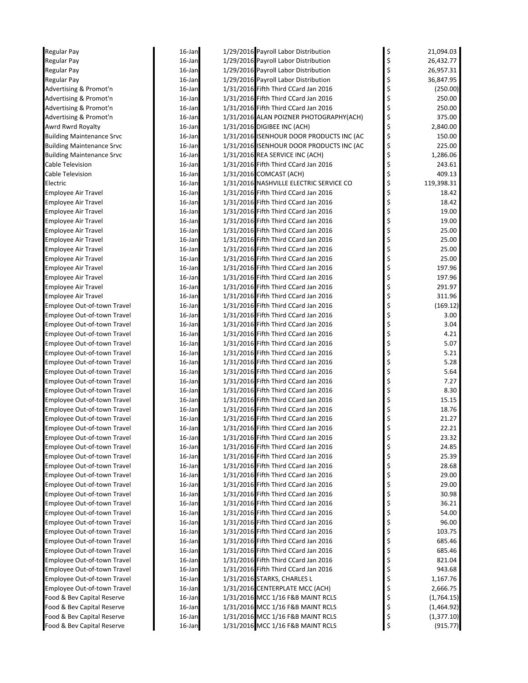| Regular Pay                      | 16-Jan    | 1/29/2016 Payroll Labor Distribution                                   | \$       | 21,094.03               |
|----------------------------------|-----------|------------------------------------------------------------------------|----------|-------------------------|
| Regular Pay                      | 16-Jan    | 1/29/2016 Payroll Labor Distribution                                   | \$       | 26,432.77               |
| Regular Pay                      | $16$ -Jan | 1/29/2016 Payroll Labor Distribution                                   | \$       | 26,957.31               |
| Regular Pay                      | 16-Jan    | 1/29/2016 Payroll Labor Distribution                                   | \$       | 36,847.95               |
| Advertising & Promot'n           | 16-Jan    | 1/31/2016 Fifth Third CCard Jan 2016                                   | \$       | (250.00)                |
| Advertising & Promot'n           | 16-Jan    | 1/31/2016 Fifth Third CCard Jan 2016                                   | \$       | 250.00                  |
| Advertising & Promot'n           | 16-Jan    | 1/31/2016 Fifth Third CCard Jan 2016                                   | \$       | 250.00                  |
| Advertising & Promot'n           | 16-Jan    | 1/31/2016 ALAN POIZNER PHOTOGRAPHY(ACH)                                | \$       | 375.00                  |
| Awrd Rwrd Royalty                | 16-Jan    | 1/31/2016 DIGIBEE INC (ACH)                                            | \$       | 2,840.00                |
| <b>Building Maintenance Srvc</b> | 16-Jan    | 1/31/2016 ISENHOUR DOOR PRODUCTS INC (AC                               | \$       | 150.00                  |
| <b>Building Maintenance Srvc</b> | 16-Jan    | 1/31/2016 ISENHOUR DOOR PRODUCTS INC (AC                               | \$       | 225.00                  |
| <b>Building Maintenance Srvc</b> | 16-Jan    | 1/31/2016 REA SERVICE INC (ACH)                                        | \$       | 1,286.06                |
| Cable Television                 | 16-Jan    | 1/31/2016 Fifth Third CCard Jan 2016                                   | \$       | 243.61                  |
| Cable Television                 | 16-Jan    | 1/31/2016 COMCAST (ACH)                                                | \$       | 409.13                  |
| Electric                         | 16-Jan    | 1/31/2016 NASHVILLE ELECTRIC SERVICE CO                                | \$       | 119,398.31              |
| Employee Air Travel              | 16-Jan    | 1/31/2016 Fifth Third CCard Jan 2016                                   | \$       | 18.42                   |
| Employee Air Travel              | 16-Jan    | 1/31/2016 Fifth Third CCard Jan 2016                                   | \$       | 18.42                   |
| Employee Air Travel              | 16-Jan    | 1/31/2016 Fifth Third CCard Jan 2016                                   | \$       | 19.00                   |
| <b>Employee Air Travel</b>       | 16-Jan    | 1/31/2016 Fifth Third CCard Jan 2016                                   | \$       | 19.00                   |
| <b>Employee Air Travel</b>       | 16-Jan    | 1/31/2016 Fifth Third CCard Jan 2016                                   | \$       | 25.00                   |
| <b>Employee Air Travel</b>       | 16-Jan    | 1/31/2016 Fifth Third CCard Jan 2016                                   | \$       | 25.00                   |
| Employee Air Travel              | 16-Jan    | 1/31/2016 Fifth Third CCard Jan 2016                                   | \$       | 25.00                   |
| <b>Employee Air Travel</b>       | 16-Jan    | 1/31/2016 Fifth Third CCard Jan 2016                                   | \$       | 25.00                   |
| <b>Employee Air Travel</b>       | 16-Jan    | 1/31/2016 Fifth Third CCard Jan 2016                                   | \$       | 197.96                  |
| Employee Air Travel              | 16-Jan    | 1/31/2016 Fifth Third CCard Jan 2016                                   | \$       | 197.96                  |
| <b>Employee Air Travel</b>       | 16-Jan    | 1/31/2016 Fifth Third CCard Jan 2016                                   | \$       | 291.97                  |
| <b>Employee Air Travel</b>       | 16-Jan    | 1/31/2016 Fifth Third CCard Jan 2016                                   | \$       | 311.96                  |
| Employee Out-of-town Travel      | 16-Jan    | 1/31/2016 Fifth Third CCard Jan 2016                                   | \$       | (169.12)                |
| Employee Out-of-town Travel      | 16-Jan    | 1/31/2016 Fifth Third CCard Jan 2016                                   | \$       | 3.00                    |
| Employee Out-of-town Travel      | 16-Jan    | 1/31/2016 Fifth Third CCard Jan 2016                                   | \$       | 3.04                    |
| Employee Out-of-town Travel      | 16-Jan    | 1/31/2016 Fifth Third CCard Jan 2016                                   | \$       | 4.21                    |
| Employee Out-of-town Travel      | 16-Jan    | 1/31/2016 Fifth Third CCard Jan 2016                                   | \$       | 5.07                    |
| Employee Out-of-town Travel      | 16-Jan    | 1/31/2016 Fifth Third CCard Jan 2016                                   | \$       | 5.21                    |
| Employee Out-of-town Travel      | 16-Jan    | 1/31/2016 Fifth Third CCard Jan 2016                                   | \$       | 5.28                    |
| Employee Out-of-town Travel      | 16-Jan    | 1/31/2016 Fifth Third CCard Jan 2016                                   | \$       | 5.64                    |
| Employee Out-of-town Travel      | 16-Jan    | 1/31/2016 Fifth Third CCard Jan 2016                                   | \$       | 7.27                    |
| Employee Out-of-town Travel      | 16-Jan    | 1/31/2016 Fifth Third CCard Jan 2016                                   | \$       | 8.30                    |
| Employee Out-of-town Travel      | 16-Jan    | 1/31/2016 Fifth Third CCard Jan 2016                                   | \$       | 15.15                   |
| Employee Out-of-town Travel      | 16-Jan    | 1/31/2016 Fifth Third CCard Jan 2016                                   | \$       | 18.76                   |
| Employee Out-of-town Travel      | 16-Jan    | 1/31/2016 Fifth Third CCard Jan 2016                                   | \$       | 21.27                   |
| Employee Out-of-town Travel      | 16-Jan    | 1/31/2016 Fifth Third CCard Jan 2016                                   | \$       | 22.21                   |
| Employee Out-of-town Travel      | 16-Jan    | 1/31/2016 Fifth Third CCard Jan 2016                                   | Ş        | 23.32                   |
| Employee Out-of-town Travel      | 16-Jan    | 1/31/2016 Fifth Third CCard Jan 2016                                   | \$       | 24.85                   |
| Employee Out-of-town Travel      | 16-Jan    | 1/31/2016 Fifth Third CCard Jan 2016                                   | \$       | 25.39                   |
| Employee Out-of-town Travel      | 16-Jan    | 1/31/2016 Fifth Third CCard Jan 2016                                   | \$       | 28.68                   |
| Employee Out-of-town Travel      | 16-Jan    | 1/31/2016 Fifth Third CCard Jan 2016                                   | \$       | 29.00                   |
| Employee Out-of-town Travel      | 16-Jan    | 1/31/2016 Fifth Third CCard Jan 2016                                   | \$       | 29.00                   |
| Employee Out-of-town Travel      | 16-Jan    | 1/31/2016 Fifth Third CCard Jan 2016                                   | \$       | 30.98                   |
| Employee Out-of-town Travel      | 16-Jan    | 1/31/2016 Fifth Third CCard Jan 2016                                   | \$       | 36.21                   |
| Employee Out-of-town Travel      | 16-Jan    | 1/31/2016 Fifth Third CCard Jan 2016                                   | \$       | 54.00                   |
| Employee Out-of-town Travel      | 16-Jan    | 1/31/2016 Fifth Third CCard Jan 2016                                   | \$       | 96.00                   |
| Employee Out-of-town Travel      | 16-Jan    | 1/31/2016 Fifth Third CCard Jan 2016                                   | \$       | 103.75                  |
| Employee Out-of-town Travel      | $16$ -Jan | 1/31/2016 Fifth Third CCard Jan 2016                                   | \$       | 685.46                  |
| Employee Out-of-town Travel      | 16-Jan    | 1/31/2016 Fifth Third CCard Jan 2016                                   | \$       | 685.46                  |
| Employee Out-of-town Travel      | 16-Jan    | 1/31/2016 Fifth Third CCard Jan 2016                                   | \$       | 821.04                  |
| Employee Out-of-town Travel      | 16-Jan    | 1/31/2016 Fifth Third CCard Jan 2016                                   | \$       | 943.68                  |
| Employee Out-of-town Travel      | 16-Jan    | 1/31/2016 STARKS, CHARLES L                                            | \$       | 1,167.76                |
| Employee Out-of-town Travel      | 16-Jan    | 1/31/2016 CENTERPLATE MCC (ACH)                                        | \$       | 2,666.75                |
| Food & Bev Capital Reserve       | 16-Jan    | 1/31/2016 MCC 1/16 F&B MAINT RCLS                                      | \$       | (1,764.15)              |
| Food & Bev Capital Reserve       | 16-Jan    | 1/31/2016 MCC 1/16 F&B MAINT RCLS<br>1/31/2016 MCC 1/16 F&B MAINT RCLS | \$       | (1,464.92)              |
| Food & Bev Capital Reserve       | 16-Jan    | 1/31/2016 MCC 1/16 F&B MAINT RCLS                                      | \$<br>\$ | (1, 377.10)<br>(915.77) |
| Food & Bev Capital Reserve       | 16-Jan    |                                                                        |          |                         |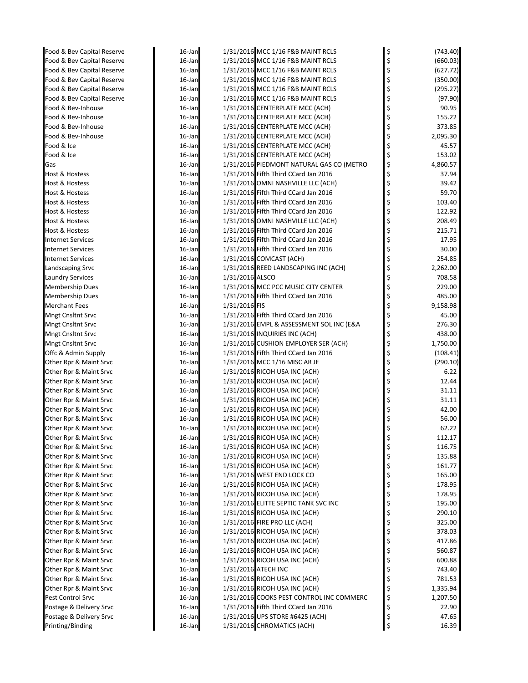| Food & Bev Capital Reserve | 16-Jan    |                 | 1/31/2016 MCC 1/16 F&B MAINT RCLS        | \$<br>(743.40) |
|----------------------------|-----------|-----------------|------------------------------------------|----------------|
| Food & Bev Capital Reserve | 16-Jan    |                 | 1/31/2016 MCC 1/16 F&B MAINT RCLS        | \$<br>(660.03) |
| Food & Bev Capital Reserve | $16$ -Jan |                 | 1/31/2016 MCC 1/16 F&B MAINT RCLS        | \$<br>(627.72) |
| Food & Bev Capital Reserve | $16$ -Jan |                 | 1/31/2016 MCC 1/16 F&B MAINT RCLS        | \$<br>(350.00) |
| Food & Bev Capital Reserve | $16$ -Jan |                 | 1/31/2016 MCC 1/16 F&B MAINT RCLS        | \$<br>(295.27) |
| Food & Bev Capital Reserve | 16-Jan    |                 | 1/31/2016 MCC 1/16 F&B MAINT RCLS        | \$<br>(97.90)  |
| Food & Bev-Inhouse         | $16$ -Jan |                 | 1/31/2016 CENTERPLATE MCC (ACH)          | \$<br>90.95    |
| Food & Bev-Inhouse         | $16$ -Jan |                 | 1/31/2016 CENTERPLATE MCC (ACH)          | \$<br>155.22   |
| Food & Bev-Inhouse         | $16$ -Jan |                 | 1/31/2016 CENTERPLATE MCC (ACH)          | \$<br>373.85   |
| Food & Bev-Inhouse         | 16-Jan    |                 | 1/31/2016 CENTERPLATE MCC (ACH)          | \$<br>2,095.30 |
| Food & Ice                 | $16$ -Jan |                 | 1/31/2016 CENTERPLATE MCC (ACH)          | \$<br>45.57    |
| Food & Ice                 | $16$ -Jan |                 | 1/31/2016 CENTERPLATE MCC (ACH)          | \$<br>153.02   |
| Gas                        | $16$ -Jan |                 | 1/31/2016 PIEDMONT NATURAL GAS CO (METRO | \$<br>4,860.57 |
| Host & Hostess             | $16$ -Jan |                 | 1/31/2016 Fifth Third CCard Jan 2016     | \$<br>37.94    |
| Host & Hostess             | $16$ -Jan |                 | 1/31/2016 OMNI NASHVILLE LLC (ACH)       | \$<br>39.42    |
| Host & Hostess             | $16$ -Jan |                 | 1/31/2016 Fifth Third CCard Jan 2016     | \$<br>59.70    |
| Host & Hostess             | $16$ -Jan |                 | 1/31/2016 Fifth Third CCard Jan 2016     | \$<br>103.40   |
| Host & Hostess             | $16$ -Jan |                 | 1/31/2016 Fifth Third CCard Jan 2016     | \$<br>122.92   |
| Host & Hostess             | $16$ -Jan |                 | 1/31/2016 OMNI NASHVILLE LLC (ACH)       | \$<br>208.49   |
| <b>Host &amp; Hostess</b>  | $16$ -Jan |                 | 1/31/2016 Fifth Third CCard Jan 2016     | \$<br>215.71   |
| <b>Internet Services</b>   | $16$ -Jan |                 | 1/31/2016 Fifth Third CCard Jan 2016     | \$<br>17.95    |
| <b>Internet Services</b>   | 16-Jan    |                 | 1/31/2016 Fifth Third CCard Jan 2016     | \$<br>30.00    |
| <b>Internet Services</b>   | $16$ -Jan |                 | 1/31/2016 COMCAST (ACH)                  | \$<br>254.85   |
| Landscaping Srvc           | $16$ -Jan |                 | 1/31/2016 REED LANDSCAPING INC (ACH)     | \$<br>2,262.00 |
| <b>Laundry Services</b>    | $16$ -Jan | 1/31/2016 ALSCO |                                          | \$<br>708.58   |
| <b>Membership Dues</b>     | $16$ -Jan |                 | 1/31/2016 MCC PCC MUSIC CITY CENTER      | \$<br>229.00   |
| <b>Membership Dues</b>     | 16-Jan    |                 | 1/31/2016 Fifth Third CCard Jan 2016     | \$<br>485.00   |
| <b>Merchant Fees</b>       | $16$ -Jan | 1/31/2016 FIS   |                                          | \$<br>9,158.98 |
| <b>Mngt Cnsltnt Srvc</b>   | 16-Jan    |                 | 1/31/2016 Fifth Third CCard Jan 2016     | \$<br>45.00    |
| <b>Mngt Cnsltnt Srvc</b>   | $16$ -Jan |                 | 1/31/2016 EMPL & ASSESSMENT SOL INC (E&A | \$<br>276.30   |
| <b>Mngt Cnsltnt Srvc</b>   | $16$ -Jan |                 | 1/31/2016 INQUIRIES INC (ACH)            | \$<br>438.00   |
| <b>Mngt Cnsltnt Srvc</b>   | 16-Jan    |                 | 1/31/2016 CUSHION EMPLOYER SER (ACH)     | \$<br>1,750.00 |
| Offc & Admin Supply        | $16$ -Jan |                 | 1/31/2016 Fifth Third CCard Jan 2016     | \$<br>(108.41) |
| Other Rpr & Maint Srvc     | $16$ -Jan |                 | 1/31/2016 MCC 1/16 MISC AR JE            | \$<br>(290.10) |
| Other Rpr & Maint Srvc     | $16$ -Jan |                 | 1/31/2016 RICOH USA INC (ACH)            | \$<br>6.22     |
| Other Rpr & Maint Srvc     | $16$ -Jan |                 | 1/31/2016 RICOH USA INC (ACH)            | \$<br>12.44    |
| Other Rpr & Maint Srvc     | $16$ -Jan |                 | 1/31/2016 RICOH USA INC (ACH)            | \$<br>31.11    |
| Other Rpr & Maint Srvc     | $16$ -Jan |                 | 1/31/2016 RICOH USA INC (ACH)            | \$<br>31.11    |
| Other Rpr & Maint Srvc     | $16$ -Jan |                 | 1/31/2016 RICOH USA INC (ACH)            | \$<br>42.00    |
| Other Rpr & Maint Srvc     | $16$ -Jan |                 | 1/31/2016 RICOH USA INC (ACH)            | 56.00          |
| Other Rpr & Maint Srvc     | 16-Jan    |                 | 1/31/2016 RICOH USA INC (ACH)            | \$<br>62.22    |
| Other Rpr & Maint Srvc     | 16-Jan    |                 | 1/31/2016 RICOH USA INC (ACH)            | \$<br>112.17   |
| Other Rpr & Maint Srvc     | $16$ -Jan |                 | 1/31/2016 RICOH USA INC (ACH)            | \$<br>116.75   |
| Other Rpr & Maint Srvc     | 16-Jan    |                 | 1/31/2016 RICOH USA INC (ACH)            | \$<br>135.88   |
| Other Rpr & Maint Srvc     | 16-Jan    |                 | 1/31/2016 RICOH USA INC (ACH)            | \$<br>161.77   |
| Other Rpr & Maint Srvc     | 16-Jan    |                 | 1/31/2016 WEST END LOCK CO               | \$<br>165.00   |
| Other Rpr & Maint Srvc     | 16-Jan    |                 | 1/31/2016 RICOH USA INC (ACH)            | \$<br>178.95   |
| Other Rpr & Maint Srvc     | 16-Jan    |                 | 1/31/2016 RICOH USA INC (ACH)            | \$<br>178.95   |
| Other Rpr & Maint Srvc     | 16-Jan    |                 | 1/31/2016 ELITTE SEPTIC TANK SVC INC     | \$<br>195.00   |
| Other Rpr & Maint Srvc     | 16-Jan    |                 | 1/31/2016 RICOH USA INC (ACH)            | \$<br>290.10   |
| Other Rpr & Maint Srvc     | 16-Jan    |                 | 1/31/2016 FIRE PRO LLC (ACH)             | \$<br>325.00   |
| Other Rpr & Maint Srvc     | 16-Jan    |                 | 1/31/2016 RICOH USA INC (ACH)            | \$<br>378.03   |
| Other Rpr & Maint Srvc     | $16$ -Jan |                 | 1/31/2016 RICOH USA INC (ACH)            | \$<br>417.86   |
| Other Rpr & Maint Srvc     | $16$ -Jan |                 | 1/31/2016 RICOH USA INC (ACH)            | \$<br>560.87   |
| Other Rpr & Maint Srvc     | 16-Jan    |                 | 1/31/2016 RICOH USA INC (ACH)            | \$<br>600.88   |
| Other Rpr & Maint Srvc     | 16-Jan    |                 | 1/31/2016 ATECH INC                      | \$<br>743.40   |
| Other Rpr & Maint Srvc     | 16-Jan    |                 | 1/31/2016 RICOH USA INC (ACH)            | \$<br>781.53   |
| Other Rpr & Maint Srvc     | 16-Jan    |                 | 1/31/2016 RICOH USA INC (ACH)            | \$<br>1,335.94 |
| Pest Control Srvc          | 16-Jan    |                 | 1/31/2016 COOKS PEST CONTROL INC COMMERC | \$<br>1,207.50 |
| Postage & Delivery Srvc    | 16-Jan    |                 | 1/31/2016 Fifth Third CCard Jan 2016     | \$<br>22.90    |
| Postage & Delivery Srvc    | 16-Jan    |                 | 1/31/2016 UPS STORE #6425 (ACH)          | \$<br>47.65    |
| Printing/Binding           | 16-Jan    |                 | 1/31/2016 CHROMATICS (ACH)               | \$<br>16.39    |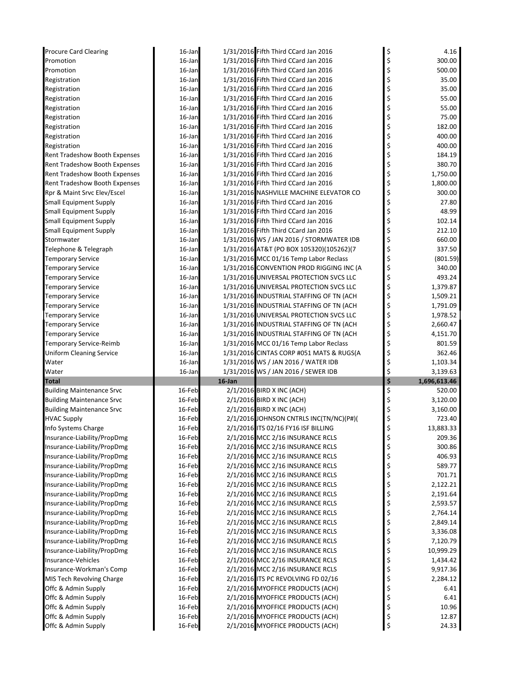| <b>Procure Card Clearing</b>               | 16-Jan           |           | 1/31/2016 Fifth Third CCard Jan 2016                                 | \$       | 4.16           |
|--------------------------------------------|------------------|-----------|----------------------------------------------------------------------|----------|----------------|
| Promotion                                  | 16-Jan           |           | 1/31/2016 Fifth Third CCard Jan 2016                                 | \$       | 300.00         |
| Promotion                                  | 16-Jan           |           | 1/31/2016 Fifth Third CCard Jan 2016                                 | \$       | 500.00         |
| Registration                               | 16-Jan           |           | 1/31/2016 Fifth Third CCard Jan 2016                                 | \$       | 35.00          |
| Registration                               | 16-Jan           |           | 1/31/2016 Fifth Third CCard Jan 2016                                 | \$       | 35.00          |
| Registration                               | 16-Jan           |           | 1/31/2016 Fifth Third CCard Jan 2016                                 | \$       | 55.00          |
| Registration                               | 16-Jan           |           | 1/31/2016 Fifth Third CCard Jan 2016                                 | \$       | 55.00          |
| Registration                               | 16-Jan           |           | 1/31/2016 Fifth Third CCard Jan 2016                                 | \$       | 75.00          |
| Registration                               | $16$ -Jan        |           | 1/31/2016 Fifth Third CCard Jan 2016                                 | \$       | 182.00         |
| Registration                               | 16-Jan           |           | 1/31/2016 Fifth Third CCard Jan 2016                                 | \$       | 400.00         |
| Registration                               | 16-Jan           |           | 1/31/2016 Fifth Third CCard Jan 2016                                 | \$       | 400.00         |
| <b>Rent Tradeshow Booth Expenses</b>       | 16-Jan           |           | 1/31/2016 Fifth Third CCard Jan 2016                                 |          | 184.19         |
| <b>Rent Tradeshow Booth Expenses</b>       | 16-Jan           |           | 1/31/2016 Fifth Third CCard Jan 2016                                 | \$       | 380.70         |
| <b>Rent Tradeshow Booth Expenses</b>       | 16-Jan           |           | 1/31/2016 Fifth Third CCard Jan 2016                                 | \$       | 1,750.00       |
| Rent Tradeshow Booth Expenses              | 16-Jan           |           | 1/31/2016 Fifth Third CCard Jan 2016                                 | \$       | 1,800.00       |
| Rpr & Maint Srvc Elev/Escel                | 16-Jan           |           | 1/31/2016 NASHVILLE MACHINE ELEVATOR CO                              | \$       | 300.00         |
| <b>Small Equipment Supply</b>              | $16$ -Jan        |           | 1/31/2016 Fifth Third CCard Jan 2016                                 | \$       | 27.80          |
| <b>Small Equipment Supply</b>              | 16-Jan           |           | 1/31/2016 Fifth Third CCard Jan 2016                                 |          | 48.99          |
| <b>Small Equipment Supply</b>              | 16-Jan           |           | 1/31/2016 Fifth Third CCard Jan 2016                                 | \$       | 102.14         |
| <b>Small Equipment Supply</b>              | 16-Jan           |           | 1/31/2016 Fifth Third CCard Jan 2016                                 | \$       | 212.10         |
| Stormwater                                 | 16-Jan           |           | 1/31/2016 WS / JAN 2016 / STORMWATER IDB                             | \$       | 660.00         |
| Telephone & Telegraph                      | 16-Jan           |           | 1/31/2016 AT&T (PO BOX 105320)(105262)(7                             | \$       | 337.50         |
| <b>Temporary Service</b>                   | 16-Jan           |           | 1/31/2016 MCC 01/16 Temp Labor Reclass                               |          | (801.59)       |
| <b>Temporary Service</b>                   | 16-Jan           |           | 1/31/2016 CONVENTION PROD RIGGING INC (A                             | \$       | 340.00         |
| <b>Temporary Service</b>                   | 16-Jan           |           | 1/31/2016 UNIVERSAL PROTECTION SVCS LLC                              | \$       | 493.24         |
| <b>Temporary Service</b>                   | 16-Jan           |           | 1/31/2016 UNIVERSAL PROTECTION SVCS LLC                              | \$       | 1,379.87       |
| <b>Temporary Service</b>                   | 16-Jan           |           | 1/31/2016 INDUSTRIAL STAFFING OF TN (ACH                             | \$       | 1,509.21       |
| <b>Temporary Service</b>                   | 16-Jan           |           | 1/31/2016 INDUSTRIAL STAFFING OF TN (ACH                             | \$       | 1,791.09       |
| <b>Temporary Service</b>                   | 16-Jan           |           | 1/31/2016 UNIVERSAL PROTECTION SVCS LLC                              | \$       | 1,978.52       |
| <b>Temporary Service</b>                   | 16-Jan           |           | 1/31/2016 INDUSTRIAL STAFFING OF TN (ACH                             | \$       | 2,660.47       |
| <b>Temporary Service</b>                   | 16-Jan           |           | 1/31/2016 INDUSTRIAL STAFFING OF TN (ACH                             | \$       | 4,151.70       |
|                                            |                  |           |                                                                      |          |                |
| <b>Temporary Service-Reimb</b>             | 16-Jan           |           | 1/31/2016 MCC 01/16 Temp Labor Reclass                               | \$       | 801.59         |
| <b>Uniform Cleaning Service</b>            | 16-Jan           |           | 1/31/2016 CINTAS CORP #051 MATS & RUGS(A                             | \$       | 362.46         |
| Water                                      | 16-Jan           |           | 1/31/2016 WS / JAN 2016 / WATER IDB                                  | \$       | 1,103.34       |
| Water                                      | 16-Jan           |           | 1/31/2016 WS / JAN 2016 / SEWER IDB                                  | \$       | 3,139.63       |
| <b>Total</b>                               |                  | $16$ -Jan |                                                                      | \$       | 1,696,613.46   |
| <b>Building Maintenance Srvc</b>           | 16-Feb           |           | 2/1/2016 BIRD X INC (ACH)                                            | \$       | 520.00         |
| <b>Building Maintenance Srvc</b>           | 16-Feb           |           | 2/1/2016 BIRD X INC (ACH)                                            | \$       | 3,120.00       |
| <b>Building Maintenance Srvc</b>           | 16-Feb           |           | 2/1/2016 BIRD X INC (ACH)                                            |          | 3,160.00       |
| <b>HVAC Supply</b>                         | 16-Feb           |           | 2/1/2016 JOHNSON CNTRLS INC(TN/NC)(P#)(                              |          | 723.40         |
| Info Systems Charge                        | 16-Feb           |           | 2/1/2016 ITS 02/16 FY16 ISF BILLING                                  | \$       | 13,883.33      |
| Insurance-Liability/PropDmg                | 16-Feb           |           | 2/1/2016 MCC 2/16 INSURANCE RCLS                                     | \$       | 209.36         |
| Insurance-Liability/PropDmg                | 16-Feb           |           | 2/1/2016 MCC 2/16 INSURANCE RCLS                                     | \$       | 300.86         |
| Insurance-Liability/PropDmg                | 16-Feb           |           | 2/1/2016 MCC 2/16 INSURANCE RCLS                                     | \$       | 406.93         |
| Insurance-Liability/PropDmg                | 16-Feb           |           | 2/1/2016 MCC 2/16 INSURANCE RCLS                                     | \$       | 589.77         |
| Insurance-Liability/PropDmg                | 16-Feb           |           | 2/1/2016 MCC 2/16 INSURANCE RCLS                                     | \$       | 701.71         |
| Insurance-Liability/PropDmg                | 16-Feb           |           | 2/1/2016 MCC 2/16 INSURANCE RCLS                                     |          | 2,122.21       |
| Insurance-Liability/PropDmg                | 16-Feb           |           | 2/1/2016 MCC 2/16 INSURANCE RCLS                                     | \$<br>\$ | 2,191.64       |
| Insurance-Liability/PropDmg                | 16-Feb           |           | 2/1/2016 MCC 2/16 INSURANCE RCLS                                     | \$       | 2,593.57       |
| Insurance-Liability/PropDmg                | 16-Feb           |           | 2/1/2016 MCC 2/16 INSURANCE RCLS                                     | \$       | 2,764.14       |
| Insurance-Liability/PropDmg                | 16-Feb           |           | 2/1/2016 MCC 2/16 INSURANCE RCLS                                     | \$       | 2,849.14       |
| Insurance-Liability/PropDmg                | 16-Feb           |           | 2/1/2016 MCC 2/16 INSURANCE RCLS                                     | \$       | 3,336.08       |
| Insurance-Liability/PropDmg                | 16-Feb           |           | 2/1/2016 MCC 2/16 INSURANCE RCLS                                     |          | 7,120.79       |
| Insurance-Liability/PropDmg                | 16-Feb           |           | 2/1/2016 MCC 2/16 INSURANCE RCLS                                     |          | 10,999.29      |
| Insurance-Vehicles                         | 16-Feb           |           | 2/1/2016 MCC 2/16 INSURANCE RCLS                                     | \$\$\$   | 1,434.42       |
| Insurance-Workman's Comp                   | 16-Feb           |           | 2/1/2016 MCC 2/16 INSURANCE RCLS                                     | \$       | 9,917.36       |
| MIS Tech Revolving Charge                  | 16-Feb           |           | 2/1/2016 ITS PC REVOLVING FD 02/16                                   | \$       | 2,284.12       |
| Offc & Admin Supply                        | 16-Feb           |           | 2/1/2016 MYOFFICE PRODUCTS (ACH)                                     |          | 6.41           |
| Offc & Admin Supply                        | 16-Feb           |           | 2/1/2016 MYOFFICE PRODUCTS (ACH)                                     | \$<br>\$ | 6.41           |
| Offc & Admin Supply                        | 16-Feb           |           | 2/1/2016 MYOFFICE PRODUCTS (ACH)                                     | \$       | 10.96          |
| Offc & Admin Supply<br>Offc & Admin Supply | 16-Feb<br>16-Feb |           | 2/1/2016 MYOFFICE PRODUCTS (ACH)<br>2/1/2016 MYOFFICE PRODUCTS (ACH) | \$<br>\$ | 12.87<br>24.33 |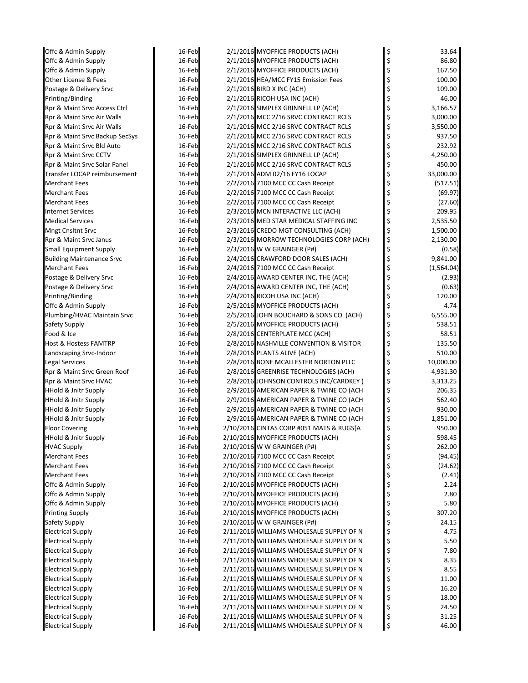| 16-Feb |  |                                                                                                                                                                                                                                                                                                                                                                                                                                                                                                                                                                                                                                                                                                                                                                                                                                                                                                                                                                                                                                                                                                                                                                                                                                                                                                                                                                                                                                                                                                                                                                                                                                                                                                                                                                                                                                                                                                                                                                                                                                                                                                                                                                                                                                                                                                                                                                                                                                                                                                            | 33.64                                                                                                                                                                                                                                                                                                          |
|--------|--|------------------------------------------------------------------------------------------------------------------------------------------------------------------------------------------------------------------------------------------------------------------------------------------------------------------------------------------------------------------------------------------------------------------------------------------------------------------------------------------------------------------------------------------------------------------------------------------------------------------------------------------------------------------------------------------------------------------------------------------------------------------------------------------------------------------------------------------------------------------------------------------------------------------------------------------------------------------------------------------------------------------------------------------------------------------------------------------------------------------------------------------------------------------------------------------------------------------------------------------------------------------------------------------------------------------------------------------------------------------------------------------------------------------------------------------------------------------------------------------------------------------------------------------------------------------------------------------------------------------------------------------------------------------------------------------------------------------------------------------------------------------------------------------------------------------------------------------------------------------------------------------------------------------------------------------------------------------------------------------------------------------------------------------------------------------------------------------------------------------------------------------------------------------------------------------------------------------------------------------------------------------------------------------------------------------------------------------------------------------------------------------------------------------------------------------------------------------------------------------------------------|----------------------------------------------------------------------------------------------------------------------------------------------------------------------------------------------------------------------------------------------------------------------------------------------------------------|
| 16-Feb |  |                                                                                                                                                                                                                                                                                                                                                                                                                                                                                                                                                                                                                                                                                                                                                                                                                                                                                                                                                                                                                                                                                                                                                                                                                                                                                                                                                                                                                                                                                                                                                                                                                                                                                                                                                                                                                                                                                                                                                                                                                                                                                                                                                                                                                                                                                                                                                                                                                                                                                                            | 86.80                                                                                                                                                                                                                                                                                                          |
| 16-Feb |  |                                                                                                                                                                                                                                                                                                                                                                                                                                                                                                                                                                                                                                                                                                                                                                                                                                                                                                                                                                                                                                                                                                                                                                                                                                                                                                                                                                                                                                                                                                                                                                                                                                                                                                                                                                                                                                                                                                                                                                                                                                                                                                                                                                                                                                                                                                                                                                                                                                                                                                            | 167.50                                                                                                                                                                                                                                                                                                         |
| 16-Feb |  |                                                                                                                                                                                                                                                                                                                                                                                                                                                                                                                                                                                                                                                                                                                                                                                                                                                                                                                                                                                                                                                                                                                                                                                                                                                                                                                                                                                                                                                                                                                                                                                                                                                                                                                                                                                                                                                                                                                                                                                                                                                                                                                                                                                                                                                                                                                                                                                                                                                                                                            | 100.00                                                                                                                                                                                                                                                                                                         |
| 16-Feb |  | \$                                                                                                                                                                                                                                                                                                                                                                                                                                                                                                                                                                                                                                                                                                                                                                                                                                                                                                                                                                                                                                                                                                                                                                                                                                                                                                                                                                                                                                                                                                                                                                                                                                                                                                                                                                                                                                                                                                                                                                                                                                                                                                                                                                                                                                                                                                                                                                                                                                                                                                         | 109.00                                                                                                                                                                                                                                                                                                         |
| 16-Feb |  |                                                                                                                                                                                                                                                                                                                                                                                                                                                                                                                                                                                                                                                                                                                                                                                                                                                                                                                                                                                                                                                                                                                                                                                                                                                                                                                                                                                                                                                                                                                                                                                                                                                                                                                                                                                                                                                                                                                                                                                                                                                                                                                                                                                                                                                                                                                                                                                                                                                                                                            | 46.00                                                                                                                                                                                                                                                                                                          |
| 16-Feb |  | \$                                                                                                                                                                                                                                                                                                                                                                                                                                                                                                                                                                                                                                                                                                                                                                                                                                                                                                                                                                                                                                                                                                                                                                                                                                                                                                                                                                                                                                                                                                                                                                                                                                                                                                                                                                                                                                                                                                                                                                                                                                                                                                                                                                                                                                                                                                                                                                                                                                                                                                         | 3,166.57                                                                                                                                                                                                                                                                                                       |
| 16-Feb |  | \$                                                                                                                                                                                                                                                                                                                                                                                                                                                                                                                                                                                                                                                                                                                                                                                                                                                                                                                                                                                                                                                                                                                                                                                                                                                                                                                                                                                                                                                                                                                                                                                                                                                                                                                                                                                                                                                                                                                                                                                                                                                                                                                                                                                                                                                                                                                                                                                                                                                                                                         | 3,000.00                                                                                                                                                                                                                                                                                                       |
| 16-Feb |  |                                                                                                                                                                                                                                                                                                                                                                                                                                                                                                                                                                                                                                                                                                                                                                                                                                                                                                                                                                                                                                                                                                                                                                                                                                                                                                                                                                                                                                                                                                                                                                                                                                                                                                                                                                                                                                                                                                                                                                                                                                                                                                                                                                                                                                                                                                                                                                                                                                                                                                            | 3,550.00                                                                                                                                                                                                                                                                                                       |
| 16-Feb |  |                                                                                                                                                                                                                                                                                                                                                                                                                                                                                                                                                                                                                                                                                                                                                                                                                                                                                                                                                                                                                                                                                                                                                                                                                                                                                                                                                                                                                                                                                                                                                                                                                                                                                                                                                                                                                                                                                                                                                                                                                                                                                                                                                                                                                                                                                                                                                                                                                                                                                                            | 937.50                                                                                                                                                                                                                                                                                                         |
| 16-Feb |  |                                                                                                                                                                                                                                                                                                                                                                                                                                                                                                                                                                                                                                                                                                                                                                                                                                                                                                                                                                                                                                                                                                                                                                                                                                                                                                                                                                                                                                                                                                                                                                                                                                                                                                                                                                                                                                                                                                                                                                                                                                                                                                                                                                                                                                                                                                                                                                                                                                                                                                            | 232.92                                                                                                                                                                                                                                                                                                         |
| 16-Feb |  |                                                                                                                                                                                                                                                                                                                                                                                                                                                                                                                                                                                                                                                                                                                                                                                                                                                                                                                                                                                                                                                                                                                                                                                                                                                                                                                                                                                                                                                                                                                                                                                                                                                                                                                                                                                                                                                                                                                                                                                                                                                                                                                                                                                                                                                                                                                                                                                                                                                                                                            | 4,250.00                                                                                                                                                                                                                                                                                                       |
| 16-Feb |  | \$                                                                                                                                                                                                                                                                                                                                                                                                                                                                                                                                                                                                                                                                                                                                                                                                                                                                                                                                                                                                                                                                                                                                                                                                                                                                                                                                                                                                                                                                                                                                                                                                                                                                                                                                                                                                                                                                                                                                                                                                                                                                                                                                                                                                                                                                                                                                                                                                                                                                                                         | 450.00                                                                                                                                                                                                                                                                                                         |
| 16-Feb |  |                                                                                                                                                                                                                                                                                                                                                                                                                                                                                                                                                                                                                                                                                                                                                                                                                                                                                                                                                                                                                                                                                                                                                                                                                                                                                                                                                                                                                                                                                                                                                                                                                                                                                                                                                                                                                                                                                                                                                                                                                                                                                                                                                                                                                                                                                                                                                                                                                                                                                                            | 33,000.00                                                                                                                                                                                                                                                                                                      |
| 16-Feb |  |                                                                                                                                                                                                                                                                                                                                                                                                                                                                                                                                                                                                                                                                                                                                                                                                                                                                                                                                                                                                                                                                                                                                                                                                                                                                                                                                                                                                                                                                                                                                                                                                                                                                                                                                                                                                                                                                                                                                                                                                                                                                                                                                                                                                                                                                                                                                                                                                                                                                                                            | (517.51)                                                                                                                                                                                                                                                                                                       |
| 16-Feb |  |                                                                                                                                                                                                                                                                                                                                                                                                                                                                                                                                                                                                                                                                                                                                                                                                                                                                                                                                                                                                                                                                                                                                                                                                                                                                                                                                                                                                                                                                                                                                                                                                                                                                                                                                                                                                                                                                                                                                                                                                                                                                                                                                                                                                                                                                                                                                                                                                                                                                                                            | (69.97)                                                                                                                                                                                                                                                                                                        |
| 16-Feb |  |                                                                                                                                                                                                                                                                                                                                                                                                                                                                                                                                                                                                                                                                                                                                                                                                                                                                                                                                                                                                                                                                                                                                                                                                                                                                                                                                                                                                                                                                                                                                                                                                                                                                                                                                                                                                                                                                                                                                                                                                                                                                                                                                                                                                                                                                                                                                                                                                                                                                                                            | (27.60)                                                                                                                                                                                                                                                                                                        |
| 16-Feb |  | \$                                                                                                                                                                                                                                                                                                                                                                                                                                                                                                                                                                                                                                                                                                                                                                                                                                                                                                                                                                                                                                                                                                                                                                                                                                                                                                                                                                                                                                                                                                                                                                                                                                                                                                                                                                                                                                                                                                                                                                                                                                                                                                                                                                                                                                                                                                                                                                                                                                                                                                         | 209.95                                                                                                                                                                                                                                                                                                         |
| 16-Feb |  | \$                                                                                                                                                                                                                                                                                                                                                                                                                                                                                                                                                                                                                                                                                                                                                                                                                                                                                                                                                                                                                                                                                                                                                                                                                                                                                                                                                                                                                                                                                                                                                                                                                                                                                                                                                                                                                                                                                                                                                                                                                                                                                                                                                                                                                                                                                                                                                                                                                                                                                                         | 2,535.50                                                                                                                                                                                                                                                                                                       |
| 16-Feb |  |                                                                                                                                                                                                                                                                                                                                                                                                                                                                                                                                                                                                                                                                                                                                                                                                                                                                                                                                                                                                                                                                                                                                                                                                                                                                                                                                                                                                                                                                                                                                                                                                                                                                                                                                                                                                                                                                                                                                                                                                                                                                                                                                                                                                                                                                                                                                                                                                                                                                                                            | 1,500.00                                                                                                                                                                                                                                                                                                       |
| 16-Feb |  |                                                                                                                                                                                                                                                                                                                                                                                                                                                                                                                                                                                                                                                                                                                                                                                                                                                                                                                                                                                                                                                                                                                                                                                                                                                                                                                                                                                                                                                                                                                                                                                                                                                                                                                                                                                                                                                                                                                                                                                                                                                                                                                                                                                                                                                                                                                                                                                                                                                                                                            | 2,130.00                                                                                                                                                                                                                                                                                                       |
| 16-Feb |  |                                                                                                                                                                                                                                                                                                                                                                                                                                                                                                                                                                                                                                                                                                                                                                                                                                                                                                                                                                                                                                                                                                                                                                                                                                                                                                                                                                                                                                                                                                                                                                                                                                                                                                                                                                                                                                                                                                                                                                                                                                                                                                                                                                                                                                                                                                                                                                                                                                                                                                            | (0.58)                                                                                                                                                                                                                                                                                                         |
| 16-Feb |  |                                                                                                                                                                                                                                                                                                                                                                                                                                                                                                                                                                                                                                                                                                                                                                                                                                                                                                                                                                                                                                                                                                                                                                                                                                                                                                                                                                                                                                                                                                                                                                                                                                                                                                                                                                                                                                                                                                                                                                                                                                                                                                                                                                                                                                                                                                                                                                                                                                                                                                            | 9,841.00                                                                                                                                                                                                                                                                                                       |
| 16-Feb |  | \$                                                                                                                                                                                                                                                                                                                                                                                                                                                                                                                                                                                                                                                                                                                                                                                                                                                                                                                                                                                                                                                                                                                                                                                                                                                                                                                                                                                                                                                                                                                                                                                                                                                                                                                                                                                                                                                                                                                                                                                                                                                                                                                                                                                                                                                                                                                                                                                                                                                                                                         | (1,564.04)                                                                                                                                                                                                                                                                                                     |
| 16-Feb |  |                                                                                                                                                                                                                                                                                                                                                                                                                                                                                                                                                                                                                                                                                                                                                                                                                                                                                                                                                                                                                                                                                                                                                                                                                                                                                                                                                                                                                                                                                                                                                                                                                                                                                                                                                                                                                                                                                                                                                                                                                                                                                                                                                                                                                                                                                                                                                                                                                                                                                                            | (2.93)                                                                                                                                                                                                                                                                                                         |
| 16-Feb |  |                                                                                                                                                                                                                                                                                                                                                                                                                                                                                                                                                                                                                                                                                                                                                                                                                                                                                                                                                                                                                                                                                                                                                                                                                                                                                                                                                                                                                                                                                                                                                                                                                                                                                                                                                                                                                                                                                                                                                                                                                                                                                                                                                                                                                                                                                                                                                                                                                                                                                                            | (0.63)                                                                                                                                                                                                                                                                                                         |
| 16-Feb |  |                                                                                                                                                                                                                                                                                                                                                                                                                                                                                                                                                                                                                                                                                                                                                                                                                                                                                                                                                                                                                                                                                                                                                                                                                                                                                                                                                                                                                                                                                                                                                                                                                                                                                                                                                                                                                                                                                                                                                                                                                                                                                                                                                                                                                                                                                                                                                                                                                                                                                                            | 120.00                                                                                                                                                                                                                                                                                                         |
| 16-Feb |  | \$                                                                                                                                                                                                                                                                                                                                                                                                                                                                                                                                                                                                                                                                                                                                                                                                                                                                                                                                                                                                                                                                                                                                                                                                                                                                                                                                                                                                                                                                                                                                                                                                                                                                                                                                                                                                                                                                                                                                                                                                                                                                                                                                                                                                                                                                                                                                                                                                                                                                                                         | 4.74                                                                                                                                                                                                                                                                                                           |
| 16-Feb |  |                                                                                                                                                                                                                                                                                                                                                                                                                                                                                                                                                                                                                                                                                                                                                                                                                                                                                                                                                                                                                                                                                                                                                                                                                                                                                                                                                                                                                                                                                                                                                                                                                                                                                                                                                                                                                                                                                                                                                                                                                                                                                                                                                                                                                                                                                                                                                                                                                                                                                                            | 6,555.00                                                                                                                                                                                                                                                                                                       |
| 16-Feb |  |                                                                                                                                                                                                                                                                                                                                                                                                                                                                                                                                                                                                                                                                                                                                                                                                                                                                                                                                                                                                                                                                                                                                                                                                                                                                                                                                                                                                                                                                                                                                                                                                                                                                                                                                                                                                                                                                                                                                                                                                                                                                                                                                                                                                                                                                                                                                                                                                                                                                                                            | 538.51                                                                                                                                                                                                                                                                                                         |
| 16-Feb |  |                                                                                                                                                                                                                                                                                                                                                                                                                                                                                                                                                                                                                                                                                                                                                                                                                                                                                                                                                                                                                                                                                                                                                                                                                                                                                                                                                                                                                                                                                                                                                                                                                                                                                                                                                                                                                                                                                                                                                                                                                                                                                                                                                                                                                                                                                                                                                                                                                                                                                                            | 58.51                                                                                                                                                                                                                                                                                                          |
| 16-Feb |  |                                                                                                                                                                                                                                                                                                                                                                                                                                                                                                                                                                                                                                                                                                                                                                                                                                                                                                                                                                                                                                                                                                                                                                                                                                                                                                                                                                                                                                                                                                                                                                                                                                                                                                                                                                                                                                                                                                                                                                                                                                                                                                                                                                                                                                                                                                                                                                                                                                                                                                            | 135.50                                                                                                                                                                                                                                                                                                         |
| 16-Feb |  |                                                                                                                                                                                                                                                                                                                                                                                                                                                                                                                                                                                                                                                                                                                                                                                                                                                                                                                                                                                                                                                                                                                                                                                                                                                                                                                                                                                                                                                                                                                                                                                                                                                                                                                                                                                                                                                                                                                                                                                                                                                                                                                                                                                                                                                                                                                                                                                                                                                                                                            | 510.00                                                                                                                                                                                                                                                                                                         |
| 16-Feb |  |                                                                                                                                                                                                                                                                                                                                                                                                                                                                                                                                                                                                                                                                                                                                                                                                                                                                                                                                                                                                                                                                                                                                                                                                                                                                                                                                                                                                                                                                                                                                                                                                                                                                                                                                                                                                                                                                                                                                                                                                                                                                                                                                                                                                                                                                                                                                                                                                                                                                                                            | 10,000.00                                                                                                                                                                                                                                                                                                      |
| 16-Feb |  | \$                                                                                                                                                                                                                                                                                                                                                                                                                                                                                                                                                                                                                                                                                                                                                                                                                                                                                                                                                                                                                                                                                                                                                                                                                                                                                                                                                                                                                                                                                                                                                                                                                                                                                                                                                                                                                                                                                                                                                                                                                                                                                                                                                                                                                                                                                                                                                                                                                                                                                                         | 4,931.30                                                                                                                                                                                                                                                                                                       |
| 16-Feb |  |                                                                                                                                                                                                                                                                                                                                                                                                                                                                                                                                                                                                                                                                                                                                                                                                                                                                                                                                                                                                                                                                                                                                                                                                                                                                                                                                                                                                                                                                                                                                                                                                                                                                                                                                                                                                                                                                                                                                                                                                                                                                                                                                                                                                                                                                                                                                                                                                                                                                                                            | 3,313.25                                                                                                                                                                                                                                                                                                       |
| 16-Feb |  |                                                                                                                                                                                                                                                                                                                                                                                                                                                                                                                                                                                                                                                                                                                                                                                                                                                                                                                                                                                                                                                                                                                                                                                                                                                                                                                                                                                                                                                                                                                                                                                                                                                                                                                                                                                                                                                                                                                                                                                                                                                                                                                                                                                                                                                                                                                                                                                                                                                                                                            | 206.35                                                                                                                                                                                                                                                                                                         |
| 16-Feb |  |                                                                                                                                                                                                                                                                                                                                                                                                                                                                                                                                                                                                                                                                                                                                                                                                                                                                                                                                                                                                                                                                                                                                                                                                                                                                                                                                                                                                                                                                                                                                                                                                                                                                                                                                                                                                                                                                                                                                                                                                                                                                                                                                                                                                                                                                                                                                                                                                                                                                                                            | 562.40                                                                                                                                                                                                                                                                                                         |
| 16-Feb |  |                                                                                                                                                                                                                                                                                                                                                                                                                                                                                                                                                                                                                                                                                                                                                                                                                                                                                                                                                                                                                                                                                                                                                                                                                                                                                                                                                                                                                                                                                                                                                                                                                                                                                                                                                                                                                                                                                                                                                                                                                                                                                                                                                                                                                                                                                                                                                                                                                                                                                                            | 930.00                                                                                                                                                                                                                                                                                                         |
| 16-Feb |  |                                                                                                                                                                                                                                                                                                                                                                                                                                                                                                                                                                                                                                                                                                                                                                                                                                                                                                                                                                                                                                                                                                                                                                                                                                                                                                                                                                                                                                                                                                                                                                                                                                                                                                                                                                                                                                                                                                                                                                                                                                                                                                                                                                                                                                                                                                                                                                                                                                                                                                            | 1,851.00                                                                                                                                                                                                                                                                                                       |
| 16-Feb |  | \$                                                                                                                                                                                                                                                                                                                                                                                                                                                                                                                                                                                                                                                                                                                                                                                                                                                                                                                                                                                                                                                                                                                                                                                                                                                                                                                                                                                                                                                                                                                                                                                                                                                                                                                                                                                                                                                                                                                                                                                                                                                                                                                                                                                                                                                                                                                                                                                                                                                                                                         | 950.00                                                                                                                                                                                                                                                                                                         |
| 16-Feb |  |                                                                                                                                                                                                                                                                                                                                                                                                                                                                                                                                                                                                                                                                                                                                                                                                                                                                                                                                                                                                                                                                                                                                                                                                                                                                                                                                                                                                                                                                                                                                                                                                                                                                                                                                                                                                                                                                                                                                                                                                                                                                                                                                                                                                                                                                                                                                                                                                                                                                                                            | 598.45                                                                                                                                                                                                                                                                                                         |
| 16-Feb |  |                                                                                                                                                                                                                                                                                                                                                                                                                                                                                                                                                                                                                                                                                                                                                                                                                                                                                                                                                                                                                                                                                                                                                                                                                                                                                                                                                                                                                                                                                                                                                                                                                                                                                                                                                                                                                                                                                                                                                                                                                                                                                                                                                                                                                                                                                                                                                                                                                                                                                                            | 262.00                                                                                                                                                                                                                                                                                                         |
| 16-Feb |  |                                                                                                                                                                                                                                                                                                                                                                                                                                                                                                                                                                                                                                                                                                                                                                                                                                                                                                                                                                                                                                                                                                                                                                                                                                                                                                                                                                                                                                                                                                                                                                                                                                                                                                                                                                                                                                                                                                                                                                                                                                                                                                                                                                                                                                                                                                                                                                                                                                                                                                            | (94.45)                                                                                                                                                                                                                                                                                                        |
| 16-Feb |  |                                                                                                                                                                                                                                                                                                                                                                                                                                                                                                                                                                                                                                                                                                                                                                                                                                                                                                                                                                                                                                                                                                                                                                                                                                                                                                                                                                                                                                                                                                                                                                                                                                                                                                                                                                                                                                                                                                                                                                                                                                                                                                                                                                                                                                                                                                                                                                                                                                                                                                            | (24.62)                                                                                                                                                                                                                                                                                                        |
| 16-Feb |  |                                                                                                                                                                                                                                                                                                                                                                                                                                                                                                                                                                                                                                                                                                                                                                                                                                                                                                                                                                                                                                                                                                                                                                                                                                                                                                                                                                                                                                                                                                                                                                                                                                                                                                                                                                                                                                                                                                                                                                                                                                                                                                                                                                                                                                                                                                                                                                                                                                                                                                            | (2.41)                                                                                                                                                                                                                                                                                                         |
| 16-Feb |  |                                                                                                                                                                                                                                                                                                                                                                                                                                                                                                                                                                                                                                                                                                                                                                                                                                                                                                                                                                                                                                                                                                                                                                                                                                                                                                                                                                                                                                                                                                                                                                                                                                                                                                                                                                                                                                                                                                                                                                                                                                                                                                                                                                                                                                                                                                                                                                                                                                                                                                            | 2.24                                                                                                                                                                                                                                                                                                           |
| 16-Feb |  |                                                                                                                                                                                                                                                                                                                                                                                                                                                                                                                                                                                                                                                                                                                                                                                                                                                                                                                                                                                                                                                                                                                                                                                                                                                                                                                                                                                                                                                                                                                                                                                                                                                                                                                                                                                                                                                                                                                                                                                                                                                                                                                                                                                                                                                                                                                                                                                                                                                                                                            | 2.80                                                                                                                                                                                                                                                                                                           |
| 16-Feb |  |                                                                                                                                                                                                                                                                                                                                                                                                                                                                                                                                                                                                                                                                                                                                                                                                                                                                                                                                                                                                                                                                                                                                                                                                                                                                                                                                                                                                                                                                                                                                                                                                                                                                                                                                                                                                                                                                                                                                                                                                                                                                                                                                                                                                                                                                                                                                                                                                                                                                                                            | 5.80                                                                                                                                                                                                                                                                                                           |
| 16-Feb |  |                                                                                                                                                                                                                                                                                                                                                                                                                                                                                                                                                                                                                                                                                                                                                                                                                                                                                                                                                                                                                                                                                                                                                                                                                                                                                                                                                                                                                                                                                                                                                                                                                                                                                                                                                                                                                                                                                                                                                                                                                                                                                                                                                                                                                                                                                                                                                                                                                                                                                                            | 307.20                                                                                                                                                                                                                                                                                                         |
| 16-Feb |  |                                                                                                                                                                                                                                                                                                                                                                                                                                                                                                                                                                                                                                                                                                                                                                                                                                                                                                                                                                                                                                                                                                                                                                                                                                                                                                                                                                                                                                                                                                                                                                                                                                                                                                                                                                                                                                                                                                                                                                                                                                                                                                                                                                                                                                                                                                                                                                                                                                                                                                            | 24.15                                                                                                                                                                                                                                                                                                          |
| 16-Feb |  |                                                                                                                                                                                                                                                                                                                                                                                                                                                                                                                                                                                                                                                                                                                                                                                                                                                                                                                                                                                                                                                                                                                                                                                                                                                                                                                                                                                                                                                                                                                                                                                                                                                                                                                                                                                                                                                                                                                                                                                                                                                                                                                                                                                                                                                                                                                                                                                                                                                                                                            | 4.75                                                                                                                                                                                                                                                                                                           |
| 16-Feb |  |                                                                                                                                                                                                                                                                                                                                                                                                                                                                                                                                                                                                                                                                                                                                                                                                                                                                                                                                                                                                                                                                                                                                                                                                                                                                                                                                                                                                                                                                                                                                                                                                                                                                                                                                                                                                                                                                                                                                                                                                                                                                                                                                                                                                                                                                                                                                                                                                                                                                                                            | 5.50                                                                                                                                                                                                                                                                                                           |
| 16-Feb |  |                                                                                                                                                                                                                                                                                                                                                                                                                                                                                                                                                                                                                                                                                                                                                                                                                                                                                                                                                                                                                                                                                                                                                                                                                                                                                                                                                                                                                                                                                                                                                                                                                                                                                                                                                                                                                                                                                                                                                                                                                                                                                                                                                                                                                                                                                                                                                                                                                                                                                                            | 7.80                                                                                                                                                                                                                                                                                                           |
| 16-Feb |  |                                                                                                                                                                                                                                                                                                                                                                                                                                                                                                                                                                                                                                                                                                                                                                                                                                                                                                                                                                                                                                                                                                                                                                                                                                                                                                                                                                                                                                                                                                                                                                                                                                                                                                                                                                                                                                                                                                                                                                                                                                                                                                                                                                                                                                                                                                                                                                                                                                                                                                            | 8.35                                                                                                                                                                                                                                                                                                           |
| 16-Feb |  |                                                                                                                                                                                                                                                                                                                                                                                                                                                                                                                                                                                                                                                                                                                                                                                                                                                                                                                                                                                                                                                                                                                                                                                                                                                                                                                                                                                                                                                                                                                                                                                                                                                                                                                                                                                                                                                                                                                                                                                                                                                                                                                                                                                                                                                                                                                                                                                                                                                                                                            | 8.55                                                                                                                                                                                                                                                                                                           |
| 16-Feb |  |                                                                                                                                                                                                                                                                                                                                                                                                                                                                                                                                                                                                                                                                                                                                                                                                                                                                                                                                                                                                                                                                                                                                                                                                                                                                                                                                                                                                                                                                                                                                                                                                                                                                                                                                                                                                                                                                                                                                                                                                                                                                                                                                                                                                                                                                                                                                                                                                                                                                                                            | 11.00                                                                                                                                                                                                                                                                                                          |
| 16-Feb |  |                                                                                                                                                                                                                                                                                                                                                                                                                                                                                                                                                                                                                                                                                                                                                                                                                                                                                                                                                                                                                                                                                                                                                                                                                                                                                                                                                                                                                                                                                                                                                                                                                                                                                                                                                                                                                                                                                                                                                                                                                                                                                                                                                                                                                                                                                                                                                                                                                                                                                                            | 16.20                                                                                                                                                                                                                                                                                                          |
| 16-Feb |  |                                                                                                                                                                                                                                                                                                                                                                                                                                                                                                                                                                                                                                                                                                                                                                                                                                                                                                                                                                                                                                                                                                                                                                                                                                                                                                                                                                                                                                                                                                                                                                                                                                                                                                                                                                                                                                                                                                                                                                                                                                                                                                                                                                                                                                                                                                                                                                                                                                                                                                            | 18.00                                                                                                                                                                                                                                                                                                          |
| 16-Feb |  |                                                                                                                                                                                                                                                                                                                                                                                                                                                                                                                                                                                                                                                                                                                                                                                                                                                                                                                                                                                                                                                                                                                                                                                                                                                                                                                                                                                                                                                                                                                                                                                                                                                                                                                                                                                                                                                                                                                                                                                                                                                                                                                                                                                                                                                                                                                                                                                                                                                                                                            | 24.50                                                                                                                                                                                                                                                                                                          |
| 16-Feb |  |                                                                                                                                                                                                                                                                                                                                                                                                                                                                                                                                                                                                                                                                                                                                                                                                                                                                                                                                                                                                                                                                                                                                                                                                                                                                                                                                                                                                                                                                                                                                                                                                                                                                                                                                                                                                                                                                                                                                                                                                                                                                                                                                                                                                                                                                                                                                                                                                                                                                                                            | 31.25                                                                                                                                                                                                                                                                                                          |
| 16-Feb |  | \$                                                                                                                                                                                                                                                                                                                                                                                                                                                                                                                                                                                                                                                                                                                                                                                                                                                                                                                                                                                                                                                                                                                                                                                                                                                                                                                                                                                                                                                                                                                                                                                                                                                                                                                                                                                                                                                                                                                                                                                                                                                                                                                                                                                                                                                                                                                                                                                                                                                                                                         | 46.00                                                                                                                                                                                                                                                                                                          |
|        |  | 2/1/2016 MYOFFICE PRODUCTS (ACH)<br>2/1/2016 MYOFFICE PRODUCTS (ACH)<br>2/1/2016 MYOFFICE PRODUCTS (ACH)<br>2/1/2016 HEA/MCC FY15 Emission Fees<br>2/1/2016 BIRD X INC (ACH)<br>2/1/2016 RICOH USA INC (ACH)<br>2/1/2016 SIMPLEX GRINNELL LP (ACH)<br>2/1/2016 MCC 2/16 SRVC CONTRACT RCLS<br>2/1/2016 MCC 2/16 SRVC CONTRACT RCLS<br>2/1/2016 MCC 2/16 SRVC CONTRACT RCLS<br>2/1/2016 MCC 2/16 SRVC CONTRACT RCLS<br>2/1/2016 SIMPLEX GRINNELL LP (ACH)<br>2/1/2016 MCC 2/16 SRVC CONTRACT RCLS<br>2/1/2016 ADM 02/16 FY16 LOCAP<br>2/2/2016 7100 MCC CC Cash Receipt<br>2/2/2016 7100 MCC CC Cash Receipt<br>2/2/2016 7100 MCC CC Cash Receipt<br>2/3/2016 MCN INTERACTIVE LLC (ACH)<br>2/3/2016 MED STAR MEDICAL STAFFING INC<br>2/3/2016 CREDO MGT CONSULTING (ACH)<br>2/3/2016 MORROW TECHNOLOGIES CORP (ACH)<br>2/3/2016 W W GRAINGER (P#)<br>2/4/2016 CRAWFORD DOOR SALES (ACH)<br>2/4/2016 7100 MCC CC Cash Receipt<br>2/4/2016 AWARD CENTER INC, THE (ACH)<br>2/4/2016 AWARD CENTER INC, THE (ACH)<br>2/4/2016 RICOH USA INC (ACH)<br>2/5/2016 MYOFFICE PRODUCTS (ACH)<br>2/5/2016 JOHN BOUCHARD & SONS CO (ACH)<br>2/5/2016 MYOFFICE PRODUCTS (ACH)<br>2/8/2016 CENTERPLATE MCC (ACH)<br>2/8/2016 NASHVILLE CONVENTION & VISITOR<br>2/8/2016 PLANTS ALIVE (ACH)<br>2/8/2016 BONE MCALLESTER NORTON PLLC<br>2/8/2016 GREENRISE TECHNOLOGIES (ACH)<br>2/8/2016 JOHNSON CONTROLS INC/CARDKEY (<br>2/9/2016 AMERICAN PAPER & TWINE CO (ACH<br>2/9/2016 AMERICAN PAPER & TWINE CO (ACH<br>2/9/2016 AMERICAN PAPER & TWINE CO (ACH<br>2/9/2016 AMERICAN PAPER & TWINE CO (ACH<br>2/10/2016 CINTAS CORP #051 MATS & RUGS(A<br>2/10/2016 MYOFFICE PRODUCTS (ACH)<br>2/10/2016 W W GRAINGER (P#)<br>2/10/2016 7100 MCC CC Cash Receipt<br>2/10/2016 7100 MCC CC Cash Receipt<br>2/10/2016 7100 MCC CC Cash Receipt<br>2/10/2016 MYOFFICE PRODUCTS (ACH)<br>2/10/2016 MYOFFICE PRODUCTS (ACH)<br>2/10/2016 MYOFFICE PRODUCTS (ACH)<br>2/10/2016 MYOFFICE PRODUCTS (ACH)<br>2/10/2016 W W GRAINGER (P#)<br>2/11/2016 WILLIAMS WHOLESALE SUPPLY OF N<br>2/11/2016 WILLIAMS WHOLESALE SUPPLY OF N<br>2/11/2016 WILLIAMS WHOLESALE SUPPLY OF N<br>2/11/2016 WILLIAMS WHOLESALE SUPPLY OF N<br>2/11/2016 WILLIAMS WHOLESALE SUPPLY OF N<br>2/11/2016 WILLIAMS WHOLESALE SUPPLY OF N<br>2/11/2016 WILLIAMS WHOLESALE SUPPLY OF N<br>2/11/2016 WILLIAMS WHOLESALE SUPPLY OF N<br>2/11/2016 WILLIAMS WHOLESALE SUPPLY OF N<br>2/11/2016 WILLIAMS WHOLESALE SUPPLY OF N<br>2/11/2016 WILLIAMS WHOLESALE SUPPLY OF N | \$<br>\$<br>\$<br>\$<br>\$<br>\$<br>\$<br>\$<br>\$<br>\$<br>\$<br>\$<br>\$<br>\$<br>\$<br>\$<br>\$<br>\$<br>\$<br>\$<br>\$<br>\$<br>\$<br>\$<br>\$<br>\$<br>\$<br>\$<br>\$<br>\$<br>\$<br>\$<br>\$<br>\$<br>\$<br>\$<br>\$<br>\$<br>\$<br>\$<br>\$<br>\$<br>\$<br>\$<br>\$<br>\$<br>\$<br>\$<br>\$<br>\$<br>\$ |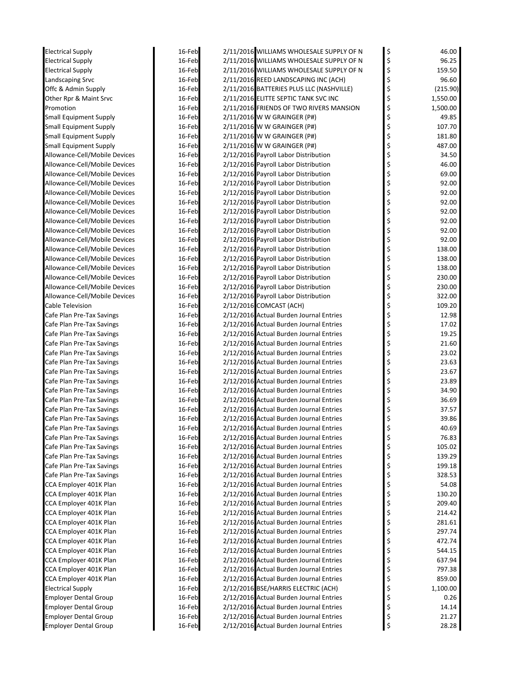| <b>Electrical Supply</b>      | 16-Feb | 2/11/2016 WILLIAMS WHOLESALE SUPPLY OF N | \$<br>46.00    |
|-------------------------------|--------|------------------------------------------|----------------|
| <b>Electrical Supply</b>      | 16-Feb | 2/11/2016 WILLIAMS WHOLESALE SUPPLY OF N | \$<br>96.25    |
| <b>Electrical Supply</b>      | 16-Feb | 2/11/2016 WILLIAMS WHOLESALE SUPPLY OF N | \$<br>159.50   |
| <b>Landscaping Srvc</b>       | 16-Feb | 2/11/2016 REED LANDSCAPING INC (ACH)     | \$<br>96.60    |
| Offc & Admin Supply           | 16-Feb | 2/11/2016 BATTERIES PLUS LLC (NASHVILLE) | \$<br>(215.90) |
| Other Rpr & Maint Srvc        | 16-Feb | 2/11/2016 ELITTE SEPTIC TANK SVC INC     | \$<br>1,550.00 |
| Promotion                     | 16-Feb | 2/11/2016 FRIENDS OF TWO RIVERS MANSION  | \$<br>1,500.00 |
| <b>Small Equipment Supply</b> | 16-Feb | 2/11/2016 W W GRAINGER (P#)              | \$<br>49.85    |
| <b>Small Equipment Supply</b> | 16-Feb | 2/11/2016 W W GRAINGER (P#)              | \$<br>107.70   |
| <b>Small Equipment Supply</b> | 16-Feb | 2/11/2016 W W GRAINGER (P#)              | \$<br>181.80   |
| <b>Small Equipment Supply</b> | 16-Feb | 2/11/2016 W W GRAINGER (P#)              | \$<br>487.00   |
| Allowance-Cell/Mobile Devices | 16-Feb | 2/12/2016 Payroll Labor Distribution     | 34.50          |
| Allowance-Cell/Mobile Devices | 16-Feb | 2/12/2016 Payroll Labor Distribution     | \$<br>46.00    |
| Allowance-Cell/Mobile Devices | 16-Feb | 2/12/2016 Payroll Labor Distribution     | \$<br>69.00    |
| Allowance-Cell/Mobile Devices | 16-Feb | 2/12/2016 Payroll Labor Distribution     | \$<br>92.00    |
| Allowance-Cell/Mobile Devices | 16-Feb | 2/12/2016 Payroll Labor Distribution     | \$<br>92.00    |
| Allowance-Cell/Mobile Devices | 16-Feb | 2/12/2016 Payroll Labor Distribution     | \$<br>92.00    |
| Allowance-Cell/Mobile Devices | 16-Feb | 2/12/2016 Payroll Labor Distribution     | \$<br>92.00    |
| Allowance-Cell/Mobile Devices | 16-Feb | 2/12/2016 Payroll Labor Distribution     | \$<br>92.00    |
| Allowance-Cell/Mobile Devices | 16-Feb | 2/12/2016 Payroll Labor Distribution     | \$<br>92.00    |
| Allowance-Cell/Mobile Devices | 16-Feb | 2/12/2016 Payroll Labor Distribution     | \$<br>92.00    |
| Allowance-Cell/Mobile Devices | 16-Feb | 2/12/2016 Payroll Labor Distribution     | \$<br>138.00   |
| Allowance-Cell/Mobile Devices | 16-Feb | 2/12/2016 Payroll Labor Distribution     | \$<br>138.00   |
| Allowance-Cell/Mobile Devices | 16-Feb | 2/12/2016 Payroll Labor Distribution     | \$<br>138.00   |
| Allowance-Cell/Mobile Devices | 16-Feb | 2/12/2016 Payroll Labor Distribution     | \$<br>230.00   |
| Allowance-Cell/Mobile Devices | 16-Feb | 2/12/2016 Payroll Labor Distribution     | \$<br>230.00   |
| Allowance-Cell/Mobile Devices | 16-Feb | 2/12/2016 Payroll Labor Distribution     | \$<br>322.00   |
| Cable Television              | 16-Feb | 2/12/2016 COMCAST (ACH)                  | 109.20         |
| Cafe Plan Pre-Tax Savings     | 16-Feb | 2/12/2016 Actual Burden Journal Entries  | \$<br>12.98    |
| Cafe Plan Pre-Tax Savings     | 16-Feb | 2/12/2016 Actual Burden Journal Entries  | \$<br>17.02    |
| Cafe Plan Pre-Tax Savings     | 16-Feb | 2/12/2016 Actual Burden Journal Entries  | \$<br>19.25    |
| Cafe Plan Pre-Tax Savings     | 16-Feb | 2/12/2016 Actual Burden Journal Entries  | \$<br>21.60    |
| Cafe Plan Pre-Tax Savings     | 16-Feb | 2/12/2016 Actual Burden Journal Entries  | \$<br>23.02    |
| Cafe Plan Pre-Tax Savings     | 16-Feb | 2/12/2016 Actual Burden Journal Entries  | \$<br>23.63    |
| Cafe Plan Pre-Tax Savings     | 16-Feb | 2/12/2016 Actual Burden Journal Entries  | \$<br>23.67    |
| Cafe Plan Pre-Tax Savings     | 16-Feb | 2/12/2016 Actual Burden Journal Entries  | \$<br>23.89    |
| Cafe Plan Pre-Tax Savings     | 16-Feb | 2/12/2016 Actual Burden Journal Entries  | \$<br>34.90    |
| Cafe Plan Pre-Tax Savings     | 16-Feb | 2/12/2016 Actual Burden Journal Entries  | \$<br>36.69    |
| Cafe Plan Pre-Tax Savings     | 16-Feb | 2/12/2016 Actual Burden Journal Entries  | 37.57          |
| Cafe Plan Pre-Tax Savings     | 16-Feb | 2/12/2016 Actual Burden Journal Entries  | 39.86          |
| Cafe Plan Pre-Tax Savings     | 16-Feb | 2/12/2016 Actual Burden Journal Entries  | \$<br>40.69    |
| Cafe Plan Pre-Tax Savings     | 16-Feb | 2/12/2016 Actual Burden Journal Entries  | \$<br>76.83    |
| Cafe Plan Pre-Tax Savings     | 16-Feb | 2/12/2016 Actual Burden Journal Entries  | \$<br>105.02   |
| Cafe Plan Pre-Tax Savings     | 16-Feb | 2/12/2016 Actual Burden Journal Entries  | \$<br>139.29   |
| Cafe Plan Pre-Tax Savings     | 16-Feb | 2/12/2016 Actual Burden Journal Entries  | \$<br>199.18   |
| Cafe Plan Pre-Tax Savings     | 16-Feb | 2/12/2016 Actual Burden Journal Entries  | \$<br>328.53   |
| CCA Employer 401K Plan        | 16-Feb | 2/12/2016 Actual Burden Journal Entries  | \$<br>54.08    |
| CCA Employer 401K Plan        | 16-Feb | 2/12/2016 Actual Burden Journal Entries  | \$<br>130.20   |
| CCA Employer 401K Plan        | 16-Feb | 2/12/2016 Actual Burden Journal Entries  | \$<br>209.40   |
| CCA Employer 401K Plan        | 16-Feb | 2/12/2016 Actual Burden Journal Entries  | \$<br>214.42   |
| CCA Employer 401K Plan        | 16-Feb | 2/12/2016 Actual Burden Journal Entries  | \$<br>281.61   |
| CCA Employer 401K Plan        | 16-Feb | 2/12/2016 Actual Burden Journal Entries  | \$<br>297.74   |
| CCA Employer 401K Plan        | 16-Feb | 2/12/2016 Actual Burden Journal Entries  | \$<br>472.74   |
| CCA Employer 401K Plan        | 16-Feb | 2/12/2016 Actual Burden Journal Entries  | \$<br>544.15   |
| CCA Employer 401K Plan        | 16-Feb | 2/12/2016 Actual Burden Journal Entries  | \$<br>637.94   |
| CCA Employer 401K Plan        | 16-Feb | 2/12/2016 Actual Burden Journal Entries  | \$<br>797.38   |
| CCA Employer 401K Plan        | 16-Feb | 2/12/2016 Actual Burden Journal Entries  | \$<br>859.00   |
| <b>Electrical Supply</b>      | 16-Feb | 2/12/2016 BSE/HARRIS ELECTRIC (ACH)      | \$<br>1,100.00 |
| <b>Employer Dental Group</b>  | 16-Feb | 2/12/2016 Actual Burden Journal Entries  | \$<br>0.26     |
| <b>Employer Dental Group</b>  | 16-Feb | 2/12/2016 Actual Burden Journal Entries  | \$<br>14.14    |
| <b>Employer Dental Group</b>  | 16-Feb | 2/12/2016 Actual Burden Journal Entries  | \$<br>21.27    |
| <b>Employer Dental Group</b>  | 16-Feb | 2/12/2016 Actual Burden Journal Entries  | \$<br>28.28    |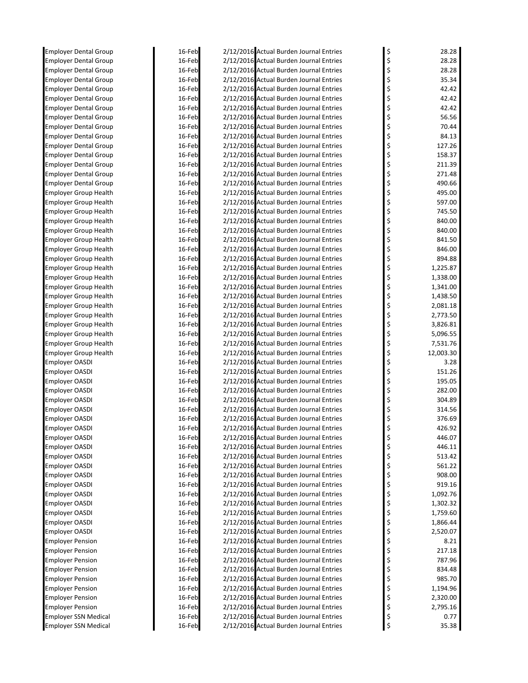| <b>Employer Dental Group</b>                                 | 16-Feb           | 2/12/2016 Actual Burden Journal Entries                                            | \$       | 28.28            |
|--------------------------------------------------------------|------------------|------------------------------------------------------------------------------------|----------|------------------|
| <b>Employer Dental Group</b>                                 | 16-Feb           | 2/12/2016 Actual Burden Journal Entries                                            | \$       | 28.28            |
| <b>Employer Dental Group</b>                                 | 16-Feb           | 2/12/2016 Actual Burden Journal Entries                                            | \$       | 28.28            |
| <b>Employer Dental Group</b>                                 | 16-Feb           | 2/12/2016 Actual Burden Journal Entries                                            | \$       | 35.34            |
| <b>Employer Dental Group</b>                                 | 16-Feb           | 2/12/2016 Actual Burden Journal Entries                                            | \$       | 42.42            |
| <b>Employer Dental Group</b>                                 | 16-Feb           | 2/12/2016 Actual Burden Journal Entries                                            | \$       | 42.42            |
| <b>Employer Dental Group</b>                                 | 16-Feb           | 2/12/2016 Actual Burden Journal Entries                                            | \$       | 42.42            |
| <b>Employer Dental Group</b>                                 | 16-Feb           | 2/12/2016 Actual Burden Journal Entries                                            | \$       | 56.56            |
| <b>Employer Dental Group</b>                                 | 16-Feb           | 2/12/2016 Actual Burden Journal Entries                                            | \$       | 70.44            |
| <b>Employer Dental Group</b>                                 | 16-Feb           | 2/12/2016 Actual Burden Journal Entries                                            | \$       | 84.13            |
| <b>Employer Dental Group</b>                                 | 16-Feb           | 2/12/2016 Actual Burden Journal Entries                                            | \$       | 127.26           |
| <b>Employer Dental Group</b>                                 | 16-Feb           | 2/12/2016 Actual Burden Journal Entries                                            | \$       | 158.37           |
| <b>Employer Dental Group</b>                                 | 16-Feb           | 2/12/2016 Actual Burden Journal Entries                                            | \$       | 211.39           |
| <b>Employer Dental Group</b>                                 | 16-Feb           | 2/12/2016 Actual Burden Journal Entries                                            | \$       | 271.48           |
| <b>Employer Dental Group</b>                                 | 16-Feb           | 2/12/2016 Actual Burden Journal Entries                                            | \$       | 490.66           |
| <b>Employer Group Health</b>                                 | 16-Feb<br>16-Feb | 2/12/2016 Actual Burden Journal Entries                                            | \$       | 495.00<br>597.00 |
| <b>Employer Group Health</b><br><b>Employer Group Health</b> | 16-Feb           | 2/12/2016 Actual Burden Journal Entries<br>2/12/2016 Actual Burden Journal Entries | \$<br>\$ | 745.50           |
| <b>Employer Group Health</b>                                 | 16-Feb           | 2/12/2016 Actual Burden Journal Entries                                            | \$       | 840.00           |
| <b>Employer Group Health</b>                                 | 16-Feb           | 2/12/2016 Actual Burden Journal Entries                                            | \$       | 840.00           |
| <b>Employer Group Health</b>                                 | 16-Feb           | 2/12/2016 Actual Burden Journal Entries                                            | \$       | 841.50           |
| <b>Employer Group Health</b>                                 | 16-Feb           | 2/12/2016 Actual Burden Journal Entries                                            | \$       | 846.00           |
| <b>Employer Group Health</b>                                 | 16-Feb           | 2/12/2016 Actual Burden Journal Entries                                            | \$       | 894.88           |
| <b>Employer Group Health</b>                                 | 16-Feb           | 2/12/2016 Actual Burden Journal Entries                                            | \$       | 1,225.87         |
| <b>Employer Group Health</b>                                 | 16-Feb           | 2/12/2016 Actual Burden Journal Entries                                            | \$       | 1,338.00         |
| <b>Employer Group Health</b>                                 | 16-Feb           | 2/12/2016 Actual Burden Journal Entries                                            | \$       | 1,341.00         |
| <b>Employer Group Health</b>                                 | 16-Feb           | 2/12/2016 Actual Burden Journal Entries                                            | \$       | 1,438.50         |
| <b>Employer Group Health</b>                                 | 16-Feb           | 2/12/2016 Actual Burden Journal Entries                                            | \$       | 2,081.18         |
| <b>Employer Group Health</b>                                 | 16-Feb           | 2/12/2016 Actual Burden Journal Entries                                            | \$       | 2,773.50         |
| <b>Employer Group Health</b>                                 | 16-Feb           | 2/12/2016 Actual Burden Journal Entries                                            | \$       | 3,826.81         |
| <b>Employer Group Health</b>                                 | 16-Feb           | 2/12/2016 Actual Burden Journal Entries                                            | \$       | 5,096.55         |
| <b>Employer Group Health</b>                                 | 16-Feb           | 2/12/2016 Actual Burden Journal Entries                                            | \$       | 7,531.76         |
| <b>Employer Group Health</b>                                 | 16-Feb           | 2/12/2016 Actual Burden Journal Entries                                            | \$       | 12,003.30        |
| <b>Employer OASDI</b>                                        | 16-Feb           | 2/12/2016 Actual Burden Journal Entries                                            | \$       | 3.28             |
| <b>Employer OASDI</b>                                        | 16-Feb           | 2/12/2016 Actual Burden Journal Entries                                            | \$       | 151.26           |
| Employer OASDI                                               | 16-Feb           | 2/12/2016 Actual Burden Journal Entries                                            | \$       | 195.05           |
| <b>Employer OASDI</b>                                        | 16-Feb           | 2/12/2016 Actual Burden Journal Entries                                            | \$       | 282.00           |
| <b>Employer OASDI</b>                                        | 16-Feb           | 2/12/2016 Actual Burden Journal Entries                                            | \$       | 304.89           |
| <b>Employer OASDI</b>                                        | 16-Feb           | 2/12/2016 Actual Burden Journal Entries                                            | \$       | 314.56           |
| <b>Employer OASDI</b>                                        | 16-Feb<br>16-Feb | 2/12/2016 Actual Burden Journal Entries                                            |          | 376.69<br>426.92 |
| <b>Employer OASDI</b><br><b>Employer OASDI</b>               | 16-Feb           | 2/12/2016 Actual Burden Journal Entries<br>2/12/2016 Actual Burden Journal Entries | \$       | 446.07           |
| <b>Employer OASDI</b>                                        | 16-Feb           | 2/12/2016 Actual Burden Journal Entries                                            | \$<br>\$ | 446.11           |
| <b>Employer OASDI</b>                                        | 16-Feb           | 2/12/2016 Actual Burden Journal Entries                                            | \$       | 513.42           |
| <b>Employer OASDI</b>                                        | 16-Feb           | 2/12/2016 Actual Burden Journal Entries                                            | \$       | 561.22           |
| <b>Employer OASDI</b>                                        | 16-Feb           | 2/12/2016 Actual Burden Journal Entries                                            | \$       | 908.00           |
| <b>Employer OASDI</b>                                        | 16-Feb           | 2/12/2016 Actual Burden Journal Entries                                            | \$       | 919.16           |
| <b>Employer OASDI</b>                                        | 16-Feb           | 2/12/2016 Actual Burden Journal Entries                                            | \$       | 1,092.76         |
| <b>Employer OASDI</b>                                        | 16-Feb           | 2/12/2016 Actual Burden Journal Entries                                            | \$       | 1,302.32         |
| <b>Employer OASDI</b>                                        | 16-Feb           | 2/12/2016 Actual Burden Journal Entries                                            | \$       | 1,759.60         |
| <b>Employer OASDI</b>                                        | 16-Feb           | 2/12/2016 Actual Burden Journal Entries                                            | \$       | 1,866.44         |
| <b>Employer OASDI</b>                                        | 16-Feb           | 2/12/2016 Actual Burden Journal Entries                                            | \$       | 2,520.07         |
| <b>Employer Pension</b>                                      | 16-Feb           | 2/12/2016 Actual Burden Journal Entries                                            | \$<br>\$ | 8.21             |
| <b>Employer Pension</b>                                      | 16-Feb           | 2/12/2016 Actual Burden Journal Entries                                            |          | 217.18           |
| <b>Employer Pension</b>                                      | 16-Feb           | 2/12/2016 Actual Burden Journal Entries                                            | \$       | 787.96           |
| <b>Employer Pension</b>                                      | 16-Feb           | 2/12/2016 Actual Burden Journal Entries                                            | \$       | 834.48           |
| <b>Employer Pension</b>                                      | 16-Feb           | 2/12/2016 Actual Burden Journal Entries                                            | \$       | 985.70           |
| <b>Employer Pension</b>                                      | 16-Feb           | 2/12/2016 Actual Burden Journal Entries                                            | \$       | 1,194.96         |
| <b>Employer Pension</b>                                      | 16-Feb           | 2/12/2016 Actual Burden Journal Entries                                            | \$       | 2,320.00         |
| <b>Employer Pension</b>                                      | 16-Feb           | 2/12/2016 Actual Burden Journal Entries                                            | \$       | 2,795.16         |
| <b>Employer SSN Medical</b>                                  | 16-Feb           | 2/12/2016 Actual Burden Journal Entries                                            | \$<br>\$ | 0.77             |
| <b>Employer SSN Medical</b>                                  | 16-Feb           | 2/12/2016 Actual Burden Journal Entries                                            |          | 35.38            |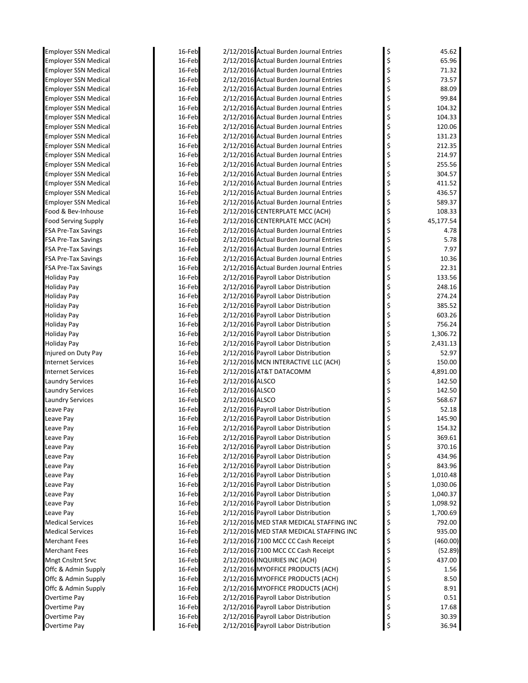| Employer SSN Medical                         | 16-Feb           |                 | 2/12/2016 Actual Burden Journal Entries                                            | \$       | 45.62                |
|----------------------------------------------|------------------|-----------------|------------------------------------------------------------------------------------|----------|----------------------|
| <b>Employer SSN Medical</b>                  | 16-Feb           |                 | 2/12/2016 Actual Burden Journal Entries                                            | \$       | 65.96                |
| <b>Employer SSN Medical</b>                  | 16-Feb           |                 | 2/12/2016 Actual Burden Journal Entries                                            | \$       | 71.32                |
| <b>Employer SSN Medical</b>                  | 16-Feb           |                 | 2/12/2016 Actual Burden Journal Entries                                            | \$       | 73.57                |
| Employer SSN Medical                         | 16-Feb           |                 | 2/12/2016 Actual Burden Journal Entries                                            | \$       | 88.09                |
| Employer SSN Medical                         | 16-Feb           |                 | 2/12/2016 Actual Burden Journal Entries                                            | \$       | 99.84                |
| Employer SSN Medical                         | 16-Feb           |                 | 2/12/2016 Actual Burden Journal Entries                                            | \$       | 104.32               |
| <b>Employer SSN Medical</b>                  | 16-Feb           |                 | 2/12/2016 Actual Burden Journal Entries                                            | \$       | 104.33               |
| Employer SSN Medical                         | 16-Feb           |                 | 2/12/2016 Actual Burden Journal Entries                                            | \$       | 120.06               |
| Employer SSN Medical                         | 16-Feb           |                 | 2/12/2016 Actual Burden Journal Entries                                            | \$       | 131.23               |
| <b>Employer SSN Medical</b>                  | 16-Feb           |                 | 2/12/2016 Actual Burden Journal Entries                                            | \$       | 212.35               |
| <b>Employer SSN Medical</b>                  | 16-Feb           |                 | 2/12/2016 Actual Burden Journal Entries                                            | \$       | 214.97               |
| <b>Employer SSN Medical</b>                  | 16-Feb           |                 | 2/12/2016 Actual Burden Journal Entries                                            | \$       | 255.56               |
| <b>Employer SSN Medical</b>                  | 16-Feb           |                 | 2/12/2016 Actual Burden Journal Entries                                            | \$<br>\$ | 304.57               |
| <b>Employer SSN Medical</b>                  | 16-Feb<br>16-Feb |                 | 2/12/2016 Actual Burden Journal Entries<br>2/12/2016 Actual Burden Journal Entries | \$       | 411.52<br>436.57     |
| Employer SSN Medical<br>Employer SSN Medical | 16-Feb           |                 | 2/12/2016 Actual Burden Journal Entries                                            | \$       | 589.37               |
| Food & Bev-Inhouse                           | 16-Feb           |                 | 2/12/2016 CENTERPLATE MCC (ACH)                                                    | \$       | 108.33               |
| <b>Food Serving Supply</b>                   | 16-Feb           |                 | 2/12/2016 CENTERPLATE MCC (ACH)                                                    | \$       | 45,177.54            |
| FSA Pre-Tax Savings                          | 16-Feb           |                 | 2/12/2016 Actual Burden Journal Entries                                            | \$       | 4.78                 |
| FSA Pre-Tax Savings                          | 16-Feb           |                 | 2/12/2016 Actual Burden Journal Entries                                            | \$       | 5.78                 |
| FSA Pre-Tax Savings                          | 16-Feb           |                 | 2/12/2016 Actual Burden Journal Entries                                            | \$       | 7.97                 |
| <b>FSA Pre-Tax Savings</b>                   | 16-Feb           |                 | 2/12/2016 Actual Burden Journal Entries                                            | \$       | 10.36                |
| FSA Pre-Tax Savings                          | 16-Feb           |                 | 2/12/2016 Actual Burden Journal Entries                                            | \$       | 22.31                |
| Holiday Pay                                  | 16-Feb           |                 | 2/12/2016 Payroll Labor Distribution                                               | \$       | 133.56               |
| Holiday Pay                                  | 16-Feb           |                 | 2/12/2016 Payroll Labor Distribution                                               | \$       | 248.16               |
| Holiday Pay                                  | 16-Feb           |                 | 2/12/2016 Payroll Labor Distribution                                               | \$       | 274.24               |
| Holiday Pay                                  | 16-Feb           |                 | 2/12/2016 Payroll Labor Distribution                                               | \$       | 385.52               |
| Holiday Pay                                  | 16-Feb           |                 | 2/12/2016 Payroll Labor Distribution                                               | \$       | 603.26               |
| Holiday Pay                                  | 16-Feb           |                 | 2/12/2016 Payroll Labor Distribution                                               | \$       | 756.24               |
| Holiday Pay                                  | 16-Feb           |                 | 2/12/2016 Payroll Labor Distribution                                               | \$       | 1,306.72             |
| Holiday Pay                                  | 16-Feb           |                 | 2/12/2016 Payroll Labor Distribution                                               | \$       | 2,431.13             |
| Injured on Duty Pay                          | 16-Feb           |                 | 2/12/2016 Payroll Labor Distribution                                               | \$       | 52.97                |
| <b>Internet Services</b>                     | 16-Feb           |                 | 2/12/2016 MCN INTERACTIVE LLC (ACH)                                                | \$       | 150.00               |
| <b>Internet Services</b>                     | 16-Feb           |                 | 2/12/2016 AT&T DATACOMM                                                            | \$       | 4,891.00             |
| <b>Laundry Services</b>                      | 16-Feb           | 2/12/2016 ALSCO |                                                                                    | \$       | 142.50               |
| <b>Laundry Services</b>                      | 16-Feb           | 2/12/2016 ALSCO |                                                                                    | \$       | 142.50               |
| <b>Laundry Services</b>                      | 16-Feb           | 2/12/2016 ALSCO |                                                                                    | \$       | 568.67               |
| Leave Pay                                    | 16-Feb           |                 | 2/12/2016 Payroll Labor Distribution                                               | \$       | 52.18                |
| Leave Pay                                    | 16-Feb           |                 | 2/12/2016 Payroll Labor Distribution                                               |          | 145.90               |
| Leave Pay                                    | 16-Feb           |                 | 2/12/2016 Payroll Labor Distribution                                               | \$       | 154.32               |
| Leave Pay                                    | 16-Feb           |                 | 2/12/2016 Payroll Labor Distribution                                               | \$       | 369.61               |
| Leave Pay                                    | 16-Feb           |                 | 2/12/2016 Payroll Labor Distribution                                               | \$       | 370.16               |
| Leave Pay                                    | 16-Feb           |                 | 2/12/2016 Payroll Labor Distribution                                               | \$       | 434.96               |
| Leave Pay                                    | 16-Feb           |                 | 2/12/2016 Payroll Labor Distribution                                               | \$       | 843.96               |
| Leave Pay                                    | 16-Feb           |                 | 2/12/2016 Payroll Labor Distribution                                               | \$       | 1,010.48             |
| Leave Pay                                    | 16-Feb           |                 | 2/12/2016 Payroll Labor Distribution<br>2/12/2016 Payroll Labor Distribution       | \$<br>\$ | 1,030.06             |
| Leave Pay                                    | 16-Feb<br>16-Feb |                 | 2/12/2016 Payroll Labor Distribution                                               | \$       | 1,040.37             |
| Leave Pay<br>Leave Pay                       | 16-Feb           |                 | 2/12/2016 Payroll Labor Distribution                                               | \$       | 1,098.92<br>1,700.69 |
| Medical Services                             | 16-Feb           |                 | 2/12/2016 MED STAR MEDICAL STAFFING INC                                            | \$       | 792.00               |
| <b>Medical Services</b>                      | 16-Feb           |                 | 2/12/2016 MED STAR MEDICAL STAFFING INC                                            | \$       | 935.00               |
| Merchant Fees                                | 16-Feb           |                 | 2/12/2016 7100 MCC CC Cash Receipt                                                 | \$       | (460.00)             |
| <b>Merchant Fees</b>                         | 16-Feb           |                 | 2/12/2016 7100 MCC CC Cash Receipt                                                 | \$       | (52.89)              |
| Mngt Cnsltnt Srvc                            | 16-Feb           |                 | 2/12/2016 INQUIRIES INC (ACH)                                                      | \$       | 437.00               |
| Offc & Admin Supply                          | 16-Feb           |                 | 2/12/2016 MYOFFICE PRODUCTS (ACH)                                                  | \$       | 1.56                 |
| Offc & Admin Supply                          | 16-Feb           |                 | 2/12/2016 MYOFFICE PRODUCTS (ACH)                                                  | \$       | 8.50                 |
| Offc & Admin Supply                          | 16-Feb           |                 | 2/12/2016 MYOFFICE PRODUCTS (ACH)                                                  | \$       | 8.91                 |
| Overtime Pay                                 | 16-Feb           |                 | 2/12/2016 Payroll Labor Distribution                                               | \$       | 0.51                 |
| Overtime Pay                                 | 16-Feb           |                 | 2/12/2016 Payroll Labor Distribution                                               | \$       | 17.68                |
| Overtime Pay                                 | 16-Feb           |                 | 2/12/2016 Payroll Labor Distribution                                               | \$       | 30.39                |
| Overtime Pay                                 | 16-Feb           |                 | 2/12/2016 Payroll Labor Distribution                                               | \$       | 36.94                |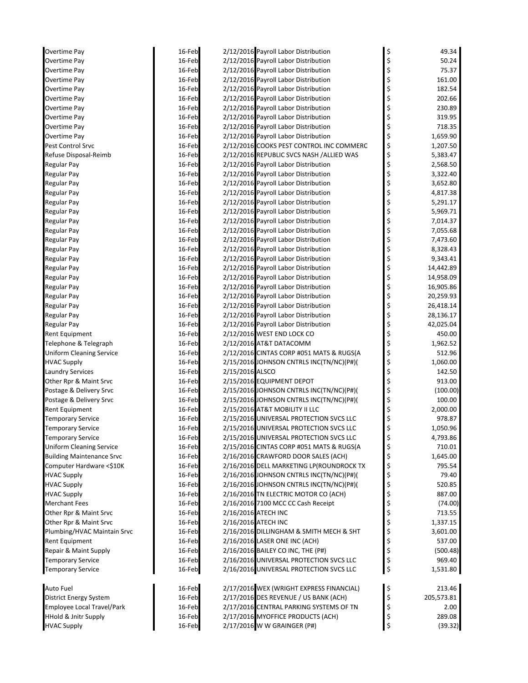| Overtime Pay                     | 16-Feb |                 | 2/12/2016 Payroll Labor Distribution     | \$<br>49.34      |
|----------------------------------|--------|-----------------|------------------------------------------|------------------|
| Overtime Pay                     | 16-Feb |                 | 2/12/2016 Payroll Labor Distribution     | \$<br>50.24      |
| Overtime Pay                     | 16-Feb |                 | 2/12/2016 Payroll Labor Distribution     | \$<br>75.37      |
| Overtime Pay                     | 16-Feb |                 | 2/12/2016 Payroll Labor Distribution     | \$<br>161.00     |
| Overtime Pay                     | 16-Feb |                 | 2/12/2016 Payroll Labor Distribution     | \$<br>182.54     |
| Overtime Pay                     | 16-Feb |                 | 2/12/2016 Payroll Labor Distribution     | \$<br>202.66     |
| Overtime Pay                     | 16-Feb |                 | 2/12/2016 Payroll Labor Distribution     | \$<br>230.89     |
| Overtime Pay                     | 16-Feb |                 | 2/12/2016 Payroll Labor Distribution     | \$<br>319.95     |
| Overtime Pay                     | 16-Feb |                 | 2/12/2016 Payroll Labor Distribution     | \$<br>718.35     |
| Overtime Pay                     | 16-Feb |                 | 2/12/2016 Payroll Labor Distribution     | \$<br>1,659.90   |
| Pest Control Srvc                | 16-Feb |                 | 2/12/2016 COOKS PEST CONTROL INC COMMERC | \$<br>1,207.50   |
| Refuse Disposal-Reimb            | 16-Feb |                 | 2/12/2016 REPUBLIC SVCS NASH /ALLIED WAS | \$<br>5,383.47   |
| Regular Pay                      | 16-Feb |                 | 2/12/2016 Payroll Labor Distribution     | \$<br>2,568.50   |
| <b>Regular Pay</b>               | 16-Feb |                 | 2/12/2016 Payroll Labor Distribution     | \$<br>3,322.40   |
| <b>Regular Pay</b>               | 16-Feb |                 | 2/12/2016 Payroll Labor Distribution     | \$<br>3,652.80   |
| Regular Pay                      | 16-Feb |                 | 2/12/2016 Payroll Labor Distribution     | \$<br>4,817.38   |
| <b>Regular Pay</b>               | 16-Feb |                 | 2/12/2016 Payroll Labor Distribution     | \$<br>5,291.17   |
| Regular Pay                      | 16-Feb |                 | 2/12/2016 Payroll Labor Distribution     | \$<br>5,969.71   |
| <b>Regular Pay</b>               | 16-Feb |                 | 2/12/2016 Payroll Labor Distribution     | \$<br>7,014.37   |
| <b>Regular Pay</b>               | 16-Feb |                 | 2/12/2016 Payroll Labor Distribution     | \$<br>7,055.68   |
| <b>Regular Pay</b>               | 16-Feb |                 | 2/12/2016 Payroll Labor Distribution     | \$<br>7,473.60   |
| <b>Regular Pay</b>               | 16-Feb |                 | 2/12/2016 Payroll Labor Distribution     | \$<br>8,328.43   |
| <b>Regular Pay</b>               | 16-Feb |                 | 2/12/2016 Payroll Labor Distribution     | \$<br>9,343.41   |
| <b>Regular Pay</b>               | 16-Feb |                 | 2/12/2016 Payroll Labor Distribution     | \$<br>14,442.89  |
| <b>Regular Pay</b>               | 16-Feb |                 | 2/12/2016 Payroll Labor Distribution     | \$<br>14,958.09  |
| <b>Regular Pay</b>               | 16-Feb |                 | 2/12/2016 Payroll Labor Distribution     | \$<br>16,905.86  |
| <b>Regular Pay</b>               | 16-Feb |                 | 2/12/2016 Payroll Labor Distribution     | \$<br>20,259.93  |
| <b>Regular Pay</b>               | 16-Feb |                 | 2/12/2016 Payroll Labor Distribution     | \$<br>26,418.14  |
| <b>Regular Pay</b>               | 16-Feb |                 | 2/12/2016 Payroll Labor Distribution     | \$<br>28,136.17  |
| <b>Regular Pay</b>               | 16-Feb |                 | 2/12/2016 Payroll Labor Distribution     | \$<br>42,025.04  |
| <b>Rent Equipment</b>            | 16-Feb |                 | 2/12/2016 WEST END LOCK CO               | \$<br>450.00     |
| Telephone & Telegraph            | 16-Feb |                 | 2/12/2016 AT&T DATACOMM                  | \$<br>1,962.52   |
| <b>Uniform Cleaning Service</b>  | 16-Feb |                 | 2/12/2016 CINTAS CORP #051 MATS & RUGS(A | \$<br>512.96     |
| <b>HVAC Supply</b>               | 16-Feb |                 | 2/15/2016 JOHNSON CNTRLS INC(TN/NC)(P#)( | \$<br>1,060.00   |
| <b>Laundry Services</b>          | 16-Feb | 2/15/2016 ALSCO |                                          | \$<br>142.50     |
| Other Rpr & Maint Srvc           | 16-Feb |                 | 2/15/2016 EQUIPMENT DEPOT                | \$<br>913.00     |
| Postage & Delivery Srvc          | 16-Feb |                 | 2/15/2016 JOHNSON CNTRLS INC(TN/NC)(P#)( | \$<br>(100.00)   |
| Postage & Delivery Srvc          | 16-Feb |                 | 2/15/2016 JOHNSON CNTRLS INC(TN/NC)(P#)( | \$<br>100.00     |
| Rent Equipment                   | 16-Feb |                 | 2/15/2016 AT&T MOBILITY II LLC           | \$<br>2,000.00   |
| <b>Temporary Service</b>         | 16-Feb |                 | 2/15/2016 UNIVERSAL PROTECTION SVCS LLC  | \$<br>978.87     |
| <b>Temporary Service</b>         | 16-Feb |                 | 2/15/2016 UNIVERSAL PROTECTION SVCS LLC  | \$<br>1,050.96   |
| <b>Temporary Service</b>         | 16-Feb |                 | 2/15/2016 UNIVERSAL PROTECTION SVCS LLC  | \$<br>4,793.86   |
| <b>Uniform Cleaning Service</b>  | 16-Feb |                 | 2/15/2016 CINTAS CORP #051 MATS & RUGS(A | \$<br>710.01     |
| <b>Building Maintenance Srvc</b> | 16-Feb |                 | 2/16/2016 CRAWFORD DOOR SALES (ACH)      | \$<br>1,645.00   |
| Computer Hardware <\$10K         | 16-Feb |                 | 2/16/2016 DELL MARKETING LP(ROUNDROCK TX | \$<br>795.54     |
| <b>HVAC Supply</b>               | 16-Feb |                 | 2/16/2016 JOHNSON CNTRLS INC(TN/NC)(P#)( | \$<br>79.40      |
| <b>HVAC Supply</b>               | 16-Feb |                 | 2/16/2016 JOHNSON CNTRLS INC(TN/NC)(P#)( | \$<br>520.85     |
| <b>HVAC Supply</b>               | 16-Feb |                 | 2/16/2016 TN ELECTRIC MOTOR CO (ACH)     | \$<br>887.00     |
| <b>Merchant Fees</b>             | 16-Feb |                 | 2/16/2016 7100 MCC CC Cash Receipt       | \$<br>(74.00)    |
| Other Rpr & Maint Srvc           | 16-Feb |                 | 2/16/2016 ATECH INC                      | \$<br>713.55     |
| Other Rpr & Maint Srvc           | 16-Feb |                 | 2/16/2016 ATECH INC                      | \$<br>1,337.15   |
| Plumbing/HVAC Maintain Srvc      | 16-Feb |                 | 2/16/2016 DILLINGHAM & SMITH MECH & SHT  | \$<br>3,601.00   |
| <b>Rent Equipment</b>            | 16-Feb |                 | 2/16/2016 LASER ONE INC (ACH)            | \$<br>537.00     |
| Repair & Maint Supply            | 16-Feb |                 | 2/16/2016 BAILEY CO INC, THE (P#)        | \$<br>(500.48)   |
| <b>Temporary Service</b>         | 16-Feb |                 | 2/16/2016 UNIVERSAL PROTECTION SVCS LLC  | \$<br>969.40     |
| <b>Temporary Service</b>         | 16-Feb |                 | 2/16/2016 UNIVERSAL PROTECTION SVCS LLC  | \$<br>1,531.80   |
| <b>Auto Fuel</b>                 | 16-Feb |                 | 2/17/2016 WEX (WRIGHT EXPRESS FINANCIAL) | \$<br>213.46     |
| <b>District Energy System</b>    | 16-Feb |                 | 2/17/2016 DES REVENUE / US BANK (ACH)    | \$<br>205,573.81 |
| Employee Local Travel/Park       | 16-Feb |                 | 2/17/2016 CENTRAL PARKING SYSTEMS OF TN  | \$<br>2.00       |
| <b>HHold &amp; Jnitr Supply</b>  | 16-Feb |                 | 2/17/2016 MYOFFICE PRODUCTS (ACH)        | \$<br>289.08     |
| <b>HVAC Supply</b>               | 16-Feb |                 | 2/17/2016 W W GRAINGER (P#)              | \$<br>(39.32)    |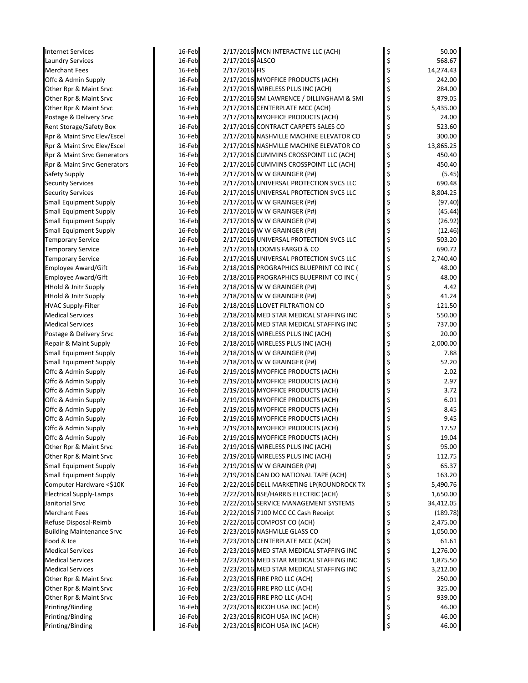| <b>Internet Services</b>         | 16-Feb |                 | 2/17/2016 MCN INTERACTIVE LLC (ACH)      | \$ | 50.00     |
|----------------------------------|--------|-----------------|------------------------------------------|----|-----------|
| <b>Laundry Services</b>          | 16-Feb | 2/17/2016 ALSCO |                                          | \$ | 568.67    |
| <b>Merchant Fees</b>             | 16-Feb | 2/17/2016 FIS   |                                          | \$ | 14,274.43 |
| Offc & Admin Supply              | 16-Feb |                 | 2/17/2016 MYOFFICE PRODUCTS (ACH)        | \$ | 242.00    |
| Other Rpr & Maint Srvc           | 16-Feb |                 | 2/17/2016 WIRELESS PLUS INC (ACH)        | \$ | 284.00    |
| Other Rpr & Maint Srvc           | 16-Feb |                 | 2/17/2016 SM LAWRENCE / DILLINGHAM & SMI | \$ | 879.05    |
| Other Rpr & Maint Srvc           | 16-Feb |                 | 2/17/2016 CENTERPLATE MCC (ACH)          | \$ | 5,435.00  |
| Postage & Delivery Srvc          | 16-Feb |                 | 2/17/2016 MYOFFICE PRODUCTS (ACH)        | \$ | 24.00     |
| Rent Storage/Safety Box          | 16-Feb |                 | 2/17/2016 CONTRACT CARPETS SALES CO      | \$ | 523.60    |
| Rpr & Maint Srvc Elev/Escel      | 16-Feb |                 | 2/17/2016 NASHVILLE MACHINE ELEVATOR CO  | \$ | 300.00    |
| Rpr & Maint Srvc Elev/Escel      | 16-Feb |                 | 2/17/2016 NASHVILLE MACHINE ELEVATOR CO  | \$ | 13,865.25 |
| Rpr & Maint Srvc Generators      | 16-Feb |                 | 2/17/2016 CUMMINS CROSSPOINT LLC (ACH)   | \$ | 450.40    |
| Rpr & Maint Srvc Generators      | 16-Feb |                 | 2/17/2016 CUMMINS CROSSPOINT LLC (ACH)   | \$ | 450.40    |
| Safety Supply                    | 16-Feb |                 | 2/17/2016 W W GRAINGER (P#)              | \$ | (5.45)    |
| <b>Security Services</b>         | 16-Feb |                 | 2/17/2016 UNIVERSAL PROTECTION SVCS LLC  | \$ | 690.48    |
| <b>Security Services</b>         | 16-Feb |                 | 2/17/2016 UNIVERSAL PROTECTION SVCS LLC  | \$ | 8,804.25  |
| <b>Small Equipment Supply</b>    | 16-Feb |                 | 2/17/2016 W W GRAINGER (P#)              | \$ | (97.40)   |
| <b>Small Equipment Supply</b>    | 16-Feb |                 | 2/17/2016 W W GRAINGER (P#)              | Ś  | (45.44)   |
| <b>Small Equipment Supply</b>    | 16-Feb |                 | 2/17/2016 W W GRAINGER (P#)              |    | (26.92)   |
| <b>Small Equipment Supply</b>    | 16-Feb |                 | 2/17/2016 W W GRAINGER (P#)              | \$ | (12.46)   |
| <b>Temporary Service</b>         | 16-Feb |                 | 2/17/2016 UNIVERSAL PROTECTION SVCS LLC  | \$ | 503.20    |
| <b>Temporary Service</b>         | 16-Feb |                 | 2/17/2016 LOOMIS FARGO & CO              | \$ | 690.72    |
| <b>Temporary Service</b>         | 16-Feb |                 | 2/17/2016 UNIVERSAL PROTECTION SVCS LLC  | \$ | 2,740.40  |
| Employee Award/Gift              | 16-Feb |                 | 2/18/2016 PROGRAPHICS BLUEPRINT CO INC ( | \$ | 48.00     |
| Employee Award/Gift              | 16-Feb |                 | 2/18/2016 PROGRAPHICS BLUEPRINT CO INC ( | \$ | 48.00     |
| <b>HHold &amp; Jnitr Supply</b>  | 16-Feb |                 | 2/18/2016 W W GRAINGER (P#)              | \$ | 4.42      |
| <b>HHold &amp; Jnitr Supply</b>  | 16-Feb |                 | 2/18/2016 W W GRAINGER (P#)              | \$ | 41.24     |
| <b>HVAC Supply-Filter</b>        | 16-Feb |                 | 2/18/2016 LLOVET FILTRATION CO           | \$ | 121.50    |
| <b>Medical Services</b>          | 16-Feb |                 | 2/18/2016 MED STAR MEDICAL STAFFING INC  |    | 550.00    |
| <b>Medical Services</b>          | 16-Feb |                 | 2/18/2016 MED STAR MEDICAL STAFFING INC  | \$ | 737.00    |
| Postage & Delivery Srvc          | 16-Feb |                 | 2/18/2016 WIRELESS PLUS INC (ACH)        | \$ | 20.00     |
| Repair & Maint Supply            | 16-Feb |                 | 2/18/2016 WIRELESS PLUS INC (ACH)        | \$ | 2,000.00  |
| <b>Small Equipment Supply</b>    | 16-Feb |                 | 2/18/2016 W W GRAINGER (P#)              | \$ | 7.88      |
| <b>Small Equipment Supply</b>    | 16-Feb |                 | 2/18/2016 W W GRAINGER (P#)              | \$ | 52.20     |
| Offc & Admin Supply              | 16-Feb |                 | 2/19/2016 MYOFFICE PRODUCTS (ACH)        |    | 2.02      |
| Offc & Admin Supply              | 16-Feb |                 | 2/19/2016 MYOFFICE PRODUCTS (ACH)        |    | 2.97      |
| Offc & Admin Supply              | 16-Feb |                 | 2/19/2016 MYOFFICE PRODUCTS (ACH)        | \$ | 3.72      |
| Offc & Admin Supply              | 16-Feb |                 | 2/19/2016 MYOFFICE PRODUCTS (ACH)        | \$ | 6.01      |
| Offc & Admin Supply              | 16-Feb |                 | 2/19/2016 MYOFFICE PRODUCTS (ACH)        | \$ | 8.45      |
| Offc & Admin Supply              | 16-Feb |                 | 2/19/2016 MYOFFICE PRODUCTS (ACH)        |    | 9.45      |
| Offc & Admin Supply              | 16-Feb |                 | 2/19/2016 MYOFFICE PRODUCTS (ACH)        | \$ | 17.52     |
| Offc & Admin Supply              | 16-Feb |                 | 2/19/2016 MYOFFICE PRODUCTS (ACH)        | \$ | 19.04     |
| Other Rpr & Maint Srvc           | 16-Feb |                 | 2/19/2016 WIRELESS PLUS INC (ACH)        | \$ | 95.00     |
| Other Rpr & Maint Srvc           | 16-Feb |                 | 2/19/2016 WIRELESS PLUS INC (ACH)        | \$ | 112.75    |
| <b>Small Equipment Supply</b>    | 16-Feb |                 | 2/19/2016 W W GRAINGER (P#)              | \$ | 65.37     |
| Small Equipment Supply           | 16-Feb |                 | 2/19/2016 CAN DO NATIONAL TAPE (ACH)     | \$ | 163.20    |
| Computer Hardware <\$10K         | 16-Feb |                 | 2/22/2016 DELL MARKETING LP(ROUNDROCK TX | \$ | 5,490.76  |
| <b>Electrical Supply-Lamps</b>   | 16-Feb |                 | 2/22/2016 BSE/HARRIS ELECTRIC (ACH)      | \$ | 1,650.00  |
| Janitorial Srvc                  | 16-Feb |                 | 2/22/2016 SERVICE MANAGEMENT SYSTEMS     | \$ | 34,412.05 |
| <b>Merchant Fees</b>             | 16-Feb |                 | 2/22/2016 7100 MCC CC Cash Receipt       | \$ | (189.78)  |
| Refuse Disposal-Reimb            | 16-Feb |                 | 2/22/2016 COMPOST CO (ACH)               | \$ | 2,475.00  |
| <b>Building Maintenance Srvc</b> | 16-Feb |                 | 2/23/2016 NASHVILLE GLASS CO             | \$ | 1,050.00  |
| Food & Ice                       | 16-Feb |                 | 2/23/2016 CENTERPLATE MCC (ACH)          | \$ | 61.61     |
| <b>Medical Services</b>          | 16-Feb |                 | 2/23/2016 MED STAR MEDICAL STAFFING INC  | \$ | 1,276.00  |
| Medical Services                 | 16-Feb |                 | 2/23/2016 MED STAR MEDICAL STAFFING INC  | \$ | 1,875.50  |
| <b>Medical Services</b>          | 16-Feb |                 | 2/23/2016 MED STAR MEDICAL STAFFING INC  | \$ | 3,212.00  |
| Other Rpr & Maint Srvc           | 16-Feb |                 | 2/23/2016 FIRE PRO LLC (ACH)             | \$ | 250.00    |
| Other Rpr & Maint Srvc           | 16-Feb |                 | 2/23/2016 FIRE PRO LLC (ACH)             | \$ | 325.00    |
| Other Rpr & Maint Srvc           | 16-Feb |                 | 2/23/2016 FIRE PRO LLC (ACH)             | \$ | 939.00    |
| Printing/Binding                 | 16-Feb |                 | 2/23/2016 RICOH USA INC (ACH)            | \$ | 46.00     |
| Printing/Binding                 | 16-Feb |                 | 2/23/2016 RICOH USA INC (ACH)            | \$ | 46.00     |
| Printing/Binding                 | 16-Feb |                 | 2/23/2016 RICOH USA INC (ACH)            | \$ | 46.00     |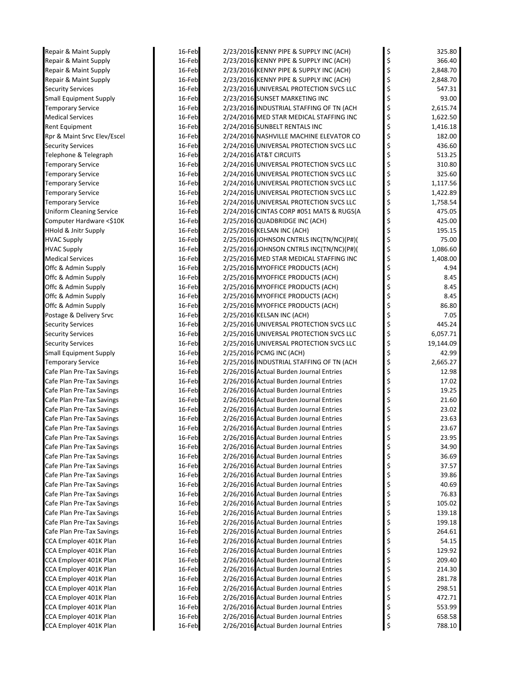| Repair & Maint Supply           |
|---------------------------------|
| Repair & Maint Supply           |
| Repair & Maint Supply           |
| Repair & Maint Supply           |
| Security Services               |
| <b>Small Equipment Supply</b>   |
| <b>Temporary Service</b>        |
| Medical Services                |
| Rent Equipment                  |
| Rpr & Maint Srvc Elev/Escel     |
| <b>Security Services</b>        |
| Telephone & Telegraph           |
| <b>Temporary Service</b>        |
| <b>Temporary Service</b>        |
| Temporary Service               |
| <b>Temporary Service</b>        |
|                                 |
| <b>Temporary Service</b>        |
| <b>Uniform Cleaning Service</b> |
| Computer Hardware <\$10K        |
| HHold & Jnitr Supply            |
| <b>HVAC Supply</b>              |
| <b>HVAC Supply</b>              |
| <b>Medical Services</b>         |
| Offc & Admin Supply             |
| Offc & Admin Supply             |
| Offc & Admin Supply             |
| Offc & Admin Supply             |
| Offc & Admin Supply             |
| Postage & Delivery Srvc         |
| <b>Security Services</b>        |
| <b>Security Services</b>        |
| Security Services               |
| Small Equipment Supply          |
| <b>Temporary Service</b>        |
| Cafe Plan Pre-Tax Savings       |
| Cafe Plan Pre-Tax Savings       |
| Cafe Plan Pre-Tax Savings       |
| Cafe Plan Pre-Tax Savings       |
| Cafe Plan Pre-Tax Savings       |
| Cafe Plan Pre-Tax Savings       |
| Cafe Plan Pre-Tax Savings       |
| Cafe Plan Pre-Tax Savings       |
| Cafe Plan Pre-Tax Savings       |
| Cafe Plan Pre-Tax Savings       |
|                                 |
| Cafe Plan Pre-Tax Savings       |
| Cafe Plan Pre-Tax Savings       |
| Cafe Plan Pre-Tax Savings       |
| Cafe Plan Pre-Tax Savings       |
| Cafe Plan Pre-Tax Savings       |
| Cafe Plan Pre-Tax Savings       |
| Cafe Plan Pre-Tax Savings       |
| Cafe Plan Pre-Tax Savings       |
| CCA Employer 401K Plan          |
| CCA Employer 401K Plan          |
| CCA Employer 401K Plan          |
| CCA Employer 401K Plan          |
| CCA Employer 401K Plan          |
| CCA Employer 401K Plan          |
| CCA Employer 401K Plan          |
| CCA Employer 401K Plan          |
| CCA Employer 401K Plan          |
| CCA Employer 401K Plan          |
|                                 |

| Repair & Maint Supply                                  | 16-Feb           | 2/23/2016 KENNY PIPE & SUPPLY INC (ACH)                                            | \$                    | 325.80         |
|--------------------------------------------------------|------------------|------------------------------------------------------------------------------------|-----------------------|----------------|
| Repair & Maint Supply                                  | 16-Feb           | 2/23/2016 KENNY PIPE & SUPPLY INC (ACH)                                            | \$                    | 366.40         |
| Repair & Maint Supply                                  | 16-Feb           | 2/23/2016 KENNY PIPE & SUPPLY INC (ACH)                                            | \$                    | 2,848.70       |
| Repair & Maint Supply                                  | 16-Feb           | 2/23/2016 KENNY PIPE & SUPPLY INC (ACH)                                            | \$                    | 2,848.70       |
| <b>Security Services</b>                               | 16-Feb           | 2/23/2016 UNIVERSAL PROTECTION SVCS LLC                                            | \$                    | 547.31         |
| <b>Small Equipment Supply</b>                          | 16-Feb           | 2/23/2016 SUNSET MARKETING INC                                                     | \$                    | 93.00          |
| <b>Temporary Service</b>                               | 16-Feb           | 2/23/2016 INDUSTRIAL STAFFING OF TN (ACH                                           | \$                    | 2,615.74       |
| <b>Medical Services</b>                                | 16-Feb           | 2/24/2016 MED STAR MEDICAL STAFFING INC                                            | \$                    | 1,622.50       |
| Rent Equipment                                         | 16-Feb           | 2/24/2016 SUNBELT RENTALS INC                                                      | \$                    | 1,416.18       |
| Rpr & Maint Srvc Elev/Escel                            | 16-Feb           | 2/24/2016 NASHVILLE MACHINE ELEVATOR CO                                            | \$                    | 182.00         |
| <b>Security Services</b>                               | 16-Feb           | 2/24/2016 UNIVERSAL PROTECTION SVCS LLC                                            | \$                    | 436.60         |
| Telephone & Telegraph                                  | 16-Feb           | 2/24/2016 AT&T CIRCUITS                                                            | \$                    | 513.25         |
| <b>Temporary Service</b>                               | 16-Feb           | 2/24/2016 UNIVERSAL PROTECTION SVCS LLC                                            | \$                    | 310.80         |
| <b>Temporary Service</b>                               | 16-Feb           | 2/24/2016 UNIVERSAL PROTECTION SVCS LLC                                            | \$                    | 325.60         |
| <b>Temporary Service</b>                               | 16-Feb           | 2/24/2016 UNIVERSAL PROTECTION SVCS LLC                                            | \$                    | 1,117.56       |
| <b>Temporary Service</b>                               | 16-Feb           | 2/24/2016 UNIVERSAL PROTECTION SVCS LLC                                            | \$                    | 1,422.89       |
| <b>Temporary Service</b>                               | 16-Feb           | 2/24/2016 UNIVERSAL PROTECTION SVCS LLC                                            | \$                    | 1,758.54       |
| <b>Uniform Cleaning Service</b>                        | 16-Feb           | 2/24/2016 CINTAS CORP #051 MATS & RUGS(A                                           | \$                    | 475.05         |
| Computer Hardware <\$10K                               | 16-Feb           | 2/25/2016 QUADBRIDGE INC (ACH)                                                     | \$                    | 425.00         |
| <b>HHold &amp; Jnitr Supply</b>                        | 16-Feb           | 2/25/2016 KELSAN INC (ACH)                                                         | \$                    | 195.15         |
| <b>HVAC Supply</b>                                     | 16-Feb           | 2/25/2016 JOHNSON CNTRLS INC(TN/NC)(P#)(                                           | \$                    | 75.00          |
| <b>HVAC Supply</b>                                     | 16-Feb           | 2/25/2016 JOHNSON CNTRLS INC(TN/NC)(P#)(                                           | \$                    | 1,086.60       |
| <b>Medical Services</b>                                | 16-Feb           | 2/25/2016 MED STAR MEDICAL STAFFING INC                                            | \$                    | 1,408.00       |
| Offc & Admin Supply                                    | 16-Feb           | 2/25/2016 MYOFFICE PRODUCTS (ACH)                                                  | \$                    | 4.94           |
| Offc & Admin Supply                                    | 16-Feb           | 2/25/2016 MYOFFICE PRODUCTS (ACH)                                                  | \$                    | 8.45           |
| Offc & Admin Supply                                    | 16-Feb           | 2/25/2016 MYOFFICE PRODUCTS (ACH)                                                  | \$                    | 8.45           |
| Offc & Admin Supply                                    | 16-Feb           | 2/25/2016 MYOFFICE PRODUCTS (ACH)                                                  | \$                    | 8.45           |
| Offc & Admin Supply                                    | 16-Feb           | 2/25/2016 MYOFFICE PRODUCTS (ACH)                                                  | \$                    | 86.80          |
| Postage & Delivery Srvc                                | 16-Feb           | 2/25/2016 KELSAN INC (ACH)                                                         | \$                    | 7.05           |
| <b>Security Services</b>                               | 16-Feb           | 2/25/2016 UNIVERSAL PROTECTION SVCS LLC                                            | \$                    | 445.24         |
| <b>Security Services</b>                               | 16-Feb           | 2/25/2016 UNIVERSAL PROTECTION SVCS LLC                                            | \$                    | 6,057.71       |
| <b>Security Services</b>                               | 16-Feb           | 2/25/2016 UNIVERSAL PROTECTION SVCS LLC                                            | \$                    | 19,144.09      |
| <b>Small Equipment Supply</b>                          | 16-Feb           | 2/25/2016 PCMG INC (ACH)                                                           | \$                    | 42.99          |
| <b>Temporary Service</b>                               | 16-Feb           | 2/25/2016 INDUSTRIAL STAFFING OF TN (ACH                                           | \$                    | 2,665.27       |
| Cafe Plan Pre-Tax Savings                              | 16-Feb           | 2/26/2016 Actual Burden Journal Entries                                            | \$                    | 12.98          |
| Cafe Plan Pre-Tax Savings                              | 16-Feb           | 2/26/2016 Actual Burden Journal Entries                                            | \$                    | 17.02          |
| Cafe Plan Pre-Tax Savings                              | 16-Feb           | 2/26/2016 Actual Burden Journal Entries                                            | \$                    | 19.25          |
| Cafe Plan Pre-Tax Savings                              | 16-Feb           | 2/26/2016 Actual Burden Journal Entries                                            | \$                    | 21.60          |
| Cafe Plan Pre-Tax Savings                              | 16-Feb           | 2/26/2016 Actual Burden Journal Entries                                            | \$                    | 23.02          |
| Cafe Plan Pre-Tax Savings                              | 16-Feb           | 2/26/2016 Actual Burden Journal Entries                                            | \$                    | 23.63          |
| Cafe Plan Pre-Tax Savings                              | 16-Feb           | 2/26/2016 Actual Burden Journal Entries                                            | \$                    | 23.67          |
| Cafe Plan Pre-Tax Savings                              | 16-Feb           | 2/26/2016 Actual Burden Journal Entries<br>2/26/2016 Actual Burden Journal Entries |                       | 23.95          |
| Cafe Plan Pre-Tax Savings                              | 16-Feb<br>16-Feb | 2/26/2016 Actual Burden Journal Entries                                            |                       | 34.90          |
| Cafe Plan Pre-Tax Savings                              |                  | 2/26/2016 Actual Burden Journal Entries                                            |                       | 36.69          |
| Cafe Plan Pre-Tax Savings<br>Cafe Plan Pre-Tax Savings | 16-Feb<br>16-Feb | 2/26/2016 Actual Burden Journal Entries                                            |                       | 37.57<br>39.86 |
| Cafe Plan Pre-Tax Savings                              | 16-Feb           | 2/26/2016 Actual Burden Journal Entries                                            |                       | 40.69          |
| Cafe Plan Pre-Tax Savings                              | 16-Feb           | 2/26/2016 Actual Burden Journal Entries                                            |                       | 76.83          |
| Cafe Plan Pre-Tax Savings                              | 16-Feb           | 2/26/2016 Actual Burden Journal Entries                                            |                       | 105.02         |
| Cafe Plan Pre-Tax Savings                              | 16-Feb           | 2/26/2016 Actual Burden Journal Entries                                            |                       | 139.18         |
| Cafe Plan Pre-Tax Savings                              | 16-Feb           | 2/26/2016 Actual Burden Journal Entries                                            |                       | 199.18         |
| Cafe Plan Pre-Tax Savings                              | 16-Feb           | 2/26/2016 Actual Burden Journal Entries                                            |                       | 264.61         |
| CCA Employer 401K Plan                                 | 16-Feb           | 2/26/2016 Actual Burden Journal Entries                                            |                       | 54.15          |
| CCA Employer 401K Plan                                 | 16-Feb           | 2/26/2016 Actual Burden Journal Entries                                            |                       | 129.92         |
| CCA Employer 401K Plan                                 | 16-Feb           | 2/26/2016 Actual Burden Journal Entries                                            | ひょうそうそう こうこうかんそう こうこう | 209.40         |
| CCA Employer 401K Plan                                 | 16-Feb           | 2/26/2016 Actual Burden Journal Entries                                            |                       | 214.30         |
| CCA Employer 401K Plan                                 | 16-Feb           | 2/26/2016 Actual Burden Journal Entries                                            |                       | 281.78         |
| CCA Employer 401K Plan                                 | 16-Feb           | 2/26/2016 Actual Burden Journal Entries                                            |                       | 298.51         |
| CCA Employer 401K Plan                                 | 16-Feb           | 2/26/2016 Actual Burden Journal Entries                                            |                       | 472.71         |
| CCA Employer 401K Plan                                 | 16-Feb           | 2/26/2016 Actual Burden Journal Entries                                            |                       | 553.99         |
| CCA Employer 401K Plan                                 | 16-Feb           | 2/26/2016 Actual Burden Journal Entries                                            |                       | 658.58         |
| CCA Employer 401K Plan                                 | 16-Feb           | 2/26/2016 Actual Burden Journal Entries                                            |                       | 788.10         |
|                                                        |                  |                                                                                    |                       |                |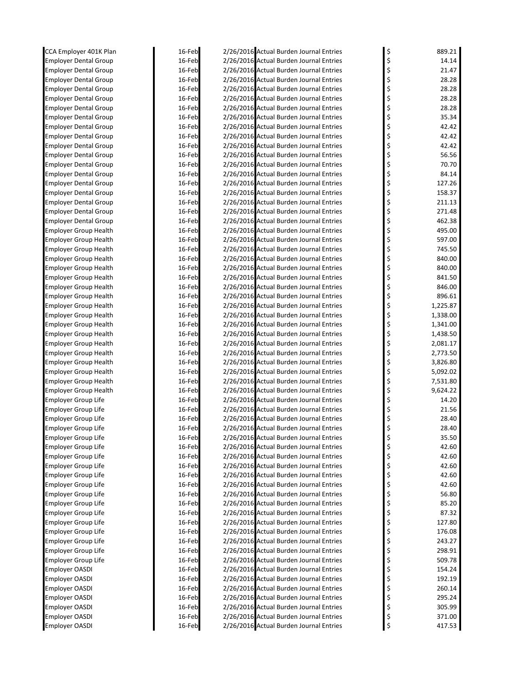| CCA Employer 401K Plan                                       | 16-Feb           | 2/26/2016 Actual Burden Journal Entries                                            | \$       | 889.21         |
|--------------------------------------------------------------|------------------|------------------------------------------------------------------------------------|----------|----------------|
| <b>Employer Dental Group</b>                                 | 16-Feb           | 2/26/2016 Actual Burden Journal Entries                                            | \$       | 14.14          |
| <b>Employer Dental Group</b>                                 | 16-Feb           | 2/26/2016 Actual Burden Journal Entries                                            | \$       | 21.47          |
| <b>Employer Dental Group</b>                                 | 16-Feb           | 2/26/2016 Actual Burden Journal Entries                                            | \$       | 28.28          |
| <b>Employer Dental Group</b>                                 | 16-Feb           | 2/26/2016 Actual Burden Journal Entries                                            | \$       | 28.28          |
| <b>Employer Dental Group</b>                                 | 16-Feb           | 2/26/2016 Actual Burden Journal Entries                                            | \$       | 28.28          |
| <b>Employer Dental Group</b>                                 | 16-Feb           | 2/26/2016 Actual Burden Journal Entries                                            | \$       | 28.28          |
| <b>Employer Dental Group</b>                                 | 16-Feb           | 2/26/2016 Actual Burden Journal Entries                                            | \$       | 35.34          |
| <b>Employer Dental Group</b>                                 | 16-Feb           | 2/26/2016 Actual Burden Journal Entries                                            | \$       | 42.42          |
| <b>Employer Dental Group</b>                                 | 16-Feb           | 2/26/2016 Actual Burden Journal Entries                                            | \$       | 42.42          |
| <b>Employer Dental Group</b>                                 | 16-Feb<br>16-Feb | 2/26/2016 Actual Burden Journal Entries<br>2/26/2016 Actual Burden Journal Entries | \$       | 42.42<br>56.56 |
| <b>Employer Dental Group</b><br><b>Employer Dental Group</b> | 16-Feb           | 2/26/2016 Actual Burden Journal Entries                                            | \$<br>\$ | 70.70          |
| <b>Employer Dental Group</b>                                 | 16-Feb           | 2/26/2016 Actual Burden Journal Entries                                            | \$       | 84.14          |
| <b>Employer Dental Group</b>                                 | 16-Feb           | 2/26/2016 Actual Burden Journal Entries                                            | \$       | 127.26         |
| <b>Employer Dental Group</b>                                 | 16-Feb           | 2/26/2016 Actual Burden Journal Entries                                            | \$       | 158.37         |
| <b>Employer Dental Group</b>                                 | 16-Feb           | 2/26/2016 Actual Burden Journal Entries                                            | \$       | 211.13         |
| <b>Employer Dental Group</b>                                 | 16-Feb           | 2/26/2016 Actual Burden Journal Entries                                            | \$       | 271.48         |
| <b>Employer Dental Group</b>                                 | 16-Feb           | 2/26/2016 Actual Burden Journal Entries                                            | \$       | 462.38         |
| <b>Employer Group Health</b>                                 | 16-Feb           | 2/26/2016 Actual Burden Journal Entries                                            | \$       | 495.00         |
| <b>Employer Group Health</b>                                 | 16-Feb           | 2/26/2016 Actual Burden Journal Entries                                            | \$       | 597.00         |
| <b>Employer Group Health</b>                                 | 16-Feb           | 2/26/2016 Actual Burden Journal Entries                                            | \$       | 745.50         |
| <b>Employer Group Health</b>                                 | 16-Feb           | 2/26/2016 Actual Burden Journal Entries                                            | \$       | 840.00         |
| <b>Employer Group Health</b>                                 | 16-Feb           | 2/26/2016 Actual Burden Journal Entries                                            | \$       | 840.00         |
| <b>Employer Group Health</b>                                 | 16-Feb           | 2/26/2016 Actual Burden Journal Entries                                            | \$       | 841.50         |
| <b>Employer Group Health</b>                                 | 16-Feb           | 2/26/2016 Actual Burden Journal Entries                                            | \$       | 846.00         |
| <b>Employer Group Health</b>                                 | 16-Feb           | 2/26/2016 Actual Burden Journal Entries                                            | \$       | 896.61         |
| <b>Employer Group Health</b>                                 | 16-Feb           | 2/26/2016 Actual Burden Journal Entries                                            | \$       | 1,225.87       |
| <b>Employer Group Health</b>                                 | 16-Feb           | 2/26/2016 Actual Burden Journal Entries                                            | \$       | 1,338.00       |
| <b>Employer Group Health</b>                                 | 16-Feb           | 2/26/2016 Actual Burden Journal Entries                                            | \$       | 1,341.00       |
| <b>Employer Group Health</b>                                 | 16-Feb           | 2/26/2016 Actual Burden Journal Entries                                            | \$       | 1,438.50       |
| <b>Employer Group Health</b>                                 | 16-Feb           | 2/26/2016 Actual Burden Journal Entries                                            | \$       | 2,081.17       |
| Employer Group Health                                        | 16-Feb           | 2/26/2016 Actual Burden Journal Entries                                            | \$       | 2,773.50       |
| <b>Employer Group Health</b>                                 | 16-Feb           | 2/26/2016 Actual Burden Journal Entries                                            | \$       | 3,826.80       |
| <b>Employer Group Health</b>                                 | 16-Feb           | 2/26/2016 Actual Burden Journal Entries                                            | \$       | 5,092.02       |
| <b>Employer Group Health</b>                                 | 16-Feb           | 2/26/2016 Actual Burden Journal Entries                                            | \$       | 7,531.80       |
| <b>Employer Group Health</b>                                 | 16-Feb           | 2/26/2016 Actual Burden Journal Entries                                            | \$       | 9,624.22       |
| <b>Employer Group Life</b>                                   | 16-Feb           | 2/26/2016 Actual Burden Journal Entries                                            | \$       | 14.20          |
| <b>Employer Group Life</b>                                   | 16-Feb           | 2/26/2016 Actual Burden Journal Entries                                            | \$       | 21.56          |
| <b>Employer Group Life</b>                                   | 16-Feb           | 2/26/2016 Actual Burden Journal Entries                                            |          | 28.40          |
| Employer Group Life                                          | 16-Feb           | 2/26/2016 Actual Burden Journal Entries                                            | \$       | 28.40          |
| Employer Group Life                                          | 16-Feb           | 2/26/2016 Actual Burden Journal Entries                                            | Ş        | 35.50          |
| <b>Employer Group Life</b>                                   | 16-Feb           | 2/26/2016 Actual Burden Journal Entries                                            | \$       | 42.60          |
| <b>Employer Group Life</b>                                   | 16-Feb           | 2/26/2016 Actual Burden Journal Entries<br>2/26/2016 Actual Burden Journal Entries | \$       | 42.60<br>42.60 |
| <b>Employer Group Life</b><br><b>Employer Group Life</b>     | 16-Feb<br>16-Feb | 2/26/2016 Actual Burden Journal Entries                                            | \$       | 42.60          |
| <b>Employer Group Life</b>                                   | 16-Feb           | 2/26/2016 Actual Burden Journal Entries                                            | \$<br>\$ | 42.60          |
| <b>Employer Group Life</b>                                   | 16-Feb           | 2/26/2016 Actual Burden Journal Entries                                            | \$       | 56.80          |
| <b>Employer Group Life</b>                                   | 16-Feb           | 2/26/2016 Actual Burden Journal Entries                                            | \$       | 85.20          |
| <b>Employer Group Life</b>                                   | 16-Feb           | 2/26/2016 Actual Burden Journal Entries                                            | \$       | 87.32          |
| <b>Employer Group Life</b>                                   | 16-Feb           | 2/26/2016 Actual Burden Journal Entries                                            | \$       | 127.80         |
| <b>Employer Group Life</b>                                   | 16-Feb           | 2/26/2016 Actual Burden Journal Entries                                            | \$       | 176.08         |
| <b>Employer Group Life</b>                                   | 16-Feb           | 2/26/2016 Actual Burden Journal Entries                                            | \$       | 243.27         |
| <b>Employer Group Life</b>                                   | 16-Feb           | 2/26/2016 Actual Burden Journal Entries                                            | \$       | 298.91         |
| <b>Employer Group Life</b>                                   | 16-Feb           | 2/26/2016 Actual Burden Journal Entries                                            | \$       | 509.78         |
| <b>Employer OASDI</b>                                        | 16-Feb           | 2/26/2016 Actual Burden Journal Entries                                            | \$       | 154.24         |
| Employer OASDI                                               | 16-Feb           | 2/26/2016 Actual Burden Journal Entries                                            | \$       | 192.19         |
| <b>Employer OASDI</b>                                        | 16-Feb           | 2/26/2016 Actual Burden Journal Entries                                            | \$       | 260.14         |
| <b>Employer OASDI</b>                                        | 16-Feb           | 2/26/2016 Actual Burden Journal Entries                                            | \$       | 295.24         |
| <b>Employer OASDI</b>                                        | 16-Feb           | 2/26/2016 Actual Burden Journal Entries                                            | \$       | 305.99         |
| <b>Employer OASDI</b>                                        | 16-Feb           | 2/26/2016 Actual Burden Journal Entries                                            | \$       | 371.00         |
| Employer OASDI                                               | 16-Feb           | 2/26/2016 Actual Burden Journal Entries                                            | \$       | 417.53         |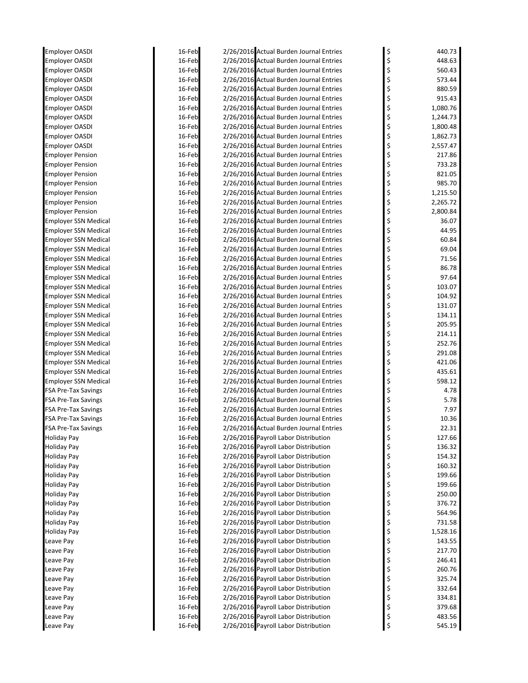| <b>Employer OASDI</b>       | 16-Feb | 2/26/2016 Actual Burden Journal Entries | \$<br>440.73   |
|-----------------------------|--------|-----------------------------------------|----------------|
| <b>Employer OASDI</b>       | 16-Feb | 2/26/2016 Actual Burden Journal Entries | \$<br>448.63   |
| <b>Employer OASDI</b>       | 16-Feb | 2/26/2016 Actual Burden Journal Entries | \$<br>560.43   |
| <b>Employer OASDI</b>       | 16-Feb | 2/26/2016 Actual Burden Journal Entries | \$<br>573.44   |
| <b>Employer OASDI</b>       | 16-Feb | 2/26/2016 Actual Burden Journal Entries | \$<br>880.59   |
| Employer OASDI              | 16-Feb | 2/26/2016 Actual Burden Journal Entries | 915.43         |
| Employer OASDI              | 16-Feb | 2/26/2016 Actual Burden Journal Entries | \$<br>1,080.76 |
| <b>Employer OASDI</b>       | 16-Feb | 2/26/2016 Actual Burden Journal Entries | \$<br>1,244.73 |
| <b>Employer OASDI</b>       | 16-Feb | 2/26/2016 Actual Burden Journal Entries | \$<br>1,800.48 |
| <b>Employer OASDI</b>       | 16-Feb | 2/26/2016 Actual Burden Journal Entries | \$<br>1,862.73 |
| <b>Employer OASDI</b>       | 16-Feb | 2/26/2016 Actual Burden Journal Entries | \$<br>2,557.47 |
| <b>Employer Pension</b>     | 16-Feb | 2/26/2016 Actual Burden Journal Entries | \$<br>217.86   |
| <b>Employer Pension</b>     | 16-Feb | 2/26/2016 Actual Burden Journal Entries | \$<br>733.28   |
| <b>Employer Pension</b>     | 16-Feb | 2/26/2016 Actual Burden Journal Entries | \$<br>821.05   |
| <b>Employer Pension</b>     | 16-Feb | 2/26/2016 Actual Burden Journal Entries | \$<br>985.70   |
| <b>Employer Pension</b>     | 16-Feb | 2/26/2016 Actual Burden Journal Entries | \$<br>1,215.50 |
| <b>Employer Pension</b>     | 16-Feb | 2/26/2016 Actual Burden Journal Entries | \$<br>2,265.72 |
| <b>Employer Pension</b>     | 16-Feb | 2/26/2016 Actual Burden Journal Entries | \$<br>2,800.84 |
| <b>Employer SSN Medical</b> | 16-Feb | 2/26/2016 Actual Burden Journal Entries | \$<br>36.07    |
| <b>Employer SSN Medical</b> | 16-Feb | 2/26/2016 Actual Burden Journal Entries | 44.95          |
| <b>Employer SSN Medical</b> | 16-Feb | 2/26/2016 Actual Burden Journal Entries | \$<br>60.84    |
| <b>Employer SSN Medical</b> | 16-Feb | 2/26/2016 Actual Burden Journal Entries | \$<br>69.04    |
| <b>Employer SSN Medical</b> | 16-Feb | 2/26/2016 Actual Burden Journal Entries | \$<br>71.56    |
| <b>Employer SSN Medical</b> | 16-Feb | 2/26/2016 Actual Burden Journal Entries | \$<br>86.78    |
| <b>Employer SSN Medical</b> | 16-Feb | 2/26/2016 Actual Burden Journal Entries | \$<br>97.64    |
| <b>Employer SSN Medical</b> | 16-Feb | 2/26/2016 Actual Burden Journal Entries | \$<br>103.07   |
| <b>Employer SSN Medical</b> | 16-Feb | 2/26/2016 Actual Burden Journal Entries | \$<br>104.92   |
| <b>Employer SSN Medical</b> | 16-Feb | 2/26/2016 Actual Burden Journal Entries | \$<br>131.07   |
| <b>Employer SSN Medical</b> | 16-Feb | 2/26/2016 Actual Burden Journal Entries | 134.11         |
| <b>Employer SSN Medical</b> | 16-Feb | 2/26/2016 Actual Burden Journal Entries | \$<br>205.95   |
| <b>Employer SSN Medical</b> | 16-Feb | 2/26/2016 Actual Burden Journal Entries | 214.11         |
| Employer SSN Medical        | 16-Feb | 2/26/2016 Actual Burden Journal Entries | \$<br>252.76   |
| <b>Employer SSN Medical</b> | 16-Feb | 2/26/2016 Actual Burden Journal Entries | \$<br>291.08   |
| <b>Employer SSN Medical</b> | 16-Feb | 2/26/2016 Actual Burden Journal Entries | \$<br>421.06   |
| <b>Employer SSN Medical</b> | 16-Feb | 2/26/2016 Actual Burden Journal Entries | \$<br>435.61   |
| <b>Employer SSN Medical</b> | 16-Feb | 2/26/2016 Actual Burden Journal Entries | \$<br>598.12   |
| <b>FSA Pre-Tax Savings</b>  | 16-Feb | 2/26/2016 Actual Burden Journal Entries | \$<br>4.78     |
| <b>FSA Pre-Tax Savings</b>  | 16-Feb | 2/26/2016 Actual Burden Journal Entries | \$<br>5.78     |
| <b>FSA Pre-Tax Savings</b>  | 16-Feb | 2/26/2016 Actual Burden Journal Entries | \$<br>7.97     |
| <b>FSA Pre-Tax Savings</b>  | 16-Feb | 2/26/2016 Actual Burden Journal Entries | 10.36          |
| <b>FSA Pre-Tax Savings</b>  | 16-Feb | 2/26/2016 Actual Burden Journal Entries | \$<br>22.31    |
| <b>Holiday Pay</b>          | 16-Feb | 2/26/2016 Payroll Labor Distribution    | \$<br>127.66   |
| <b>Holiday Pay</b>          | 16-Feb | 2/26/2016 Payroll Labor Distribution    | \$<br>136.32   |
| Holiday Pay                 | 16-Feb | 2/26/2016 Payroll Labor Distribution    | \$<br>154.32   |
| Holiday Pay                 | 16-Feb | 2/26/2016 Payroll Labor Distribution    | \$<br>160.32   |
| Holiday Pay                 | 16-Feb | 2/26/2016 Payroll Labor Distribution    | \$<br>199.66   |
| Holiday Pay                 | 16-Feb | 2/26/2016 Payroll Labor Distribution    | \$<br>199.66   |
| Holiday Pay                 | 16-Feb | 2/26/2016 Payroll Labor Distribution    | \$<br>250.00   |
| Holiday Pay                 | 16-Feb | 2/26/2016 Payroll Labor Distribution    | \$<br>376.72   |
| Holiday Pay                 | 16-Feb | 2/26/2016 Payroll Labor Distribution    | \$<br>564.96   |
| Holiday Pay                 | 16-Feb | 2/26/2016 Payroll Labor Distribution    | \$<br>731.58   |
| Holiday Pay                 | 16-Feb | 2/26/2016 Payroll Labor Distribution    | \$<br>1,528.16 |
| Leave Pay                   | 16-Feb | 2/26/2016 Payroll Labor Distribution    | \$<br>143.55   |
| Leave Pay                   | 16-Feb | 2/26/2016 Payroll Labor Distribution    | \$<br>217.70   |
| Leave Pay                   | 16-Feb | 2/26/2016 Payroll Labor Distribution    | \$<br>246.41   |
| Leave Pay                   | 16-Feb | 2/26/2016 Payroll Labor Distribution    | \$<br>260.76   |
| Leave Pay                   | 16-Feb | 2/26/2016 Payroll Labor Distribution    | \$<br>325.74   |
| Leave Pay                   | 16-Feb | 2/26/2016 Payroll Labor Distribution    | \$<br>332.64   |
| Leave Pay                   | 16-Feb | 2/26/2016 Payroll Labor Distribution    | \$<br>334.81   |
| Leave Pay                   | 16-Feb | 2/26/2016 Payroll Labor Distribution    | \$<br>379.68   |
| Leave Pay                   | 16-Feb | 2/26/2016 Payroll Labor Distribution    | \$<br>483.56   |
| Leave Pay                   | 16-Feb | 2/26/2016 Payroll Labor Distribution    | \$<br>545.19   |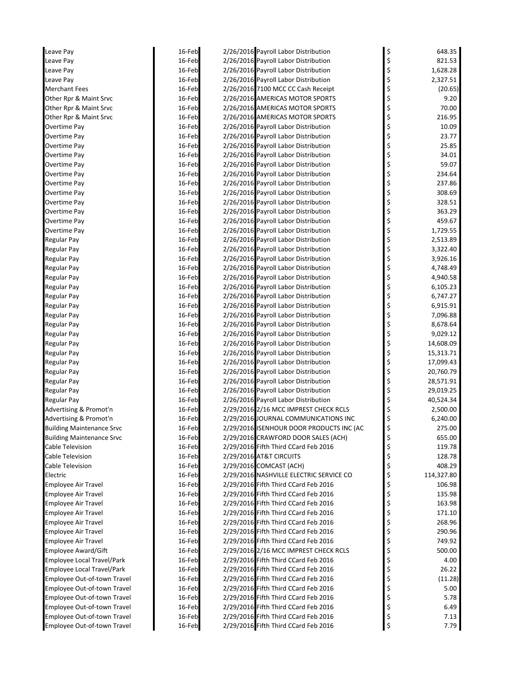| Leave Pay                        | 16-Feb | 2/26/2016 Payroll Labor Distribution     | 648.35           |
|----------------------------------|--------|------------------------------------------|------------------|
| Leave Pay                        | 16-Feb | 2/26/2016 Payroll Labor Distribution     | \$<br>821.53     |
| Leave Pay                        | 16-Feb | 2/26/2016 Payroll Labor Distribution     | \$<br>1,628.28   |
| Leave Pay                        | 16-Feb | 2/26/2016 Payroll Labor Distribution     | \$<br>2,327.51   |
| <b>Merchant Fees</b>             | 16-Feb | 2/26/2016 7100 MCC CC Cash Receipt       | \$<br>(20.65)    |
| Other Rpr & Maint Srvc           | 16-Feb | 2/26/2016 AMERICAS MOTOR SPORTS          | \$<br>9.20       |
| Other Rpr & Maint Srvc           | 16-Feb | 2/26/2016 AMERICAS MOTOR SPORTS          | \$<br>70.00      |
| Other Rpr & Maint Srvc           | 16-Feb | 2/26/2016 AMERICAS MOTOR SPORTS          | \$<br>216.95     |
| Overtime Pay                     | 16-Feb | 2/26/2016 Payroll Labor Distribution     | \$<br>10.09      |
| Overtime Pay                     | 16-Feb | 2/26/2016 Payroll Labor Distribution     | \$<br>23.77      |
| Overtime Pay                     | 16-Feb | 2/26/2016 Payroll Labor Distribution     | \$<br>25.85      |
| Overtime Pay                     | 16-Feb | 2/26/2016 Payroll Labor Distribution     | \$<br>34.01      |
| Overtime Pay                     | 16-Feb | 2/26/2016 Payroll Labor Distribution     | \$<br>59.07      |
| Overtime Pay                     | 16-Feb | 2/26/2016 Payroll Labor Distribution     | \$<br>234.64     |
| Overtime Pay                     | 16-Feb | 2/26/2016 Payroll Labor Distribution     | \$<br>237.86     |
| Overtime Pay                     | 16-Feb | 2/26/2016 Payroll Labor Distribution     | \$<br>308.69     |
| Overtime Pay                     | 16-Feb | 2/26/2016 Payroll Labor Distribution     | \$<br>328.51     |
| Overtime Pay                     | 16-Feb | 2/26/2016 Payroll Labor Distribution     | \$<br>363.29     |
| Overtime Pay                     | 16-Feb | 2/26/2016 Payroll Labor Distribution     | \$<br>459.67     |
| Overtime Pay                     | 16-Feb | 2/26/2016 Payroll Labor Distribution     | \$<br>1,729.55   |
| Regular Pay                      | 16-Feb | 2/26/2016 Payroll Labor Distribution     | \$<br>2,513.89   |
| <b>Regular Pay</b>               | 16-Feb | 2/26/2016 Payroll Labor Distribution     | \$<br>3,322.40   |
| <b>Regular Pay</b>               | 16-Feb | 2/26/2016 Payroll Labor Distribution     | \$<br>3,926.16   |
| <b>Regular Pay</b>               | 16-Feb | 2/26/2016 Payroll Labor Distribution     | \$<br>4,748.49   |
| <b>Regular Pay</b>               | 16-Feb | 2/26/2016 Payroll Labor Distribution     | \$<br>4,940.58   |
| Regular Pay                      | 16-Feb | 2/26/2016 Payroll Labor Distribution     | \$<br>6,105.23   |
| <b>Regular Pay</b>               | 16-Feb | 2/26/2016 Payroll Labor Distribution     | \$<br>6,747.27   |
| <b>Regular Pay</b>               | 16-Feb | 2/26/2016 Payroll Labor Distribution     | \$<br>6,915.91   |
| <b>Regular Pay</b>               | 16-Feb | 2/26/2016 Payroll Labor Distribution     | 7,096.88         |
| <b>Regular Pay</b>               | 16-Feb | 2/26/2016 Payroll Labor Distribution     | \$<br>8,678.64   |
| <b>Regular Pay</b>               | 16-Feb | 2/26/2016 Payroll Labor Distribution     | \$<br>9,029.12   |
| Regular Pay                      | 16-Feb | 2/26/2016 Payroll Labor Distribution     | \$<br>14,608.09  |
| <b>Regular Pay</b>               | 16-Feb | 2/26/2016 Payroll Labor Distribution     | \$<br>15,313.71  |
| <b>Regular Pay</b>               | 16-Feb | 2/26/2016 Payroll Labor Distribution     | \$<br>17,099.43  |
| <b>Regular Pay</b>               | 16-Feb | 2/26/2016 Payroll Labor Distribution     | \$<br>20,760.79  |
| <b>Regular Pay</b>               | 16-Feb | 2/26/2016 Payroll Labor Distribution     | \$<br>28,571.91  |
| <b>Regular Pay</b>               | 16-Feb | 2/26/2016 Payroll Labor Distribution     | \$<br>29,019.25  |
| Regular Pay                      | 16-Feb | 2/26/2016 Payroll Labor Distribution     | \$<br>40,524.34  |
| Advertising & Promot'n           | 16-Feb | 2/29/2016 2/16 MCC IMPREST CHECK RCLS    | \$<br>2,500.00   |
| Advertising & Promot'n           | 16-Feb | 2/29/2016 JOURNAL COMMUNICATIONS INC     | 6,240.00         |
| <b>Building Maintenance Srvc</b> | 16-Feb | 2/29/2016 ISENHOUR DOOR PRODUCTS INC (AC | \$<br>275.00     |
| <b>Building Maintenance Srvc</b> | 16-Feb | 2/29/2016 CRAWFORD DOOR SALES (ACH)      | \$<br>655.00     |
| Cable Television                 | 16-Feb | 2/29/2016 Fifth Third CCard Feb 2016     | \$<br>119.78     |
| <b>Cable Television</b>          | 16-Feb | 2/29/2016 AT&T CIRCUITS                  | \$<br>128.78     |
| Cable Television                 | 16-Feb | 2/29/2016 COMCAST (ACH)                  | \$<br>408.29     |
| Electric                         | 16-Feb | 2/29/2016 NASHVILLE ELECTRIC SERVICE CO  | \$<br>114,327.80 |
| <b>Employee Air Travel</b>       | 16-Feb | 2/29/2016 Fifth Third CCard Feb 2016     | \$<br>106.98     |
| <b>Employee Air Travel</b>       | 16-Feb | 2/29/2016 Fifth Third CCard Feb 2016     | \$<br>135.98     |
| <b>Employee Air Travel</b>       | 16-Feb | 2/29/2016 Fifth Third CCard Feb 2016     | \$<br>163.98     |
| <b>Employee Air Travel</b>       | 16-Feb | 2/29/2016 Fifth Third CCard Feb 2016     | \$<br>171.10     |
| <b>Employee Air Travel</b>       | 16-Feb | 2/29/2016 Fifth Third CCard Feb 2016     | \$<br>268.96     |
| <b>Employee Air Travel</b>       | 16-Feb | 2/29/2016 Fifth Third CCard Feb 2016     | \$<br>290.96     |
| <b>Employee Air Travel</b>       | 16-Feb | 2/29/2016 Fifth Third CCard Feb 2016     | \$<br>749.92     |
| Employee Award/Gift              | 16-Feb | 2/29/2016 2/16 MCC IMPREST CHECK RCLS    | \$<br>500.00     |
| Employee Local Travel/Park       | 16-Feb | 2/29/2016 Fifth Third CCard Feb 2016     | \$<br>4.00       |
| Employee Local Travel/Park       | 16-Feb | 2/29/2016 Fifth Third CCard Feb 2016     | \$<br>26.22      |
| Employee Out-of-town Travel      | 16-Feb | 2/29/2016 Fifth Third CCard Feb 2016     | \$<br>(11.28)    |
| Employee Out-of-town Travel      | 16-Feb | 2/29/2016 Fifth Third CCard Feb 2016     | \$<br>5.00       |
| Employee Out-of-town Travel      | 16-Feb | 2/29/2016 Fifth Third CCard Feb 2016     | \$<br>5.78       |
| Employee Out-of-town Travel      | 16-Feb | 2/29/2016 Fifth Third CCard Feb 2016     | \$<br>6.49       |
| Employee Out-of-town Travel      | 16-Feb | 2/29/2016 Fifth Third CCard Feb 2016     | \$<br>7.13       |
| Employee Out-of-town Travel      | 16-Feb | 2/29/2016 Fifth Third CCard Feb 2016     | \$<br>7.79       |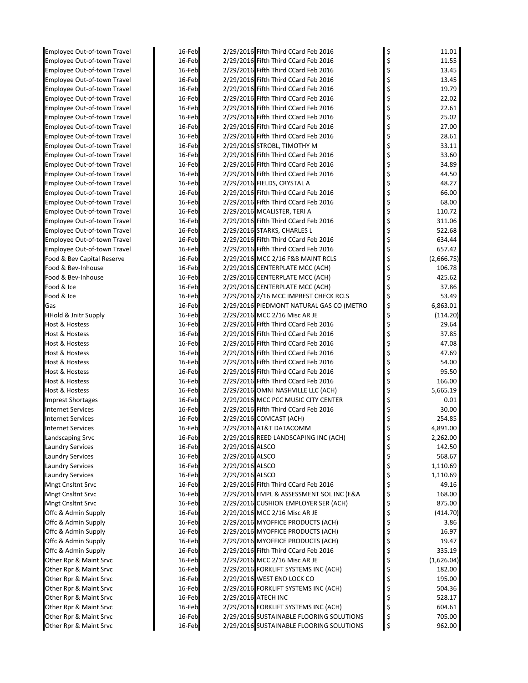| Employee Out-of-town Travel        | 16-Feb |                 | 2/29/2016 Fifth Third CCard Feb 2016     | \$<br>11.01      |
|------------------------------------|--------|-----------------|------------------------------------------|------------------|
| <b>Employee Out-of-town Travel</b> | 16-Feb |                 | 2/29/2016 Fifth Third CCard Feb 2016     | \$<br>11.55      |
| <b>Employee Out-of-town Travel</b> | 16-Feb |                 | 2/29/2016 Fifth Third CCard Feb 2016     | \$<br>13.45      |
| Employee Out-of-town Travel        | 16-Feb |                 | 2/29/2016 Fifth Third CCard Feb 2016     | \$<br>13.45      |
| Employee Out-of-town Travel        | 16-Feb |                 | 2/29/2016 Fifth Third CCard Feb 2016     | \$<br>19.79      |
| Employee Out-of-town Travel        | 16-Feb |                 | 2/29/2016 Fifth Third CCard Feb 2016     | \$<br>22.02      |
| Employee Out-of-town Travel        | 16-Feb |                 | 2/29/2016 Fifth Third CCard Feb 2016     | \$<br>22.61      |
| Employee Out-of-town Travel        | 16-Feb |                 | 2/29/2016 Fifth Third CCard Feb 2016     | \$<br>25.02      |
| Employee Out-of-town Travel        | 16-Feb |                 | 2/29/2016 Fifth Third CCard Feb 2016     | \$<br>27.00      |
| Employee Out-of-town Travel        | 16-Feb |                 | 2/29/2016 Fifth Third CCard Feb 2016     | \$<br>28.61      |
| <b>Employee Out-of-town Travel</b> | 16-Feb |                 | 2/29/2016 STROBL, TIMOTHY M              | \$<br>33.11      |
| Employee Out-of-town Travel        | 16-Feb |                 | 2/29/2016 Fifth Third CCard Feb 2016     | \$<br>33.60      |
| Employee Out-of-town Travel        | 16-Feb |                 | 2/29/2016 Fifth Third CCard Feb 2016     | \$<br>34.89      |
| Employee Out-of-town Travel        | 16-Feb |                 | 2/29/2016 Fifth Third CCard Feb 2016     | \$<br>44.50      |
| Employee Out-of-town Travel        | 16-Feb |                 | 2/29/2016 FIELDS, CRYSTAL A              | \$<br>48.27      |
| Employee Out-of-town Travel        | 16-Feb |                 | 2/29/2016 Fifth Third CCard Feb 2016     | \$<br>66.00      |
| Employee Out-of-town Travel        | 16-Feb |                 | 2/29/2016 Fifth Third CCard Feb 2016     | 68.00            |
| Employee Out-of-town Travel        | 16-Feb |                 | 2/29/2016 MCALISTER, TERI A              | 110.72           |
| Employee Out-of-town Travel        | 16-Feb |                 | 2/29/2016 Fifth Third CCard Feb 2016     | \$<br>311.06     |
| Employee Out-of-town Travel        | 16-Feb |                 | 2/29/2016 STARKS, CHARLES L              | 522.68           |
| <b>Employee Out-of-town Travel</b> | 16-Feb |                 | 2/29/2016 Fifth Third CCard Feb 2016     | \$<br>634.44     |
| Employee Out-of-town Travel        | 16-Feb |                 | 2/29/2016 Fifth Third CCard Feb 2016     | \$<br>657.42     |
| Food & Bev Capital Reserve         | 16-Feb |                 | 2/29/2016 MCC 2/16 F&B MAINT RCLS        | \$<br>(2,666.75) |
| Food & Bev-Inhouse                 | 16-Feb |                 | 2/29/2016 CENTERPLATE MCC (ACH)          | \$<br>106.78     |
| Food & Bev-Inhouse                 | 16-Feb |                 | 2/29/2016 CENTERPLATE MCC (ACH)          | \$<br>425.62     |
| Food & Ice                         | 16-Feb |                 | 2/29/2016 CENTERPLATE MCC (ACH)          | \$<br>37.86      |
| Food & Ice                         | 16-Feb |                 | 2/29/2016 2/16 MCC IMPREST CHECK RCLS    | \$<br>53.49      |
| Gas                                | 16-Feb |                 | 2/29/2016 PIEDMONT NATURAL GAS CO (METRO | \$<br>6,863.01   |
| <b>HHold &amp; Jnitr Supply</b>    | 16-Feb |                 | 2/29/2016 MCC 2/16 Misc AR JE            | \$<br>(114.20)   |
| Host & Hostess                     | 16-Feb |                 | 2/29/2016 Fifth Third CCard Feb 2016     | \$<br>29.64      |
| Host & Hostess                     | 16-Feb |                 | 2/29/2016 Fifth Third CCard Feb 2016     | \$<br>37.85      |
| Host & Hostess                     | 16-Feb |                 | 2/29/2016 Fifth Third CCard Feb 2016     | \$<br>47.08      |
| Host & Hostess                     | 16-Feb |                 | 2/29/2016 Fifth Third CCard Feb 2016     | \$<br>47.69      |
| Host & Hostess                     | 16-Feb |                 | 2/29/2016 Fifth Third CCard Feb 2016     | \$<br>54.00      |
| Host & Hostess                     | 16-Feb |                 | 2/29/2016 Fifth Third CCard Feb 2016     | \$<br>95.50      |
| Host & Hostess                     | 16-Feb |                 | 2/29/2016 Fifth Third CCard Feb 2016     | \$<br>166.00     |
| Host & Hostess                     | 16-Feb |                 | 2/29/2016 OMNI NASHVILLE LLC (ACH)       | \$<br>5,665.19   |
| Imprest Shortages                  | 16-Feb |                 | 2/29/2016 MCC PCC MUSIC CITY CENTER      | \$<br>0.01       |
| <b>Internet Services</b>           | 16-Feb |                 | 2/29/2016 Fifth Third CCard Feb 2016     | \$<br>30.00      |
| <b>Internet Services</b>           | 16-Feb |                 | 2/29/2016 COMCAST (ACH)                  | 254.85           |
| <b>Internet Services</b>           | 16-Feb |                 | 2/29/2016 AT&T DATACOMM                  | \$<br>4,891.00   |
| Landscaping Srvc                   | 16-Feb |                 | 2/29/2016 REED LANDSCAPING INC (ACH)     | \$<br>2,262.00   |
| Laundry Services                   | 16-Feb | 2/29/2016 ALSCO |                                          | \$<br>142.50     |
| <b>Laundry Services</b>            | 16-Feb | 2/29/2016 ALSCO |                                          | \$<br>568.67     |
| <b>Laundry Services</b>            | 16-Feb | 2/29/2016 ALSCO |                                          | \$<br>1,110.69   |
| <b>Laundry Services</b>            | 16-Feb | 2/29/2016 ALSCO |                                          | \$<br>1,110.69   |
| <b>Mngt Cnsltnt Srvc</b>           | 16-Feb |                 | 2/29/2016 Fifth Third CCard Feb 2016     | \$<br>49.16      |
| <b>Mngt Cnsltnt Srvc</b>           | 16-Feb |                 | 2/29/2016 EMPL & ASSESSMENT SOL INC (E&A | \$<br>168.00     |
| Mngt Cnsltnt Srvc                  | 16-Feb |                 | 2/29/2016 CUSHION EMPLOYER SER (ACH)     | \$<br>875.00     |
| Offc & Admin Supply                | 16-Feb |                 | 2/29/2016 MCC 2/16 Misc AR JE            | \$<br>(414.70)   |
| Offc & Admin Supply                | 16-Feb |                 | 2/29/2016 MYOFFICE PRODUCTS (ACH)        | \$<br>3.86       |
| Offc & Admin Supply                | 16-Feb |                 | 2/29/2016 MYOFFICE PRODUCTS (ACH)        | \$<br>16.97      |
| Offc & Admin Supply                | 16-Feb |                 | 2/29/2016 MYOFFICE PRODUCTS (ACH)        | \$<br>19.47      |
| Offc & Admin Supply                | 16-Feb |                 | 2/29/2016 Fifth Third CCard Feb 2016     | \$<br>335.19     |
| Other Rpr & Maint Srvc             | 16-Feb |                 | 2/29/2016 MCC 2/16 Misc AR JE            | \$<br>(1,626.04) |
| Other Rpr & Maint Srvc             | 16-Feb |                 | 2/29/2016 FORKLIFT SYSTEMS INC (ACH)     | \$<br>182.00     |
| Other Rpr & Maint Srvc             | 16-Feb |                 | 2/29/2016 WEST END LOCK CO               | \$<br>195.00     |
| Other Rpr & Maint Srvc             | 16-Feb |                 | 2/29/2016 FORKLIFT SYSTEMS INC (ACH)     | \$<br>504.36     |
| Other Rpr & Maint Srvc             | 16-Feb |                 | 2/29/2016 ATECH INC                      | \$<br>528.17     |
| Other Rpr & Maint Srvc             | 16-Feb |                 | 2/29/2016 FORKLIFT SYSTEMS INC (ACH)     | \$<br>604.61     |
| Other Rpr & Maint Srvc             | 16-Feb |                 | 2/29/2016 SUSTAINABLE FLOORING SOLUTIONS | \$<br>705.00     |
| Other Rpr & Maint Srvc             | 16-Feb |                 | 2/29/2016 SUSTAINABLE FLOORING SOLUTIONS | \$<br>962.00     |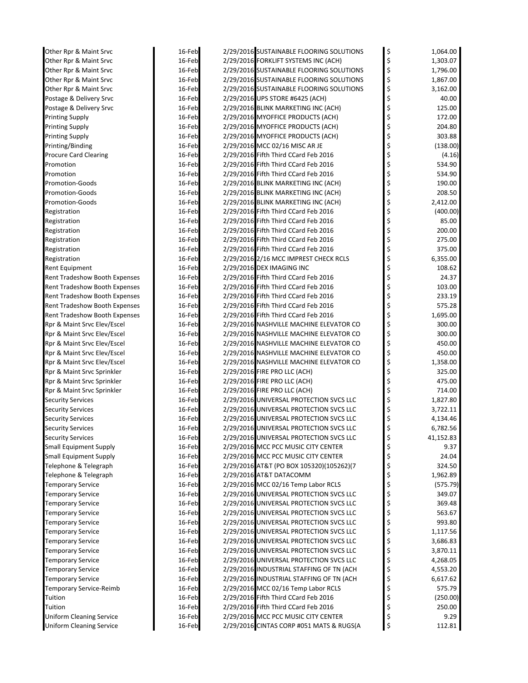| Other Rpr & Maint Srvc          | 16-Feb | 2/29/2016 SUSTAINABLE FLOORING SOLUTIONS | \$<br>1,064.00  |
|---------------------------------|--------|------------------------------------------|-----------------|
| Other Rpr & Maint Srvc          | 16-Feb | 2/29/2016 FORKLIFT SYSTEMS INC (ACH)     | \$<br>1,303.07  |
| Other Rpr & Maint Srvc          | 16-Feb | 2/29/2016 SUSTAINABLE FLOORING SOLUTIONS | \$<br>1,796.00  |
| Other Rpr & Maint Srvc          | 16-Feb | 2/29/2016 SUSTAINABLE FLOORING SOLUTIONS | \$<br>1,867.00  |
| Other Rpr & Maint Srvc          | 16-Feb | 2/29/2016 SUSTAINABLE FLOORING SOLUTIONS | \$<br>3,162.00  |
| Postage & Delivery Srvc         | 16-Feb | 2/29/2016 UPS STORE #6425 (ACH)          | \$<br>40.00     |
| Postage & Delivery Srvc         | 16-Feb | 2/29/2016 BLINK MARKETING INC (ACH)      | \$<br>125.00    |
| <b>Printing Supply</b>          | 16-Feb | 2/29/2016 MYOFFICE PRODUCTS (ACH)        | \$<br>172.00    |
| <b>Printing Supply</b>          | 16-Feb | 2/29/2016 MYOFFICE PRODUCTS (ACH)        | \$<br>204.80    |
| Printing Supply                 | 16-Feb | 2/29/2016 MYOFFICE PRODUCTS (ACH)        | \$<br>303.88    |
| Printing/Binding                | 16-Feb | 2/29/2016 MCC 02/16 MISC AR JE           | \$<br>(138.00)  |
| <b>Procure Card Clearing</b>    | 16-Feb | 2/29/2016 Fifth Third CCard Feb 2016     | \$<br>(4.16)    |
| Promotion                       | 16-Feb | 2/29/2016 Fifth Third CCard Feb 2016     | \$<br>534.90    |
| Promotion                       | 16-Feb | 2/29/2016 Fifth Third CCard Feb 2016     | \$<br>534.90    |
| Promotion-Goods                 | 16-Feb | 2/29/2016 BLINK MARKETING INC (ACH)      | \$<br>190.00    |
| <b>Promotion-Goods</b>          | 16-Feb | 2/29/2016 BLINK MARKETING INC (ACH)      | \$<br>208.50    |
| <b>Promotion-Goods</b>          | 16-Feb | 2/29/2016 BLINK MARKETING INC (ACH)      | \$<br>2,412.00  |
| Registration                    | 16-Feb | 2/29/2016 Fifth Third CCard Feb 2016     | \$<br>(400.00)  |
| Registration                    | 16-Feb | 2/29/2016 Fifth Third CCard Feb 2016     | \$<br>85.00     |
| Registration                    | 16-Feb | 2/29/2016 Fifth Third CCard Feb 2016     | \$<br>200.00    |
| Registration                    | 16-Feb | 2/29/2016 Fifth Third CCard Feb 2016     | \$<br>275.00    |
| Registration                    | 16-Feb | 2/29/2016 Fifth Third CCard Feb 2016     | \$<br>375.00    |
| Registration                    | 16-Feb | 2/29/2016 2/16 MCC IMPREST CHECK RCLS    | \$<br>6,355.00  |
| Rent Equipment                  | 16-Feb | 2/29/2016 DEX IMAGING INC                | \$<br>108.62    |
| Rent Tradeshow Booth Expenses   | 16-Feb | 2/29/2016 Fifth Third CCard Feb 2016     | \$<br>24.37     |
| Rent Tradeshow Booth Expenses   | 16-Feb | 2/29/2016 Fifth Third CCard Feb 2016     | \$<br>103.00    |
| Rent Tradeshow Booth Expenses   | 16-Feb | 2/29/2016 Fifth Third CCard Feb 2016     | \$<br>233.19    |
| Rent Tradeshow Booth Expenses   | 16-Feb | 2/29/2016 Fifth Third CCard Feb 2016     | \$<br>575.28    |
| Rent Tradeshow Booth Expenses   | 16-Feb | 2/29/2016 Fifth Third CCard Feb 2016     | \$<br>1,695.00  |
| Rpr & Maint Srvc Elev/Escel     | 16-Feb | 2/29/2016 NASHVILLE MACHINE ELEVATOR CO  | \$<br>300.00    |
| Rpr & Maint Srvc Elev/Escel     | 16-Feb | 2/29/2016 NASHVILLE MACHINE ELEVATOR CO  | \$<br>300.00    |
| Rpr & Maint Srvc Elev/Escel     | 16-Feb | 2/29/2016 NASHVILLE MACHINE ELEVATOR CO  | \$<br>450.00    |
| Rpr & Maint Srvc Elev/Escel     | 16-Feb | 2/29/2016 NASHVILLE MACHINE ELEVATOR CO  | \$<br>450.00    |
| Rpr & Maint Srvc Elev/Escel     | 16-Feb | 2/29/2016 NASHVILLE MACHINE ELEVATOR CO  | \$<br>1,358.00  |
| Rpr & Maint Srvc Sprinkler      | 16-Feb | 2/29/2016 FIRE PRO LLC (ACH)             | \$<br>325.00    |
| Rpr & Maint Srvc Sprinkler      | 16-Feb | 2/29/2016 FIRE PRO LLC (ACH)             | \$<br>475.00    |
| Rpr & Maint Srvc Sprinkler      | 16-Feb | 2/29/2016 FIRE PRO LLC (ACH)             | \$<br>714.00    |
| <b>Security Services</b>        | 16-Feb | 2/29/2016 UNIVERSAL PROTECTION SVCS LLC  | \$<br>1,827.80  |
| <b>Security Services</b>        | 16-Feb | 2/29/2016 UNIVERSAL PROTECTION SVCS LLC  | \$<br>3,722.11  |
| <b>Security Services</b>        | 16-Feb | 2/29/2016 UNIVERSAL PROTECTION SVCS LLC  | \$<br>4,134.46  |
| <b>Security Services</b>        | 16-Feb | 2/29/2016 UNIVERSAL PROTECTION SVCS LLC  | \$<br>6,782.56  |
| <b>Security Services</b>        | 16-Feb | 2/29/2016 UNIVERSAL PROTECTION SVCS LLC  | \$<br>41,152.83 |
| <b>Small Equipment Supply</b>   | 16-Feb | 2/29/2016 MCC PCC MUSIC CITY CENTER      | \$<br>9.37      |
| <b>Small Equipment Supply</b>   | 16-Feb | 2/29/2016 MCC PCC MUSIC CITY CENTER      | \$<br>24.04     |
| Telephone & Telegraph           | 16-Feb | 2/29/2016 AT&T (PO BOX 105320)(105262)(7 | \$<br>324.50    |
| Telephone & Telegraph           | 16-Feb | 2/29/2016 AT&T DATACOMM                  | \$<br>1,962.89  |
| <b>Temporary Service</b>        | 16-Feb | 2/29/2016 MCC 02/16 Temp Labor RCLS      | \$<br>(575.79)  |
| <b>Temporary Service</b>        | 16-Feb | 2/29/2016 UNIVERSAL PROTECTION SVCS LLC  | \$<br>349.07    |
| <b>Temporary Service</b>        | 16-Feb | 2/29/2016 UNIVERSAL PROTECTION SVCS LLC  | \$<br>369.48    |
| <b>Temporary Service</b>        | 16-Feb | 2/29/2016 UNIVERSAL PROTECTION SVCS LLC  | \$<br>563.67    |
| <b>Temporary Service</b>        | 16-Feb | 2/29/2016 UNIVERSAL PROTECTION SVCS LLC  | \$<br>993.80    |
| <b>Temporary Service</b>        | 16-Feb | 2/29/2016 UNIVERSAL PROTECTION SVCS LLC  | \$<br>1,117.56  |
| <b>Temporary Service</b>        | 16-Feb | 2/29/2016 UNIVERSAL PROTECTION SVCS LLC  | \$<br>3,686.83  |
| <b>Temporary Service</b>        | 16-Feb | 2/29/2016 UNIVERSAL PROTECTION SVCS LLC  | \$<br>3,870.11  |
| <b>Temporary Service</b>        | 16-Feb | 2/29/2016 UNIVERSAL PROTECTION SVCS LLC  | \$<br>4,268.05  |
| <b>Temporary Service</b>        | 16-Feb | 2/29/2016 INDUSTRIAL STAFFING OF TN (ACH | \$<br>4,553.20  |
| <b>Temporary Service</b>        | 16-Feb | 2/29/2016 INDUSTRIAL STAFFING OF TN (ACH | \$<br>6,617.62  |
| Temporary Service-Reimb         | 16-Feb | 2/29/2016 MCC 02/16 Temp Labor RCLS      | \$<br>575.79    |
| Tuition                         | 16-Feb | 2/29/2016 Fifth Third CCard Feb 2016     | \$<br>(250.00)  |
| Tuition                         | 16-Feb | 2/29/2016 Fifth Third CCard Feb 2016     | \$<br>250.00    |
| <b>Uniform Cleaning Service</b> | 16-Feb | 2/29/2016 MCC PCC MUSIC CITY CENTER      | \$<br>9.29      |
| <b>Uniform Cleaning Service</b> | 16-Feb | 2/29/2016 CINTAS CORP #051 MATS & RUGS(A | \$<br>112.81    |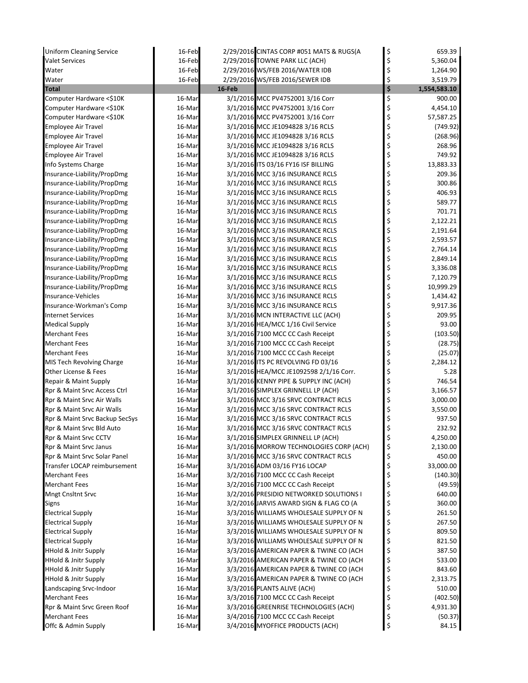| <b>Uniform Cleaning Service</b>                              | 16-Feb           |        | 2/29/2016 CINTAS CORP #051 MATS & RUGS(A                                     | \$       | 659.39             |
|--------------------------------------------------------------|------------------|--------|------------------------------------------------------------------------------|----------|--------------------|
| <b>Valet Services</b>                                        | 16-Feb           |        | 2/29/2016 TOWNE PARK LLC (ACH)                                               | \$       | 5,360.04           |
| Water                                                        | 16-Feb           |        | 2/29/2016 WS/FEB 2016/WATER IDB                                              | \$       | 1,264.90           |
| Water                                                        | 16-Feb           |        | 2/29/2016 WS/FEB 2016/SEWER IDB                                              | \$       | 3,519.79           |
| <b>Total</b>                                                 |                  | 16-Feb |                                                                              | \$       | 1,554,583.10       |
| Computer Hardware <\$10K                                     | 16-Mar           |        | 3/1/2016 MCC PV4752001 3/16 Corr                                             | \$       | 900.00             |
| Computer Hardware <\$10K                                     | 16-Mar           |        | 3/1/2016 MCC PV4752001 3/16 Corr                                             | \$       | 4,454.10           |
| Computer Hardware <\$10K                                     | 16-Mar           |        | 3/1/2016 MCC PV4752001 3/16 Corr                                             | \$       | 57,587.25          |
| <b>Employee Air Travel</b>                                   | 16-Mar           |        | 3/1/2016 MCC JE1094828 3/16 RCLS                                             | \$       | (749.92)           |
| <b>Employee Air Travel</b>                                   | 16-Mar           |        | 3/1/2016 MCC JE1094828 3/16 RCLS                                             | \$       | (268.96)           |
| <b>Employee Air Travel</b>                                   | 16-Mar           |        | 3/1/2016 MCC JE1094828 3/16 RCLS                                             | \$       | 268.96             |
| <b>Employee Air Travel</b>                                   | 16-Mar           |        | 3/1/2016 MCC JE1094828 3/16 RCLS                                             | \$       | 749.92             |
| Info Systems Charge                                          | 16-Mar           |        | 3/1/2016 ITS 03/16 FY16 ISF BILLING                                          | \$       | 13,883.33          |
| Insurance-Liability/PropDmg                                  | 16-Mar           |        | 3/1/2016 MCC 3/16 INSURANCE RCLS                                             | \$       | 209.36             |
| Insurance-Liability/PropDmg                                  | 16-Mar           |        | 3/1/2016 MCC 3/16 INSURANCE RCLS                                             | \$       | 300.86             |
| Insurance-Liability/PropDmg                                  | 16-Mar           |        | 3/1/2016 MCC 3/16 INSURANCE RCLS                                             | \$       | 406.93             |
| Insurance-Liability/PropDmg                                  | 16-Mar           |        | 3/1/2016 MCC 3/16 INSURANCE RCLS                                             | \$       | 589.77             |
| Insurance-Liability/PropDmg                                  | 16-Mar           |        | 3/1/2016 MCC 3/16 INSURANCE RCLS                                             | \$       | 701.71             |
| Insurance-Liability/PropDmg                                  | 16-Mar           |        | 3/1/2016 MCC 3/16 INSURANCE RCLS                                             | \$       | 2,122.21           |
| Insurance-Liability/PropDmg                                  | 16-Mar           |        | 3/1/2016 MCC 3/16 INSURANCE RCLS                                             | \$       | 2,191.64           |
| Insurance-Liability/PropDmg                                  | 16-Mar           |        | 3/1/2016 MCC 3/16 INSURANCE RCLS                                             | \$       | 2,593.57           |
| Insurance-Liability/PropDmg                                  | 16-Mar           |        | 3/1/2016 MCC 3/16 INSURANCE RCLS                                             | \$       | 2,764.14           |
| Insurance-Liability/PropDmg                                  | 16-Mar           |        | 3/1/2016 MCC 3/16 INSURANCE RCLS                                             | \$       | 2,849.14           |
| Insurance-Liability/PropDmg                                  | 16-Mar           |        | 3/1/2016 MCC 3/16 INSURANCE RCLS                                             | \$       | 3,336.08           |
| Insurance-Liability/PropDmg                                  | 16-Mar           |        | 3/1/2016 MCC 3/16 INSURANCE RCLS                                             | \$       | 7,120.79           |
| Insurance-Liability/PropDmg                                  | 16-Mar           |        | 3/1/2016 MCC 3/16 INSURANCE RCLS                                             | \$       | 10,999.29          |
| Insurance-Vehicles                                           | 16-Mar           |        | 3/1/2016 MCC 3/16 INSURANCE RCLS                                             | \$       | 1,434.42           |
| Insurance-Workman's Comp                                     | 16-Mar           |        | 3/1/2016 MCC 3/16 INSURANCE RCLS                                             | \$       | 9,917.36           |
| <b>Internet Services</b>                                     | 16-Mar           |        | 3/1/2016 MCN INTERACTIVE LLC (ACH)                                           | \$       | 209.95             |
| <b>Medical Supply</b>                                        | 16-Mar           |        | 3/1/2016 HEA/MCC 1/16 Civil Service                                          | \$       | 93.00              |
| <b>Merchant Fees</b>                                         | 16-Mar           |        | 3/1/2016 7100 MCC CC Cash Receipt                                            | \$       | (103.50)           |
| <b>Merchant Fees</b>                                         | 16-Mar           |        | 3/1/2016 7100 MCC CC Cash Receipt                                            | \$       | (28.75)            |
| <b>Merchant Fees</b>                                         | 16-Mar           |        | 3/1/2016 7100 MCC CC Cash Receipt                                            | \$       | (25.07)            |
| MIS Tech Revolving Charge                                    | 16-Mar           |        | 3/1/2016 ITS PC REVOLVING FD 03/16                                           | \$       | 2,284.12           |
| Other License & Fees                                         | 16-Mar           |        | 3/1/2016 HEA/MCC JE1092598 2/1/16 Corr.                                      | \$       | 5.28               |
| Repair & Maint Supply                                        | 16-Mar           |        | 3/1/2016 KENNY PIPE & SUPPLY INC (ACH)                                       | \$       | 746.54             |
| Rpr & Maint Srvc Access Ctrl                                 | 16-Mar           |        | 3/1/2016 SIMPLEX GRINNELL LP (ACH)                                           | \$       | 3,166.57           |
| Rpr & Maint Srvc Air Walls                                   | 16-Mar           |        | 3/1/2016 MCC 3/16 SRVC CONTRACT RCLS<br>3/1/2016 MCC 3/16 SRVC CONTRACT RCLS | \$       | 3,000.00           |
| Rpr & Maint Srvc Air Walls<br>Rpr & Maint Srvc Backup SecSys | 16-Mar<br>16-Mar |        | 3/1/2016 MCC 3/16 SRVC CONTRACT RCLS                                         | \$<br>\$ | 3,550.00<br>937.50 |
| Rpr & Maint Srvc Bld Auto                                    | 16-Mar           |        | 3/1/2016 MCC 3/16 SRVC CONTRACT RCLS                                         | \$       | 232.92             |
| Rpr & Maint Srvc CCTV                                        | 16-Mar           |        | 3/1/2016 SIMPLEX GRINNELL LP (ACH)                                           | \$       | 4,250.00           |
| Rpr & Maint Srvc Janus                                       | 16-Mar           |        | 3/1/2016 MORROW TECHNOLOGIES CORP (ACH)                                      | \$       | 2,130.00           |
| Rpr & Maint Srvc Solar Panel                                 | 16-Mar           |        | 3/1/2016 MCC 3/16 SRVC CONTRACT RCLS                                         | \$       | 450.00             |
| Transfer LOCAP reimbursement                                 | 16-Mar           |        | 3/1/2016 ADM 03/16 FY16 LOCAP                                                | \$       | 33,000.00          |
| <b>Merchant Fees</b>                                         | 16-Mar           |        | 3/2/2016 7100 MCC CC Cash Receipt                                            | \$       | (140.30)           |
| <b>Merchant Fees</b>                                         | 16-Mar           |        | 3/2/2016 7100 MCC CC Cash Receipt                                            | \$       | (49.59)            |
| <b>Mngt Cnsltnt Srvc</b>                                     | 16-Mar           |        | 3/2/2016 PRESIDIO NETWORKED SOLUTIONS I                                      | \$       | 640.00             |
| Signs                                                        | 16-Mar           |        | 3/2/2016 JARVIS AWARD SIGN & FLAG CO (A                                      | \$       | 360.00             |
| <b>Electrical Supply</b>                                     | 16-Mar           |        | 3/3/2016 WILLIAMS WHOLESALE SUPPLY OF N                                      | \$       | 261.50             |
| <b>Electrical Supply</b>                                     | 16-Mar           |        | 3/3/2016 WILLIAMS WHOLESALE SUPPLY OF N                                      | \$       | 267.50             |
| <b>Electrical Supply</b>                                     | 16-Mar           |        | 3/3/2016 WILLIAMS WHOLESALE SUPPLY OF N                                      | \$       | 809.50             |
| <b>Electrical Supply</b>                                     | 16-Mar           |        | 3/3/2016 WILLIAMS WHOLESALE SUPPLY OF N                                      | \$       | 821.50             |
| <b>HHold &amp; Jnitr Supply</b>                              | 16-Mar           |        | 3/3/2016 AMERICAN PAPER & TWINE CO (ACH                                      | \$       | 387.50             |
| <b>HHold &amp; Jnitr Supply</b>                              | 16-Mar           |        | 3/3/2016 AMERICAN PAPER & TWINE CO (ACH                                      | \$       | 533.00             |
| <b>HHold &amp; Jnitr Supply</b>                              | 16-Mar           |        | 3/3/2016 AMERICAN PAPER & TWINE CO (ACH                                      | \$       | 843.60             |
| <b>HHold &amp; Jnitr Supply</b>                              | 16-Mar           |        | 3/3/2016 AMERICAN PAPER & TWINE CO (ACH                                      | \$       | 2,313.75           |
| Landscaping Srvc-Indoor                                      | 16-Mar           |        | 3/3/2016 PLANTS ALIVE (ACH)                                                  | \$       | 510.00             |
| <b>Merchant Fees</b>                                         | 16-Mar           |        | 3/3/2016 7100 MCC CC Cash Receipt                                            | \$       | (402.50)           |
| Rpr & Maint Srvc Green Roof                                  | 16-Mar           |        | 3/3/2016 GREENRISE TECHNOLOGIES (ACH)                                        | \$       | 4,931.30           |
| <b>Merchant Fees</b>                                         | 16-Mar           |        | 3/4/2016 7100 MCC CC Cash Receipt                                            | \$       | (50.37)            |
| Offc & Admin Supply                                          | 16-Mar           |        | 3/4/2016 MYOFFICE PRODUCTS (ACH)                                             | \$       | 84.15              |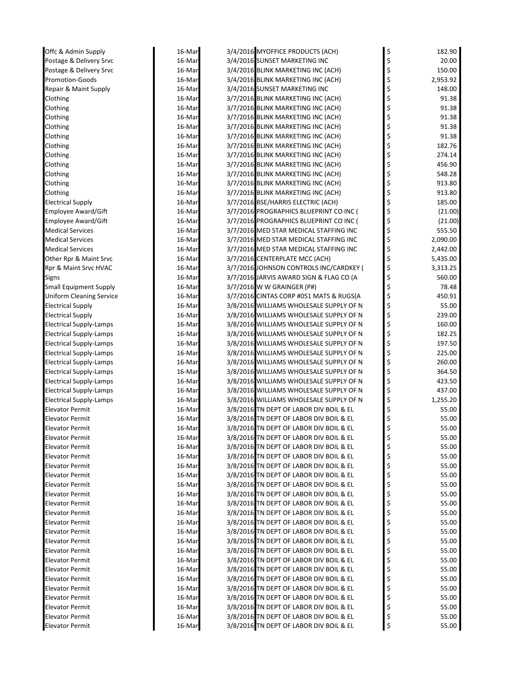| Offc & Admin Supply             | 16-Mar           | 3/4/2016 MYOFFICE PRODUCTS (ACH)                                         |          | 182.90           |
|---------------------------------|------------------|--------------------------------------------------------------------------|----------|------------------|
| Postage & Delivery Srvc         | 16-Mar           | 3/4/2016 SUNSET MARKETING INC                                            | \$<br>\$ | 20.00            |
| Postage & Delivery Srvc         | 16-Mar           | 3/4/2016 BLINK MARKETING INC (ACH)                                       | \$       | 150.00           |
| <b>Promotion-Goods</b>          | 16-Mar           | 3/4/2016 BLINK MARKETING INC (ACH)                                       | \$       | 2,953.92         |
| Repair & Maint Supply           | 16-Mar           | 3/4/2016 SUNSET MARKETING INC                                            | \$       | 148.00           |
| Clothing                        | 16-Mar           | 3/7/2016 BLINK MARKETING INC (ACH)                                       | \$       | 91.38            |
| Clothing                        | 16-Mar           | 3/7/2016 BLINK MARKETING INC (ACH)                                       | \$       | 91.38            |
| Clothing                        | 16-Mar           | 3/7/2016 BLINK MARKETING INC (ACH)                                       | \$       | 91.38            |
| Clothing                        | 16-Mar           | 3/7/2016 BLINK MARKETING INC (ACH)                                       | \$       | 91.38            |
| Clothing                        | 16-Mar           | 3/7/2016 BLINK MARKETING INC (ACH)                                       | \$       | 91.38            |
| Clothing                        | 16-Mar           | 3/7/2016 BLINK MARKETING INC (ACH)                                       | \$       | 182.76           |
|                                 |                  | 3/7/2016 BLINK MARKETING INC (ACH)                                       | \$       | 274.14           |
| Clothing                        | 16-Mar           | 3/7/2016 BLINK MARKETING INC (ACH)                                       | \$       | 456.90           |
| Clothing                        | 16-Mar<br>16-Mar |                                                                          |          |                  |
| Clothing                        |                  | 3/7/2016 BLINK MARKETING INC (ACH)<br>3/7/2016 BLINK MARKETING INC (ACH) |          | 548.28<br>913.80 |
| Clothing                        | 16-Mar           |                                                                          | \$       |                  |
| Clothing                        | 16-Mar           | 3/7/2016 BLINK MARKETING INC (ACH)                                       | \$       | 913.80           |
| <b>Electrical Supply</b>        | 16-Mar           | 3/7/2016 BSE/HARRIS ELECTRIC (ACH)                                       | \$       | 185.00           |
| Employee Award/Gift             | 16-Mar           | 3/7/2016 PROGRAPHICS BLUEPRINT CO INC (                                  | \$       | (21.00)          |
| <b>Employee Award/Gift</b>      | 16-Mar           | 3/7/2016 PROGRAPHICS BLUEPRINT CO INC (                                  | \$       | (21.00)          |
| <b>Medical Services</b>         | 16-Mar           | 3/7/2016 MED STAR MEDICAL STAFFING INC                                   | \$       | 555.50           |
| <b>Medical Services</b>         | 16-Mar           | 3/7/2016 MED STAR MEDICAL STAFFING INC                                   | \$       | 2,090.00         |
| <b>Medical Services</b>         | 16-Mar           | 3/7/2016 MED STAR MEDICAL STAFFING INC                                   | \$       | 2,442.00         |
| Other Rpr & Maint Srvc          | 16-Mar           | 3/7/2016 CENTERPLATE MCC (ACH)                                           | \$       | 5,435.00         |
| Rpr & Maint Srvc HVAC           | 16-Mar           | 3/7/2016 JOHNSON CONTROLS INC/CARDKEY (                                  | \$       | 3,313.25         |
| Signs                           | 16-Mar           | 3/7/2016 JARVIS AWARD SIGN & FLAG CO (A                                  | \$       | 560.00           |
| <b>Small Equipment Supply</b>   | 16-Mar           | 3/7/2016 W W GRAINGER (P#)                                               | \$       | 78.48            |
| <b>Uniform Cleaning Service</b> | 16-Mar           | 3/7/2016 CINTAS CORP #051 MATS & RUGS(A                                  | \$       | 450.91           |
| <b>Electrical Supply</b>        | 16-Mar           | 3/8/2016 WILLIAMS WHOLESALE SUPPLY OF N                                  | \$       | 55.00            |
| <b>Electrical Supply</b>        | 16-Mar           | 3/8/2016 WILLIAMS WHOLESALE SUPPLY OF N                                  | \$       | 239.00           |
| <b>Electrical Supply-Lamps</b>  | 16-Mar           | 3/8/2016 WILLIAMS WHOLESALE SUPPLY OF N                                  | \$       | 160.00           |
| <b>Electrical Supply-Lamps</b>  | 16-Mar           | 3/8/2016 WILLIAMS WHOLESALE SUPPLY OF N                                  | \$       | 182.25           |
| <b>Electrical Supply-Lamps</b>  | 16-Mar           | 3/8/2016 WILLIAMS WHOLESALE SUPPLY OF N                                  | \$       | 197.50           |
| <b>Electrical Supply-Lamps</b>  | 16-Mar           | 3/8/2016 WILLIAMS WHOLESALE SUPPLY OF N                                  | \$       | 225.00           |
| Electrical Supply-Lamps         | 16-Mar           | 3/8/2016 WILLIAMS WHOLESALE SUPPLY OF N                                  | \$       | 260.00           |
| <b>Electrical Supply-Lamps</b>  | 16-Mar           | 3/8/2016 WILLIAMS WHOLESALE SUPPLY OF N                                  | \$       | 364.50           |
| <b>Electrical Supply-Lamps</b>  | 16-Mar           | 3/8/2016 WILLIAMS WHOLESALE SUPPLY OF N                                  | \$       | 423.50           |
| <b>Electrical Supply-Lamps</b>  | 16-Mar           | 3/8/2016 WILLIAMS WHOLESALE SUPPLY OF N                                  | \$       | 437.00           |
| <b>Electrical Supply-Lamps</b>  | 16-Mar           | 3/8/2016 WILLIAMS WHOLESALE SUPPLY OF N                                  | \$       | 1,255.20         |
| <b>Elevator Permit</b>          | 16-Mar           | 3/8/2016 TN DEPT OF LABOR DIV BOIL & EL                                  | \$       | 55.00            |
| <b>Elevator Permit</b>          | 16-Mar           | 3/8/2016 TN DEPT OF LABOR DIV BOIL & EL                                  | \$       | 55.00            |
| Elevator Permit                 | 16-Mar           | 3/8/2016 TN DEPT OF LABOR DIV BOIL & EL                                  | Ş        | 55.00            |
| Elevator Permit                 | 16-Mar           | 3/8/2016 TN DEPT OF LABOR DIV BOIL & EL                                  |          | 55.00            |
| Elevator Permit                 | 16-Mar           | 3/8/2016 TN DEPT OF LABOR DIV BOIL & EL                                  | \$       | 55.00            |
| Elevator Permit                 | 16-Mar           | 3/8/2016 TN DEPT OF LABOR DIV BOIL & EL                                  | \$       | 55.00            |
| Elevator Permit                 | 16-Mar           | 3/8/2016 TN DEPT OF LABOR DIV BOIL & EL                                  | \$       | 55.00            |
| Elevator Permit                 | 16-Mar           | 3/8/2016 TN DEPT OF LABOR DIV BOIL & EL                                  | \$       | 55.00            |
| Elevator Permit                 | 16-Mar           | 3/8/2016 TN DEPT OF LABOR DIV BOIL & EL                                  | \$       | 55.00            |
| <b>Elevator Permit</b>          | 16-Mar           | 3/8/2016 TN DEPT OF LABOR DIV BOIL & EL                                  |          | 55.00            |
| <b>Elevator Permit</b>          | 16-Mar           | 3/8/2016 TN DEPT OF LABOR DIV BOIL & EL                                  | \$       | 55.00            |
| Elevator Permit                 | 16-Mar           | 3/8/2016 TN DEPT OF LABOR DIV BOIL & EL                                  | \$       | 55.00            |
| Elevator Permit                 | 16-Mar           | 3/8/2016 TN DEPT OF LABOR DIV BOIL & EL                                  | \$       | 55.00            |
| Elevator Permit                 | 16-Mar           | 3/8/2016 TN DEPT OF LABOR DIV BOIL & EL                                  | \$       | 55.00            |
| Elevator Permit                 | 16-Mar           | 3/8/2016 TN DEPT OF LABOR DIV BOIL & EL                                  | \$       | 55.00            |
| Elevator Permit                 | 16-Mar           | 3/8/2016 TN DEPT OF LABOR DIV BOIL & EL                                  | \$       | 55.00            |
| Elevator Permit                 | 16-Mar           | 3/8/2016 TN DEPT OF LABOR DIV BOIL & EL                                  | \$       | 55.00            |
| Elevator Permit                 | 16-Mar           | 3/8/2016 TN DEPT OF LABOR DIV BOIL & EL                                  | \$       | 55.00            |
| Elevator Permit                 | 16-Mar           | 3/8/2016 TN DEPT OF LABOR DIV BOIL & EL                                  | \$       | 55.00            |
| Elevator Permit                 | 16-Mar           | 3/8/2016 TN DEPT OF LABOR DIV BOIL & EL                                  | \$       | 55.00            |
| Elevator Permit                 | 16-Mar           | 3/8/2016 TN DEPT OF LABOR DIV BOIL & EL                                  |          | 55.00            |
| Elevator Permit                 | 16-Mar           | 3/8/2016 TN DEPT OF LABOR DIV BOIL & EL                                  | \$       | 55.00            |
| <b>Elevator Permit</b>          | 16-Mar           | 3/8/2016 TN DEPT OF LABOR DIV BOIL & EL                                  | Ş        | 55.00            |
| <b>Elevator Permit</b>          | 16-Mar           | 3/8/2016 TN DEPT OF LABOR DIV BOIL & EL                                  | \$       | 55.00            |
|                                 |                  |                                                                          |          |                  |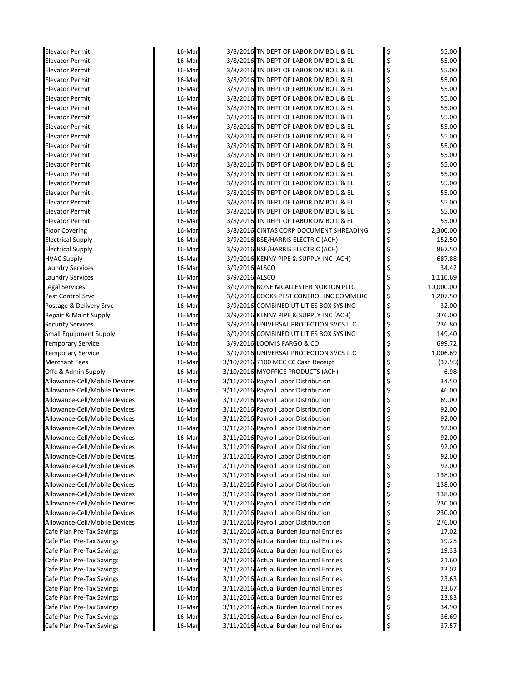| <b>Elevator Permit</b>        | 16-Mar |                | 3/8/2016 TN DEPT OF LABOR DIV BOIL & EL | \$<br>55.00     |
|-------------------------------|--------|----------------|-----------------------------------------|-----------------|
| <b>Elevator Permit</b>        | 16-Mar |                | 3/8/2016 TN DEPT OF LABOR DIV BOIL & EL | \$<br>55.00     |
| <b>Elevator Permit</b>        | 16-Mar |                | 3/8/2016 TN DEPT OF LABOR DIV BOIL & EL | \$<br>55.00     |
| <b>Elevator Permit</b>        | 16-Mar |                | 3/8/2016 TN DEPT OF LABOR DIV BOIL & EL | \$<br>55.00     |
| <b>Elevator Permit</b>        | 16-Mar |                | 3/8/2016 TN DEPT OF LABOR DIV BOIL & EL | \$<br>55.00     |
| <b>Elevator Permit</b>        | 16-Mar |                | 3/8/2016 TN DEPT OF LABOR DIV BOIL & EL | \$<br>55.00     |
| <b>Elevator Permit</b>        | 16-Mar |                | 3/8/2016 TN DEPT OF LABOR DIV BOIL & EL | \$<br>55.00     |
| <b>Elevator Permit</b>        | 16-Mar |                | 3/8/2016 TN DEPT OF LABOR DIV BOIL & EL | \$<br>55.00     |
| <b>Elevator Permit</b>        | 16-Mar |                | 3/8/2016 TN DEPT OF LABOR DIV BOIL & EL | \$<br>55.00     |
| <b>Elevator Permit</b>        | 16-Mar |                | 3/8/2016 TN DEPT OF LABOR DIV BOIL & EL | \$<br>55.00     |
| <b>Elevator Permit</b>        | 16-Mar |                | 3/8/2016 TN DEPT OF LABOR DIV BOIL & EL | \$<br>55.00     |
| <b>Elevator Permit</b>        | 16-Mar |                | 3/8/2016 TN DEPT OF LABOR DIV BOIL & EL | \$<br>55.00     |
| <b>Elevator Permit</b>        | 16-Mar |                | 3/8/2016 TN DEPT OF LABOR DIV BOIL & EL | \$<br>55.00     |
| <b>Elevator Permit</b>        | 16-Mar |                | 3/8/2016 TN DEPT OF LABOR DIV BOIL & EL | \$<br>55.00     |
| <b>Elevator Permit</b>        | 16-Mar |                | 3/8/2016 TN DEPT OF LABOR DIV BOIL & EL | \$<br>55.00     |
| <b>Elevator Permit</b>        | 16-Mar |                | 3/8/2016 TN DEPT OF LABOR DIV BOIL & EL | \$<br>55.00     |
| <b>Elevator Permit</b>        | 16-Mar |                | 3/8/2016 TN DEPT OF LABOR DIV BOIL & EL | \$<br>55.00     |
| <b>Elevator Permit</b>        | 16-Mar |                | 3/8/2016 TN DEPT OF LABOR DIV BOIL & EL | 55.00           |
| <b>Elevator Permit</b>        | 16-Mar |                | 3/8/2016 TN DEPT OF LABOR DIV BOIL & EL | \$<br>55.00     |
| <b>Floor Covering</b>         | 16-Mar |                | 3/8/2016 CINTAS CORP DOCUMENT SHREADING | \$<br>2,300.00  |
| <b>Electrical Supply</b>      | 16-Mar |                | 3/9/2016 BSE/HARRIS ELECTRIC (ACH)      | \$<br>152.50    |
| <b>Electrical Supply</b>      | 16-Mar |                | 3/9/2016 BSE/HARRIS ELECTRIC (ACH)      | \$<br>867.50    |
| <b>HVAC Supply</b>            | 16-Mar |                | 3/9/2016 KENNY PIPE & SUPPLY INC (ACH)  | 687.88          |
| <b>Laundry Services</b>       | 16-Mar | 3/9/2016 ALSCO |                                         | 34.42           |
| <b>Laundry Services</b>       | 16-Mar | 3/9/2016 ALSCO |                                         | \$<br>1,110.69  |
| <b>Legal Services</b>         | 16-Mar |                | 3/9/2016 BONE MCALLESTER NORTON PLLC    | \$<br>10,000.00 |
| <b>Pest Control Srvc</b>      | 16-Mar |                | 3/9/2016 COOKS PEST CONTROL INC COMMERC | \$<br>1,207.50  |
| Postage & Delivery Srvc       | 16-Mar |                | 3/9/2016 COMBINED UTILITIES BOX SYS INC | \$<br>32.00     |
| Repair & Maint Supply         | 16-Mar |                | 3/9/2016 KENNY PIPE & SUPPLY INC (ACH)  | \$<br>376.00    |
| <b>Security Services</b>      | 16-Mar |                | 3/9/2016 UNIVERSAL PROTECTION SVCS LLC  | \$<br>236.80    |
| <b>Small Equipment Supply</b> | 16-Mar |                | 3/9/2016 COMBINED UTILITIES BOX SYS INC | \$<br>149.40    |
| <b>Temporary Service</b>      | 16-Mar |                | 3/9/2016 LOOMIS FARGO & CO              | \$<br>699.72    |
| <b>Temporary Service</b>      | 16-Mar |                | 3/9/2016 UNIVERSAL PROTECTION SVCS LLC  | \$<br>1,006.69  |
| <b>Merchant Fees</b>          | 16-Mar |                | 3/10/2016 7100 MCC CC Cash Receipt      | \$<br>(37.95)   |
| Offc & Admin Supply           | 16-Mar |                | 3/10/2016 MYOFFICE PRODUCTS (ACH)       | \$<br>6.98      |
| Allowance-Cell/Mobile Devices | 16-Mar |                | 3/11/2016 Payroll Labor Distribution    | \$<br>34.50     |
| Allowance-Cell/Mobile Devices | 16-Mar |                | 3/11/2016 Payroll Labor Distribution    | 46.00           |
| Allowance-Cell/Mobile Devices | 16-Mar |                | 3/11/2016 Payroll Labor Distribution    | \$<br>69.00     |
| Allowance-Cell/Mobile Devices | 16-Mar |                | 3/11/2016 Payroll Labor Distribution    | 92.00           |
| Allowance-Cell/Mobile Devices | 16-Mar |                | 3/11/2016 Payroll Labor Distribution    | 92.00           |
| Allowance-Cell/Mobile Devices | 16-Mar |                | 3/11/2016 Payroll Labor Distribution    | 92.00           |
| Allowance-Cell/Mobile Devices | 16-Mar |                | 3/11/2016 Payroll Labor Distribution    | \$<br>92.00     |
| Allowance-Cell/Mobile Devices | 16-Mar |                | 3/11/2016 Payroll Labor Distribution    | \$<br>92.00     |
| Allowance-Cell/Mobile Devices | 16-Mar |                | 3/11/2016 Payroll Labor Distribution    | \$<br>92.00     |
| Allowance-Cell/Mobile Devices | 16-Mar |                | 3/11/2016 Payroll Labor Distribution    | \$<br>92.00     |
| Allowance-Cell/Mobile Devices | 16-Mar |                | 3/11/2016 Payroll Labor Distribution    | \$<br>138.00    |
| Allowance-Cell/Mobile Devices | 16-Mar |                | 3/11/2016 Payroll Labor Distribution    | \$<br>138.00    |
| Allowance-Cell/Mobile Devices | 16-Mar |                | 3/11/2016 Payroll Labor Distribution    | \$<br>138.00    |
| Allowance-Cell/Mobile Devices | 16-Mar |                | 3/11/2016 Payroll Labor Distribution    | \$<br>230.00    |
| Allowance-Cell/Mobile Devices | 16-Mar |                | 3/11/2016 Payroll Labor Distribution    | \$<br>230.00    |
| Allowance-Cell/Mobile Devices | 16-Mar |                | 3/11/2016 Payroll Labor Distribution    | \$<br>276.00    |
| Cafe Plan Pre-Tax Savings     | 16-Mar |                | 3/11/2016 Actual Burden Journal Entries | \$<br>17.02     |
| Cafe Plan Pre-Tax Savings     | 16-Mar |                | 3/11/2016 Actual Burden Journal Entries | \$<br>19.25     |
| Cafe Plan Pre-Tax Savings     | 16-Mar |                | 3/11/2016 Actual Burden Journal Entries | \$<br>19.33     |
| Cafe Plan Pre-Tax Savings     | 16-Mar |                | 3/11/2016 Actual Burden Journal Entries | \$<br>21.60     |
| Cafe Plan Pre-Tax Savings     | 16-Mar |                | 3/11/2016 Actual Burden Journal Entries | \$<br>23.02     |
| Cafe Plan Pre-Tax Savings     | 16-Mar |                | 3/11/2016 Actual Burden Journal Entries | \$<br>23.63     |
| Cafe Plan Pre-Tax Savings     | 16-Mar |                | 3/11/2016 Actual Burden Journal Entries | \$<br>23.67     |
| Cafe Plan Pre-Tax Savings     | 16-Mar |                | 3/11/2016 Actual Burden Journal Entries | \$<br>23.83     |
| Cafe Plan Pre-Tax Savings     | 16-Mar |                | 3/11/2016 Actual Burden Journal Entries | \$<br>34.90     |
| Cafe Plan Pre-Tax Savings     | 16-Mar |                | 3/11/2016 Actual Burden Journal Entries | \$<br>36.69     |
| Cafe Plan Pre-Tax Savings     | 16-Mar |                | 3/11/2016 Actual Burden Journal Entries | \$<br>37.57     |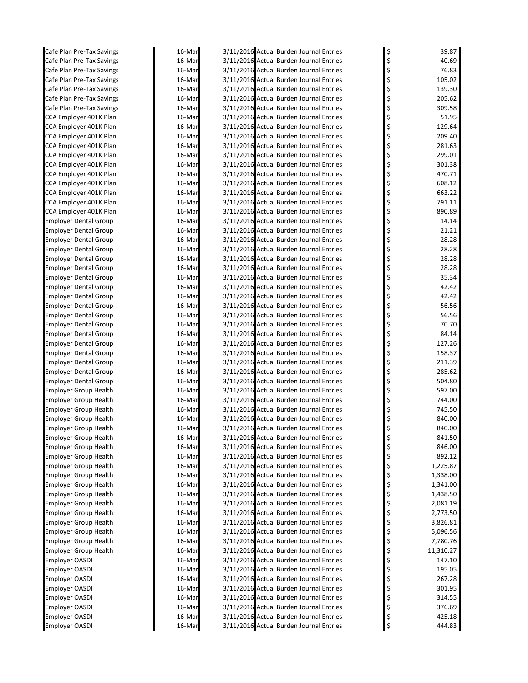| Cafe Plan Pre-Tax Savings               | 16-Mar           | 3/11/2016 Actual Burden Journal Entries                                            | \$       | 39.87            |
|-----------------------------------------|------------------|------------------------------------------------------------------------------------|----------|------------------|
| Cafe Plan Pre-Tax Savings               | 16-Mar           | 3/11/2016 Actual Burden Journal Entries                                            | \$       | 40.69            |
| Cafe Plan Pre-Tax Savings               | 16-Mar           | 3/11/2016 Actual Burden Journal Entries                                            | \$       | 76.83            |
| Cafe Plan Pre-Tax Savings               | 16-Mar           | 3/11/2016 Actual Burden Journal Entries                                            | \$       | 105.02           |
| Cafe Plan Pre-Tax Savings               | 16-Mar           | 3/11/2016 Actual Burden Journal Entries                                            | \$       | 139.30           |
| Cafe Plan Pre-Tax Savings               | 16-Mar           | 3/11/2016 Actual Burden Journal Entries                                            | \$       | 205.62           |
| Cafe Plan Pre-Tax Savings               | 16-Mar           | 3/11/2016 Actual Burden Journal Entries                                            | \$       | 309.58           |
| CCA Employer 401K Plan                  | 16-Mar           | 3/11/2016 Actual Burden Journal Entries                                            | \$       | 51.95            |
| CCA Employer 401K Plan                  | 16-Mar           | 3/11/2016 Actual Burden Journal Entries                                            | \$       | 129.64           |
| CCA Employer 401K Plan                  | 16-Mar           | 3/11/2016 Actual Burden Journal Entries                                            | \$       | 209.40           |
| CCA Employer 401K Plan                  | 16-Mar           | 3/11/2016 Actual Burden Journal Entries                                            | \$       | 281.63           |
| CCA Employer 401K Plan                  | 16-Mar           | 3/11/2016 Actual Burden Journal Entries                                            | \$       | 299.01           |
| CCA Employer 401K Plan                  | 16-Mar           | 3/11/2016 Actual Burden Journal Entries                                            | \$       | 301.38           |
| CCA Employer 401K Plan                  | 16-Mar           | 3/11/2016 Actual Burden Journal Entries                                            | \$       | 470.71           |
| CCA Employer 401K Plan                  | 16-Mar           | 3/11/2016 Actual Burden Journal Entries                                            | \$       | 608.12           |
| CCA Employer 401K Plan                  | 16-Mar           | 3/11/2016 Actual Burden Journal Entries                                            | \$       | 663.22           |
| CCA Employer 401K Plan                  | 16-Mar           | 3/11/2016 Actual Burden Journal Entries                                            | \$       | 791.11           |
| CCA Employer 401K Plan                  | 16-Mar           | 3/11/2016 Actual Burden Journal Entries                                            | \$       | 890.89           |
| <b>Employer Dental Group</b>            | 16-Mar           | 3/11/2016 Actual Burden Journal Entries                                            | \$       | 14.14            |
| <b>Employer Dental Group</b>            | 16-Mar           | 3/11/2016 Actual Burden Journal Entries                                            | \$       | 21.21            |
| <b>Employer Dental Group</b>            | 16-Mar           | 3/11/2016 Actual Burden Journal Entries                                            | \$       | 28.28            |
| <b>Employer Dental Group</b>            | 16-Mar           | 3/11/2016 Actual Burden Journal Entries                                            | \$       | 28.28            |
| <b>Employer Dental Group</b>            | 16-Mar           | 3/11/2016 Actual Burden Journal Entries                                            | \$       | 28.28            |
| <b>Employer Dental Group</b>            | 16-Mar           | 3/11/2016 Actual Burden Journal Entries                                            | \$       | 28.28            |
| Employer Dental Group                   | 16-Mar           | 3/11/2016 Actual Burden Journal Entries                                            | \$       | 35.34            |
| <b>Employer Dental Group</b>            | 16-Mar           | 3/11/2016 Actual Burden Journal Entries                                            | \$       | 42.42            |
| <b>Employer Dental Group</b>            | 16-Mar           | 3/11/2016 Actual Burden Journal Entries                                            | \$       | 42.42            |
| <b>Employer Dental Group</b>            | 16-Mar           | 3/11/2016 Actual Burden Journal Entries                                            |          | 56.56            |
| <b>Employer Dental Group</b>            | 16-Mar           | 3/11/2016 Actual Burden Journal Entries                                            | \$       | 56.56            |
| Employer Dental Group                   | 16-Mar           | 3/11/2016 Actual Burden Journal Entries                                            | \$       | 70.70            |
| Employer Dental Group                   | 16-Mar           | 3/11/2016 Actual Burden Journal Entries                                            | \$       | 84.14            |
| <b>Employer Dental Group</b>            | 16-Mar           | 3/11/2016 Actual Burden Journal Entries                                            | \$       | 127.26           |
| Employer Dental Group                   | 16-Mar           | 3/11/2016 Actual Burden Journal Entries                                            | \$       | 158.37           |
| Employer Dental Group                   | 16-Mar           | 3/11/2016 Actual Burden Journal Entries                                            | \$       | 211.39           |
| <b>Employer Dental Group</b>            | 16-Mar           | 3/11/2016 Actual Burden Journal Entries                                            | \$       | 285.62           |
| <b>Employer Dental Group</b>            | 16-Mar           | 3/11/2016 Actual Burden Journal Entries                                            | \$       | 504.80           |
| <b>Employer Group Health</b>            | 16-Mar           | 3/11/2016 Actual Burden Journal Entries                                            | \$       | 597.00           |
| <b>Employer Group Health</b>            | 16-Mar           | 3/11/2016 Actual Burden Journal Entries                                            | \$       | 744.00           |
| <b>Employer Group Health</b>            | 16-Mar           | 3/11/2016 Actual Burden Journal Entries                                            |          | 745.50           |
| <b>Employer Group Health</b>            | 16-Mar           | 3/11/2016 Actual Burden Journal Entries                                            | \$       | 840.00           |
| <b>Employer Group Health</b>            | 16-Mar           | 3/11/2016 Actual Burden Journal Entries                                            | \$       | 840.00           |
| Employer Group Health                   | 16-Mar           | 3/11/2016 Actual Burden Journal Entries                                            | Ş        | 841.50           |
| <b>Employer Group Health</b>            | 16-Mar           | 3/11/2016 Actual Burden Journal Entries                                            | \$       | 846.00           |
| <b>Employer Group Health</b>            | 16-Mar           | 3/11/2016 Actual Burden Journal Entries                                            | \$       | 892.12           |
| <b>Employer Group Health</b>            | 16-Mar           | 3/11/2016 Actual Burden Journal Entries                                            | \$       | 1,225.87         |
| <b>Employer Group Health</b>            | 16-Mar           | 3/11/2016 Actual Burden Journal Entries                                            | \$       | 1,338.00         |
| <b>Employer Group Health</b>            | 16-Mar           | 3/11/2016 Actual Burden Journal Entries                                            | \$       | 1,341.00         |
| <b>Employer Group Health</b>            | 16-Mar           | 3/11/2016 Actual Burden Journal Entries                                            | \$       | 1,438.50         |
| <b>Employer Group Health</b>            | 16-Mar           | 3/11/2016 Actual Burden Journal Entries                                            | \$       | 2,081.19         |
| <b>Employer Group Health</b>            | 16-Mar           | 3/11/2016 Actual Burden Journal Entries                                            | \$       | 2,773.50         |
| <b>Employer Group Health</b>            | 16-Mar           | 3/11/2016 Actual Burden Journal Entries                                            | \$       | 3,826.81         |
| <b>Employer Group Health</b>            | 16-Mar           | 3/11/2016 Actual Burden Journal Entries                                            | \$       | 5,096.56         |
| <b>Employer Group Health</b>            | 16-Mar           | 3/11/2016 Actual Burden Journal Entries                                            | \$       | 7,780.76         |
| <b>Employer Group Health</b>            | 16-Mar           | 3/11/2016 Actual Burden Journal Entries                                            | \$       | 11,310.27        |
| Employer OASDI                          | 16-Mar           | 3/11/2016 Actual Burden Journal Entries                                            | \$       | 147.10           |
| Employer OASDI                          | 16-Mar           | 3/11/2016 Actual Burden Journal Entries                                            | \$       | 195.05           |
| Employer OASDI                          | 16-Mar           | 3/11/2016 Actual Burden Journal Entries                                            | \$       | 267.28           |
| Employer OASDI                          | 16-Mar           | 3/11/2016 Actual Burden Journal Entries                                            | \$       | 301.95           |
| Employer OASDI                          | 16-Mar           | 3/11/2016 Actual Burden Journal Entries                                            | \$       | 314.55           |
| Employer OASDI<br><b>Employer OASDI</b> | 16-Mar           | 3/11/2016 Actual Burden Journal Entries<br>3/11/2016 Actual Burden Journal Entries | \$       | 376.69<br>425.18 |
| <b>Employer OASDI</b>                   | 16-Mar<br>16-Mar | 3/11/2016 Actual Burden Journal Entries                                            | \$<br>\$ | 444.83           |
|                                         |                  |                                                                                    |          |                  |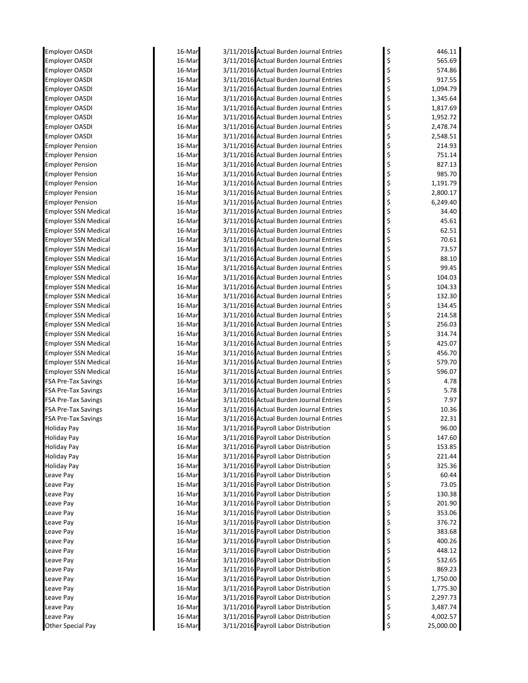| Employer OASDI                                         | 16-Mar           | 3/11/2016 Actual Burden Journal Entries                                            | \$       | 446.11            |
|--------------------------------------------------------|------------------|------------------------------------------------------------------------------------|----------|-------------------|
| <b>Employer OASDI</b>                                  | 16-Mar           | 3/11/2016 Actual Burden Journal Entries                                            | \$       | 565.69            |
| <b>Employer OASDI</b>                                  | 16-Mar           | 3/11/2016 Actual Burden Journal Entries                                            | \$       | 574.86            |
| <b>Employer OASDI</b>                                  | 16-Mar           | 3/11/2016 Actual Burden Journal Entries                                            | \$       | 917.55            |
| <b>Employer OASDI</b>                                  | 16-Mar           | 3/11/2016 Actual Burden Journal Entries                                            | \$       | 1,094.79          |
| <b>Employer OASDI</b>                                  | 16-Mar           | 3/11/2016 Actual Burden Journal Entries                                            |          | 1,345.64          |
| Employer OASDI                                         | 16-Mar           | 3/11/2016 Actual Burden Journal Entries                                            |          | 1,817.69          |
| <b>Employer OASDI</b>                                  | 16-Mar           | 3/11/2016 Actual Burden Journal Entries                                            | \$       | 1,952.72          |
| Employer OASDI                                         | 16-Mar           | 3/11/2016 Actual Burden Journal Entries                                            | \$       | 2,478.74          |
| Employer OASDI                                         | 16-Mar           | 3/11/2016 Actual Burden Journal Entries                                            | \$       | 2,548.51          |
| <b>Employer Pension</b>                                | 16-Mar           | 3/11/2016 Actual Burden Journal Entries                                            | \$       | 214.93            |
| <b>Employer Pension</b>                                | 16-Mar           | 3/11/2016 Actual Burden Journal Entries                                            | \$       | 751.14            |
| <b>Employer Pension</b>                                | 16-Mar           | 3/11/2016 Actual Burden Journal Entries                                            |          | 827.13            |
| <b>Employer Pension</b>                                | 16-Mar           | 3/11/2016 Actual Burden Journal Entries                                            | \$       | 985.70            |
| <b>Employer Pension</b>                                | 16-Mar           | 3/11/2016 Actual Burden Journal Entries                                            | \$       | 1,191.79          |
| <b>Employer Pension</b>                                | 16-Mar           | 3/11/2016 Actual Burden Journal Entries<br>3/11/2016 Actual Burden Journal Entries | \$       | 2,800.17          |
| <b>Employer Pension</b><br><b>Employer SSN Medical</b> | 16-Mar<br>16-Mar | 3/11/2016 Actual Burden Journal Entries                                            | \$       | 6,249.40<br>34.40 |
| <b>Employer SSN Medical</b>                            | 16-Mar           | 3/11/2016 Actual Burden Journal Entries                                            |          | 45.61             |
| <b>Employer SSN Medical</b>                            | 16-Mar           | 3/11/2016 Actual Burden Journal Entries                                            |          | 62.51             |
| <b>Employer SSN Medical</b>                            | 16-Mar           | 3/11/2016 Actual Burden Journal Entries                                            | \$       | 70.61             |
| <b>Employer SSN Medical</b>                            | 16-Mar           | 3/11/2016 Actual Burden Journal Entries                                            | \$       | 73.57             |
| <b>Employer SSN Medical</b>                            | 16-Mar           | 3/11/2016 Actual Burden Journal Entries                                            |          | 88.10             |
| <b>Employer SSN Medical</b>                            | 16-Mar           | 3/11/2016 Actual Burden Journal Entries                                            |          | 99.45             |
| <b>Employer SSN Medical</b>                            | 16-Mar           | 3/11/2016 Actual Burden Journal Entries                                            | \$       | 104.03            |
| <b>Employer SSN Medical</b>                            | 16-Mar           | 3/11/2016 Actual Burden Journal Entries                                            | \$       | 104.33            |
| <b>Employer SSN Medical</b>                            | 16-Mar           | 3/11/2016 Actual Burden Journal Entries                                            | \$       | 132.30            |
| <b>Employer SSN Medical</b>                            | 16-Mar           | 3/11/2016 Actual Burden Journal Entries                                            |          | 134.45            |
| <b>Employer SSN Medical</b>                            | 16-Mar           | 3/11/2016 Actual Burden Journal Entries                                            |          | 214.58            |
| <b>Employer SSN Medical</b>                            | 16-Mar           | 3/11/2016 Actual Burden Journal Entries                                            |          | 256.03            |
| <b>Employer SSN Medical</b>                            | 16-Mar           | 3/11/2016 Actual Burden Journal Entries                                            |          | 314.74            |
| Employer SSN Medical                                   | 16-Mar           | 3/11/2016 Actual Burden Journal Entries                                            | \$       | 425.07            |
| <b>Employer SSN Medical</b>                            | 16-Mar           | 3/11/2016 Actual Burden Journal Entries                                            | \$       | 456.70            |
| <b>Employer SSN Medical</b>                            | 16-Mar           | 3/11/2016 Actual Burden Journal Entries                                            | \$       | 579.70            |
| Employer SSN Medical                                   | 16-Mar           | 3/11/2016 Actual Burden Journal Entries                                            |          | 596.07            |
| <b>FSA Pre-Tax Savings</b>                             | 16-Mar           | 3/11/2016 Actual Burden Journal Entries                                            | \$       | 4.78              |
| FSA Pre-Tax Savings                                    | 16-Mar           | 3/11/2016 Actual Burden Journal Entries                                            | \$       | 5.78              |
| FSA Pre-Tax Savings                                    | 16-Mar           | 3/11/2016 Actual Burden Journal Entries                                            | \$       | 7.97              |
| FSA Pre-Tax Savings                                    | 16-Mar           | 3/11/2016 Actual Burden Journal Entries                                            |          | 10.36             |
| FSA Pre-Tax Savings                                    | 16-Mar           | 3/11/2016 Actual Burden Journal Entries                                            |          | 22.31             |
| Holiday Pay                                            | 16-Mar           | 3/11/2016 Payroll Labor Distribution                                               | \$       | 96.00             |
| <b>Holiday Pay</b>                                     | 16-Mar           | 3/11/2016 Payroll Labor Distribution                                               | \$       | 147.60            |
| Holiday Pay                                            | 16-Mar           | 3/11/2016 Payroll Labor Distribution                                               | \$       | 153.85            |
| Holiday Pay                                            | 16-Mar           | 3/11/2016 Payroll Labor Distribution                                               | \$       | 221.44            |
| Holiday Pay                                            | 16-Mar           | 3/11/2016 Payroll Labor Distribution                                               | \$       | 325.36            |
| Leave Pay                                              | 16-Mar           | 3/11/2016 Payroll Labor Distribution                                               | \$<br>\$ | 60.44             |
| Leave Pay                                              | 16-Mar           | 3/11/2016 Payroll Labor Distribution                                               |          | 73.05             |
| Leave Pay                                              | 16-Mar           | 3/11/2016 Payroll Labor Distribution                                               | \$       | 130.38            |
| Leave Pay                                              | 16-Mar           | 3/11/2016 Payroll Labor Distribution                                               | \$       | 201.90            |
| Leave Pay                                              | 16-Mar           | 3/11/2016 Payroll Labor Distribution                                               | \$<br>\$ | 353.06            |
| Leave Pay                                              | 16-Mar           | 3/11/2016 Payroll Labor Distribution                                               |          | 376.72            |
| Leave Pay                                              | 16-Mar           | 3/11/2016 Payroll Labor Distribution<br>3/11/2016 Payroll Labor Distribution       | \$       | 383.68<br>400.26  |
| Leave Pay<br>Leave Pay                                 | 16-Mar<br>16-Mar | 3/11/2016 Payroll Labor Distribution                                               | \$<br>\$ | 448.12            |
| Leave Pay                                              | 16-Mar           | 3/11/2016 Payroll Labor Distribution                                               | \$       | 532.65            |
| Leave Pay                                              | 16-Mar           | 3/11/2016 Payroll Labor Distribution                                               | \$       | 869.23            |
| Leave Pay                                              | 16-Mar           | 3/11/2016 Payroll Labor Distribution                                               | \$       | 1,750.00          |
| Leave Pay                                              | 16-Mar           | 3/11/2016 Payroll Labor Distribution                                               | \$       | 1,775.30          |
| Leave Pay                                              | 16-Mar           | 3/11/2016 Payroll Labor Distribution                                               | \$       | 2,297.73          |
| Leave Pay                                              | 16-Mar           | 3/11/2016 Payroll Labor Distribution                                               | \$       | 3,487.74          |
| Leave Pay                                              | 16-Mar           | 3/11/2016 Payroll Labor Distribution                                               | \$       | 4,002.57          |
| Other Special Pay                                      | 16-Mar           | 3/11/2016 Payroll Labor Distribution                                               | \$       | 25,000.00         |
|                                                        |                  |                                                                                    |          |                   |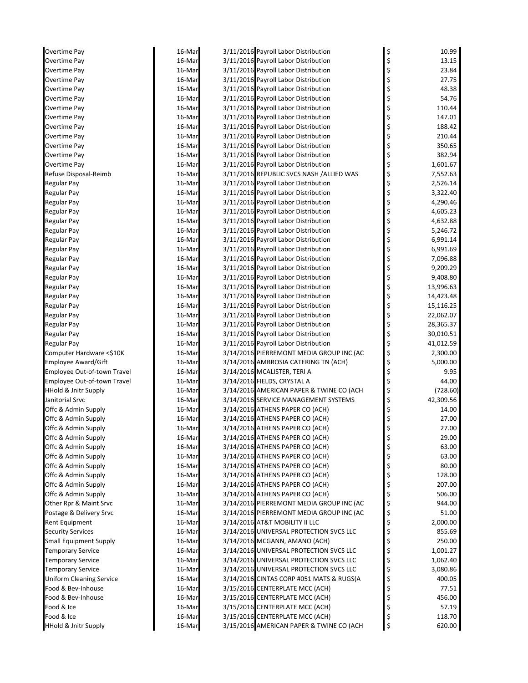| Overtime Pay                    | 16-Mar | 3/11/2016 Payroll Labor Distribution     | \$<br>10.99     |
|---------------------------------|--------|------------------------------------------|-----------------|
| Overtime Pay                    | 16-Mar | 3/11/2016 Payroll Labor Distribution     | \$<br>13.15     |
| Overtime Pay                    | 16-Mar | 3/11/2016 Payroll Labor Distribution     | \$<br>23.84     |
| Overtime Pay                    | 16-Mar | 3/11/2016 Payroll Labor Distribution     | \$<br>27.75     |
| Overtime Pay                    | 16-Mar | 3/11/2016 Payroll Labor Distribution     | \$<br>48.38     |
| Overtime Pay                    | 16-Mar | 3/11/2016 Payroll Labor Distribution     | \$<br>54.76     |
| Overtime Pay                    | 16-Mar | 3/11/2016 Payroll Labor Distribution     | \$<br>110.44    |
| Overtime Pay                    | 16-Mar | 3/11/2016 Payroll Labor Distribution     | \$<br>147.01    |
| Overtime Pay                    | 16-Mar | 3/11/2016 Payroll Labor Distribution     | \$<br>188.42    |
| Overtime Pay                    | 16-Mar | 3/11/2016 Payroll Labor Distribution     | \$<br>210.44    |
| Overtime Pay                    | 16-Mar | 3/11/2016 Payroll Labor Distribution     | \$<br>350.65    |
| Overtime Pay                    | 16-Mar | 3/11/2016 Payroll Labor Distribution     | \$<br>382.94    |
| Overtime Pay                    | 16-Mar | 3/11/2016 Payroll Labor Distribution     | \$<br>1,601.67  |
| Refuse Disposal-Reimb           | 16-Mar | 3/11/2016 REPUBLIC SVCS NASH /ALLIED WAS | \$<br>7,552.63  |
| Regular Pay                     | 16-Mar | 3/11/2016 Payroll Labor Distribution     | \$<br>2,526.14  |
| Regular Pay                     | 16-Mar | 3/11/2016 Payroll Labor Distribution     | \$<br>3,322.40  |
| Regular Pay                     | 16-Mar | 3/11/2016 Payroll Labor Distribution     | \$<br>4,290.46  |
| Regular Pay                     | 16-Mar | 3/11/2016 Payroll Labor Distribution     | \$<br>4,605.23  |
| Regular Pay                     | 16-Mar | 3/11/2016 Payroll Labor Distribution     | \$<br>4,632.88  |
| <b>Regular Pay</b>              | 16-Mar | 3/11/2016 Payroll Labor Distribution     | \$<br>5,246.72  |
| <b>Regular Pay</b>              | 16-Mar | 3/11/2016 Payroll Labor Distribution     | \$<br>6,991.14  |
| Regular Pay                     | 16-Mar | 3/11/2016 Payroll Labor Distribution     | \$<br>6,991.69  |
| Regular Pay                     | 16-Mar | 3/11/2016 Payroll Labor Distribution     | \$<br>7,096.88  |
| <b>Regular Pay</b>              | 16-Mar | 3/11/2016 Payroll Labor Distribution     | \$<br>9,209.29  |
| Regular Pay                     | 16-Mar | 3/11/2016 Payroll Labor Distribution     | \$<br>9,408.80  |
| Regular Pay                     | 16-Mar | 3/11/2016 Payroll Labor Distribution     | \$<br>13,996.63 |
| Regular Pay                     | 16-Mar | 3/11/2016 Payroll Labor Distribution     | \$<br>14,423.48 |
| Regular Pay                     | 16-Mar | 3/11/2016 Payroll Labor Distribution     | \$<br>15,116.25 |
| Regular Pay                     | 16-Mar | 3/11/2016 Payroll Labor Distribution     | \$<br>22,062.07 |
| <b>Regular Pay</b>              | 16-Mar | 3/11/2016 Payroll Labor Distribution     | \$<br>28,365.37 |
| <b>Regular Pay</b>              | 16-Mar | 3/11/2016 Payroll Labor Distribution     | \$<br>30,010.51 |
| Regular Pay                     | 16-Mar | 3/11/2016 Payroll Labor Distribution     | \$<br>41,012.59 |
| Computer Hardware <\$10K        | 16-Mar | 3/14/2016 PIERREMONT MEDIA GROUP INC (AC | \$<br>2,300.00  |
| <b>Employee Award/Gift</b>      | 16-Mar | 3/14/2016 AMBROSIA CATERING TN (ACH)     | \$<br>5,000.00  |
| Employee Out-of-town Travel     | 16-Mar | 3/14/2016 MCALISTER, TERI A              | \$<br>9.95      |
| Employee Out-of-town Travel     | 16-Mar | 3/14/2016 FIELDS, CRYSTAL A              | \$<br>44.00     |
| <b>HHold &amp; Jnitr Supply</b> | 16-Mar | 3/14/2016 AMERICAN PAPER & TWINE CO (ACH | \$<br>(728.60)  |
| Janitorial Srvc                 | 16-Mar | 3/14/2016 SERVICE MANAGEMENT SYSTEMS     | \$<br>42,309.56 |
| Offc & Admin Supply             | 16-Mar | 3/14/2016 ATHENS PAPER CO (ACH)          | \$<br>14.00     |
| Offc & Admin Supply             | 16-Mar | 3/14/2016 ATHENS PAPER CO (ACH)          | 27.00           |
| Offc & Admin Supply             | 16-Mar | 3/14/2016 ATHENS PAPER CO (ACH)          | \$<br>27.00     |
| Offc & Admin Supply             | 16-Mar | 3/14/2016 ATHENS PAPER CO (ACH)          | \$<br>29.00     |
| Offc & Admin Supply             | 16-Mar | 3/14/2016 ATHENS PAPER CO (ACH)          | \$<br>63.00     |
| Offc & Admin Supply             | 16-Mar | 3/14/2016 ATHENS PAPER CO (ACH)          | \$<br>63.00     |
| Offc & Admin Supply             | 16-Mar | 3/14/2016 ATHENS PAPER CO (ACH)          | \$<br>80.00     |
| Offc & Admin Supply             | 16-Mar | 3/14/2016 ATHENS PAPER CO (ACH)          | \$<br>128.00    |
| Offc & Admin Supply             | 16-Mar | 3/14/2016 ATHENS PAPER CO (ACH)          | \$<br>207.00    |
| Offc & Admin Supply             | 16-Mar | 3/14/2016 ATHENS PAPER CO (ACH)          | \$<br>506.00    |
| Other Rpr & Maint Srvc          | 16-Mar | 3/14/2016 PIERREMONT MEDIA GROUP INC (AC | \$<br>944.00    |
| Postage & Delivery Srvc         | 16-Mar | 3/14/2016 PIERREMONT MEDIA GROUP INC (AC | \$<br>51.00     |
| Rent Equipment                  | 16-Mar | 3/14/2016 AT&T MOBILITY II LLC           | \$<br>2,000.00  |
| <b>Security Services</b>        | 16-Mar | 3/14/2016 UNIVERSAL PROTECTION SVCS LLC  | \$<br>855.69    |
| <b>Small Equipment Supply</b>   | 16-Mar | 3/14/2016 MCGANN, AMANO (ACH)            | \$<br>250.00    |
| <b>Temporary Service</b>        | 16-Mar | 3/14/2016 UNIVERSAL PROTECTION SVCS LLC  | \$<br>1,001.27  |
| <b>Temporary Service</b>        | 16-Mar | 3/14/2016 UNIVERSAL PROTECTION SVCS LLC  | \$<br>1,062.40  |
| <b>Temporary Service</b>        | 16-Mar | 3/14/2016 UNIVERSAL PROTECTION SVCS LLC  | \$<br>3,080.86  |
| <b>Uniform Cleaning Service</b> | 16-Mar | 3/14/2016 CINTAS CORP #051 MATS & RUGS(A | \$<br>400.05    |
| Food & Bev-Inhouse              | 16-Mar | 3/15/2016 CENTERPLATE MCC (ACH)          | \$<br>77.51     |
| Food & Bev-Inhouse              | 16-Mar | 3/15/2016 CENTERPLATE MCC (ACH)          | \$<br>456.00    |
| Food & Ice                      | 16-Mar | 3/15/2016 CENTERPLATE MCC (ACH)          | \$<br>57.19     |
| Food & Ice                      | 16-Mar | 3/15/2016 CENTERPLATE MCC (ACH)          | \$<br>118.70    |
| <b>HHold &amp; Jnitr Supply</b> | 16-Mar | 3/15/2016 AMERICAN PAPER & TWINE CO (ACH | \$<br>620.00    |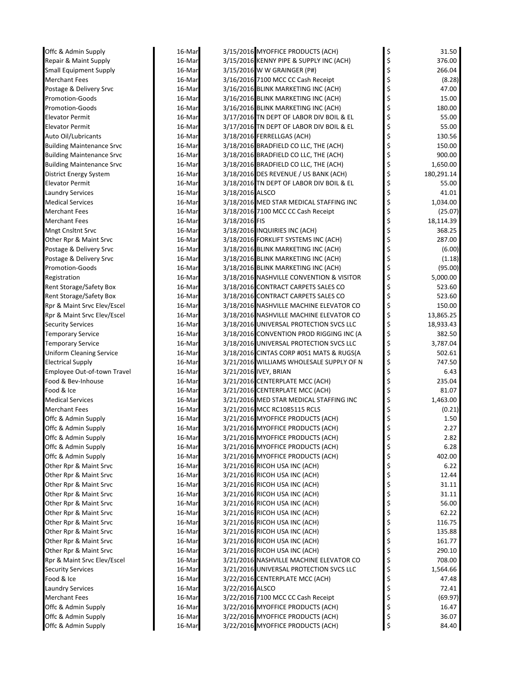| Offc & Admin Supply                              | 16-Mar           |                 | 3/15/2016 MYOFFICE PRODUCTS (ACH)                                              | \$       | 31.50                  |
|--------------------------------------------------|------------------|-----------------|--------------------------------------------------------------------------------|----------|------------------------|
| Repair & Maint Supply                            | 16-Mar           |                 | 3/15/2016 KENNY PIPE & SUPPLY INC (ACH)                                        | \$       | 376.00                 |
| <b>Small Equipment Supply</b>                    | 16-Mar           |                 | 3/15/2016 W W GRAINGER (P#)                                                    | \$       | 266.04                 |
| <b>Merchant Fees</b>                             | 16-Mar           |                 | 3/16/2016 7100 MCC CC Cash Receipt                                             | \$       | (8.28)                 |
| Postage & Delivery Srvc                          | 16-Mar           |                 | 3/16/2016 BLINK MARKETING INC (ACH)                                            | \$       | 47.00                  |
| <b>Promotion-Goods</b>                           | 16-Mar           |                 | 3/16/2016 BLINK MARKETING INC (ACH)                                            | \$       | 15.00                  |
| <b>Promotion-Goods</b>                           | 16-Mar           |                 | 3/16/2016 BLINK MARKETING INC (ACH)                                            |          | 180.00                 |
| <b>Elevator Permit</b>                           | 16-Mar           |                 | 3/17/2016 TN DEPT OF LABOR DIV BOIL & EL                                       | \$       | 55.00                  |
| <b>Elevator Permit</b>                           | 16-Mar           |                 | 3/17/2016 TN DEPT OF LABOR DIV BOIL & EL                                       | \$       | 55.00                  |
| Auto Oil/Lubricants                              | 16-Mar           |                 | 3/18/2016 FERRELLGAS (ACH)                                                     | \$       | 130.56                 |
| <b>Building Maintenance Srvc</b>                 | 16-Mar           |                 | 3/18/2016 BRADFIELD CO LLC, THE (ACH)                                          | \$       | 150.00                 |
| <b>Building Maintenance Srvc</b>                 | 16-Mar           |                 | 3/18/2016 BRADFIELD CO LLC, THE (ACH)<br>3/18/2016 BRADFIELD CO LLC, THE (ACH) | \$<br>\$ | 900.00                 |
| <b>Building Maintenance Srvc</b>                 | 16-Mar<br>16-Mar |                 | 3/18/2016 DES REVENUE / US BANK (ACH)                                          | \$       | 1,650.00<br>180,291.14 |
| District Energy System<br><b>Elevator Permit</b> | 16-Mar           |                 | 3/18/2016 TN DEPT OF LABOR DIV BOIL & EL                                       | \$       | 55.00                  |
| <b>Laundry Services</b>                          | 16-Mar           | 3/18/2016 ALSCO |                                                                                | \$       | 41.01                  |
| <b>Medical Services</b>                          | 16-Mar           |                 | 3/18/2016 MED STAR MEDICAL STAFFING INC                                        | \$       | 1,034.00               |
| <b>Merchant Fees</b>                             | 16-Mar           |                 | 3/18/2016 7100 MCC CC Cash Receipt                                             |          | (25.07)                |
| <b>Merchant Fees</b>                             | 16-Mar           | 3/18/2016 FIS   |                                                                                | \$       | 18,114.39              |
| Mngt Cnsltnt Srvc                                | 16-Mar           |                 | 3/18/2016 INQUIRIES INC (ACH)                                                  | \$       | 368.25                 |
| Other Rpr & Maint Srvc                           | 16-Mar           |                 | 3/18/2016 FORKLIFT SYSTEMS INC (ACH)                                           | \$       | 287.00                 |
| Postage & Delivery Srvc                          | 16-Mar           |                 | 3/18/2016 BLINK MARKETING INC (ACH)                                            | \$       | (6.00)                 |
| Postage & Delivery Srvc                          | 16-Mar           |                 | 3/18/2016 BLINK MARKETING INC (ACH)                                            | \$       | (1.18)                 |
| Promotion-Goods                                  | 16-Mar           |                 | 3/18/2016 BLINK MARKETING INC (ACH)                                            | \$       | (95.00)                |
| Registration                                     | 16-Mar           |                 | 3/18/2016 NASHVILLE CONVENTION & VISITOR                                       | \$       | 5,000.00               |
| Rent Storage/Safety Box                          | 16-Mar           |                 | 3/18/2016 CONTRACT CARPETS SALES CO                                            | \$       | 523.60                 |
| Rent Storage/Safety Box                          | 16-Mar           |                 | 3/18/2016 CONTRACT CARPETS SALES CO                                            | \$       | 523.60                 |
| Rpr & Maint Srvc Elev/Escel                      | 16-Mar           |                 | 3/18/2016 NASHVILLE MACHINE ELEVATOR CO                                        | \$       | 150.00                 |
| Rpr & Maint Srvc Elev/Escel                      | 16-Mar           |                 | 3/18/2016 NASHVILLE MACHINE ELEVATOR CO                                        | \$       | 13,865.25              |
| <b>Security Services</b>                         | 16-Mar           |                 | 3/18/2016 UNIVERSAL PROTECTION SVCS LLC                                        | \$       | 18,933.43              |
| Temporary Service                                | 16-Mar           |                 | 3/18/2016 CONVENTION PROD RIGGING INC (A                                       | \$       | 382.50                 |
| <b>Temporary Service</b>                         | 16-Mar           |                 | 3/18/2016 UNIVERSAL PROTECTION SVCS LLC                                        | \$       | 3,787.04               |
| <b>Uniform Cleaning Service</b>                  | 16-Mar           |                 | 3/18/2016 CINTAS CORP #051 MATS & RUGS(A                                       | \$       | 502.61                 |
| <b>Electrical Supply</b>                         | 16-Mar           |                 | 3/21/2016 WILLIAMS WHOLESALE SUPPLY OF N                                       | \$       | 747.50                 |
| Employee Out-of-town Travel                      | 16-Mar           |                 | 3/21/2016 IVEY, BRIAN                                                          | \$       | 6.43                   |
| Food & Bev-Inhouse                               | 16-Mar           |                 | 3/21/2016 CENTERPLATE MCC (ACH)                                                | \$       | 235.04                 |
| Food & Ice                                       | 16-Mar           |                 | 3/21/2016 CENTERPLATE MCC (ACH)                                                | \$       | 81.07                  |
| <b>Medical Services</b>                          | 16-Mar           |                 | 3/21/2016 MED STAR MEDICAL STAFFING INC                                        | \$       | 1,463.00               |
| <b>Merchant Fees</b>                             | 16-Mar           |                 | 3/21/2016 MCC RC1085115 RCLS                                                   |          | (0.21)                 |
| Offc & Admin Supply                              | 16-Mar           |                 | 3/21/2016 MYOFFICE PRODUCTS (ACH)                                              |          | 1.50                   |
| Offc & Admin Supply                              | 16-Mar           |                 | 3/21/2016 MYOFFICE PRODUCTS (ACH)                                              | \$       | 2.27                   |
| Offc & Admin Supply                              | 16-Mar           |                 | 3/21/2016 MYOFFICE PRODUCTS (ACH)                                              | Ş        | 2.82                   |
| Offc & Admin Supply                              | 16-Mar           |                 | 3/21/2016 MYOFFICE PRODUCTS (ACH)                                              | \$       | 6.28                   |
| Offc & Admin Supply                              | 16-Mar           |                 | 3/21/2016 MYOFFICE PRODUCTS (ACH)                                              | \$       | 402.00                 |
| Other Rpr & Maint Srvc                           | 16-Mar           |                 | 3/21/2016 RICOH USA INC (ACH)                                                  | \$       | 6.22                   |
| Other Rpr & Maint Srvc                           | 16-Mar           |                 | 3/21/2016 RICOH USA INC (ACH)                                                  | \$       | 12.44                  |
| Other Rpr & Maint Srvc                           | 16-Mar           |                 | 3/21/2016 RICOH USA INC (ACH)<br>3/21/2016 RICOH USA INC (ACH)                 | \$<br>\$ | 31.11<br>31.11         |
| Other Rpr & Maint Srvc                           | 16-Mar<br>16-Mar |                 | 3/21/2016 RICOH USA INC (ACH)                                                  | \$       | 56.00                  |
| Other Rpr & Maint Srvc<br>Other Rpr & Maint Srvc | 16-Mar           |                 | 3/21/2016 RICOH USA INC (ACH)                                                  | \$       | 62.22                  |
| Other Rpr & Maint Srvc                           | 16-Mar           |                 | 3/21/2016 RICOH USA INC (ACH)                                                  | \$       | 116.75                 |
| Other Rpr & Maint Srvc                           | 16-Mar           |                 | 3/21/2016 RICOH USA INC (ACH)                                                  | \$       | 135.88                 |
| Other Rpr & Maint Srvc                           | 16-Mar           |                 | 3/21/2016 RICOH USA INC (ACH)                                                  | \$       | 161.77                 |
| Other Rpr & Maint Srvc                           | 16-Mar           |                 | 3/21/2016 RICOH USA INC (ACH)                                                  | \$       | 290.10                 |
| Rpr & Maint Srvc Elev/Escel                      | 16-Mar           |                 | 3/21/2016 NASHVILLE MACHINE ELEVATOR CO                                        | \$       | 708.00                 |
| <b>Security Services</b>                         | 16-Mar           |                 | 3/21/2016 UNIVERSAL PROTECTION SVCS LLC                                        | \$       | 1,564.66               |
| Food & Ice                                       | 16-Mar           |                 | 3/22/2016 CENTERPLATE MCC (ACH)                                                | \$       | 47.48                  |
| Laundry Services                                 | 16-Mar           | 3/22/2016 ALSCO |                                                                                | \$       | 72.41                  |
| Merchant Fees                                    | 16-Mar           |                 | 3/22/2016 7100 MCC CC Cash Receipt                                             | \$       | (69.97)                |
| Offc & Admin Supply                              | 16-Mar           |                 | 3/22/2016 MYOFFICE PRODUCTS (ACH)                                              | \$       | 16.47                  |
| Offc & Admin Supply                              | 16-Mar           |                 | 3/22/2016 MYOFFICE PRODUCTS (ACH)                                              | \$       | 36.07                  |
| Offc & Admin Supply                              | 16-Mar           |                 | 3/22/2016 MYOFFICE PRODUCTS (ACH)                                              | \$       | 84.40                  |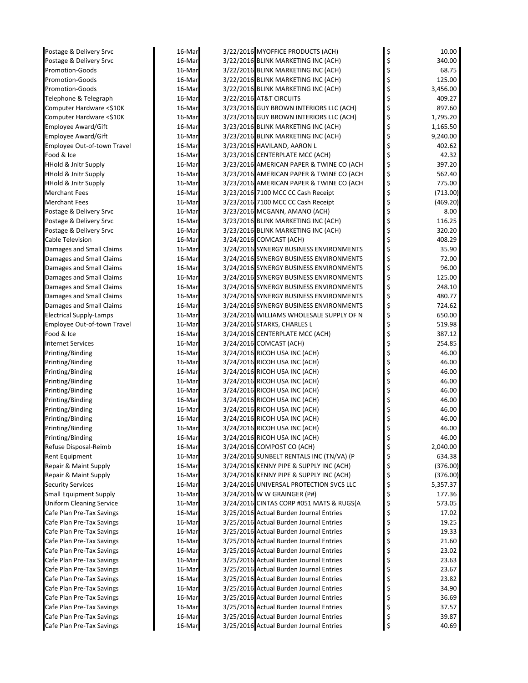| Postage & Delivery Srvc         | 16-Mar | 3/22/2016 MYOFFICE PRODUCTS (ACH)        | \$ | 10.00    |
|---------------------------------|--------|------------------------------------------|----|----------|
| Postage & Delivery Srvc         | 16-Mar | 3/22/2016 BLINK MARKETING INC (ACH)      | \$ | 340.00   |
| <b>Promotion-Goods</b>          | 16-Mar | 3/22/2016 BLINK MARKETING INC (ACH)      | \$ | 68.75    |
| <b>Promotion-Goods</b>          | 16-Mar | 3/22/2016 BLINK MARKETING INC (ACH)      | Ś  | 125.00   |
| <b>Promotion-Goods</b>          | 16-Mar | 3/22/2016 BLINK MARKETING INC (ACH)      | \$ | 3,456.00 |
| Telephone & Telegraph           | 16-Mar | 3/22/2016 AT&T CIRCUITS                  |    | 409.27   |
| Computer Hardware <\$10K        | 16-Mar | 3/23/2016 GUY BROWN INTERIORS LLC (ACH)  |    | 897.60   |
| Computer Hardware <\$10K        | 16-Mar | 3/23/2016 GUY BROWN INTERIORS LLC (ACH)  |    | 1,795.20 |
| Employee Award/Gift             | 16-Mar | 3/23/2016 BLINK MARKETING INC (ACH)      |    | 1,165.50 |
| Employee Award/Gift             | 16-Mar | 3/23/2016 BLINK MARKETING INC (ACH)      | Ś  | 9,240.00 |
| Employee Out-of-town Travel     | 16-Mar | 3/23/2016 HAVILAND, AARON L              | \$ | 402.62   |
| Food & Ice                      | 16-Mar | 3/23/2016 CENTERPLATE MCC (ACH)          |    | 42.32    |
| <b>HHold &amp; Jnitr Supply</b> | 16-Mar | 3/23/2016 AMERICAN PAPER & TWINE CO (ACH |    | 397.20   |
| <b>HHold &amp; Jnitr Supply</b> | 16-Mar | 3/23/2016 AMERICAN PAPER & TWINE CO (ACH | \$ | 562.40   |
| <b>HHold &amp; Jnitr Supply</b> | 16-Mar | 3/23/2016 AMERICAN PAPER & TWINE CO (ACH | \$ | 775.00   |
| Merchant Fees                   | 16-Mar | 3/23/2016 7100 MCC CC Cash Receipt       | \$ | (713.00) |
| <b>Merchant Fees</b>            | 16-Mar | 3/23/2016 7100 MCC CC Cash Receipt       | \$ | (469.20) |
| Postage & Delivery Srvc         | 16-Mar | 3/23/2016 MCGANN, AMANO (ACH)            |    | 8.00     |
| Postage & Delivery Srvc         | 16-Mar | 3/23/2016 BLINK MARKETING INC (ACH)      |    | 116.25   |
| Postage & Delivery Srvc         | 16-Mar | 3/23/2016 BLINK MARKETING INC (ACH)      |    | 320.20   |
| Cable Television                | 16-Mar | 3/24/2016 COMCAST (ACH)                  |    | 408.29   |
| Damages and Small Claims        | 16-Mar | 3/24/2016 SYNERGY BUSINESS ENVIRONMENTS  | \$ | 35.90    |
| Damages and Small Claims        | 16-Mar | 3/24/2016 SYNERGY BUSINESS ENVIRONMENTS  |    | 72.00    |
| Damages and Small Claims        | 16-Mar | 3/24/2016 SYNERGY BUSINESS ENVIRONMENTS  |    | 96.00    |
| Damages and Small Claims        | 16-Mar | 3/24/2016 SYNERGY BUSINESS ENVIRONMENTS  | \$ | 125.00   |
| Damages and Small Claims        | 16-Mar | 3/24/2016 SYNERGY BUSINESS ENVIRONMENTS  | \$ | 248.10   |
| Damages and Small Claims        | 16-Mar | 3/24/2016 SYNERGY BUSINESS ENVIRONMENTS  | \$ | 480.77   |
| Damages and Small Claims        | 16-Mar | 3/24/2016 SYNERGY BUSINESS ENVIRONMENTS  | \$ | 724.62   |
| <b>Electrical Supply-Lamps</b>  | 16-Mar | 3/24/2016 WILLIAMS WHOLESALE SUPPLY OF N |    | 650.00   |
| Employee Out-of-town Travel     | 16-Mar | 3/24/2016 STARKS, CHARLES L              |    | 519.98   |
| Food & Ice                      | 16-Mar | 3/24/2016 CENTERPLATE MCC (ACH)          |    | 387.12   |
| <b>Internet Services</b>        | 16-Mar | 3/24/2016 COMCAST (ACH)                  |    | 254.85   |
| Printing/Binding                | 16-Mar | 3/24/2016 RICOH USA INC (ACH)            | \$ | 46.00    |
| Printing/Binding                | 16-Mar | 3/24/2016 RICOH USA INC (ACH)            |    | 46.00    |
| Printing/Binding                | 16-Mar | 3/24/2016 RICOH USA INC (ACH)            |    | 46.00    |
| Printing/Binding                | 16-Mar | 3/24/2016 RICOH USA INC (ACH)            |    | 46.00    |
| Printing/Binding                | 16-Mar | 3/24/2016 RICOH USA INC (ACH)            |    | 46.00    |
| Printing/Binding                | 16-Mar | 3/24/2016 RICOH USA INC (ACH)            |    | 46.00    |
| Printing/Binding                | 16-Mar | 3/24/2016 RICOH USA INC (ACH)            |    | 46.00    |
| Printing/Binding                | 16-Mar | 3/24/2016 RICOH USA INC (ACH)            |    | 46.00    |
| Printing/Binding                | 16-Mar | 3/24/2016 RICOH USA INC (ACH)            |    | 46.00    |
| Printing/Binding                | 16-Mar | 3/24/2016 RICOH USA INC (ACH)            | \$ | 46.00    |
| Refuse Disposal-Reimb           | 16-Mar | 3/24/2016 COMPOST CO (ACH)               | \$ | 2,040.00 |
| Rent Equipment                  | 16-Mar | 3/24/2016 SUNBELT RENTALS INC (TN/VA) (P | \$ | 634.38   |
| Repair & Maint Supply           | 16-Mar | 3/24/2016 KENNY PIPE & SUPPLY INC (ACH)  | \$ | (376.00) |
| Repair & Maint Supply           | 16-Mar | 3/24/2016 KENNY PIPE & SUPPLY INC (ACH)  | \$ | (376.00) |
| <b>Security Services</b>        | 16-Mar | 3/24/2016 UNIVERSAL PROTECTION SVCS LLC  | \$ | 5,357.37 |
| Small Equipment Supply          | 16-Mar | 3/24/2016 W W GRAINGER (P#)              | \$ | 177.36   |
| <b>Uniform Cleaning Service</b> | 16-Mar | 3/24/2016 CINTAS CORP #051 MATS & RUGS(A | \$ | 573.05   |
| Cafe Plan Pre-Tax Savings       | 16-Mar | 3/25/2016 Actual Burden Journal Entries  | \$ | 17.02    |
| Cafe Plan Pre-Tax Savings       | 16-Mar | 3/25/2016 Actual Burden Journal Entries  |    | 19.25    |
| Cafe Plan Pre-Tax Savings       | 16-Mar | 3/25/2016 Actual Burden Journal Entries  |    | 19.33    |
| Cafe Plan Pre-Tax Savings       | 16-Mar | 3/25/2016 Actual Burden Journal Entries  |    | 21.60    |
| Cafe Plan Pre-Tax Savings       | 16-Mar | 3/25/2016 Actual Burden Journal Entries  |    | 23.02    |
| Cafe Plan Pre-Tax Savings       | 16-Mar | 3/25/2016 Actual Burden Journal Entries  |    | 23.63    |
| Cafe Plan Pre-Tax Savings       | 16-Mar | 3/25/2016 Actual Burden Journal Entries  | \$ | 23.67    |
| Cafe Plan Pre-Tax Savings       | 16-Mar | 3/25/2016 Actual Burden Journal Entries  |    | 23.82    |
| Cafe Plan Pre-Tax Savings       | 16-Mar | 3/25/2016 Actual Burden Journal Entries  |    | 34.90    |
| Cafe Plan Pre-Tax Savings       | 16-Mar | 3/25/2016 Actual Burden Journal Entries  |    | 36.69    |
| Cafe Plan Pre-Tax Savings       | 16-Mar | 3/25/2016 Actual Burden Journal Entries  | \$ | 37.57    |
| Cafe Plan Pre-Tax Savings       | 16-Mar | 3/25/2016 Actual Burden Journal Entries  | Ş  | 39.87    |
| Cafe Plan Pre-Tax Savings       | 16-Mar | 3/25/2016 Actual Burden Journal Entries  |    | 40.69    |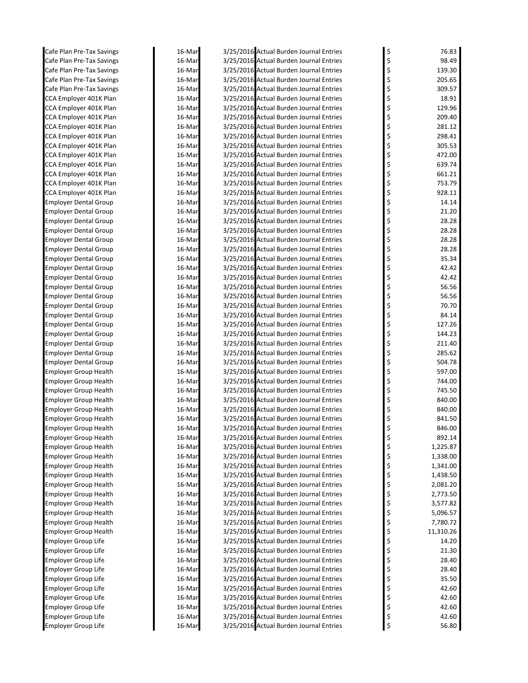| Cafe Plan Pre-Tax Savings    | 16-Mar | 3/25/2016 Actual Burden Journal Entries | \$       | 76.83     |
|------------------------------|--------|-----------------------------------------|----------|-----------|
| Cafe Plan Pre-Tax Savings    | 16-Mar | 3/25/2016 Actual Burden Journal Entries | \$       | 98.49     |
| Cafe Plan Pre-Tax Savings    | 16-Mar | 3/25/2016 Actual Burden Journal Entries | \$       | 139.30    |
| Cafe Plan Pre-Tax Savings    | 16-Mar | 3/25/2016 Actual Burden Journal Entries | \$       | 205.65    |
| Cafe Plan Pre-Tax Savings    | 16-Mar | 3/25/2016 Actual Burden Journal Entries | \$       | 309.57    |
| CCA Employer 401K Plan       | 16-Mar | 3/25/2016 Actual Burden Journal Entries | \$       | 18.91     |
| CCA Employer 401K Plan       | 16-Mar | 3/25/2016 Actual Burden Journal Entries | \$       | 129.96    |
| CCA Employer 401K Plan       | 16-Mar | 3/25/2016 Actual Burden Journal Entries | \$       | 209.40    |
| CCA Employer 401K Plan       | 16-Mar | 3/25/2016 Actual Burden Journal Entries | \$       | 281.12    |
| CCA Employer 401K Plan       | 16-Mar | 3/25/2016 Actual Burden Journal Entries | \$       | 298.41    |
| CCA Employer 401K Plan       | 16-Mar | 3/25/2016 Actual Burden Journal Entries | \$       | 305.53    |
| CCA Employer 401K Plan       | 16-Mar | 3/25/2016 Actual Burden Journal Entries | \$       | 472.00    |
| CCA Employer 401K Plan       | 16-Mar | 3/25/2016 Actual Burden Journal Entries | \$       | 639.74    |
| CCA Employer 401K Plan       | 16-Mar | 3/25/2016 Actual Burden Journal Entries | \$       | 661.21    |
| CCA Employer 401K Plan       | 16-Mar | 3/25/2016 Actual Burden Journal Entries | \$       | 753.79    |
| CCA Employer 401K Plan       | 16-Mar | 3/25/2016 Actual Burden Journal Entries | \$       | 928.11    |
| Employer Dental Group        | 16-Mar | 3/25/2016 Actual Burden Journal Entries | \$       | 14.14     |
| Employer Dental Group        | 16-Mar | 3/25/2016 Actual Burden Journal Entries | \$       | 21.20     |
| <b>Employer Dental Group</b> | 16-Mar | 3/25/2016 Actual Burden Journal Entries | \$       | 28.28     |
| <b>Employer Dental Group</b> | 16-Mar | 3/25/2016 Actual Burden Journal Entries | \$       | 28.28     |
| <b>Employer Dental Group</b> | 16-Mar | 3/25/2016 Actual Burden Journal Entries | \$       | 28.28     |
| <b>Employer Dental Group</b> | 16-Mar | 3/25/2016 Actual Burden Journal Entries | \$       | 28.28     |
| <b>Employer Dental Group</b> | 16-Mar | 3/25/2016 Actual Burden Journal Entries | \$       | 35.34     |
| <b>Employer Dental Group</b> | 16-Mar | 3/25/2016 Actual Burden Journal Entries | \$       | 42.42     |
| Employer Dental Group        | 16-Mar | 3/25/2016 Actual Burden Journal Entries | \$       | 42.42     |
| <b>Employer Dental Group</b> | 16-Mar | 3/25/2016 Actual Burden Journal Entries | \$       | 56.56     |
| <b>Employer Dental Group</b> | 16-Mar | 3/25/2016 Actual Burden Journal Entries | \$       | 56.56     |
| <b>Employer Dental Group</b> | 16-Mar | 3/25/2016 Actual Burden Journal Entries | \$       | 70.70     |
| <b>Employer Dental Group</b> | 16-Mar | 3/25/2016 Actual Burden Journal Entries | \$       | 84.14     |
| <b>Employer Dental Group</b> | 16-Mar | 3/25/2016 Actual Burden Journal Entries | \$       | 127.26    |
| Employer Dental Group        | 16-Mar | 3/25/2016 Actual Burden Journal Entries | \$       | 144.23    |
| Employer Dental Group        | 16-Mar | 3/25/2016 Actual Burden Journal Entries | \$       | 211.40    |
| <b>Employer Dental Group</b> | 16-Mar | 3/25/2016 Actual Burden Journal Entries | \$       | 285.62    |
| <b>Employer Dental Group</b> | 16-Mar | 3/25/2016 Actual Burden Journal Entries | \$       | 504.78    |
| Employer Group Health        | 16-Mar | 3/25/2016 Actual Burden Journal Entries | \$       | 597.00    |
| <b>Employer Group Health</b> | 16-Mar | 3/25/2016 Actual Burden Journal Entries | \$       | 744.00    |
| <b>Employer Group Health</b> | 16-Mar | 3/25/2016 Actual Burden Journal Entries | \$       | 745.50    |
| <b>Employer Group Health</b> | 16-Mar | 3/25/2016 Actual Burden Journal Entries | \$       | 840.00    |
| <b>Employer Group Health</b> | 16-Mar | 3/25/2016 Actual Burden Journal Entries | \$       | 840.00    |
| <b>Employer Group Health</b> | 16-Mar | 3/25/2016 Actual Burden Journal Entries | \$       | 841.50    |
| <b>Employer Group Health</b> | 16-Mar | 3/25/2016 Actual Burden Journal Entries | \$       | 846.00    |
| Employer Group Health        | 16-Mar | 3/25/2016 Actual Burden Journal Entries | Ş        | 892.14    |
| <b>Employer Group Health</b> | 16-Mar | 3/25/2016 Actual Burden Journal Entries | \$       | 1,225.87  |
| <b>Employer Group Health</b> | 16-Mar | 3/25/2016 Actual Burden Journal Entries | \$       | 1,338.00  |
| <b>Employer Group Health</b> | 16-Mar | 3/25/2016 Actual Burden Journal Entries | \$       | 1,341.00  |
| <b>Employer Group Health</b> | 16-Mar | 3/25/2016 Actual Burden Journal Entries | \$       | 1,438.50  |
| <b>Employer Group Health</b> | 16-Mar | 3/25/2016 Actual Burden Journal Entries | \$       | 2,081.20  |
| <b>Employer Group Health</b> | 16-Mar | 3/25/2016 Actual Burden Journal Entries | \$       | 2,773.50  |
| <b>Employer Group Health</b> | 16-Mar | 3/25/2016 Actual Burden Journal Entries | \$       | 3,577.82  |
| <b>Employer Group Health</b> | 16-Mar | 3/25/2016 Actual Burden Journal Entries | \$<br>\$ | 5,096.57  |
| <b>Employer Group Health</b> | 16-Mar | 3/25/2016 Actual Burden Journal Entries |          | 7,780.72  |
| <b>Employer Group Health</b> | 16-Mar | 3/25/2016 Actual Burden Journal Entries | \$       | 11,310.26 |
| <b>Employer Group Life</b>   | 16-Mar | 3/25/2016 Actual Burden Journal Entries | \$       | 14.20     |
| <b>Employer Group Life</b>   | 16-Mar | 3/25/2016 Actual Burden Journal Entries | \$       | 21.30     |
| <b>Employer Group Life</b>   | 16-Mar | 3/25/2016 Actual Burden Journal Entries | \$       | 28.40     |
| <b>Employer Group Life</b>   | 16-Mar | 3/25/2016 Actual Burden Journal Entries | \$       | 28.40     |
| <b>Employer Group Life</b>   | 16-Mar | 3/25/2016 Actual Burden Journal Entries | \$       | 35.50     |
| <b>Employer Group Life</b>   | 16-Mar | 3/25/2016 Actual Burden Journal Entries | \$       | 42.60     |
| <b>Employer Group Life</b>   | 16-Mar | 3/25/2016 Actual Burden Journal Entries | \$       | 42.60     |
| <b>Employer Group Life</b>   | 16-Mar | 3/25/2016 Actual Burden Journal Entries | \$       | 42.60     |
| <b>Employer Group Life</b>   | 16-Mar | 3/25/2016 Actual Burden Journal Entries | \$       | 42.60     |
| Employer Group Life          | 16-Mar | 3/25/2016 Actual Burden Journal Entries | \$       | 56.80     |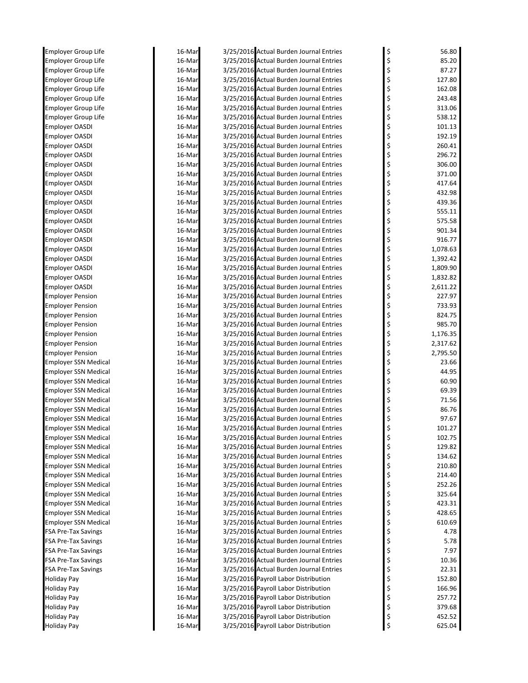| <b>Employer Group Life</b>                          | 16-Mar           | 3/25/2016 Actual Burden Journal Entries                                            | 56.80                  |
|-----------------------------------------------------|------------------|------------------------------------------------------------------------------------|------------------------|
| <b>Employer Group Life</b>                          | 16-Mar           | 3/25/2016 Actual Burden Journal Entries                                            | \$<br>85.20            |
| Employer Group Life                                 | 16-Mar           | 3/25/2016 Actual Burden Journal Entries                                            | \$<br>87.27            |
| Employer Group Life                                 | 16-Mar           | 3/25/2016 Actual Burden Journal Entries                                            | \$<br>127.80           |
| <b>Employer Group Life</b>                          | 16-Mar           | 3/25/2016 Actual Burden Journal Entries                                            | \$<br>162.08           |
| <b>Employer Group Life</b>                          | 16-Mar           | 3/25/2016 Actual Burden Journal Entries                                            | \$<br>243.48           |
| Employer Group Life                                 | 16-Mar           | 3/25/2016 Actual Burden Journal Entries                                            | \$<br>313.06           |
| <b>Employer Group Life</b>                          | 16-Mar           | 3/25/2016 Actual Burden Journal Entries                                            | \$<br>538.12           |
| Employer OASDI                                      | 16-Mar           | 3/25/2016 Actual Burden Journal Entries                                            | \$<br>101.13           |
| Employer OASDI                                      | 16-Mar           | 3/25/2016 Actual Burden Journal Entries                                            | \$<br>192.19           |
| <b>Employer OASDI</b>                               | 16-Mar           | 3/25/2016 Actual Burden Journal Entries                                            | \$<br>260.41           |
| <b>Employer OASDI</b>                               | 16-Mar           | 3/25/2016 Actual Burden Journal Entries                                            | \$<br>296.72           |
| <b>Employer OASDI</b>                               | 16-Mar           | 3/25/2016 Actual Burden Journal Entries                                            | \$<br>306.00           |
| <b>Employer OASDI</b>                               | 16-Mar           | 3/25/2016 Actual Burden Journal Entries                                            | \$<br>371.00           |
| <b>Employer OASDI</b>                               | 16-Mar           | 3/25/2016 Actual Burden Journal Entries                                            | \$<br>417.64           |
| <b>Employer OASDI</b>                               | 16-Mar           | 3/25/2016 Actual Burden Journal Entries<br>3/25/2016 Actual Burden Journal Entries | \$<br>432.98<br>439.36 |
| Employer OASDI<br><b>Employer OASDI</b>             | 16-Mar<br>16-Mar | 3/25/2016 Actual Burden Journal Entries                                            | 555.11                 |
| <b>Employer OASDI</b>                               | 16-Mar           | 3/25/2016 Actual Burden Journal Entries                                            | \$<br>575.58           |
| <b>Employer OASDI</b>                               | 16-Mar           | 3/25/2016 Actual Burden Journal Entries                                            | \$<br>901.34           |
| <b>Employer OASDI</b>                               | 16-Mar           | 3/25/2016 Actual Burden Journal Entries                                            | \$<br>916.77           |
| <b>Employer OASDI</b>                               | 16-Mar           | 3/25/2016 Actual Burden Journal Entries                                            | \$<br>1,078.63         |
| <b>Employer OASDI</b>                               | 16-Mar           | 3/25/2016 Actual Burden Journal Entries                                            | \$<br>1,392.42         |
| <b>Employer OASDI</b>                               | 16-Mar           | 3/25/2016 Actual Burden Journal Entries                                            | \$<br>1,809.90         |
| <b>Employer OASDI</b>                               | 16-Mar           | 3/25/2016 Actual Burden Journal Entries                                            | \$<br>1,832.82         |
| Employer OASDI                                      | 16-Mar           | 3/25/2016 Actual Burden Journal Entries                                            | \$<br>2,611.22         |
| <b>Employer Pension</b>                             | 16-Mar           | 3/25/2016 Actual Burden Journal Entries                                            | \$<br>227.97           |
| <b>Employer Pension</b>                             | 16-Mar           | 3/25/2016 Actual Burden Journal Entries                                            | \$<br>733.93           |
| <b>Employer Pension</b>                             | 16-Mar           | 3/25/2016 Actual Burden Journal Entries                                            | 824.75                 |
| <b>Employer Pension</b>                             | 16-Mar           | 3/25/2016 Actual Burden Journal Entries                                            | 985.70<br>\$           |
| <b>Employer Pension</b>                             | 16-Mar           | 3/25/2016 Actual Burden Journal Entries                                            | \$<br>1,176.35         |
| <b>Employer Pension</b>                             | 16-Mar           | 3/25/2016 Actual Burden Journal Entries                                            | \$<br>2,317.62         |
| <b>Employer Pension</b>                             | 16-Mar           | 3/25/2016 Actual Burden Journal Entries                                            | \$<br>2,795.50         |
| Employer SSN Medical                                | 16-Mar           | 3/25/2016 Actual Burden Journal Entries                                            | \$<br>23.66            |
| Employer SSN Medical                                | 16-Mar           | 3/25/2016 Actual Burden Journal Entries                                            | \$<br>44.95            |
| <b>Employer SSN Medical</b>                         | 16-Mar           | 3/25/2016 Actual Burden Journal Entries                                            | \$<br>60.90            |
| <b>Employer SSN Medical</b>                         | 16-Mar           | 3/25/2016 Actual Burden Journal Entries                                            | \$<br>69.39            |
| <b>Employer SSN Medical</b>                         | 16-Mar           | 3/25/2016 Actual Burden Journal Entries                                            | \$<br>71.56            |
| <b>Employer SSN Medical</b>                         | 16-Mar           | 3/25/2016 Actual Burden Journal Entries                                            | 86.76                  |
| <b>Employer SSN Medical</b>                         | 16-Mar           | 3/25/2016 Actual Burden Journal Entries                                            | 97.67                  |
| <b>Employer SSN Medical</b>                         | 16-Mar           | 3/25/2016 Actual Burden Journal Entries                                            | \$<br>101.27           |
| <b>Employer SSN Medical</b>                         | 16-Mar           | 3/25/2016 Actual Burden Journal Entries                                            | \$<br>102.75           |
| Employer SSN Medical<br><b>Employer SSN Medical</b> | 16-Mar           | 3/25/2016 Actual Burden Journal Entries<br>3/25/2016 Actual Burden Journal Entries | \$<br>129.82<br>134.62 |
| <b>Employer SSN Medical</b>                         | 16-Mar<br>16-Mar | 3/25/2016 Actual Burden Journal Entries                                            | \$<br>\$<br>210.80     |
| <b>Employer SSN Medical</b>                         | 16-Mar           | 3/25/2016 Actual Burden Journal Entries                                            | \$<br>214.40           |
| <b>Employer SSN Medical</b>                         | 16-Mar           | 3/25/2016 Actual Burden Journal Entries                                            | \$<br>252.26           |
| Employer SSN Medical                                | 16-Mar           | 3/25/2016 Actual Burden Journal Entries                                            | \$<br>325.64           |
| Employer SSN Medical                                | 16-Mar           | 3/25/2016 Actual Burden Journal Entries                                            | \$<br>423.31           |
| Employer SSN Medical                                | 16-Mar           | 3/25/2016 Actual Burden Journal Entries                                            | \$<br>428.65           |
| Employer SSN Medical                                | 16-Mar           | 3/25/2016 Actual Burden Journal Entries                                            | \$<br>610.69           |
| <b>FSA Pre-Tax Savings</b>                          | 16-Mar           | 3/25/2016 Actual Burden Journal Entries                                            | \$<br>4.78             |
| <b>FSA Pre-Tax Savings</b>                          | 16-Mar           | 3/25/2016 Actual Burden Journal Entries                                            | \$<br>5.78             |
| <b>FSA Pre-Tax Savings</b>                          | 16-Mar           | 3/25/2016 Actual Burden Journal Entries                                            | \$<br>7.97             |
| <b>FSA Pre-Tax Savings</b>                          | 16-Mar           | 3/25/2016 Actual Burden Journal Entries                                            | \$<br>10.36            |
| <b>FSA Pre-Tax Savings</b>                          | 16-Mar           | 3/25/2016 Actual Burden Journal Entries                                            | \$<br>22.31            |
| Holiday Pay                                         | 16-Mar           | 3/25/2016 Payroll Labor Distribution                                               | \$<br>152.80           |
| Holiday Pay                                         | 16-Mar           | 3/25/2016 Payroll Labor Distribution                                               | \$<br>166.96           |
| Holiday Pay                                         | 16-Mar           | 3/25/2016 Payroll Labor Distribution                                               | \$<br>257.72           |
| Holiday Pay                                         | 16-Mar           | 3/25/2016 Payroll Labor Distribution                                               | \$<br>379.68           |
| <b>Holiday Pay</b>                                  | 16-Mar           | 3/25/2016 Payroll Labor Distribution                                               | \$<br>452.52           |
| Holiday Pay                                         | 16-Mar           | 3/25/2016 Payroll Labor Distribution                                               | \$<br>625.04           |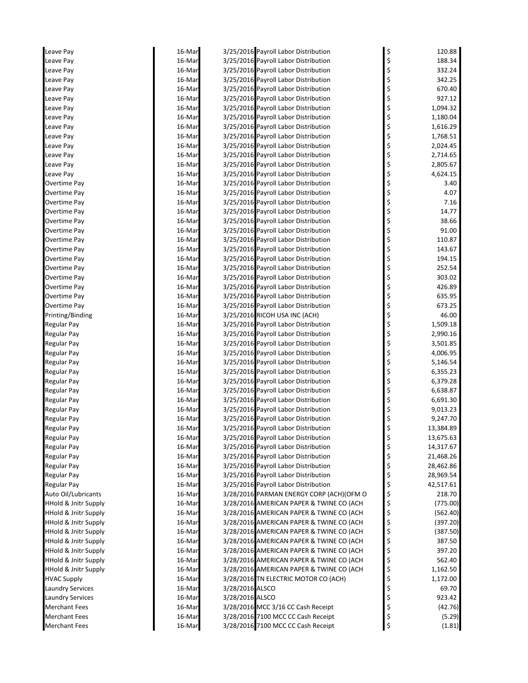| Leave Pay                       | 16-Mar |                 | 3/25/2016 Payroll Labor Distribution     | \$<br>120.88    |
|---------------------------------|--------|-----------------|------------------------------------------|-----------------|
| Leave Pay                       | 16-Mar |                 | 3/25/2016 Payroll Labor Distribution     | \$<br>188.34    |
| Leave Pay                       | 16-Mar |                 | 3/25/2016 Payroll Labor Distribution     | \$<br>332.24    |
| Leave Pay                       | 16-Mar |                 | 3/25/2016 Payroll Labor Distribution     | \$<br>342.25    |
| Leave Pay                       | 16-Mar |                 | 3/25/2016 Payroll Labor Distribution     | \$<br>670.40    |
| Leave Pay                       | 16-Mar |                 | 3/25/2016 Payroll Labor Distribution     | \$<br>927.12    |
| Leave Pay                       | 16-Mar |                 | 3/25/2016 Payroll Labor Distribution     | \$<br>1,094.32  |
| Leave Pay                       | 16-Mar |                 | 3/25/2016 Payroll Labor Distribution     | \$<br>1,180.04  |
| Leave Pay                       | 16-Mar |                 | 3/25/2016 Payroll Labor Distribution     | \$<br>1,616.29  |
| Leave Pay                       | 16-Mar |                 | 3/25/2016 Payroll Labor Distribution     | \$<br>1,768.51  |
| Leave Pay                       | 16-Mar |                 | 3/25/2016 Payroll Labor Distribution     | \$<br>2,024.45  |
| Leave Pay                       | 16-Mar |                 | 3/25/2016 Payroll Labor Distribution     | \$<br>2,714.65  |
| Leave Pay                       | 16-Mar |                 | 3/25/2016 Payroll Labor Distribution     | \$<br>2,805.67  |
| Leave Pay                       | 16-Mar |                 | 3/25/2016 Payroll Labor Distribution     | \$<br>4,624.15  |
| Overtime Pay                    | 16-Mar |                 | 3/25/2016 Payroll Labor Distribution     | \$<br>3.40      |
| Overtime Pay                    | 16-Mar |                 | 3/25/2016 Payroll Labor Distribution     | \$<br>4.07      |
| Overtime Pay                    | 16-Mar |                 | 3/25/2016 Payroll Labor Distribution     | \$<br>7.16      |
| Overtime Pay                    | 16-Mar |                 | 3/25/2016 Payroll Labor Distribution     | 14.77           |
| Overtime Pay                    | 16-Mar |                 | 3/25/2016 Payroll Labor Distribution     | \$<br>38.66     |
| Overtime Pay                    | 16-Mar |                 | 3/25/2016 Payroll Labor Distribution     | \$<br>91.00     |
| Overtime Pay                    | 16-Mar |                 | 3/25/2016 Payroll Labor Distribution     | \$<br>110.87    |
| Overtime Pay                    | 16-Mar |                 | 3/25/2016 Payroll Labor Distribution     | \$<br>143.67    |
| Overtime Pay                    | 16-Mar |                 | 3/25/2016 Payroll Labor Distribution     | \$<br>194.15    |
| Overtime Pay                    | 16-Mar |                 | 3/25/2016 Payroll Labor Distribution     | \$<br>252.54    |
| Overtime Pay                    | 16-Mar |                 | 3/25/2016 Payroll Labor Distribution     | \$<br>303.02    |
| Overtime Pay                    | 16-Mar |                 | 3/25/2016 Payroll Labor Distribution     | \$<br>426.89    |
| Overtime Pay                    | 16-Mar |                 | 3/25/2016 Payroll Labor Distribution     | \$<br>635.95    |
| Overtime Pay                    | 16-Mar |                 | 3/25/2016 Payroll Labor Distribution     | \$<br>673.25    |
| Printing/Binding                | 16-Mar |                 | 3/25/2016 RICOH USA INC (ACH)            | \$<br>46.00     |
| Regular Pay                     | 16-Mar |                 | 3/25/2016 Payroll Labor Distribution     | \$<br>1,509.18  |
| <b>Regular Pay</b>              | 16-Mar |                 | 3/25/2016 Payroll Labor Distribution     | \$<br>2,990.16  |
| Regular Pay                     | 16-Mar |                 | 3/25/2016 Payroll Labor Distribution     | \$<br>3,501.85  |
| <b>Regular Pay</b>              | 16-Mar |                 | 3/25/2016 Payroll Labor Distribution     | \$<br>4,006.95  |
| <b>Regular Pay</b>              | 16-Mar |                 | 3/25/2016 Payroll Labor Distribution     | \$<br>5,146.54  |
| Regular Pay                     | 16-Mar |                 | 3/25/2016 Payroll Labor Distribution     | \$<br>6,355.23  |
| <b>Regular Pay</b>              | 16-Mar |                 | 3/25/2016 Payroll Labor Distribution     | \$<br>6,379.28  |
| <b>Regular Pay</b>              | 16-Mar |                 | 3/25/2016 Payroll Labor Distribution     | \$<br>6,638.87  |
| Regular Pay                     | 16-Mar |                 | 3/25/2016 Payroll Labor Distribution     | \$<br>6,691.30  |
| <b>Regular Pay</b>              | 16-Mar |                 | 3/25/2016 Payroll Labor Distribution     | \$<br>9,013.23  |
| <b>Regular Pay</b>              | 16-Mar |                 | 3/25/2016 Payroll Labor Distribution     | 9,247.70        |
| <b>Regular Pay</b>              | 16-Mar |                 | 3/25/2016 Payroll Labor Distribution     | \$<br>13,384.89 |
| Regular Pay                     | 16-Mar |                 | 3/25/2016 Payroll Labor Distribution     | 13,675.63       |
| <b>Regular Pay</b>              | 16-Mar |                 | 3/25/2016 Payroll Labor Distribution     | \$<br>14,317.67 |
| <b>Regular Pay</b>              | 16-Mar |                 | 3/25/2016 Payroll Labor Distribution     | \$<br>21,468.26 |
| <b>Regular Pay</b>              | 16-Mar |                 | 3/25/2016 Payroll Labor Distribution     | \$<br>28,462.86 |
| <b>Regular Pay</b>              | 16-Mar |                 | 3/25/2016 Payroll Labor Distribution     | \$<br>28,969.54 |
| Regular Pay                     | 16-Mar |                 | 3/25/2016 Payroll Labor Distribution     | \$<br>42,517.61 |
| Auto Oil/Lubricants             | 16-Mar |                 | 3/28/2016 PARMAN ENERGY CORP (ACH)(OFM O | \$<br>218.70    |
| <b>HHold &amp; Jnitr Supply</b> | 16-Mar |                 | 3/28/2016 AMERICAN PAPER & TWINE CO (ACH | \$<br>(775.00)  |
| <b>HHold &amp; Jnitr Supply</b> | 16-Mar |                 | 3/28/2016 AMERICAN PAPER & TWINE CO (ACH | \$<br>(562.40)  |
| <b>HHold &amp; Jnitr Supply</b> | 16-Mar |                 | 3/28/2016 AMERICAN PAPER & TWINE CO (ACH | \$<br>(397.20)  |
| <b>HHold &amp; Jnitr Supply</b> | 16-Mar |                 | 3/28/2016 AMERICAN PAPER & TWINE CO (ACH | \$<br>(387.50)  |
| <b>HHold &amp; Jnitr Supply</b> | 16-Mar |                 | 3/28/2016 AMERICAN PAPER & TWINE CO (ACH | \$<br>387.50    |
| <b>HHold &amp; Jnitr Supply</b> | 16-Mar |                 | 3/28/2016 AMERICAN PAPER & TWINE CO (ACH | \$<br>397.20    |
| <b>HHold &amp; Jnitr Supply</b> | 16-Mar |                 | 3/28/2016 AMERICAN PAPER & TWINE CO (ACH | \$<br>562.40    |
| <b>HHold &amp; Jnitr Supply</b> | 16-Mar |                 | 3/28/2016 AMERICAN PAPER & TWINE CO (ACH | \$<br>1,162.50  |
| <b>HVAC Supply</b>              | 16-Mar |                 | 3/28/2016 TN ELECTRIC MOTOR CO (ACH)     | \$<br>1,172.00  |
| <b>Laundry Services</b>         | 16-Mar | 3/28/2016 ALSCO |                                          | \$<br>69.70     |
| <b>Laundry Services</b>         | 16-Mar | 3/28/2016 ALSCO |                                          | \$<br>923.42    |
| <b>Merchant Fees</b>            | 16-Mar |                 | 3/28/2016 MCC 3/16 CC Cash Receipt       | \$<br>(42.76)   |
| <b>Merchant Fees</b>            | 16-Mar |                 | 3/28/2016 7100 MCC CC Cash Receipt       | \$<br>(5.29)    |
| <b>Merchant Fees</b>            | 16-Mar |                 | 3/28/2016 7100 MCC CC Cash Receipt       | \$<br>(1.81)    |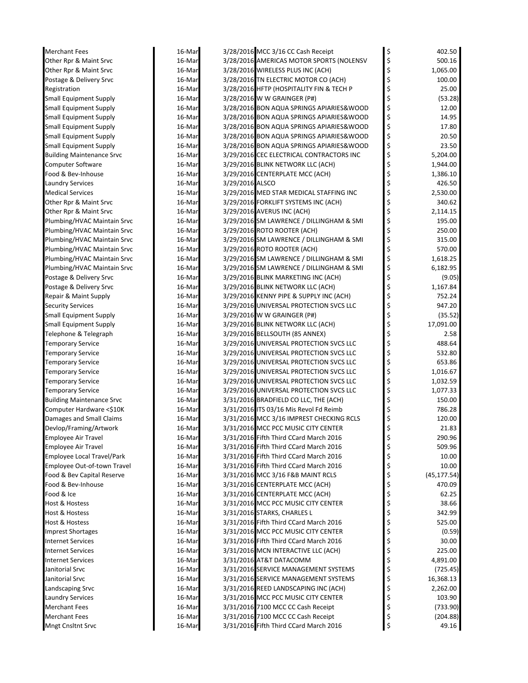| <b>Merchant Fees</b>             | 16-Mar |                 | 3/28/2016 MCC 3/16 CC Cash Receipt       | \$       | 402.50       |
|----------------------------------|--------|-----------------|------------------------------------------|----------|--------------|
| Other Rpr & Maint Srvc           | 16-Mar |                 | 3/28/2016 AMERICAS MOTOR SPORTS (NOLENSV | \$       | 500.16       |
| Other Rpr & Maint Srvc           | 16-Mar |                 | 3/28/2016 WIRELESS PLUS INC (ACH)        | \$       | 1,065.00     |
| Postage & Delivery Srvc          | 16-Mar |                 | 3/28/2016 TN ELECTRIC MOTOR CO (ACH)     | \$       | 100.00       |
| Registration                     | 16-Mar |                 | 3/28/2016 HFTP (HOSPITALITY FIN & TECH P | \$       | 25.00        |
| <b>Small Equipment Supply</b>    | 16-Mar |                 | 3/28/2016 W W GRAINGER (P#)              | \$       | (53.28)      |
| <b>Small Equipment Supply</b>    | 16-Mar |                 | 3/28/2016 BON AQUA SPRINGS APIARIES&WOOD | \$       | 12.00        |
| <b>Small Equipment Supply</b>    | 16-Mar |                 | 3/28/2016 BON AQUA SPRINGS APIARIES&WOOD | \$       | 14.95        |
| <b>Small Equipment Supply</b>    | 16-Mar |                 | 3/28/2016 BON AQUA SPRINGS APIARIES&WOOD | \$       | 17.80        |
| <b>Small Equipment Supply</b>    | 16-Mar |                 | 3/28/2016 BON AQUA SPRINGS APIARIES&WOOD | \$       | 20.50        |
| <b>Small Equipment Supply</b>    | 16-Mar |                 | 3/28/2016 BON AQUA SPRINGS APIARIES&WOOD | \$       | 23.50        |
| <b>Building Maintenance Srvc</b> | 16-Mar |                 | 3/29/2016 CEC ELECTRICAL CONTRACTORS INC | \$       | 5,204.00     |
| <b>Computer Software</b>         | 16-Mar |                 | 3/29/2016 BLINK NETWORK LLC (ACH)        | \$       | 1,944.00     |
| Food & Bev-Inhouse               | 16-Mar |                 | 3/29/2016 CENTERPLATE MCC (ACH)          | \$       | 1,386.10     |
| <b>Laundry Services</b>          | 16-Mar | 3/29/2016 ALSCO |                                          | \$       | 426.50       |
| <b>Medical Services</b>          | 16-Mar |                 | 3/29/2016 MED STAR MEDICAL STAFFING INC  | \$       | 2,530.00     |
| Other Rpr & Maint Srvc           | 16-Mar |                 | 3/29/2016 FORKLIFT SYSTEMS INC (ACH)     | \$       | 340.62       |
| Other Rpr & Maint Srvc           | 16-Mar |                 | 3/29/2016 AVERUS INC (ACH)               | \$       | 2,114.15     |
| Plumbing/HVAC Maintain Srvc      | 16-Mar |                 | 3/29/2016 SM LAWRENCE / DILLINGHAM & SMI | \$       | 195.00       |
| Plumbing/HVAC Maintain Srvc      | 16-Mar |                 | 3/29/2016 ROTO ROOTER (ACH)              | \$       | 250.00       |
| Plumbing/HVAC Maintain Srvc      | 16-Mar |                 | 3/29/2016 SM LAWRENCE / DILLINGHAM & SMI | \$       | 315.00       |
| Plumbing/HVAC Maintain Srvc      | 16-Mar |                 | 3/29/2016 ROTO ROOTER (ACH)              | \$       | 570.00       |
| Plumbing/HVAC Maintain Srvc      | 16-Mar |                 | 3/29/2016 SM LAWRENCE / DILLINGHAM & SMI | \$       | 1,618.25     |
| Plumbing/HVAC Maintain Srvc      | 16-Mar |                 | 3/29/2016 SM LAWRENCE / DILLINGHAM & SMI | \$       | 6,182.95     |
| Postage & Delivery Srvc          | 16-Mar |                 | 3/29/2016 BLINK MARKETING INC (ACH)      | \$       | (9.05)       |
| Postage & Delivery Srvc          | 16-Mar |                 | 3/29/2016 BLINK NETWORK LLC (ACH)        | \$       | 1,167.84     |
| Repair & Maint Supply            | 16-Mar |                 | 3/29/2016 KENNY PIPE & SUPPLY INC (ACH)  | \$       | 752.24       |
| <b>Security Services</b>         | 16-Mar |                 | 3/29/2016 UNIVERSAL PROTECTION SVCS LLC  | \$       | 947.20       |
| <b>Small Equipment Supply</b>    | 16-Mar |                 | 3/29/2016 W W GRAINGER (P#)              | \$       | (35.52)      |
| <b>Small Equipment Supply</b>    | 16-Mar |                 | 3/29/2016 BLINK NETWORK LLC (ACH)        | \$       | 17,091.00    |
| Telephone & Telegraph            | 16-Mar |                 | 3/29/2016 BELLSOUTH (85 ANNEX)           | \$       | 2.58         |
| <b>Temporary Service</b>         | 16-Mar |                 | 3/29/2016 UNIVERSAL PROTECTION SVCS LLC  | \$       | 488.64       |
|                                  |        |                 |                                          | \$       | 532.80       |
| <b>Temporary Service</b>         | 16-Mar |                 | 3/29/2016 UNIVERSAL PROTECTION SVCS LLC  |          | 653.86       |
| <b>Temporary Service</b>         | 16-Mar |                 | 3/29/2016 UNIVERSAL PROTECTION SVCS LLC  | \$<br>\$ |              |
| <b>Temporary Service</b>         | 16-Mar |                 | 3/29/2016 UNIVERSAL PROTECTION SVCS LLC  |          | 1,016.67     |
| Temporary Service                | 16-Mar |                 | 3/29/2016 UNIVERSAL PROTECTION SVCS LLC  | \$       | 1,032.59     |
| <b>Temporary Service</b>         | 16-Mar |                 | 3/29/2016 UNIVERSAL PROTECTION SVCS LLC  | \$       | 1,077.33     |
| <b>Building Maintenance Srvc</b> | 16-Mar |                 | 3/31/2016 BRADFIELD CO LLC, THE (ACH)    | \$       | 150.00       |
| Computer Hardware <\$10K         | 16-Mar |                 | 3/31/2016 ITS 03/16 Mis Revol Fd Reimb   | \$       | 786.28       |
| Damages and Small Claims         | 16-Mar |                 | 3/31/2016 MCC 3/16 IMPREST CHECKING RCLS | \$       | 120.00       |
| Devlop/Framing/Artwork           | 16-Mar |                 | 3/31/2016 MCC PCC MUSIC CITY CENTER      | \$       | 21.83        |
| <b>Employee Air Travel</b>       | 16-Mar |                 | 3/31/2016 Fifth Third CCard March 2016   | \$       | 290.96       |
| Employee Air Travel              | 16-Mar |                 | 3/31/2016 Fifth Third CCard March 2016   | \$       | 509.96       |
| Employee Local Travel/Park       | 16-Mar |                 | 3/31/2016 Fifth Third CCard March 2016   | \$       | 10.00        |
| Employee Out-of-town Travel      | 16-Mar |                 | 3/31/2016 Fifth Third CCard March 2016   | \$       | 10.00        |
| Food & Bev Capital Reserve       | 16-Mar |                 | 3/31/2016 MCC 3/16 F&B MAINT RCLS        | \$       | (45, 177.54) |
| Food & Bev-Inhouse               | 16-Mar |                 | 3/31/2016 CENTERPLATE MCC (ACH)          | \$       | 470.09       |
| Food & Ice                       | 16-Mar |                 | 3/31/2016 CENTERPLATE MCC (ACH)          | \$       | 62.25        |
| Host & Hostess                   | 16-Mar |                 | 3/31/2016 MCC PCC MUSIC CITY CENTER      | \$       | 38.66        |
| Host & Hostess                   | 16-Mar |                 | 3/31/2016 STARKS, CHARLES L              | \$       | 342.99       |
| Host & Hostess                   | 16-Mar |                 | 3/31/2016 Fifth Third CCard March 2016   | \$       | 525.00       |
| <b>Imprest Shortages</b>         | 16-Mar |                 | 3/31/2016 MCC PCC MUSIC CITY CENTER      | \$       | (0.59)       |
| <b>Internet Services</b>         | 16-Mar |                 | 3/31/2016 Fifth Third CCard March 2016   | \$       | 30.00        |
| <b>Internet Services</b>         | 16-Mar |                 | 3/31/2016 MCN INTERACTIVE LLC (ACH)      | \$       | 225.00       |
| Internet Services                | 16-Mar |                 | 3/31/2016 AT&T DATACOMM                  | \$       | 4,891.00     |
| Janitorial Srvc                  | 16-Mar |                 | 3/31/2016 SERVICE MANAGEMENT SYSTEMS     | \$       | (725.45)     |
| Janitorial Srvc                  | 16-Mar |                 | 3/31/2016 SERVICE MANAGEMENT SYSTEMS     | \$       | 16,368.13    |
| Landscaping Srvc                 | 16-Mar |                 | 3/31/2016 REED LANDSCAPING INC (ACH)     | \$       | 2,262.00     |
| <b>Laundry Services</b>          | 16-Mar |                 | 3/31/2016 MCC PCC MUSIC CITY CENTER      | \$       | 103.90       |
| Merchant Fees                    | 16-Mar |                 | 3/31/2016 7100 MCC CC Cash Receipt       | \$       | (733.90)     |
| <b>Merchant Fees</b>             | 16-Mar |                 | 3/31/2016 7100 MCC CC Cash Receipt       | \$       | (204.88)     |
| <b>Mngt Cnsltnt Srvc</b>         | 16-Mar |                 | 3/31/2016 Fifth Third CCard March 2016   | \$       | 49.16        |